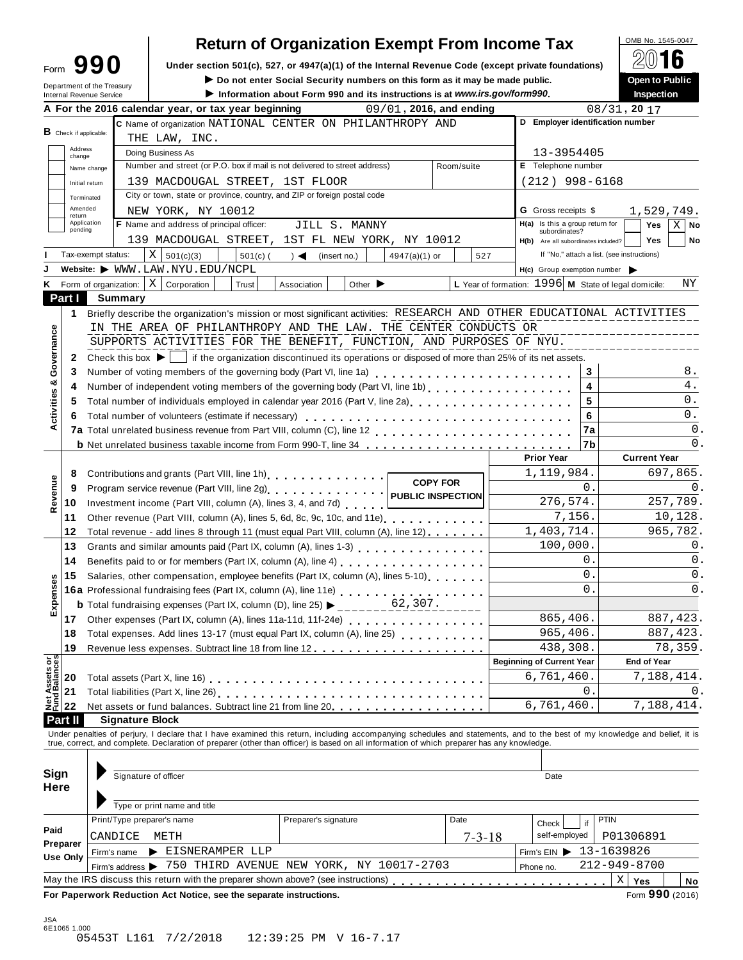| Form | 990 |  |
|------|-----|--|
|      |     |  |

# Return of Organization Exempt From Income Tax  $\begin{array}{|l|l|}\n\hline\n\text{Q(1)} & \text{SUS No. 1545-0047}\n\hline\n\text{Q(2)} & \text{SUS No. 1545-0047}\n\hline\n\end{array}$

Form 990 Under section 501(c), 527, or 4947(a)(1) of the Internal Revenue Code (except private foundations) <u>A</u><sup>∪</sup> IO<br>Do not enter Social Security numbers on this form as it may be made public.

**I Department of the Treasury inter Social Security numbers on this form as it may be made public. Open to Public instructions is at www.irs.gov/form990. Inspection** 

|                                      | Department of the Treasury<br><b>Internal Revenue Service</b> |         | ► Do not enter Social Security numbers on this form as it may be made public.<br>Information about Form 990 and its instructions is at www.irs.gov/form990.                                                                    |                                    |                             |                         |                 |                                                      |                 | Open to Public<br>Inspection |             |
|--------------------------------------|---------------------------------------------------------------|---------|--------------------------------------------------------------------------------------------------------------------------------------------------------------------------------------------------------------------------------|------------------------------------|-----------------------------|-------------------------|-----------------|------------------------------------------------------|-----------------|------------------------------|-------------|
|                                      |                                                               |         | A For the 2016 calendar year, or tax year beginning                                                                                                                                                                            |                                    |                             | 09/01, 2016, and ending |                 |                                                      | $08/31$ , 20 17 |                              |             |
|                                      |                                                               |         | C Name of organization NATIONAL CENTER ON PHILANTHROPY AND                                                                                                                                                                     |                                    |                             |                         |                 | D Employer identification number                     |                 |                              |             |
| <b>B</b> Check if applicable:        |                                                               |         | THE LAW, INC.                                                                                                                                                                                                                  |                                    |                             |                         |                 |                                                      |                 |                              |             |
| Address<br>change                    |                                                               |         | Doing Business As                                                                                                                                                                                                              |                                    |                             |                         |                 | 13-3954405                                           |                 |                              |             |
|                                      | Name change                                                   |         | Number and street (or P.O. box if mail is not delivered to street address)                                                                                                                                                     |                                    |                             |                         | Room/suite      | E Telephone number                                   |                 |                              |             |
|                                      | Initial return                                                |         | 139 MACDOUGAL STREET, 1ST FLOOR                                                                                                                                                                                                |                                    |                             |                         |                 | $(212)$ 998-6168                                     |                 |                              |             |
|                                      | Terminated                                                    |         | City or town, state or province, country, and ZIP or foreign postal code                                                                                                                                                       |                                    |                             |                         |                 |                                                      |                 |                              |             |
|                                      | Amended                                                       |         | NEW YORK, NY 10012                                                                                                                                                                                                             |                                    |                             |                         |                 | <b>G</b> Gross receipts \$                           |                 | 1,529,749.                   |             |
| return                               | Application                                                   |         | F Name and address of principal officer:                                                                                                                                                                                       |                                    | JILL S. MANNY               |                         |                 | H(a) Is this a group return for                      |                 | Yes                          | $X \mid$ No |
| pending                              |                                                               |         | 139 MACDOUGAL STREET, 1ST FL NEW YORK, NY 10012                                                                                                                                                                                |                                    |                             |                         |                 | subordinates?                                        |                 |                              |             |
|                                      |                                                               |         |                                                                                                                                                                                                                                |                                    |                             |                         |                 | H(b) Are all subordinates included?                  |                 | <b>Yes</b>                   | No          |
|                                      | Tax-exempt status:                                            |         | $X \mid 501(c)(3)$<br>$501(c)$ (                                                                                                                                                                                               | $\rightarrow$ $\blacktriangleleft$ | (insert no.)                | $4947(a)(1)$ or         | 527             | If "No," attach a list. (see instructions)           |                 |                              |             |
|                                      |                                                               |         | Website: $\blacktriangleright$ WWW.LAW.NYU.EDU/NCPL                                                                                                                                                                            |                                    |                             |                         |                 | H(c) Group exemption number                          |                 |                              |             |
| ĸ                                    | Form of organization:   X                                     |         | Corporation<br>Trust                                                                                                                                                                                                           | Association                        | Other $\blacktriangleright$ |                         |                 | L Year of formation: 1996 M State of legal domicile: |                 |                              | ΝY          |
| Part I                               |                                                               | Summary |                                                                                                                                                                                                                                |                                    |                             |                         |                 |                                                      |                 |                              |             |
| 1                                    |                                                               |         | Briefly describe the organization's mission or most significant activities: RESEARCH AND OTHER EDUCATIONAL ACTIVITIES                                                                                                          |                                    |                             |                         |                 |                                                      |                 |                              |             |
|                                      |                                                               |         | IN THE AREA OF PHILANTHROPY AND THE LAW. THE CENTER CONDUCTS OR                                                                                                                                                                |                                    |                             |                         |                 |                                                      |                 |                              |             |
|                                      |                                                               |         | SUPPORTS ACTIVITIES FOR THE BENEFIT, FUNCTION, AND PURPOSES OF NYU.                                                                                                                                                            |                                    |                             |                         |                 |                                                      |                 |                              |             |
| Governance<br>2                      |                                                               |         | Check this box $\blacktriangleright$   if the organization discontinued its operations or disposed of more than 25% of its net assets.                                                                                         |                                    |                             |                         |                 |                                                      |                 |                              |             |
| 3                                    |                                                               |         |                                                                                                                                                                                                                                |                                    |                             |                         |                 | 3                                                    |                 |                              | 8.          |
| 4                                    |                                                               |         | Number of independent voting members of the governing body (Part VI, line 1b)                                                                                                                                                  |                                    |                             |                         |                 | 4                                                    |                 |                              | $4$ .       |
| Activities &<br>5                    |                                                               |         | Total number of individuals employed in calendar year 2016 (Part V, line 2a)<br>Total number of individuals employed in calendar year 2016 (Part V, line 2a)                                                                   |                                    |                             |                         |                 | 5                                                    |                 |                              | 0.          |
| 6                                    |                                                               |         | Total number of volunteers (estimate if necessary)                                                                                                                                                                             |                                    |                             |                         |                 | 6                                                    |                 |                              | $0$ .       |
|                                      |                                                               |         |                                                                                                                                                                                                                                |                                    |                             |                         |                 | 7a                                                   |                 |                              | 0.          |
|                                      |                                                               |         | <b>b</b> Net unrelated business taxable income from Form 990-T, line 34                                                                                                                                                        |                                    |                             |                         |                 | 7b                                                   |                 |                              | 0.          |
|                                      |                                                               |         |                                                                                                                                                                                                                                |                                    |                             |                         |                 | <b>Prior Year</b>                                    |                 | <b>Current Year</b>          |             |
| 8                                    |                                                               |         | Contributions and grants (Part VIII, line 1h).                                                                                                                                                                                 |                                    |                             |                         |                 | 1,119,984.                                           |                 | 697,865.                     |             |
| 9                                    |                                                               |         |                                                                                                                                                                                                                                |                                    |                             |                         | <b>COPY FOR</b> | 0.                                                   |                 |                              | 0.          |
| Revenue                              |                                                               |         |                                                                                                                                                                                                                                |                                    |                             |                         |                 | 276,574.                                             |                 | 257,789.                     |             |
| 10                                   |                                                               |         | Investment income (Part VIII, column (A), lines 3, 4, and 7d)                                                                                                                                                                  |                                    |                             |                         |                 |                                                      |                 | 10,128.                      |             |
| 11                                   |                                                               |         | Other revenue (Part VIII, column (A), lines 5, 6d, 8c, 9c, 10c, and 11e)                                                                                                                                                       |                                    |                             |                         |                 | 7,156.<br>1,403,714.                                 |                 |                              |             |
| 12                                   |                                                               |         | Total revenue - add lines 8 through 11 (must equal Part VIII, column (A), line 12)                                                                                                                                             |                                    |                             |                         |                 |                                                      |                 | 965,782.                     |             |
| 13                                   |                                                               |         | Grants and similar amounts paid (Part IX, column (A), lines 1-3)                                                                                                                                                               |                                    |                             |                         |                 | 100,000.                                             |                 |                              | 0.          |
| 14                                   |                                                               |         |                                                                                                                                                                                                                                |                                    |                             |                         |                 | 0.                                                   |                 |                              | 0.          |
| 15                                   |                                                               |         | Salaries, other compensation, employee benefits (Part IX, column (A), lines 5-10)                                                                                                                                              |                                    |                             |                         |                 | $\overline{0}$ .                                     |                 |                              | 0.          |
| Expenses                             |                                                               |         | 16a Professional fundraising fees (Part IX, column (A), line 11e)<br>16a Professional fundraising fees (Part IX, column (A), line 11e)                                                                                         |                                    |                             |                         |                 | $\Omega$ .                                           |                 |                              | 0.          |
|                                      |                                                               |         | <b>b</b> Total fundraising expenses (Part IX, column (D), line 25) $\blacktriangleright$                                                                                                                                       |                                    |                             | 62,307.                 |                 |                                                      |                 |                              |             |
| 17 <sup>1</sup>                      |                                                               |         | Other expenses (Part IX, column (A), lines 11a-11d, 11f-24e)                                                                                                                                                                   |                                    |                             |                         |                 | 865,406.                                             |                 | 887, 423.                    |             |
| 18                                   |                                                               |         | Total expenses. Add lines 13-17 (must equal Part IX, column (A), line 25)                                                                                                                                                      |                                    |                             |                         |                 | 965,406.                                             |                 | 887, 423.                    |             |
| 19                                   |                                                               |         |                                                                                                                                                                                                                                |                                    |                             |                         |                 | 438,308.                                             |                 | 78,359.                      |             |
|                                      |                                                               |         |                                                                                                                                                                                                                                |                                    |                             |                         |                 | <b>Beginning of Current Year</b>                     |                 | <b>End of Year</b>           |             |
| Net Assets or<br>Fund Balances<br>20 |                                                               |         |                                                                                                                                                                                                                                |                                    |                             |                         |                 | 6,761,460.                                           |                 | 7,188,414.                   |             |
| 21                                   |                                                               |         |                                                                                                                                                                                                                                |                                    |                             |                         |                 | 0                                                    |                 |                              | 0.          |
| 22                                   |                                                               |         | Net assets or fund balances. Subtract line 21 from line 20.                                                                                                                                                                    |                                    |                             |                         |                 | 6,761,460.                                           |                 | 7,188,414.                   |             |
| Part II                              |                                                               |         | <b>Signature Block</b>                                                                                                                                                                                                         |                                    |                             |                         |                 |                                                      |                 |                              |             |
|                                      |                                                               |         | Under penalties of perjury, I declare that I have examined this return, including accompanying schedules and statements, and to the best of my knowledge and belief, it is true, correct, and complete. Declaration of prepare |                                    |                             |                         |                 |                                                      |                 |                              |             |
|                                      |                                                               |         |                                                                                                                                                                                                                                |                                    |                             |                         |                 |                                                      |                 |                              |             |
|                                      |                                                               |         |                                                                                                                                                                                                                                |                                    |                             |                         |                 |                                                      |                 |                              |             |
| Sign                                 |                                                               |         | Signature of officer                                                                                                                                                                                                           |                                    |                             |                         |                 | Date                                                 |                 |                              |             |
| Here                                 |                                                               |         |                                                                                                                                                                                                                                |                                    |                             |                         |                 |                                                      |                 |                              |             |
|                                      |                                                               |         | Type or print name and title                                                                                                                                                                                                   |                                    |                             |                         |                 |                                                      |                 |                              |             |
|                                      |                                                               |         | Print/Type preparer's name                                                                                                                                                                                                     |                                    | Preparer's signature        |                         | Date            |                                                      | <b>PTIN</b>     |                              |             |
|                                      |                                                               |         |                                                                                                                                                                                                                                |                                    |                             |                         |                 | if<br>Check                                          |                 |                              |             |
|                                      |                                                               |         |                                                                                                                                                                                                                                |                                    |                             |                         |                 | self-employed                                        | P01306891       |                              |             |
|                                      | CANDICE                                                       |         | METH                                                                                                                                                                                                                           |                                    |                             |                         | $7 - 3 - 18$    |                                                      |                 |                              |             |
| Paid<br>Preparer                     | Firm's name                                                   |         | EISNERAMPER LLP                                                                                                                                                                                                                |                                    |                             |                         |                 | Firm's EIN 13-1639826                                |                 |                              |             |
| <b>Use Only</b>                      |                                                               |         | Firm's address > 750 THIRD AVENUE NEW YORK, NY 10017-2703                                                                                                                                                                      |                                    |                             |                         |                 | Phone no.                                            | 212-949-8700    |                              |             |
|                                      |                                                               |         |                                                                                                                                                                                                                                |                                    |                             |                         |                 |                                                      | $\mathbf X$     | Yes                          | No          |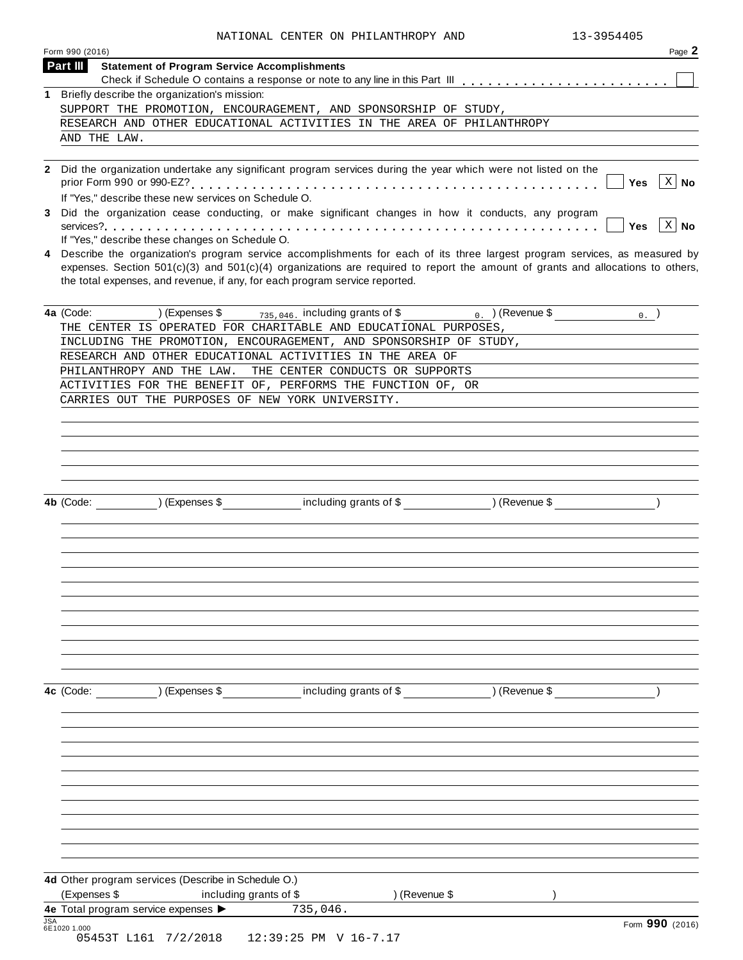|            | Form 990 (2016)<br>Page 2                                                                                                                                                                                                                                                                                                                       |
|------------|-------------------------------------------------------------------------------------------------------------------------------------------------------------------------------------------------------------------------------------------------------------------------------------------------------------------------------------------------|
|            | Part III<br><b>Statement of Program Service Accomplishments</b>                                                                                                                                                                                                                                                                                 |
|            |                                                                                                                                                                                                                                                                                                                                                 |
|            | 1 Briefly describe the organization's mission:<br>SUPPORT THE PROMOTION, ENCOURAGEMENT, AND SPONSORSHIP OF STUDY,                                                                                                                                                                                                                               |
|            | RESEARCH AND OTHER EDUCATIONAL ACTIVITIES IN THE AREA OF PHILANTHROPY                                                                                                                                                                                                                                                                           |
|            | AND THE LAW.                                                                                                                                                                                                                                                                                                                                    |
|            |                                                                                                                                                                                                                                                                                                                                                 |
|            | 2 Did the organization undertake any significant program services during the year which were not listed on the                                                                                                                                                                                                                                  |
|            | $\vert$ X $\vert$ No<br>Yes<br>If "Yes," describe these new services on Schedule O.                                                                                                                                                                                                                                                             |
| 3          | Did the organization cease conducting, or make significant changes in how it conducts, any program<br>$\vert$ X $\vert$ No<br><b>Yes</b>                                                                                                                                                                                                        |
|            | If "Yes," describe these changes on Schedule O.                                                                                                                                                                                                                                                                                                 |
| 4          | Describe the organization's program service accomplishments for each of its three largest program services, as measured by<br>expenses. Section $501(c)(3)$ and $501(c)(4)$ organizations are required to report the amount of grants and allocations to others,<br>the total expenses, and revenue, if any, for each program service reported. |
|            | (Expenses \$ $\frac{1}{735,046}$ including grants of \$ 0. ) (Revenue \$<br>4a (Code:<br>$_0$ .                                                                                                                                                                                                                                                 |
|            | THE CENTER IS OPERATED FOR CHARITABLE AND EDUCATIONAL PURPOSES,                                                                                                                                                                                                                                                                                 |
|            | INCLUDING THE PROMOTION, ENCOURAGEMENT, AND SPONSORSHIP OF STUDY,                                                                                                                                                                                                                                                                               |
|            | RESEARCH AND OTHER EDUCATIONAL ACTIVITIES IN THE AREA OF<br>PHILANTHROPY AND THE LAW.<br>THE CENTER CONDUCTS OR SUPPORTS                                                                                                                                                                                                                        |
|            | ACTIVITIES FOR THE BENEFIT OF, PERFORMS THE FUNCTION OF, OR                                                                                                                                                                                                                                                                                     |
|            | CARRIES OUT THE PURPOSES OF NEW YORK UNIVERSITY.                                                                                                                                                                                                                                                                                                |
|            |                                                                                                                                                                                                                                                                                                                                                 |
|            |                                                                                                                                                                                                                                                                                                                                                 |
|            |                                                                                                                                                                                                                                                                                                                                                 |
|            |                                                                                                                                                                                                                                                                                                                                                 |
|            |                                                                                                                                                                                                                                                                                                                                                 |
|            |                                                                                                                                                                                                                                                                                                                                                 |
|            | 4b (Code: ) (Expenses \$ including grants of \$ ) (Revenue \$                                                                                                                                                                                                                                                                                   |
|            |                                                                                                                                                                                                                                                                                                                                                 |
|            |                                                                                                                                                                                                                                                                                                                                                 |
|            |                                                                                                                                                                                                                                                                                                                                                 |
|            |                                                                                                                                                                                                                                                                                                                                                 |
|            |                                                                                                                                                                                                                                                                                                                                                 |
|            |                                                                                                                                                                                                                                                                                                                                                 |
|            |                                                                                                                                                                                                                                                                                                                                                 |
|            |                                                                                                                                                                                                                                                                                                                                                 |
|            |                                                                                                                                                                                                                                                                                                                                                 |
|            |                                                                                                                                                                                                                                                                                                                                                 |
|            |                                                                                                                                                                                                                                                                                                                                                 |
|            | 4c (Code: ) (Expenses \$ including grants of \$ ) (Revenue \$                                                                                                                                                                                                                                                                                   |
|            |                                                                                                                                                                                                                                                                                                                                                 |
|            |                                                                                                                                                                                                                                                                                                                                                 |
|            |                                                                                                                                                                                                                                                                                                                                                 |
|            |                                                                                                                                                                                                                                                                                                                                                 |
|            |                                                                                                                                                                                                                                                                                                                                                 |
|            |                                                                                                                                                                                                                                                                                                                                                 |
|            |                                                                                                                                                                                                                                                                                                                                                 |
|            |                                                                                                                                                                                                                                                                                                                                                 |
|            |                                                                                                                                                                                                                                                                                                                                                 |
|            |                                                                                                                                                                                                                                                                                                                                                 |
|            | 4d Other program services (Describe in Schedule O.)                                                                                                                                                                                                                                                                                             |
|            | (Expenses \$<br>) (Revenue \$<br>including grants of \$                                                                                                                                                                                                                                                                                         |
|            | 735,046.<br>4e Total program service expenses >                                                                                                                                                                                                                                                                                                 |
| <b>JSA</b> | Form 990 (2016)                                                                                                                                                                                                                                                                                                                                 |
|            | 6E1020 1.000                                                                                                                                                                                                                                                                                                                                    |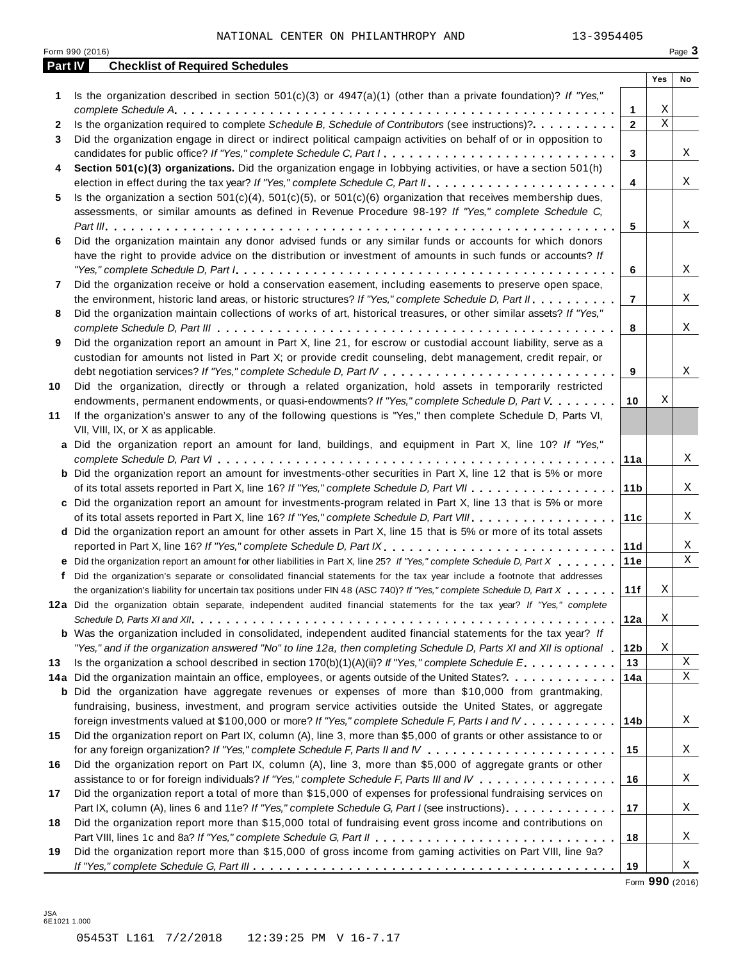|         | Form 990 (2016)                                                                                                           |                 |             | Page 3 |
|---------|---------------------------------------------------------------------------------------------------------------------------|-----------------|-------------|--------|
| Part IV | <b>Checklist of Required Schedules</b>                                                                                    |                 |             |        |
|         |                                                                                                                           |                 | Yes         | No     |
| 1       | Is the organization described in section $501(c)(3)$ or $4947(a)(1)$ (other than a private foundation)? If "Yes,"         |                 |             |        |
|         |                                                                                                                           | 1               | Χ           |        |
| 2       | Is the organization required to complete Schedule B, Schedule of Contributors (see instructions)?.                        | $\overline{2}$  | $\mathbf X$ |        |
| 3       | Did the organization engage in direct or indirect political campaign activities on behalf of or in opposition to          |                 |             |        |
|         | candidates for public office? If "Yes," complete Schedule C, Part I.                                                      | 3               |             | X      |
| 4       | Section 501(c)(3) organizations. Did the organization engage in lobbying activities, or have a section 501(h)             |                 |             |        |
|         |                                                                                                                           | 4               |             | X      |
| 5       | Is the organization a section $501(c)(4)$ , $501(c)(5)$ , or $501(c)(6)$ organization that receives membership dues,      |                 |             |        |
|         | assessments, or similar amounts as defined in Revenue Procedure 98-19? If "Yes," complete Schedule C,                     |                 |             |        |
|         |                                                                                                                           | 5               |             | X      |
| 6       | Did the organization maintain any donor advised funds or any similar funds or accounts for which donors                   |                 |             |        |
|         | have the right to provide advice on the distribution or investment of amounts in such funds or accounts? If               |                 |             |        |
|         |                                                                                                                           | 6               |             | X      |
| 7       | Did the organization receive or hold a conservation easement, including easements to preserve open space,                 |                 |             |        |
|         | the environment, historic land areas, or historic structures? If "Yes," complete Schedule D, Part II.                     | $\overline{7}$  |             | X      |
| 8       | Did the organization maintain collections of works of art, historical treasures, or other similar assets? If "Yes,"       |                 |             |        |
|         |                                                                                                                           | 8               |             | X      |
| 9       | Did the organization report an amount in Part X, line 21, for escrow or custodial account liability, serve as a           |                 |             |        |
|         | custodian for amounts not listed in Part X; or provide credit counseling, debt management, credit repair, or              |                 |             |        |
|         |                                                                                                                           | 9               |             | X      |
| 10      | Did the organization, directly or through a related organization, hold assets in temporarily restricted                   |                 |             |        |
|         | endowments, permanent endowments, or quasi-endowments? If "Yes," complete Schedule D, Part V.                             | 10              | Χ           |        |
| 11      | If the organization's answer to any of the following questions is "Yes," then complete Schedule D, Parts VI,              |                 |             |        |
|         | VII, VIII, IX, or X as applicable.                                                                                        |                 |             |        |
|         | a Did the organization report an amount for land, buildings, and equipment in Part X, line 10? If "Yes,"                  |                 |             |        |
|         |                                                                                                                           | 11a             |             | X      |
|         | <b>b</b> Did the organization report an amount for investments-other securities in Part X, line 12 that is 5% or more     |                 |             |        |
|         |                                                                                                                           | 11 <sub>b</sub> |             | X      |
|         | c Did the organization report an amount for investments-program related in Part X, line 13 that is 5% or more             |                 |             |        |
|         |                                                                                                                           | 11c             |             | X      |
|         | d Did the organization report an amount for other assets in Part X, line 15 that is 5% or more of its total assets        |                 |             |        |
|         | reported in Part X, line 16? If "Yes," complete Schedule D, Part IX.                                                      | 11d             |             | Χ      |
|         | e Did the organization report an amount for other liabilities in Part X, line 25? If "Yes," complete Schedule D, Part X   | 11e             |             | Χ      |
|         | f Did the organization's separate or consolidated financial statements for the tax year include a footnote that addresses |                 |             |        |
|         | the organization's liability for uncertain tax positions under FIN 48 (ASC 740)? If "Yes," complete Schedule D, Part X    | 11f             | $\mathbf X$ |        |
|         | 12a Did the organization obtain separate, independent audited financial statements for the tax year? If "Yes," complete   |                 |             |        |
|         |                                                                                                                           | 12a             | X           |        |
|         | <b>b</b> Was the organization included in consolidated, independent audited financial statements for the tax year? If     |                 |             |        |
|         | "Yes," and if the organization answered "No" to line 12a, then completing Schedule D, Parts XI and XII is optional        | 12 <sub>b</sub> | X           |        |
| 13      | Is the organization a school described in section $170(b)(1)(A)(ii)?$ If "Yes," complete Schedule E.                      | 13              |             | Χ      |
|         | 14a Did the organization maintain an office, employees, or agents outside of the United States?.                          | 14a             |             | X      |
|         | <b>b</b> Did the organization have aggregate revenues or expenses of more than \$10,000 from grantmaking,                 |                 |             |        |
|         | fundraising, business, investment, and program service activities outside the United States, or aggregate                 |                 |             |        |
|         | foreign investments valued at \$100,000 or more? If "Yes," complete Schedule F, Parts I and IV                            | 14b             |             | Χ      |
| 15      | Did the organization report on Part IX, column (A), line 3, more than \$5,000 of grants or other assistance to or         |                 |             |        |
|         |                                                                                                                           | 15              |             | Χ      |
| 16      | Did the organization report on Part IX, column (A), line 3, more than \$5,000 of aggregate grants or other                |                 |             |        |
|         | assistance to or for foreign individuals? If "Yes," complete Schedule F, Parts III and IV                                 | 16              |             | Χ      |
| 17      | Did the organization report a total of more than \$15,000 of expenses for professional fundraising services on            |                 |             |        |
|         | Part IX, column (A), lines 6 and 11e? If "Yes," complete Schedule G, Part I (see instructions)                            | 17              |             | X      |
| 18      | Did the organization report more than \$15,000 total of fundraising event gross income and contributions on               |                 |             |        |
|         |                                                                                                                           | 18              |             | Χ      |
| 19      | Did the organization report more than \$15,000 of gross income from gaming activities on Part VIII, line 9a?              |                 |             |        |
|         |                                                                                                                           | 19              |             | Χ      |

Form **990** (2016)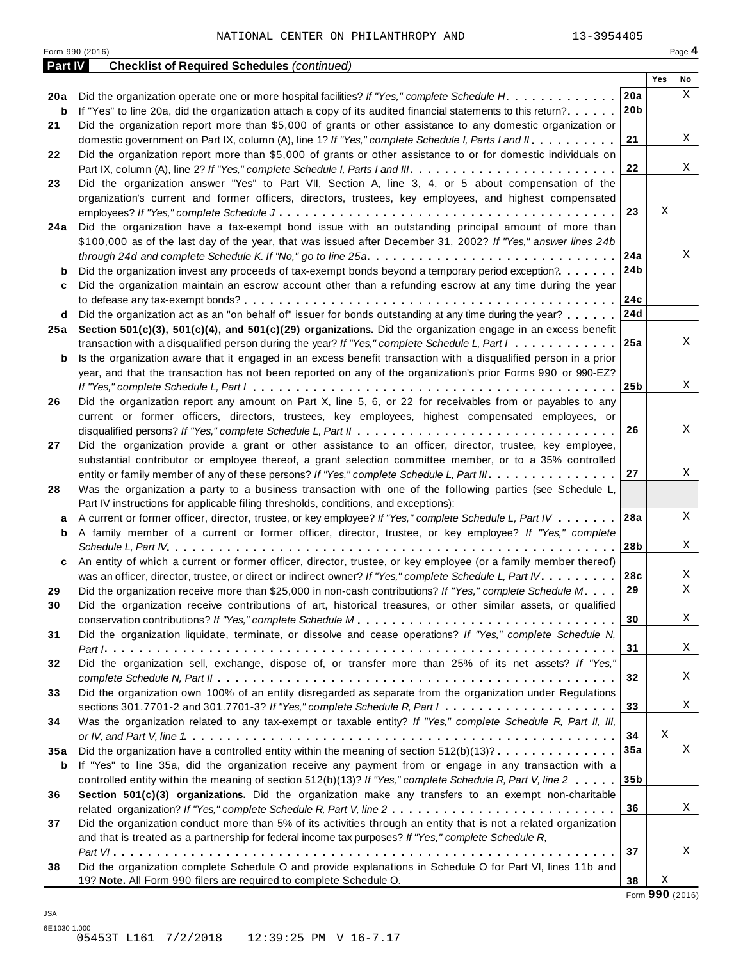| <b>Part IV</b> | <b>Checklist of Required Schedules (continued)</b>                                                                                |                 |     |             |
|----------------|-----------------------------------------------------------------------------------------------------------------------------------|-----------------|-----|-------------|
|                |                                                                                                                                   |                 | Yes | No          |
| 20 a           | Did the organization operate one or more hospital facilities? If "Yes," complete Schedule H.                                      | 20a             |     | X           |
| b              | If "Yes" to line 20a, did the organization attach a copy of its audited financial statements to this return?                      | 20 <sub>b</sub> |     |             |
| 21             | Did the organization report more than \$5,000 of grants or other assistance to any domestic organization or                       |                 |     |             |
|                | domestic government on Part IX, column (A), line 1? If "Yes," complete Schedule I, Parts I and II.                                | 21              |     | Χ           |
| 22             | Did the organization report more than \$5,000 of grants or other assistance to or for domestic individuals on                     |                 |     |             |
|                |                                                                                                                                   | 22              |     | X           |
| 23             | Did the organization answer "Yes" to Part VII, Section A, line 3, 4, or 5 about compensation of the                               |                 |     |             |
|                | organization's current and former officers, directors, trustees, key employees, and highest compensated                           |                 |     |             |
|                |                                                                                                                                   | 23              | Χ   |             |
| 24 a           | Did the organization have a tax-exempt bond issue with an outstanding principal amount of more than                               |                 |     |             |
|                | \$100,000 as of the last day of the year, that was issued after December 31, 2002? If "Yes," answer lines 24b                     |                 |     |             |
|                | through 24d and complete Schedule K. If "No," go to line 25a                                                                      | 24a             |     | Χ           |
| $\mathbf b$    | Did the organization invest any proceeds of tax-exempt bonds beyond a temporary period exception?                                 | 24 <sub>b</sub> |     |             |
| c              | Did the organization maintain an escrow account other than a refunding escrow at any time during the year                         |                 |     |             |
|                |                                                                                                                                   | 24c             |     |             |
| d              | Did the organization act as an "on behalf of" issuer for bonds outstanding at any time during the year?                           | 24d             |     |             |
| 25 a           | Section 501(c)(3), 501(c)(4), and 501(c)(29) organizations. Did the organization engage in an excess benefit                      |                 |     |             |
|                | transaction with a disqualified person during the year? If "Yes," complete Schedule L, Part $l_1, \ldots, l_r, \ldots, l_r$       | 25a             |     | Χ           |
| b              | Is the organization aware that it engaged in an excess benefit transaction with a disqualified person in a prior                  |                 |     |             |
|                | year, and that the transaction has not been reported on any of the organization's prior Forms 990 or 990-EZ?                      |                 |     |             |
|                |                                                                                                                                   | 25 <sub>b</sub> |     | X           |
| 26             | Did the organization report any amount on Part X, line 5, 6, or 22 for receivables from or payables to any                        |                 |     |             |
|                | current or former officers, directors, trustees, key employees, highest compensated employees, or                                 |                 |     |             |
|                |                                                                                                                                   | 26              |     | Χ           |
| 27             | Did the organization provide a grant or other assistance to an officer, director, trustee, key employee,                          |                 |     |             |
|                | substantial contributor or employee thereof, a grant selection committee member, or to a 35% controlled                           |                 |     |             |
|                | entity or family member of any of these persons? If "Yes," complete Schedule L, Part III.                                         | 27              |     | Χ           |
| 28             | Was the organization a party to a business transaction with one of the following parties (see Schedule L,                         |                 |     |             |
|                | Part IV instructions for applicable filing thresholds, conditions, and exceptions):                                               |                 |     |             |
| а              | A current or former officer, director, trustee, or key employee? If "Yes," complete Schedule L, Part IV                           | 28a             |     | Χ           |
| b              | A family member of a current or former officer, director, trustee, or key employee? If "Yes," complete                            |                 |     |             |
|                |                                                                                                                                   | 28b             |     | Χ           |
| c              | An entity of which a current or former officer, director, trustee, or key employee (or a family member thereof)                   |                 |     |             |
|                | was an officer, director, trustee, or direct or indirect owner? If "Yes," complete Schedule L, Part IV.                           | 28c             |     | Χ           |
| 29             | Did the organization receive more than \$25,000 in non-cash contributions? If "Yes," complete Schedule M.                         | 29              |     | $\mathbf X$ |
| 30             | Did the organization receive contributions of art, historical treasures, or other similar assets, or qualified                    |                 |     |             |
|                |                                                                                                                                   | 30              |     | Χ           |
| 31             | Did the organization liquidate, terminate, or dissolve and cease operations? If "Yes," complete Schedule N,                       |                 |     |             |
|                |                                                                                                                                   | 31              |     | Χ           |
| 32             | Did the organization sell, exchange, dispose of, or transfer more than 25% of its net assets? If "Yes,"                           |                 |     |             |
|                |                                                                                                                                   | 32              |     | Χ           |
| 33             | Did the organization own 100% of an entity disregarded as separate from the organization under Regulations                        |                 |     |             |
|                | sections 301.7701-2 and 301.7701-3? If "Yes," complete Schedule R, Part $l_1, \ldots, l_l, \ldots, l_l, \ldots, l_l, \ldots, l_l$ | 33              |     | X           |
| 34             | Was the organization related to any tax-exempt or taxable entity? If "Yes," complete Schedule R, Part II, III,                    |                 |     |             |
|                |                                                                                                                                   | 34              | Χ   |             |
| 35a            | Did the organization have a controlled entity within the meaning of section $512(b)(13)? \ldots \ldots \ldots \ldots$             | 35a             |     | X           |
| b              | If "Yes" to line 35a, did the organization receive any payment from or engage in any transaction with a                           |                 |     |             |
|                | controlled entity within the meaning of section 512(b)(13)? If "Yes," complete Schedule R, Part V, line 2                         | 35 <sub>b</sub> |     |             |
| 36             | Section 501(c)(3) organizations. Did the organization make any transfers to an exempt non-charitable                              |                 |     |             |
|                |                                                                                                                                   | 36              |     | X           |
| 37             | Did the organization conduct more than 5% of its activities through an entity that is not a related organization                  |                 |     |             |
|                | and that is treated as a partnership for federal income tax purposes? If "Yes," complete Schedule R,                              |                 |     |             |
|                |                                                                                                                                   | 37              |     | Χ           |
| 38             | Did the organization complete Schedule O and provide explanations in Schedule O for Part VI, lines 11b and                        |                 |     |             |
|                | 19? Note. All Form 990 filers are required to complete Schedule O.                                                                | 38              | Χ   |             |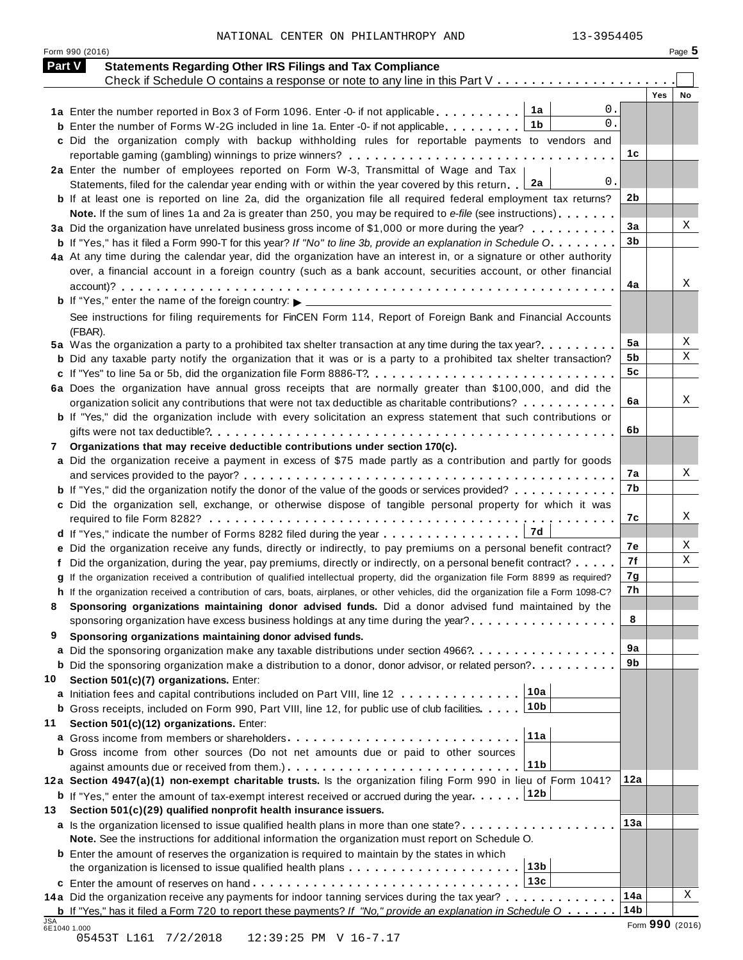| NATIONAL CENTER ON PHILANTHROPY AND |  |  |  |  | 13-3954405 |
|-------------------------------------|--|--|--|--|------------|
|-------------------------------------|--|--|--|--|------------|

Form <sup>990</sup> (2016) Page **5**

| Check if Schedule O contains a response or note to any line in this Part V<br>1a<br>1a Enter the number reported in Box 3 of Form 1096. Enter -0- if not applicable<br>1b<br><b>b</b> Enter the number of Forms W-2G included in line 1a. Enter -0- if not applicable<br>c Did the organization comply with backup withholding rules for reportable payments to vendors and<br>2a Enter the number of employees reported on Form W-3, Transmittal of Wage and Tax<br>2a<br>Statements, filed for the calendar year ending with or within the year covered by this return<br><b>b</b> If at least one is reported on line 2a, did the organization file all required federal employment tax returns?<br>Note. If the sum of lines 1a and 2a is greater than 250, you may be required to e-file (see instructions)<br>3a Did the organization have unrelated business gross income of \$1,000 or more during the year?<br><b>b</b> If "Yes," has it filed a Form 990-T for this year? If "No" to line 3b, provide an explanation in Schedule O.<br>4a At any time during the calendar year, did the organization have an interest in, or a signature or other authority<br>over, a financial account in a foreign country (such as a bank account, securities account, or other financial | 0.<br>0.<br>1c<br>0.<br>2b<br>3a<br>3 <sub>b</sub> | <b>Yes</b><br>No |
|-----------------------------------------------------------------------------------------------------------------------------------------------------------------------------------------------------------------------------------------------------------------------------------------------------------------------------------------------------------------------------------------------------------------------------------------------------------------------------------------------------------------------------------------------------------------------------------------------------------------------------------------------------------------------------------------------------------------------------------------------------------------------------------------------------------------------------------------------------------------------------------------------------------------------------------------------------------------------------------------------------------------------------------------------------------------------------------------------------------------------------------------------------------------------------------------------------------------------------------------------------------------------------------------|----------------------------------------------------|------------------|
|                                                                                                                                                                                                                                                                                                                                                                                                                                                                                                                                                                                                                                                                                                                                                                                                                                                                                                                                                                                                                                                                                                                                                                                                                                                                                         |                                                    |                  |
|                                                                                                                                                                                                                                                                                                                                                                                                                                                                                                                                                                                                                                                                                                                                                                                                                                                                                                                                                                                                                                                                                                                                                                                                                                                                                         |                                                    |                  |
|                                                                                                                                                                                                                                                                                                                                                                                                                                                                                                                                                                                                                                                                                                                                                                                                                                                                                                                                                                                                                                                                                                                                                                                                                                                                                         |                                                    |                  |
|                                                                                                                                                                                                                                                                                                                                                                                                                                                                                                                                                                                                                                                                                                                                                                                                                                                                                                                                                                                                                                                                                                                                                                                                                                                                                         |                                                    |                  |
|                                                                                                                                                                                                                                                                                                                                                                                                                                                                                                                                                                                                                                                                                                                                                                                                                                                                                                                                                                                                                                                                                                                                                                                                                                                                                         |                                                    |                  |
|                                                                                                                                                                                                                                                                                                                                                                                                                                                                                                                                                                                                                                                                                                                                                                                                                                                                                                                                                                                                                                                                                                                                                                                                                                                                                         |                                                    |                  |
|                                                                                                                                                                                                                                                                                                                                                                                                                                                                                                                                                                                                                                                                                                                                                                                                                                                                                                                                                                                                                                                                                                                                                                                                                                                                                         |                                                    |                  |
|                                                                                                                                                                                                                                                                                                                                                                                                                                                                                                                                                                                                                                                                                                                                                                                                                                                                                                                                                                                                                                                                                                                                                                                                                                                                                         |                                                    |                  |
|                                                                                                                                                                                                                                                                                                                                                                                                                                                                                                                                                                                                                                                                                                                                                                                                                                                                                                                                                                                                                                                                                                                                                                                                                                                                                         |                                                    |                  |
|                                                                                                                                                                                                                                                                                                                                                                                                                                                                                                                                                                                                                                                                                                                                                                                                                                                                                                                                                                                                                                                                                                                                                                                                                                                                                         |                                                    | X                |
|                                                                                                                                                                                                                                                                                                                                                                                                                                                                                                                                                                                                                                                                                                                                                                                                                                                                                                                                                                                                                                                                                                                                                                                                                                                                                         |                                                    |                  |
|                                                                                                                                                                                                                                                                                                                                                                                                                                                                                                                                                                                                                                                                                                                                                                                                                                                                                                                                                                                                                                                                                                                                                                                                                                                                                         |                                                    |                  |
|                                                                                                                                                                                                                                                                                                                                                                                                                                                                                                                                                                                                                                                                                                                                                                                                                                                                                                                                                                                                                                                                                                                                                                                                                                                                                         |                                                    |                  |
|                                                                                                                                                                                                                                                                                                                                                                                                                                                                                                                                                                                                                                                                                                                                                                                                                                                                                                                                                                                                                                                                                                                                                                                                                                                                                         | 4a                                                 | Χ                |
|                                                                                                                                                                                                                                                                                                                                                                                                                                                                                                                                                                                                                                                                                                                                                                                                                                                                                                                                                                                                                                                                                                                                                                                                                                                                                         |                                                    |                  |
| See instructions for filing requirements for FinCEN Form 114, Report of Foreign Bank and Financial Accounts                                                                                                                                                                                                                                                                                                                                                                                                                                                                                                                                                                                                                                                                                                                                                                                                                                                                                                                                                                                                                                                                                                                                                                             |                                                    |                  |
| (FBAR).                                                                                                                                                                                                                                                                                                                                                                                                                                                                                                                                                                                                                                                                                                                                                                                                                                                                                                                                                                                                                                                                                                                                                                                                                                                                                 |                                                    |                  |
| 5a Was the organization a party to a prohibited tax shelter transaction at any time during the tax year?                                                                                                                                                                                                                                                                                                                                                                                                                                                                                                                                                                                                                                                                                                                                                                                                                                                                                                                                                                                                                                                                                                                                                                                | 5a                                                 | X                |
| <b>b</b> Did any taxable party notify the organization that it was or is a party to a prohibited tax shelter transaction?                                                                                                                                                                                                                                                                                                                                                                                                                                                                                                                                                                                                                                                                                                                                                                                                                                                                                                                                                                                                                                                                                                                                                               | 5b<br>5 <sub>c</sub>                               | Χ                |
|                                                                                                                                                                                                                                                                                                                                                                                                                                                                                                                                                                                                                                                                                                                                                                                                                                                                                                                                                                                                                                                                                                                                                                                                                                                                                         |                                                    |                  |
| 6a Does the organization have annual gross receipts that are normally greater than \$100,000, and did the                                                                                                                                                                                                                                                                                                                                                                                                                                                                                                                                                                                                                                                                                                                                                                                                                                                                                                                                                                                                                                                                                                                                                                               | 6a                                                 | Χ                |
| organization solicit any contributions that were not tax deductible as charitable contributions?<br>b If "Yes," did the organization include with every solicitation an express statement that such contributions or                                                                                                                                                                                                                                                                                                                                                                                                                                                                                                                                                                                                                                                                                                                                                                                                                                                                                                                                                                                                                                                                    |                                                    |                  |
|                                                                                                                                                                                                                                                                                                                                                                                                                                                                                                                                                                                                                                                                                                                                                                                                                                                                                                                                                                                                                                                                                                                                                                                                                                                                                         | 6b                                                 |                  |
| Organizations that may receive deductible contributions under section 170(c).<br>7                                                                                                                                                                                                                                                                                                                                                                                                                                                                                                                                                                                                                                                                                                                                                                                                                                                                                                                                                                                                                                                                                                                                                                                                      |                                                    |                  |
| a Did the organization receive a payment in excess of \$75 made partly as a contribution and partly for goods                                                                                                                                                                                                                                                                                                                                                                                                                                                                                                                                                                                                                                                                                                                                                                                                                                                                                                                                                                                                                                                                                                                                                                           |                                                    |                  |
|                                                                                                                                                                                                                                                                                                                                                                                                                                                                                                                                                                                                                                                                                                                                                                                                                                                                                                                                                                                                                                                                                                                                                                                                                                                                                         | 7а                                                 | Χ                |
| <b>b</b> If "Yes," did the organization notify the donor of the value of the goods or services provided?                                                                                                                                                                                                                                                                                                                                                                                                                                                                                                                                                                                                                                                                                                                                                                                                                                                                                                                                                                                                                                                                                                                                                                                | 7b                                                 |                  |
| c Did the organization sell, exchange, or otherwise dispose of tangible personal property for which it was                                                                                                                                                                                                                                                                                                                                                                                                                                                                                                                                                                                                                                                                                                                                                                                                                                                                                                                                                                                                                                                                                                                                                                              |                                                    |                  |
|                                                                                                                                                                                                                                                                                                                                                                                                                                                                                                                                                                                                                                                                                                                                                                                                                                                                                                                                                                                                                                                                                                                                                                                                                                                                                         | 7c                                                 | Χ                |
| 7d<br>d If "Yes," indicate the number of Forms 8282 filed during the year                                                                                                                                                                                                                                                                                                                                                                                                                                                                                                                                                                                                                                                                                                                                                                                                                                                                                                                                                                                                                                                                                                                                                                                                               |                                                    |                  |
| e Did the organization receive any funds, directly or indirectly, to pay premiums on a personal benefit contract?                                                                                                                                                                                                                                                                                                                                                                                                                                                                                                                                                                                                                                                                                                                                                                                                                                                                                                                                                                                                                                                                                                                                                                       | 7е                                                 | X                |
| f Did the organization, during the year, pay premiums, directly or indirectly, on a personal benefit contract?                                                                                                                                                                                                                                                                                                                                                                                                                                                                                                                                                                                                                                                                                                                                                                                                                                                                                                                                                                                                                                                                                                                                                                          | 7f                                                 | Χ                |
| g If the organization received a contribution of qualified intellectual property, did the organization file Form 8899 as required?                                                                                                                                                                                                                                                                                                                                                                                                                                                                                                                                                                                                                                                                                                                                                                                                                                                                                                                                                                                                                                                                                                                                                      | 7g                                                 |                  |
| h If the organization received a contribution of cars, boats, airplanes, or other vehicles, did the organization file a Form 1098-C?                                                                                                                                                                                                                                                                                                                                                                                                                                                                                                                                                                                                                                                                                                                                                                                                                                                                                                                                                                                                                                                                                                                                                    | 7h                                                 |                  |
| Sponsoring organizations maintaining donor advised funds. Did a donor advised fund maintained by the                                                                                                                                                                                                                                                                                                                                                                                                                                                                                                                                                                                                                                                                                                                                                                                                                                                                                                                                                                                                                                                                                                                                                                                    |                                                    |                  |
| sponsoring organization have excess business holdings at any time during the year?                                                                                                                                                                                                                                                                                                                                                                                                                                                                                                                                                                                                                                                                                                                                                                                                                                                                                                                                                                                                                                                                                                                                                                                                      | 8                                                  |                  |
| Sponsoring organizations maintaining donor advised funds.<br>9                                                                                                                                                                                                                                                                                                                                                                                                                                                                                                                                                                                                                                                                                                                                                                                                                                                                                                                                                                                                                                                                                                                                                                                                                          | 9a                                                 |                  |
| a Did the sponsoring organization make any taxable distributions under section 4966?                                                                                                                                                                                                                                                                                                                                                                                                                                                                                                                                                                                                                                                                                                                                                                                                                                                                                                                                                                                                                                                                                                                                                                                                    | 9b                                                 |                  |
| <b>b</b> Did the sponsoring organization make a distribution to a donor, donor advisor, or related person?                                                                                                                                                                                                                                                                                                                                                                                                                                                                                                                                                                                                                                                                                                                                                                                                                                                                                                                                                                                                                                                                                                                                                                              |                                                    |                  |
| 10<br>Section 501(c)(7) organizations. Enter:<br>10a<br>a Initiation fees and capital contributions included on Part VIII, line 12                                                                                                                                                                                                                                                                                                                                                                                                                                                                                                                                                                                                                                                                                                                                                                                                                                                                                                                                                                                                                                                                                                                                                      |                                                    |                  |
| 10 <sub>b</sub><br><b>b</b> Gross receipts, included on Form 990, Part VIII, line 12, for public use of club facilities.                                                                                                                                                                                                                                                                                                                                                                                                                                                                                                                                                                                                                                                                                                                                                                                                                                                                                                                                                                                                                                                                                                                                                                |                                                    |                  |
| Section 501(c)(12) organizations. Enter:<br>11                                                                                                                                                                                                                                                                                                                                                                                                                                                                                                                                                                                                                                                                                                                                                                                                                                                                                                                                                                                                                                                                                                                                                                                                                                          |                                                    |                  |
| 11a<br><b>a</b> Gross income from members or shareholders                                                                                                                                                                                                                                                                                                                                                                                                                                                                                                                                                                                                                                                                                                                                                                                                                                                                                                                                                                                                                                                                                                                                                                                                                               |                                                    |                  |
| <b>b</b> Gross income from other sources (Do not net amounts due or paid to other sources                                                                                                                                                                                                                                                                                                                                                                                                                                                                                                                                                                                                                                                                                                                                                                                                                                                                                                                                                                                                                                                                                                                                                                                               |                                                    |                  |
| 11 <sub>b</sub>                                                                                                                                                                                                                                                                                                                                                                                                                                                                                                                                                                                                                                                                                                                                                                                                                                                                                                                                                                                                                                                                                                                                                                                                                                                                         |                                                    |                  |
| 12a Section 4947(a)(1) non-exempt charitable trusts. Is the organization filing Form 990 in lieu of Form 1041?                                                                                                                                                                                                                                                                                                                                                                                                                                                                                                                                                                                                                                                                                                                                                                                                                                                                                                                                                                                                                                                                                                                                                                          | 12a                                                |                  |
| 12b<br><b>b</b> If "Yes," enter the amount of tax-exempt interest received or accrued during the year                                                                                                                                                                                                                                                                                                                                                                                                                                                                                                                                                                                                                                                                                                                                                                                                                                                                                                                                                                                                                                                                                                                                                                                   |                                                    |                  |
| Section 501(c)(29) qualified nonprofit health insurance issuers.<br>13                                                                                                                                                                                                                                                                                                                                                                                                                                                                                                                                                                                                                                                                                                                                                                                                                                                                                                                                                                                                                                                                                                                                                                                                                  |                                                    |                  |
| a Is the organization licensed to issue qualified health plans in more than one state?                                                                                                                                                                                                                                                                                                                                                                                                                                                                                                                                                                                                                                                                                                                                                                                                                                                                                                                                                                                                                                                                                                                                                                                                  | 13a                                                |                  |
| Note. See the instructions for additional information the organization must report on Schedule O.                                                                                                                                                                                                                                                                                                                                                                                                                                                                                                                                                                                                                                                                                                                                                                                                                                                                                                                                                                                                                                                                                                                                                                                       |                                                    |                  |
| <b>b</b> Enter the amount of reserves the organization is required to maintain by the states in which                                                                                                                                                                                                                                                                                                                                                                                                                                                                                                                                                                                                                                                                                                                                                                                                                                                                                                                                                                                                                                                                                                                                                                                   |                                                    |                  |
| 13 <sub>b</sub>                                                                                                                                                                                                                                                                                                                                                                                                                                                                                                                                                                                                                                                                                                                                                                                                                                                                                                                                                                                                                                                                                                                                                                                                                                                                         |                                                    |                  |
| 13c                                                                                                                                                                                                                                                                                                                                                                                                                                                                                                                                                                                                                                                                                                                                                                                                                                                                                                                                                                                                                                                                                                                                                                                                                                                                                     |                                                    |                  |
| 14a Did the organization receive any payments for indoor tanning services during the tax year?                                                                                                                                                                                                                                                                                                                                                                                                                                                                                                                                                                                                                                                                                                                                                                                                                                                                                                                                                                                                                                                                                                                                                                                          | 14a<br>14 <sub>b</sub>                             | X                |
| <b>b</b> If "Yes," has it filed a Form 720 to report these payments? If "No," provide an explanation in Schedule $0$<br>JSA<br>6E1040 1.000                                                                                                                                                                                                                                                                                                                                                                                                                                                                                                                                                                                                                                                                                                                                                                                                                                                                                                                                                                                                                                                                                                                                             |                                                    | Form 990 (2016)  |

054<br>6E10401.000<br>05453T L161 7/2/2018 12:39:25 PM V 16-7.17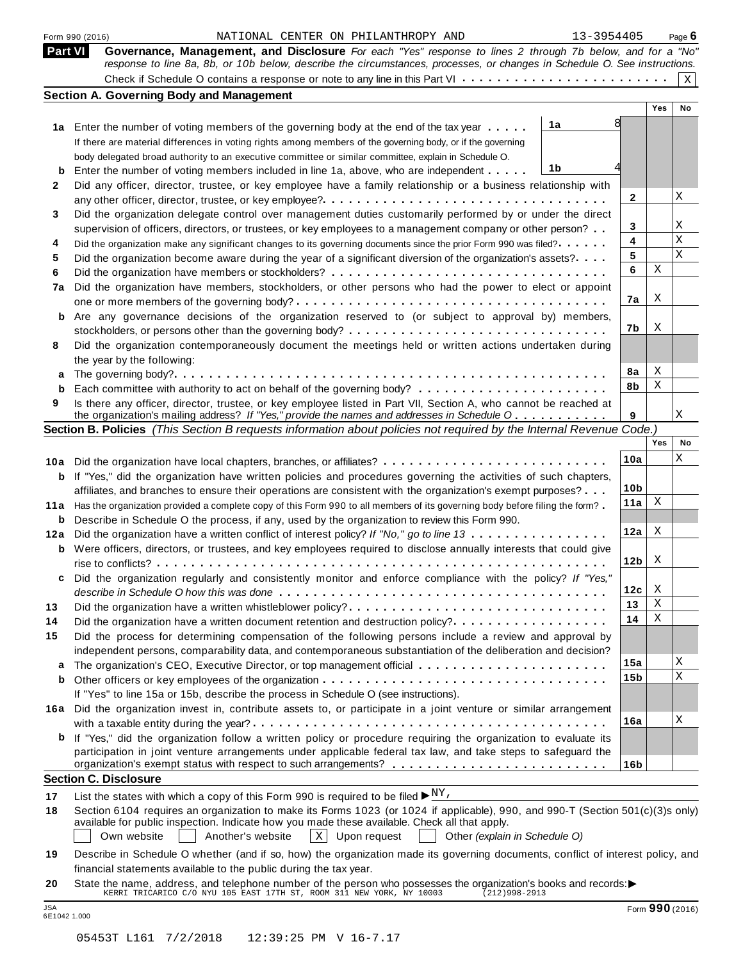|                | 13-3954405<br>Form 990 (2016)<br>NATIONAL CENTER ON PHILANTHROPY AND                                                                                                                                                                       |                 |     | Page $6$    |
|----------------|--------------------------------------------------------------------------------------------------------------------------------------------------------------------------------------------------------------------------------------------|-----------------|-----|-------------|
| <b>Part VI</b> | Governance, Management, and Disclosure For each "Yes" response to lines 2 through 7b below, and for a "No"<br>response to line 8a, 8b, or 10b below, describe the circumstances, processes, or changes in Schedule O. See instructions.    |                 |     |             |
|                |                                                                                                                                                                                                                                            |                 |     | $\mathbf X$ |
|                | <b>Section A. Governing Body and Management</b>                                                                                                                                                                                            |                 |     |             |
|                |                                                                                                                                                                                                                                            |                 | Yes | No          |
|                | 1a<br>1a Enter the number of voting members of the governing body at the end of the tax year                                                                                                                                               |                 |     |             |
|                | If there are material differences in voting rights among members of the governing body, or if the governing                                                                                                                                |                 |     |             |
|                | body delegated broad authority to an executive committee or similar committee, explain in Schedule O.                                                                                                                                      |                 |     |             |
| b              | 1b<br>Enter the number of voting members included in line 1a, above, who are independent                                                                                                                                                   |                 |     |             |
| 2              | Did any officer, director, trustee, or key employee have a family relationship or a business relationship with                                                                                                                             |                 |     |             |
|                |                                                                                                                                                                                                                                            | 2               |     | Χ           |
| 3              | Did the organization delegate control over management duties customarily performed by or under the direct                                                                                                                                  | 3               |     | Χ           |
|                | supervision of officers, directors, or trustees, or key employees to a management company or other person?                                                                                                                                 | 4               |     | Χ           |
| 4<br>5         | Did the organization make any significant changes to its governing documents since the prior Form 990 was filed?<br>Did the organization become aware during the year of a significant diversion of the organization's assets?             | 5               |     | X           |
| 6              |                                                                                                                                                                                                                                            | 6               | Χ   |             |
| 7a             | Did the organization have members, stockholders, or other persons who had the power to elect or appoint                                                                                                                                    |                 |     |             |
|                |                                                                                                                                                                                                                                            | 7a              | X   |             |
| b              | Are any governance decisions of the organization reserved to (or subject to approval by) members,                                                                                                                                          |                 |     |             |
|                |                                                                                                                                                                                                                                            | 7b              | X   |             |
| 8              | Did the organization contemporaneously document the meetings held or written actions undertaken during                                                                                                                                     |                 |     |             |
|                | the year by the following:                                                                                                                                                                                                                 |                 |     |             |
| a              |                                                                                                                                                                                                                                            | 8а              | X   |             |
| b              |                                                                                                                                                                                                                                            | 8b              | Χ   |             |
| 9              | Is there any officer, director, trustee, or key employee listed in Part VII, Section A, who cannot be reached at                                                                                                                           |                 |     |             |
|                | the organization's mailing address? If "Yes," provide the names and addresses in Schedule O                                                                                                                                                | 9               |     | Χ           |
|                | Section B. Policies (This Section B requests information about policies not required by the Internal Revenue Code.)                                                                                                                        |                 | Yes | No          |
|                |                                                                                                                                                                                                                                            | 10a             |     | Χ           |
| 10a            | Did the organization have local chapters, branches, or affiliates?                                                                                                                                                                         |                 |     |             |
| b              | If "Yes," did the organization have written policies and procedures governing the activities of such chapters,                                                                                                                             | 10 <sub>b</sub> |     |             |
| 11a            | affiliates, and branches to ensure their operations are consistent with the organization's exempt purposes?<br>Has the organization provided a complete copy of this Form 990 to all members of its governing body before filing the form? | 11a             | X   |             |
| b              | Describe in Schedule O the process, if any, used by the organization to review this Form 990.                                                                                                                                              |                 |     |             |
| 12a            | Did the organization have a written conflict of interest policy? If "No," go to line 13                                                                                                                                                    | 12a             | X   |             |
| b              | Were officers, directors, or trustees, and key employees required to disclose annually interests that could give                                                                                                                           |                 |     |             |
|                |                                                                                                                                                                                                                                            | 12 <sub>b</sub> | X   |             |
|                | Did the organization regularly and consistently monitor and enforce compliance with the policy? If "Yes,                                                                                                                                   |                 |     |             |
|                |                                                                                                                                                                                                                                            | 12c             | X   |             |
| 13             | Did the organization have a written whistleblower policy?                                                                                                                                                                                  | 13              | Χ   |             |
| 14             | Did the organization have a written document retention and destruction policy?                                                                                                                                                             | 14              | Χ   |             |
| 15             | Did the process for determining compensation of the following persons include a review and approval by                                                                                                                                     |                 |     |             |
|                | independent persons, comparability data, and contemporaneous substantiation of the deliberation and decision?                                                                                                                              |                 |     |             |
| a              | The organization's CEO, Executive Director, or top management official                                                                                                                                                                     | 15a             |     | Χ           |
| b              |                                                                                                                                                                                                                                            | 15b             |     | X           |
|                | If "Yes" to line 15a or 15b, describe the process in Schedule O (see instructions).                                                                                                                                                        |                 |     |             |
|                | 16a Did the organization invest in, contribute assets to, or participate in a joint venture or similar arrangement                                                                                                                         | 16a             |     | Χ           |
|                |                                                                                                                                                                                                                                            |                 |     |             |
|                | If "Yes," did the organization follow a written policy or procedure requiring the organization to evaluate its<br>participation in joint venture arrangements under applicable federal tax law, and take steps to safeguard the            |                 |     |             |
|                |                                                                                                                                                                                                                                            | 16 <sub>b</sub> |     |             |
|                | <b>Section C. Disclosure</b>                                                                                                                                                                                                               |                 |     |             |
| 17             | List the states with which a copy of this Form 990 is required to be filed $\blacktriangleright_{N}^{N}$ .                                                                                                                                 |                 |     |             |
| 18             | Section 6104 requires an organization to make its Forms 1023 (or 1024 if applicable), 990, and 990-T (Section 501(c)(3)s only)                                                                                                             |                 |     |             |
|                | available for public inspection. Indicate how you made these available. Check all that apply.<br>$X$ Upon request<br>Own website<br>Another's website<br>Other (explain in Schedule O)                                                     |                 |     |             |
| 19             | Describe in Schedule O whether (and if so, how) the organization made its governing documents, conflict of interest policy, and                                                                                                            |                 |     |             |
|                | financial statements available to the public during the tax year.                                                                                                                                                                          |                 |     |             |
| 20             | State the name, address, and telephone number of the person who possesses the organization's books and records:                                                                                                                            |                 |     |             |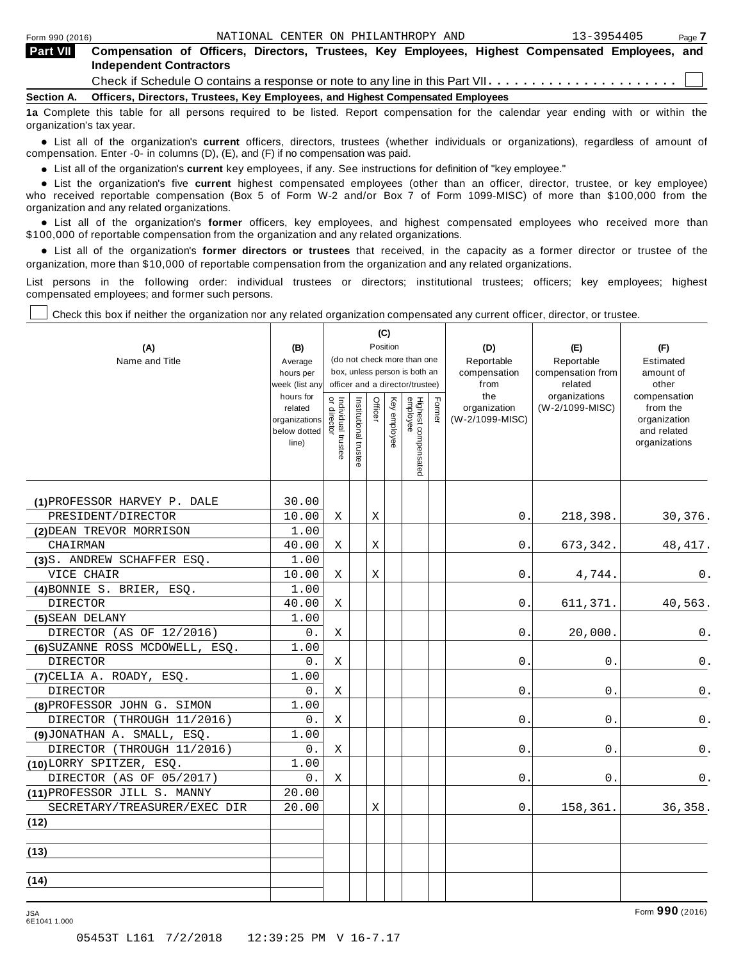| <b>Part VII</b> | Compensation of Officers, Directors, Trustees, Key Employees, Highest Compensated Employees, and<br><b>Independent Contractors</b> |
|-----------------|------------------------------------------------------------------------------------------------------------------------------------|
|                 |                                                                                                                                    |
|                 | Section A. Officers, Directors, Trustees, Key Employees, and Highest Compensated Employees                                         |
|                 | 12 Complete this table for all persons required to be listed. Report compensation for the calendar vear ending with or within the  |

**1** required to be listed. Report compensation for the calendar organization's tax year.

anization's lax year.<br>● List all of the organization's **current** officers, directors, trustees (whether individuals or organizations), regardless of amount of<br>nnensation Enter -0- in columns (D) (E) and (E) if no compensa compensation. Enter -0- in columns (D), (E), and (F) if no compensation was paid.

• List all of the organization's **current** key employees, if any. See instructions for definition of "key employee."<br>● List the experientials five expect highest expressed explores (other than an efficer director of

**Example in the organization's current** key employees, if any. See instructions for definition of key employee.<br>• List the organization's five **current** highest compensated employees (other than an officer, director, trust who received reportable compensation (Box 5 of Form W-2 and/or Box 7 of Form 1099-MISC) of more than \$100,000 from the

organization and any related organizations.<br>• List all of the organization's **former** officers, key employees, and highest compensated employees who received more than<br>\$1.00.000 of reportable componention from the erganiza \$100,000 of reportable compensation from the organization and any related organizations.

% List all of the organization's **former directors or trustees** that received, in the capacity as a former director or trustee of the organization, more than \$10,000 of reportable compensation from the organization and any related organizations.

List persons in the following order: individual trustees or directors; institutional trustees; officers; key employees; highest compensated employees; and former such persons.

Check this box if neither the organization nor any related organization compensated any current officer, director, or trustee.

| (A)<br>Name and Title           | (B)<br>Average<br>hours per<br>week (list any<br>hours for<br>related<br>organizations<br>below dotted | $\vec{\mathsf{a}}$<br>Individual trustee<br>directo | Institutional trustee | Officer | (C)<br>Position<br>Key employee | (do not check more than one<br>box, unless person is both an<br>officer and a director/trustee)<br>Highest compensated<br>employee | Fomer | (D)<br>Reportable<br>compensation<br>from<br>the<br>organization<br>(W-2/1099-MISC) | (E)<br>Reportable<br>compensation from<br>related<br>organizations<br>(W-2/1099-MISC) | (F)<br>Estimated<br>amount of<br>other<br>compensation<br>from the<br>organization<br>and related |
|---------------------------------|--------------------------------------------------------------------------------------------------------|-----------------------------------------------------|-----------------------|---------|---------------------------------|------------------------------------------------------------------------------------------------------------------------------------|-------|-------------------------------------------------------------------------------------|---------------------------------------------------------------------------------------|---------------------------------------------------------------------------------------------------|
|                                 | line)                                                                                                  |                                                     |                       |         |                                 |                                                                                                                                    |       |                                                                                     |                                                                                       | organizations                                                                                     |
| (1) PROFESSOR HARVEY P. DALE    | 30.00                                                                                                  |                                                     |                       |         |                                 |                                                                                                                                    |       |                                                                                     |                                                                                       |                                                                                                   |
| PRESIDENT/DIRECTOR              | 10.00                                                                                                  | Χ                                                   |                       | Χ       |                                 |                                                                                                                                    |       | 0.                                                                                  | 218,398.                                                                              | 30,376.                                                                                           |
| (2) DEAN TREVOR MORRISON        | 1.00                                                                                                   |                                                     |                       |         |                                 |                                                                                                                                    |       |                                                                                     |                                                                                       |                                                                                                   |
| CHAIRMAN                        | 40.00                                                                                                  | X                                                   |                       | X       |                                 |                                                                                                                                    |       | 0.                                                                                  | 673,342.                                                                              | 48, 417.                                                                                          |
| (3)S. ANDREW SCHAFFER ESQ.      | 1.00                                                                                                   |                                                     |                       |         |                                 |                                                                                                                                    |       |                                                                                     |                                                                                       |                                                                                                   |
| VICE CHAIR                      | 10.00                                                                                                  | Χ                                                   |                       | Χ       |                                 |                                                                                                                                    |       | 0.                                                                                  | 4,744.                                                                                | 0.                                                                                                |
| (4) BONNIE S. BRIER, ESQ.       | 1.00                                                                                                   |                                                     |                       |         |                                 |                                                                                                                                    |       |                                                                                     |                                                                                       |                                                                                                   |
| <b>DIRECTOR</b>                 | 40.00                                                                                                  | X                                                   |                       |         |                                 |                                                                                                                                    |       | 0.                                                                                  | 611,371.                                                                              | 40,563.                                                                                           |
| (5) SEAN DELANY                 | 1.00                                                                                                   |                                                     |                       |         |                                 |                                                                                                                                    |       |                                                                                     |                                                                                       |                                                                                                   |
| DIRECTOR (AS OF 12/2016)        | 0.                                                                                                     | Χ                                                   |                       |         |                                 |                                                                                                                                    |       | 0.                                                                                  | 20,000.                                                                               | 0.                                                                                                |
| (6) SUZANNE ROSS MCDOWELL, ESQ. | 1.00                                                                                                   |                                                     |                       |         |                                 |                                                                                                                                    |       |                                                                                     |                                                                                       |                                                                                                   |
| DIRECTOR                        | 0.                                                                                                     | Χ                                                   |                       |         |                                 |                                                                                                                                    |       | 0.                                                                                  | 0.                                                                                    | $\mathsf 0$ .                                                                                     |
| (7) CELIA A. ROADY, ESQ.        | 1.00                                                                                                   |                                                     |                       |         |                                 |                                                                                                                                    |       |                                                                                     |                                                                                       |                                                                                                   |
| <b>DIRECTOR</b>                 | $0$ .                                                                                                  | Χ                                                   |                       |         |                                 |                                                                                                                                    |       | 0.                                                                                  | 0.                                                                                    | 0.                                                                                                |
| (8) PROFESSOR JOHN G. SIMON     | 1.00                                                                                                   |                                                     |                       |         |                                 |                                                                                                                                    |       |                                                                                     |                                                                                       |                                                                                                   |
| DIRECTOR (THROUGH 11/2016)      | 0.                                                                                                     | Χ                                                   |                       |         |                                 |                                                                                                                                    |       | 0.                                                                                  | 0.                                                                                    | 0.                                                                                                |
| (9) JONATHAN A. SMALL, ESQ.     | 1.00                                                                                                   |                                                     |                       |         |                                 |                                                                                                                                    |       |                                                                                     |                                                                                       |                                                                                                   |
| DIRECTOR (THROUGH 11/2016)      | 0.                                                                                                     | X                                                   |                       |         |                                 |                                                                                                                                    |       | $0$ .                                                                               | 0.                                                                                    | 0.                                                                                                |
| (10) LORRY SPITZER, ESQ.        | 1.00                                                                                                   |                                                     |                       |         |                                 |                                                                                                                                    |       |                                                                                     |                                                                                       |                                                                                                   |
| DIRECTOR (AS OF 05/2017)        | 0.                                                                                                     | Χ                                                   |                       |         |                                 |                                                                                                                                    |       | 0.                                                                                  | 0.                                                                                    | 0.                                                                                                |
| (11) PROFESSOR JILL S. MANNY    | 20.00                                                                                                  |                                                     |                       |         |                                 |                                                                                                                                    |       |                                                                                     |                                                                                       |                                                                                                   |
| SECRETARY/TREASURER/EXEC DIR    | 20.00                                                                                                  |                                                     |                       | Χ       |                                 |                                                                                                                                    |       | 0.                                                                                  | 158,361.                                                                              | 36,358.                                                                                           |
| (12)                            |                                                                                                        |                                                     |                       |         |                                 |                                                                                                                                    |       |                                                                                     |                                                                                       |                                                                                                   |
| (13)                            |                                                                                                        |                                                     |                       |         |                                 |                                                                                                                                    |       |                                                                                     |                                                                                       |                                                                                                   |
| (14)                            |                                                                                                        |                                                     |                       |         |                                 |                                                                                                                                    |       |                                                                                     |                                                                                       |                                                                                                   |

6E1041 1.000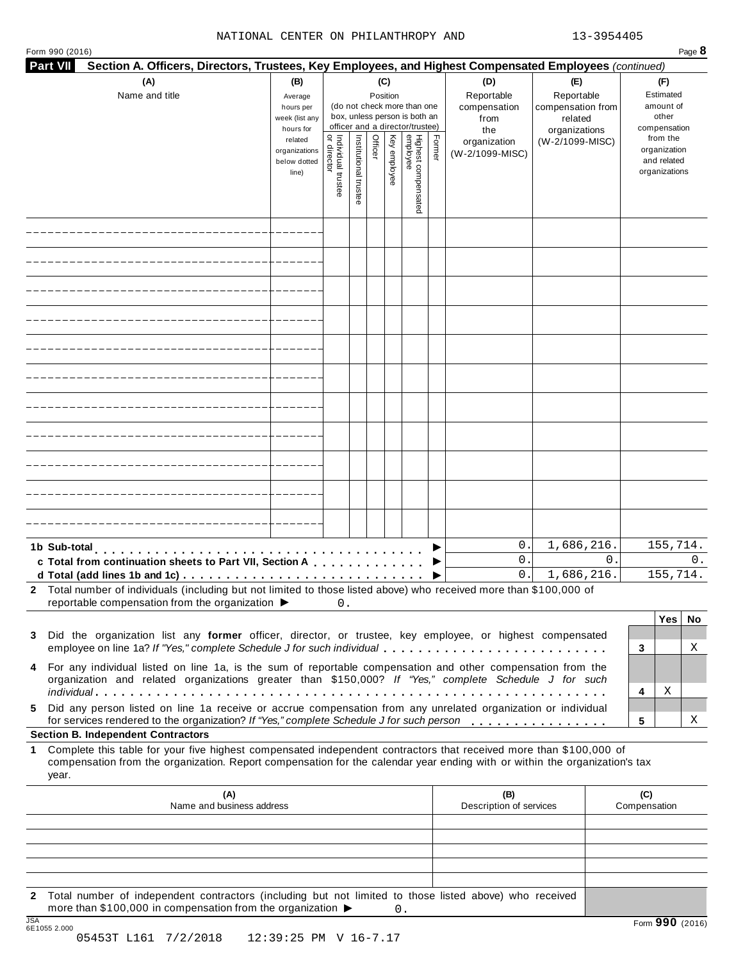#### NATIONAL CENTER ON PHILANTHROPY AND 13-3954405

| <b>Part VII</b><br>Section A. Officers, Directors, Trustees, Key Employees, and Highest Compensated Employees (continued)                                                                                                                                 |                                                                                  |                                     |                       |                 |              |                                                                                                     |        |                                                |                                             |                                                                                   |
|-----------------------------------------------------------------------------------------------------------------------------------------------------------------------------------------------------------------------------------------------------------|----------------------------------------------------------------------------------|-------------------------------------|-----------------------|-----------------|--------------|-----------------------------------------------------------------------------------------------------|--------|------------------------------------------------|---------------------------------------------|-----------------------------------------------------------------------------------|
| (A)<br>Name and title                                                                                                                                                                                                                                     | (B)<br>Average<br>hours per                                                      |                                     |                       | (C)<br>Position |              | (do not check more than one                                                                         |        | (D)<br>Reportable<br>compensation              | (E)<br>Reportable<br>compensation from      | (F)<br>Estimated<br>amount of                                                     |
|                                                                                                                                                                                                                                                           | week (list any<br>hours for<br>related<br>organizations<br>below dotted<br>line) | Individual trustee<br>  or director | Institutional trustee | Officer         | Key employee | box, unless person is both an<br>officer and a director/trustee)<br>Highest compensated<br>employee | Former | from<br>the<br>organization<br>(W-2/1099-MISC) | related<br>organizations<br>(W-2/1099-MISC) | other<br>compensation<br>from the<br>organization<br>and related<br>organizations |
|                                                                                                                                                                                                                                                           |                                                                                  |                                     |                       |                 |              |                                                                                                     |        |                                                |                                             |                                                                                   |
|                                                                                                                                                                                                                                                           |                                                                                  |                                     |                       |                 |              |                                                                                                     |        |                                                |                                             |                                                                                   |
|                                                                                                                                                                                                                                                           |                                                                                  |                                     |                       |                 |              |                                                                                                     |        |                                                |                                             |                                                                                   |
|                                                                                                                                                                                                                                                           |                                                                                  |                                     |                       |                 |              |                                                                                                     |        |                                                |                                             |                                                                                   |
|                                                                                                                                                                                                                                                           |                                                                                  |                                     |                       |                 |              |                                                                                                     |        |                                                |                                             |                                                                                   |
|                                                                                                                                                                                                                                                           |                                                                                  |                                     |                       |                 |              |                                                                                                     |        |                                                |                                             |                                                                                   |
|                                                                                                                                                                                                                                                           |                                                                                  |                                     |                       |                 |              |                                                                                                     |        |                                                |                                             |                                                                                   |
|                                                                                                                                                                                                                                                           |                                                                                  |                                     |                       |                 |              |                                                                                                     |        |                                                |                                             |                                                                                   |
|                                                                                                                                                                                                                                                           |                                                                                  |                                     |                       |                 |              |                                                                                                     |        |                                                |                                             |                                                                                   |
|                                                                                                                                                                                                                                                           |                                                                                  |                                     |                       |                 |              |                                                                                                     |        |                                                |                                             |                                                                                   |
|                                                                                                                                                                                                                                                           |                                                                                  |                                     |                       |                 |              |                                                                                                     |        |                                                |                                             |                                                                                   |
| 1b Sub-total<br>c Total from continuation sheets to Part VII, Section A                                                                                                                                                                                   |                                                                                  |                                     |                       |                 |              |                                                                                                     |        | 0.<br>0.<br>0.                                 | 1,686,216.<br>$0$ .<br>1,686,216.           | 155,714.<br>0.<br>155,714.                                                        |
| 2 Total number of individuals (including but not limited to those listed above) who received more than \$100,000 of<br>reportable compensation from the organization $\blacktriangleright$                                                                |                                                                                  | 0.                                  |                       |                 |              |                                                                                                     |        |                                                |                                             |                                                                                   |
| 3 Did the organization list any former officer, director, or trustee, key employee, or highest compensated<br>employee on line 1a? If "Yes," complete Schedule J for such individual                                                                      |                                                                                  |                                     |                       |                 |              |                                                                                                     |        |                                                |                                             | Yes <br>No<br>3<br>Χ                                                              |
| 4 For any individual listed on line 1a, is the sum of reportable compensation and other compensation from the<br>organization and related organizations greater than \$150,000? If "Yes," complete Schedule J for such                                    |                                                                                  |                                     |                       |                 |              |                                                                                                     |        |                                                |                                             | Χ<br>4                                                                            |
| Did any person listed on line 1a receive or accrue compensation from any unrelated organization or individual<br>5<br>for services rendered to the organization? If "Yes," complete Schedule J for such person                                            |                                                                                  |                                     |                       |                 |              |                                                                                                     |        |                                                |                                             | 5<br>Χ                                                                            |
| <b>Section B. Independent Contractors</b>                                                                                                                                                                                                                 |                                                                                  |                                     |                       |                 |              |                                                                                                     |        |                                                |                                             |                                                                                   |
| Complete this table for your five highest compensated independent contractors that received more than \$100,000 of<br>compensation from the organization. Report compensation for the calendar year ending with or within the organization's tax<br>year. |                                                                                  |                                     |                       |                 |              |                                                                                                     |        |                                                |                                             |                                                                                   |
| (A)<br>Name and business address                                                                                                                                                                                                                          |                                                                                  |                                     |                       |                 |              |                                                                                                     |        | (B)<br>Description of services                 |                                             | (C)<br>Compensation                                                               |
|                                                                                                                                                                                                                                                           |                                                                                  |                                     |                       |                 |              |                                                                                                     |        |                                                |                                             |                                                                                   |
|                                                                                                                                                                                                                                                           |                                                                                  |                                     |                       |                 |              |                                                                                                     |        |                                                |                                             |                                                                                   |

**2** Total number of independent contractors (including but not limited to those listed above) who received more than \$100,000 in compensation from the organization  $\triangleright$  0.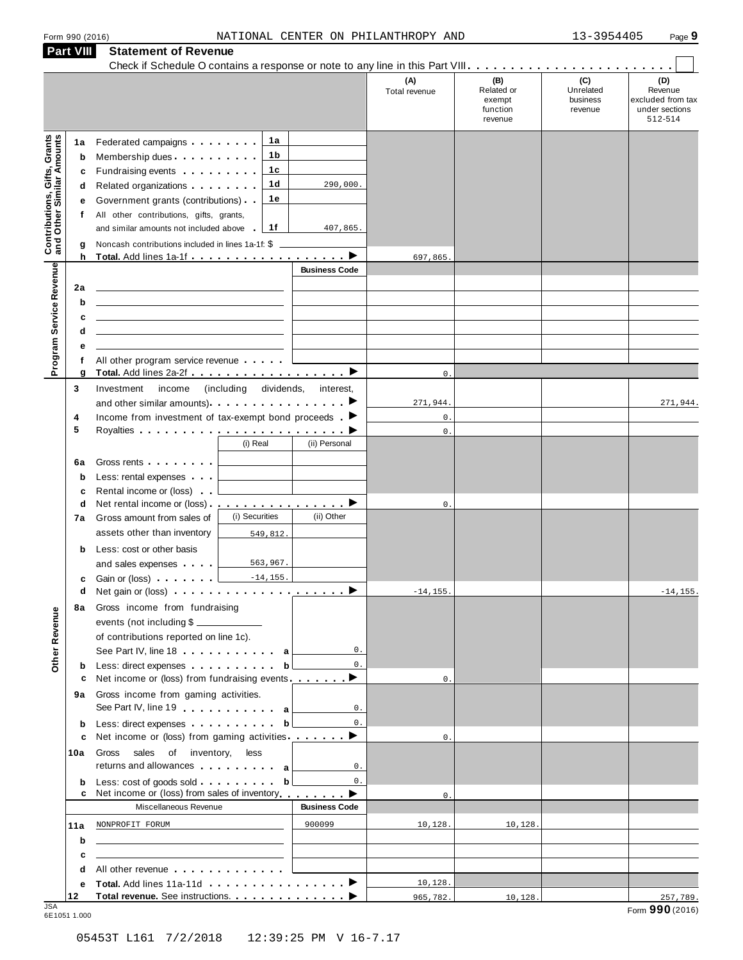| Form 990 (2016) |  |  |
|-----------------|--|--|
|                 |  |  |

|                                                                  | <b>Part VIII</b> | <b>Statement of Revenue</b>                                                                                                                                                                                                                   |                                                  |                      |                      |                                                    |                                         |                                                                                 |
|------------------------------------------------------------------|------------------|-----------------------------------------------------------------------------------------------------------------------------------------------------------------------------------------------------------------------------------------------|--------------------------------------------------|----------------------|----------------------|----------------------------------------------------|-----------------------------------------|---------------------------------------------------------------------------------|
|                                                                  |                  |                                                                                                                                                                                                                                               |                                                  |                      | (A)<br>Total revenue | (B)<br>Related or<br>exempt<br>function<br>revenue | (C)<br>Unrelated<br>business<br>revenue | $\sim$ $\,$<br>(D)<br>Revenue<br>excluded from tax<br>under sections<br>512-514 |
|                                                                  | 1a               | Federated campaigns <b>Federated</b>                                                                                                                                                                                                          | 1а                                               |                      |                      |                                                    |                                         |                                                                                 |
| <b>Contributions, Gifts, Grants</b><br>and Other Similar Amounts | b                | Membership dues                                                                                                                                                                                                                               | 1 b                                              |                      |                      |                                                    |                                         |                                                                                 |
|                                                                  | c                | Fundraising events <b>Fundraising</b>                                                                                                                                                                                                         | 1с                                               |                      |                      |                                                    |                                         |                                                                                 |
|                                                                  | d                | Related organizations <b>contains</b> and <b>Related</b> organizations <b>and</b> a set of the set of the set of the set of the set of the set of the set of the set of the set of the set of the set of the set of the set of the set of the | 1d                                               | 290,000.             |                      |                                                    |                                         |                                                                                 |
|                                                                  | е                | Government grants (contributions)                                                                                                                                                                                                             | 1е                                               |                      |                      |                                                    |                                         |                                                                                 |
|                                                                  | f                | All other contributions, gifts, grants,                                                                                                                                                                                                       |                                                  |                      |                      |                                                    |                                         |                                                                                 |
|                                                                  |                  | and similar amounts not included above                                                                                                                                                                                                        | 1f                                               | 407,865.             |                      |                                                    |                                         |                                                                                 |
|                                                                  | g                | Noncash contributions included in lines 1a-1f: \$                                                                                                                                                                                             |                                                  | ▶                    |                      |                                                    |                                         |                                                                                 |
|                                                                  | h                |                                                                                                                                                                                                                                               |                                                  | <b>Business Code</b> | 697,865.             |                                                    |                                         |                                                                                 |
| Program Service Revenue                                          | 2a               |                                                                                                                                                                                                                                               |                                                  |                      |                      |                                                    |                                         |                                                                                 |
|                                                                  | b                |                                                                                                                                                                                                                                               |                                                  |                      |                      |                                                    |                                         |                                                                                 |
|                                                                  | c                |                                                                                                                                                                                                                                               |                                                  |                      |                      |                                                    |                                         |                                                                                 |
|                                                                  | d                |                                                                                                                                                                                                                                               |                                                  |                      |                      |                                                    |                                         |                                                                                 |
|                                                                  | е                |                                                                                                                                                                                                                                               |                                                  |                      |                      |                                                    |                                         |                                                                                 |
|                                                                  | f                | All other program service revenue                                                                                                                                                                                                             |                                                  |                      |                      |                                                    |                                         |                                                                                 |
|                                                                  | g                | Total. Add lines 2a-2f ▶                                                                                                                                                                                                                      |                                                  |                      | $0$ .                |                                                    |                                         |                                                                                 |
|                                                                  | 3                | Investment<br>income                                                                                                                                                                                                                          | (including<br>dividends,                         | interest,            |                      |                                                    |                                         |                                                                                 |
|                                                                  |                  | and other similar amounts) $\cdots$ $\cdots$ $\cdots$ $\cdots$                                                                                                                                                                                |                                                  |                      | 271,944.<br>$0$ .    |                                                    |                                         | 271,944.                                                                        |
|                                                                  | 4<br>5           | Income from investment of tax-exempt bond proceeds $\blacktriangleright$                                                                                                                                                                      |                                                  |                      | $0$ .                |                                                    |                                         |                                                                                 |
|                                                                  |                  |                                                                                                                                                                                                                                               | (i) Real                                         | (ii) Personal        |                      |                                                    |                                         |                                                                                 |
|                                                                  | 6а               | Gross rents                                                                                                                                                                                                                                   |                                                  |                      |                      |                                                    |                                         |                                                                                 |
|                                                                  | b                | Less: rental expenses                                                                                                                                                                                                                         |                                                  |                      |                      |                                                    |                                         |                                                                                 |
|                                                                  | c                | Rental income or (loss)                                                                                                                                                                                                                       |                                                  |                      |                      |                                                    |                                         |                                                                                 |
|                                                                  | d                | Net rental income or (loss) . ___________________                                                                                                                                                                                             |                                                  |                      | 0.                   |                                                    |                                         |                                                                                 |
|                                                                  | 7а               | Gross amount from sales of                                                                                                                                                                                                                    | (i) Securities                                   | (ii) Other           |                      |                                                    |                                         |                                                                                 |
|                                                                  |                  | assets other than inventory                                                                                                                                                                                                                   | 549,812.                                         |                      |                      |                                                    |                                         |                                                                                 |
|                                                                  | b                | Less: cost or other basis                                                                                                                                                                                                                     |                                                  |                      |                      |                                                    |                                         |                                                                                 |
|                                                                  |                  | and sales expenses                                                                                                                                                                                                                            | 563,967.                                         |                      |                      |                                                    |                                         |                                                                                 |
|                                                                  | c                | Gain or (loss) <b>Cain Contains and Containing</b>                                                                                                                                                                                            | $-14, 155.$                                      |                      |                      |                                                    |                                         |                                                                                 |
|                                                                  | d                | Net gain or (loss) <b>interest in the contract of the Contract of Lines</b>                                                                                                                                                                   |                                                  |                      | $-14, 155.$          |                                                    |                                         | $-14, 155.$                                                                     |
|                                                                  | 8а               | Gross income from fundraising<br>events (not including \$                                                                                                                                                                                     |                                                  |                      |                      |                                                    |                                         |                                                                                 |
|                                                                  |                  | of contributions reported on line 1c).                                                                                                                                                                                                        |                                                  |                      |                      |                                                    |                                         |                                                                                 |
|                                                                  |                  | See Part IV, line 18 $\ldots$ $\ldots$ $\ldots$ a                                                                                                                                                                                             |                                                  | $\mathbb O$ .        |                      |                                                    |                                         |                                                                                 |
| Other Revenue                                                    | b                | Less: direct expenses                                                                                                                                                                                                                         | b <sub>l</sub>                                   | $0$ .                |                      |                                                    |                                         |                                                                                 |
|                                                                  | c                | Net income or (loss) from fundraising events ________                                                                                                                                                                                         |                                                  |                      | $\mathbf{0}$ .       |                                                    |                                         |                                                                                 |
|                                                                  | 9а               | Gross income from gaming activities.                                                                                                                                                                                                          |                                                  |                      |                      |                                                    |                                         |                                                                                 |
|                                                                  |                  | See Part IV, line 19 a                                                                                                                                                                                                                        |                                                  | $\mathbb O$ .        |                      |                                                    |                                         |                                                                                 |
|                                                                  | b                |                                                                                                                                                                                                                                               |                                                  | $0$ .                |                      |                                                    |                                         |                                                                                 |
|                                                                  | c                | Net income or (loss) from gaming activities ________ ▶                                                                                                                                                                                        |                                                  |                      | $\mathbf{0}$ .       |                                                    |                                         |                                                                                 |
|                                                                  | 10a              | Gross sales of inventory, less<br>returns and allowances a                                                                                                                                                                                    |                                                  | $\mathbb O$ .        |                      |                                                    |                                         |                                                                                 |
|                                                                  | b<br>c           | Less: cost of goods sold $\qquad \qquad \textbf{b} \perp$<br>Net income or (loss) from sales of inventory                                                                                                                                     |                                                  | $\mathbf{0}$ .<br>▶  | $\mathbf{0}$ .       |                                                    |                                         |                                                                                 |
|                                                                  |                  | Miscellaneous Revenue                                                                                                                                                                                                                         |                                                  | <b>Business Code</b> |                      |                                                    |                                         |                                                                                 |
|                                                                  | 11a              | NONPROFIT FORUM                                                                                                                                                                                                                               | the control of the control of the control of the | 900099               | 10,128.              | 10,128.                                            |                                         |                                                                                 |
|                                                                  | b                | <u> 1989 - Johann Stein, mars an deus an deus Amerikaanse komme</u>                                                                                                                                                                           |                                                  |                      |                      |                                                    |                                         |                                                                                 |
|                                                                  | c                | <u> 1989 - Johann Stein, mars an deutscher Stein und der Stein und der Stein und der Stein und der Stein und der</u>                                                                                                                          |                                                  |                      |                      |                                                    |                                         |                                                                                 |
|                                                                  | d                | All other revenue entering the series of the series of the series of the series of the series of the series of                                                                                                                                |                                                  |                      |                      |                                                    |                                         |                                                                                 |
|                                                                  | е<br>12          | Total revenue. See instructions.                                                                                                                                                                                                              |                                                  |                      | 10,128.<br>965,782.  | 10,128.                                            |                                         | 257,789.                                                                        |
| .ISA                                                             |                  |                                                                                                                                                                                                                                               |                                                  |                      |                      |                                                    |                                         |                                                                                 |

JSA Form **990** (2016) 6E1051 1.000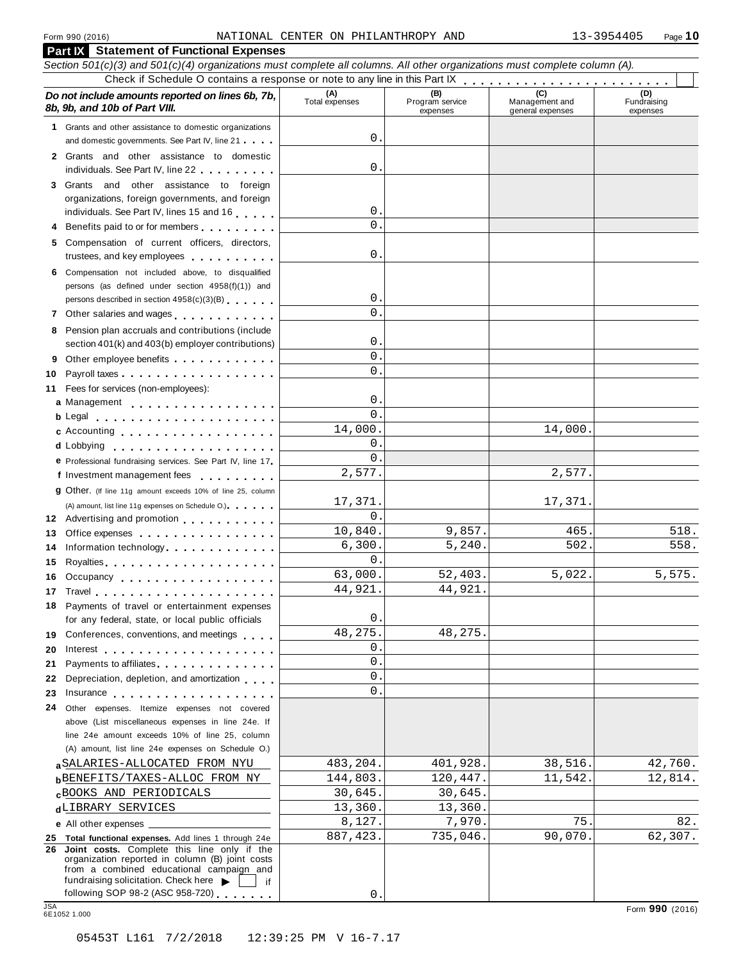| Do not include amounts reported on lines 6b, 7b,<br>8b, 9b, and 10b of Part VIII.                                                                                                                                                                                               | (A)<br>Total expenses | (B)<br>Program service<br>expenses | (C)<br>Management and<br>general expenses | (D)<br>Fundraising<br>expenses |
|---------------------------------------------------------------------------------------------------------------------------------------------------------------------------------------------------------------------------------------------------------------------------------|-----------------------|------------------------------------|-------------------------------------------|--------------------------------|
| 1 Grants and other assistance to domestic organizations<br>and domestic governments. See Part IV, line 21                                                                                                                                                                       | 0                     |                                    |                                           |                                |
| 2 Grants and other assistance to domestic<br>individuals. See Part IV, line 22                                                                                                                                                                                                  | 0                     |                                    |                                           |                                |
| 3 Grants and other assistance to foreign                                                                                                                                                                                                                                        |                       |                                    |                                           |                                |
| organizations, foreign governments, and foreign<br>individuals. See Part IV, lines 15 and 16                                                                                                                                                                                    | 0                     |                                    |                                           |                                |
| 4 Benefits paid to or for members                                                                                                                                                                                                                                               | $\Omega$              |                                    |                                           |                                |
| 5 Compensation of current officers, directors,<br>trustees, and key employees expressed and the set of the set of the set of the set of the set of the set of the set of the set of the set of the set of the set of the set of the set of the set of the set of the set of the | 0                     |                                    |                                           |                                |
| 6 Compensation not included above, to disqualified<br>persons (as defined under section 4958(f)(1)) and                                                                                                                                                                         |                       |                                    |                                           |                                |
| persons described in section 4958(c)(3)(B)                                                                                                                                                                                                                                      | 0                     |                                    |                                           |                                |
| 7 Other salaries and wages<br>1.1.1.1.1.1                                                                                                                                                                                                                                       | $\Omega$              |                                    |                                           |                                |
| 8 Pension plan accruals and contributions (include<br>section 401(k) and 403(b) employer contributions)                                                                                                                                                                         | 0                     |                                    |                                           |                                |
| 9                                                                                                                                                                                                                                                                               | $\Omega$              |                                    |                                           |                                |
| Payroll taxes<br>10                                                                                                                                                                                                                                                             | $\Omega$              |                                    |                                           |                                |
| Fees for services (non-employees):<br>11                                                                                                                                                                                                                                        |                       |                                    |                                           |                                |
| a Management                                                                                                                                                                                                                                                                    | 0<br>$\Omega$         |                                    |                                           |                                |
|                                                                                                                                                                                                                                                                                 |                       |                                    | 14,000.                                   |                                |
| c Accounting                                                                                                                                                                                                                                                                    | 14,000.<br>0          |                                    |                                           |                                |
| d Lobbying                                                                                                                                                                                                                                                                      | $\Omega$              |                                    |                                           |                                |
| e Professional fundraising services. See Part IV, line 17                                                                                                                                                                                                                       | 2,577.                |                                    | 2,577.                                    |                                |
| f Investment management fees                                                                                                                                                                                                                                                    |                       |                                    |                                           |                                |
| 9 Other. (If line 11g amount exceeds 10% of line 25, column                                                                                                                                                                                                                     | 17,371.               |                                    | 17,371.                                   |                                |
| (A) amount, list line 11g expenses on Schedule O.)                                                                                                                                                                                                                              | $\Omega$              |                                    |                                           |                                |
| 12 Advertising and promotion                                                                                                                                                                                                                                                    | 10,840.               | 9,857.                             | 465                                       | 518.                           |
| Office expenses extensive and the set of the set of the set of the set of the set of the set of the set of the<br>13                                                                                                                                                            | 6,300.                | 5, 240.                            | 502                                       | 558.                           |
| Information technology<br>14                                                                                                                                                                                                                                                    | $\Omega$              |                                    |                                           |                                |
| 15                                                                                                                                                                                                                                                                              | 63,000.               | 52,403.                            | 5,022.                                    | 5,575.                         |
| 16 Occupancy                                                                                                                                                                                                                                                                    | 44,921.               | 44,921                             |                                           |                                |
| 18 Payments of travel or entertainment expenses                                                                                                                                                                                                                                 |                       |                                    |                                           |                                |
| for any federal, state, or local public officials                                                                                                                                                                                                                               | 0                     |                                    |                                           |                                |
| 19 Conferences, conventions, and meetings                                                                                                                                                                                                                                       | 48,275.               | 48,275.                            |                                           |                                |
| 20                                                                                                                                                                                                                                                                              | 0                     |                                    |                                           |                                |
| Payments to affiliates <b>container and the set of the set of the set of the set of the set of the set of the set of the set of the set of the set of the set of the set of the set of the set of the set of the set of the set </b><br>21                                      | 0                     |                                    |                                           |                                |
| Depreciation, depletion, and amortization<br>22                                                                                                                                                                                                                                 | 0                     |                                    |                                           |                                |
| 23<br>Insurance experience and the set of the set of the set of the set of the set of the set of the set of the set of the set of the set of the set of the set of the set of the set of the set of the set of the set of the set of                                            | 0                     |                                    |                                           |                                |
| Other expenses. Itemize expenses not covered<br>24                                                                                                                                                                                                                              |                       |                                    |                                           |                                |
| above (List miscellaneous expenses in line 24e. If                                                                                                                                                                                                                              |                       |                                    |                                           |                                |
| line 24e amount exceeds 10% of line 25, column                                                                                                                                                                                                                                  |                       |                                    |                                           |                                |
| (A) amount, list line 24e expenses on Schedule O.)                                                                                                                                                                                                                              |                       |                                    |                                           |                                |
| a SALARIES-ALLOCATED FROM NYU                                                                                                                                                                                                                                                   | 483,204.              | 401,928.                           | 38,516.                                   | 42,760.                        |
| <b>b</b> BENEFITS/TAXES-ALLOC FROM NY                                                                                                                                                                                                                                           | 144,803.              | 120,447.                           | 11,542.                                   | 12,814.                        |
| <b>CBOOKS AND PERIODICALS</b>                                                                                                                                                                                                                                                   | 30,645.               | 30,645.                            |                                           |                                |
| dLIBRARY SERVICES                                                                                                                                                                                                                                                               | 13,360.               | 13,360                             |                                           |                                |
| e All other expenses _______                                                                                                                                                                                                                                                    | 8,127.                | 7,970.                             | 75                                        | 82.                            |
| 25 Total functional expenses. Add lines 1 through 24e                                                                                                                                                                                                                           | 887, 423.             | 735,046.                           | 90,070.                                   | 62,307.                        |
| Joint costs. Complete this line only if the<br>26<br>organization reported in column (B) joint costs<br>from a combined educational campaign and                                                                                                                                |                       |                                    |                                           |                                |
| fundraising solicitation. Check here $\blacktriangleright$<br>if<br>following SOP 98-2 (ASC 958-720)                                                                                                                                                                            | 0                     |                                    |                                           |                                |
| <b>JSA</b>                                                                                                                                                                                                                                                                      |                       |                                    |                                           | Form 990 (2016)                |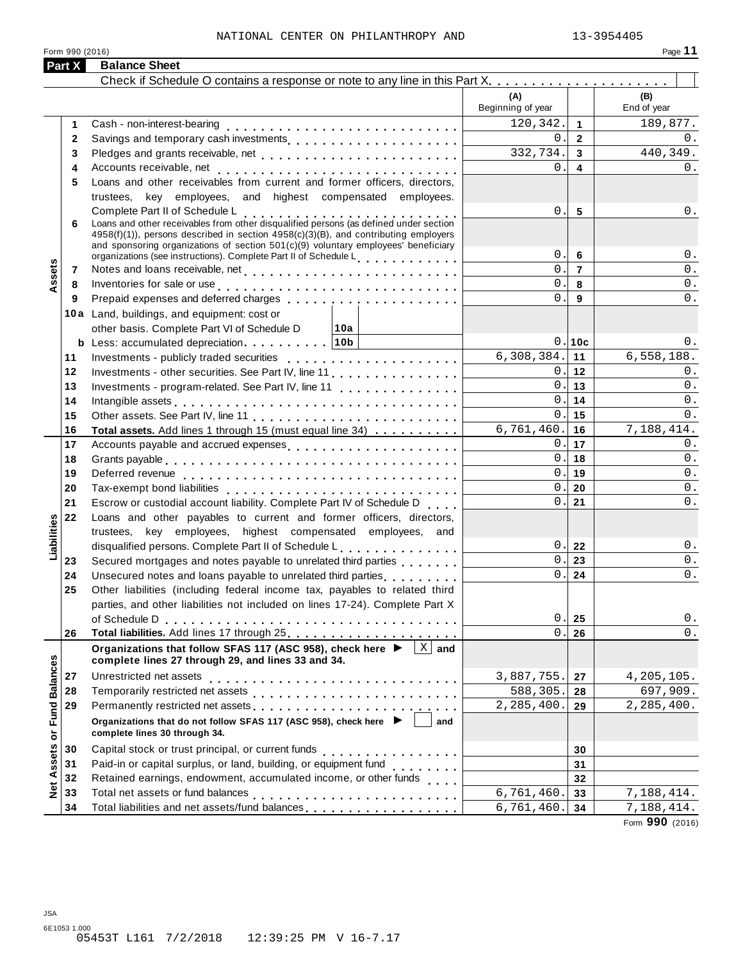|                             | Part X       | <b>Balance Sheet</b>                                                                                                                                                                                                                                                  |                          |                 |                    |
|-----------------------------|--------------|-----------------------------------------------------------------------------------------------------------------------------------------------------------------------------------------------------------------------------------------------------------------------|--------------------------|-----------------|--------------------|
|                             |              |                                                                                                                                                                                                                                                                       |                          |                 |                    |
|                             |              |                                                                                                                                                                                                                                                                       | (A)<br>Beginning of year |                 | (B)<br>End of year |
|                             | 1            |                                                                                                                                                                                                                                                                       | 120,342.                 | $\mathbf{1}$    | 189,877.           |
|                             | $\mathbf{2}$ | Savings and temporary cash investments                                                                                                                                                                                                                                | $0$ .                    | $\overline{2}$  | $0$ .              |
|                             | 3            |                                                                                                                                                                                                                                                                       | 332,734.                 | $\mathbf{3}$    | 440, 349.          |
|                             | 4            |                                                                                                                                                                                                                                                                       | $0$ .                    | 4               | 0.                 |
|                             | 5            | Loans and other receivables from current and former officers, directors,                                                                                                                                                                                              |                          |                 |                    |
|                             |              | trustees, key employees, and highest compensated employees.                                                                                                                                                                                                           |                          |                 |                    |
|                             |              | Complete Part II of Schedule L<br>Complete Part II of Schedule L<br>Loans and other receivables from other disqualified persons (as defined under section                                                                                                             | 0.                       | $5\phantom{.0}$ | $0$ .              |
|                             | 6            | 4958(f)(1)), persons described in section 4958(c)(3)(B), and contributing employers                                                                                                                                                                                   |                          |                 |                    |
|                             |              | and sponsoring organizations of section 501(c)(9) voluntary employees' beneficiary                                                                                                                                                                                    |                          |                 |                    |
|                             |              | organizations (see instructions). Complete Part II of Schedule L.                                                                                                                                                                                                     | 0.                       | 6               | $0$ .              |
| Assets                      | 7            |                                                                                                                                                                                                                                                                       | 0.                       | $\overline{7}$  | $0$ .              |
|                             | 8            | Inventories for sale or use enterprise and and all the contracts of the contracts of the contracts of the contracts of the contracts of the contracts of the contracts of the contracts of the contracts of the contracts of t                                        | $0$ .                    | 8               | $0$ .              |
|                             | 9            |                                                                                                                                                                                                                                                                       | 0.                       | 9               | $0$ .              |
|                             |              | 10a Land, buildings, and equipment: cost or                                                                                                                                                                                                                           |                          |                 |                    |
|                             |              | other basis. Complete Part VI of Schedule D<br>∣10a                                                                                                                                                                                                                   |                          |                 |                    |
|                             |              |                                                                                                                                                                                                                                                                       |                          | 0.10c           | 0.                 |
|                             | 11           | Investments - publicly traded securities                                                                                                                                                                                                                              | 6,308,384.               | 11              | 6,558,188.         |
|                             | 12           | Investments - other securities. See Part IV, line 11.                                                                                                                                                                                                                 | 0.                       | 12              | 0.                 |
|                             | 13           | Investments - program-related. See Part IV, line 11                                                                                                                                                                                                                   | 0.                       | 13              | 0.                 |
|                             | 14           | Intangible assets experience in the contract of the contract of the contract of the contract of the contract of the contract of the contract of the contract of the contract of the contract of the contract of the contract o                                        | 0.                       | 14              | $0$ .              |
|                             | 15           |                                                                                                                                                                                                                                                                       | 0.                       | 15              | 0.                 |
|                             | 16           | Total assets. Add lines 1 through 15 (must equal line 34)                                                                                                                                                                                                             | 6,761,460.<br>0.         | 16<br>17        | 7,188,414.<br>0.   |
|                             | 17           | Accounts payable and accrued expenses                                                                                                                                                                                                                                 | 0.                       | 18              | $0$ .              |
|                             | 18<br>19     |                                                                                                                                                                                                                                                                       | 0.                       | 19              | $0$ .              |
|                             | 20           |                                                                                                                                                                                                                                                                       | 0.                       | 20              | $0$ .              |
|                             | 21           | Escrow or custodial account liability. Complete Part IV of Schedule D                                                                                                                                                                                                 | 0.                       | 21              | $0$ .              |
|                             | 22           | Loans and other payables to current and former officers, directors,                                                                                                                                                                                                   |                          |                 |                    |
| Liabilities                 |              | trustees, key employees, highest compensated employees, and                                                                                                                                                                                                           |                          |                 |                    |
|                             |              | disqualified persons. Complete Part II of Schedule L.                                                                                                                                                                                                                 | 0.                       | 22              | 0.                 |
|                             | 23           | Secured mortgages and notes payable to unrelated third parties                                                                                                                                                                                                        | $0$ .                    | 23              | $0$ .              |
|                             | 24           | Unsecured notes and loans payable to unrelated third parties <b>contained</b>                                                                                                                                                                                         | 0.                       | 24              | $0$ .              |
|                             | 25           | Other liabilities (including federal income tax, payables to related third                                                                                                                                                                                            |                          |                 |                    |
|                             |              | parties, and other liabilities not included on lines 17-24). Complete Part X                                                                                                                                                                                          |                          |                 |                    |
|                             |              | of Schedule D                                                                                                                                                                                                                                                         | 0.                       | 25              | $0$ .              |
|                             | 26           |                                                                                                                                                                                                                                                                       | $\mathbf 0$ .            | 26              | $0$ .              |
|                             |              | $\overline{X}$ and<br>Organizations that follow SFAS 117 (ASC 958), check here ▶<br>complete lines 27 through 29, and lines 33 and 34.                                                                                                                                |                          |                 |                    |
|                             | 27           | Unrestricted net assets                                                                                                                                                                                                                                               | 3,887,755.               | 27              | 4,205,105.         |
|                             | 28           | Temporarily restricted net assets                                                                                                                                                                                                                                     | 588,305.                 | 28              | 697,909.           |
|                             | 29           | Permanently restricted net assets<br>included: increases<br>increases<br>increases<br>increases<br>increases<br>increases<br>increases<br>increases<br>increases<br>increases<br>increases<br>increases<br>increases<br>increases<br>increases<br>increases<br>i      | 2, 285, 400.             | 29              | 2,285,400.         |
| Net Assets or Fund Balances |              | Organizations that do not follow SFAS 117 (ASC 958), check here ▶<br>and<br>complete lines 30 through 34.                                                                                                                                                             |                          |                 |                    |
|                             | 30           |                                                                                                                                                                                                                                                                       |                          | 30              |                    |
|                             | 31           | Paid-in or capital surplus, or land, building, or equipment fund                                                                                                                                                                                                      |                          | 31              |                    |
|                             | 32           | Retained earnings, endowment, accumulated income, or other funds                                                                                                                                                                                                      |                          | 32              |                    |
|                             | 33           |                                                                                                                                                                                                                                                                       | 6,761,460.               | 33              | 7,188,414.         |
|                             | 34           | Total liabilities and net assets/fund balances [1] [1] [1] Total liabilities and net assets/fund balances [1] $\cdot$ [1] $\cdot$ [1] $\cdot$ [1] $\cdot$ [1] $\cdot$ [1] $\cdot$ [1] $\cdot$ [1] $\cdot$ [1] $\cdot$ [1] $\cdot$ [1] $\cdot$ [1] $\cdot$ [1] $\cdot$ | 6,761,460.               | 34              | 7,188,414.         |

Form **990** (2016)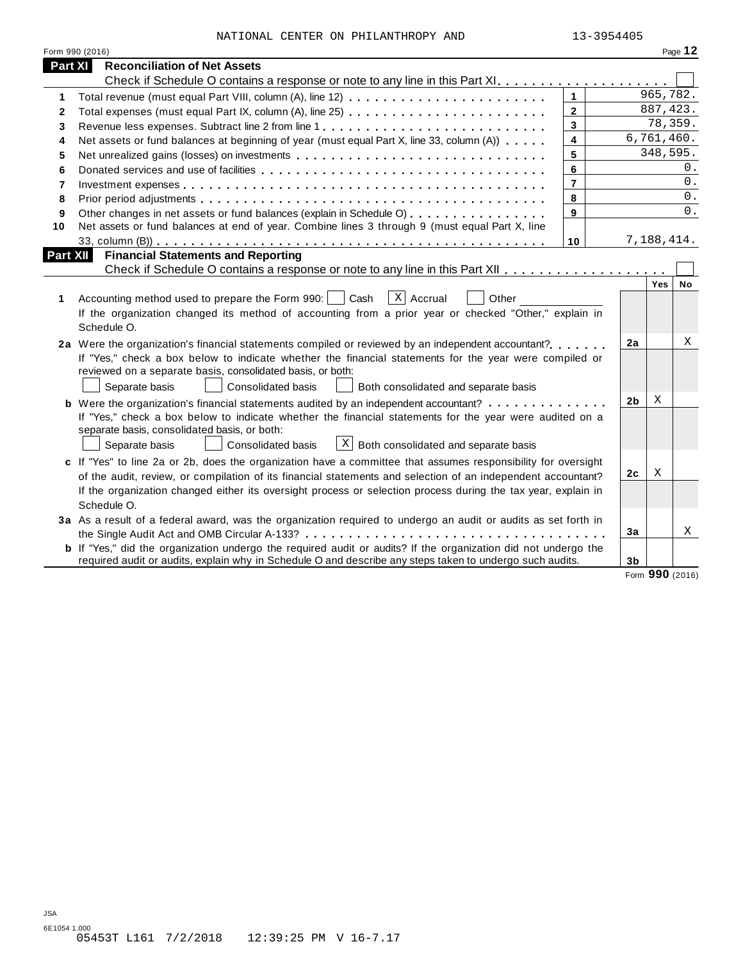|  | NATIONAL CENTER ON PHILANTHROPY AND | 13-3954405 |
|--|-------------------------------------|------------|
|  |                                     |            |

|                | Form 990 (2016)                                                                                                                                                                                                                                                                                                                                            |                |                |            | Page 12 |
|----------------|------------------------------------------------------------------------------------------------------------------------------------------------------------------------------------------------------------------------------------------------------------------------------------------------------------------------------------------------------------|----------------|----------------|------------|---------|
| <b>Part XI</b> | <b>Reconciliation of Net Assets</b>                                                                                                                                                                                                                                                                                                                        |                |                |            |         |
|                |                                                                                                                                                                                                                                                                                                                                                            |                |                |            |         |
| 1              | Total revenue (must equal Part VIII, column (A), line 12)                                                                                                                                                                                                                                                                                                  | $\mathbf{1}$   |                | 965,782.   |         |
| $\mathbf{2}$   | Total expenses (must equal Part IX, column (A), line 25)                                                                                                                                                                                                                                                                                                   | $\overline{2}$ |                | 887, 423.  |         |
| 3              | Revenue less expenses. Subtract line 2 from line 1                                                                                                                                                                                                                                                                                                         | 3              |                | 78,359.    |         |
| 4              | Net assets or fund balances at beginning of year (must equal Part X, line 33, column (A))                                                                                                                                                                                                                                                                  | 4              |                | 6,761,460. |         |
| 5              | Net unrealized gains (losses) on investments                                                                                                                                                                                                                                                                                                               | 5              |                | 348,595.   |         |
| 6              |                                                                                                                                                                                                                                                                                                                                                            | 6              |                |            | 0.      |
| $\overline{7}$ |                                                                                                                                                                                                                                                                                                                                                            | $\overline{7}$ |                |            | 0.      |
| 8              |                                                                                                                                                                                                                                                                                                                                                            | 8              |                |            | 0.      |
| 9              | Other changes in net assets or fund balances (explain in Schedule O)                                                                                                                                                                                                                                                                                       | 9              |                |            | 0.      |
| 10             | Net assets or fund balances at end of year. Combine lines 3 through 9 (must equal Part X, line                                                                                                                                                                                                                                                             |                |                |            |         |
|                |                                                                                                                                                                                                                                                                                                                                                            | 10             |                | 7,188,414. |         |
| Part XII       | <b>Financial Statements and Reporting</b>                                                                                                                                                                                                                                                                                                                  |                |                |            |         |
|                |                                                                                                                                                                                                                                                                                                                                                            |                |                |            |         |
| 1              | $X$ Accrual<br>Other<br>Accounting method used to prepare the Form 990:<br>Cash<br>If the organization changed its method of accounting from a prior year or checked "Other," explain in<br>Schedule O.                                                                                                                                                    |                |                | Yes        | No      |
|                | 2a Were the organization's financial statements compiled or reviewed by an independent accountant?<br>If "Yes," check a box below to indicate whether the financial statements for the year were compiled or<br>reviewed on a separate basis, consolidated basis, or both:<br>Separate basis<br>Consolidated basis<br>Both consolidated and separate basis |                | 2a             |            | Χ       |
|                | <b>b</b> Were the organization's financial statements audited by an independent accountant?                                                                                                                                                                                                                                                                |                | 2 <sub>b</sub> | Χ          |         |
|                | If "Yes," check a box below to indicate whether the financial statements for the year were audited on a<br>separate basis, consolidated basis, or both:<br>$\lfloor x \rfloor$ Both consolidated and separate basis<br>Consolidated basis<br>Separate basis                                                                                                |                |                |            |         |
|                | c If "Yes" to line 2a or 2b, does the organization have a committee that assumes responsibility for oversight                                                                                                                                                                                                                                              |                |                |            |         |
|                | of the audit, review, or compilation of its financial statements and selection of an independent accountant?                                                                                                                                                                                                                                               |                | 2c             | Χ          |         |
|                | If the organization changed either its oversight process or selection process during the tax year, explain in<br>Schedule O.                                                                                                                                                                                                                               |                |                |            |         |
|                | 3a As a result of a federal award, was the organization required to undergo an audit or audits as set forth in                                                                                                                                                                                                                                             |                |                |            |         |
|                |                                                                                                                                                                                                                                                                                                                                                            |                | 3a             |            | Χ       |
|                | <b>b</b> If "Yes," did the organization undergo the required audit or audits? If the organization did not undergo the                                                                                                                                                                                                                                      |                |                |            |         |
|                | required audit or audits, explain why in Schedule O and describe any steps taken to undergo such audits.                                                                                                                                                                                                                                                   |                | 3 <sub>b</sub> |            |         |

Form **990** (2016)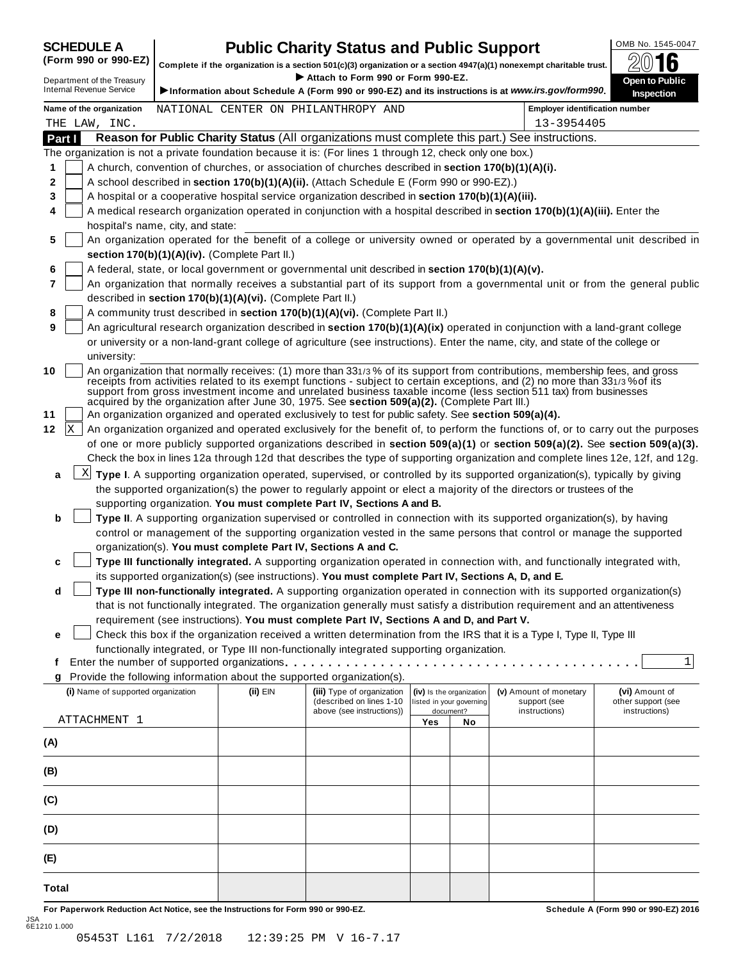# **SCHEDULE A Public Charity Status and Public Support**<br>(Form 990 or 990-EZ) complete if the organization is a section 501(c)(3) organization or a section 4947(a)(1) popeyempt charitable trust  $\oslash$  () **16**

(Form 990 or 990-EZ) complete if the organization is a section 501(c)(3) organization or a section 4947(a)(1) nonexempt charitable trust. 2016 <sup>D</sup> I **Attach to Form <sup>990</sup> or Form 990-EZ.** epartment of the Treasury **Open to Public**

|       |        | Department of the Treasury<br><b>Internal Revenue Service</b> |                                                            | ▶ Attach to Form 990 or Form 990-EZ.                                                                      |     |                          | Information about Schedule A (Form 990 or 990-EZ) and its instructions is at www.irs.gov/form990.                                                                                                                                                                                                                                                                                | <b>Open to Public</b><br>Inspection                                                                                              |
|-------|--------|---------------------------------------------------------------|------------------------------------------------------------|-----------------------------------------------------------------------------------------------------------|-----|--------------------------|----------------------------------------------------------------------------------------------------------------------------------------------------------------------------------------------------------------------------------------------------------------------------------------------------------------------------------------------------------------------------------|----------------------------------------------------------------------------------------------------------------------------------|
|       |        | Name of the organization                                      |                                                            | NATIONAL CENTER ON PHILANTHROPY AND                                                                       |     |                          | <b>Employer identification number</b>                                                                                                                                                                                                                                                                                                                                            |                                                                                                                                  |
|       |        | THE LAW, INC.                                                 |                                                            |                                                                                                           |     |                          | 13-3954405                                                                                                                                                                                                                                                                                                                                                                       |                                                                                                                                  |
|       | Part I |                                                               |                                                            |                                                                                                           |     |                          | Reason for Public Charity Status (All organizations must complete this part.) See instructions.                                                                                                                                                                                                                                                                                  |                                                                                                                                  |
|       |        |                                                               |                                                            | The organization is not a private foundation because it is: (For lines 1 through 12, check only one box.) |     |                          |                                                                                                                                                                                                                                                                                                                                                                                  |                                                                                                                                  |
| 1     |        |                                                               |                                                            | A church, convention of churches, or association of churches described in section 170(b)(1)(A)(i).        |     |                          |                                                                                                                                                                                                                                                                                                                                                                                  |                                                                                                                                  |
| 2     |        |                                                               |                                                            | A school described in section 170(b)(1)(A)(ii). (Attach Schedule E (Form 990 or 990-EZ).)                 |     |                          |                                                                                                                                                                                                                                                                                                                                                                                  |                                                                                                                                  |
| 3     |        |                                                               |                                                            | A hospital or a cooperative hospital service organization described in section 170(b)(1)(A)(iii).         |     |                          |                                                                                                                                                                                                                                                                                                                                                                                  |                                                                                                                                  |
| 4     |        |                                                               |                                                            |                                                                                                           |     |                          | A medical research organization operated in conjunction with a hospital described in section 170(b)(1)(A)(iii). Enter the                                                                                                                                                                                                                                                        |                                                                                                                                  |
|       |        | hospital's name, city, and state:                             |                                                            |                                                                                                           |     |                          |                                                                                                                                                                                                                                                                                                                                                                                  |                                                                                                                                  |
| 5     |        |                                                               | section 170(b)(1)(A)(iv). (Complete Part II.)              |                                                                                                           |     |                          |                                                                                                                                                                                                                                                                                                                                                                                  | An organization operated for the benefit of a college or university owned or operated by a governmental unit described in        |
| 6     |        |                                                               |                                                            | A federal, state, or local government or governmental unit described in section 170(b)(1)(A)(v).          |     |                          |                                                                                                                                                                                                                                                                                                                                                                                  |                                                                                                                                  |
| 7     |        |                                                               |                                                            |                                                                                                           |     |                          |                                                                                                                                                                                                                                                                                                                                                                                  | An organization that normally receives a substantial part of its support from a governmental unit or from the general public     |
|       |        |                                                               | described in section 170(b)(1)(A)(vi). (Complete Part II.) |                                                                                                           |     |                          |                                                                                                                                                                                                                                                                                                                                                                                  |                                                                                                                                  |
| 8     |        |                                                               |                                                            | A community trust described in section 170(b)(1)(A)(vi). (Complete Part II.)                              |     |                          |                                                                                                                                                                                                                                                                                                                                                                                  |                                                                                                                                  |
| 9     |        |                                                               |                                                            |                                                                                                           |     |                          | An agricultural research organization described in section 170(b)(1)(A)(ix) operated in conjunction with a land-grant college                                                                                                                                                                                                                                                    |                                                                                                                                  |
|       |        |                                                               |                                                            |                                                                                                           |     |                          | or university or a non-land-grant college of agriculture (see instructions). Enter the name, city, and state of the college or                                                                                                                                                                                                                                                   |                                                                                                                                  |
|       |        | university:                                                   |                                                            |                                                                                                           |     |                          |                                                                                                                                                                                                                                                                                                                                                                                  |                                                                                                                                  |
| 10    |        |                                                               |                                                            | acquired by the organization after June 30, 1975. See section 509(a)(2). (Complete Part III.)             |     |                          | An organization that normally receives: (1) more than 331/3 % of its support from contributions, membership fees, and gross<br>receipts from activities related to its exempt functions - subject to certain exceptions, and (2) no more than 331/3% of its<br>support from gross investment income and unrelated business taxable income (less section 511 tax) from businesses |                                                                                                                                  |
| 11    |        |                                                               |                                                            | An organization organized and operated exclusively to test for public safety. See section 509(a)(4).      |     |                          |                                                                                                                                                                                                                                                                                                                                                                                  |                                                                                                                                  |
| 12    | X      |                                                               |                                                            |                                                                                                           |     |                          |                                                                                                                                                                                                                                                                                                                                                                                  | An organization organized and operated exclusively for the benefit of, to perform the functions of, or to carry out the purposes |
|       |        |                                                               |                                                            |                                                                                                           |     |                          |                                                                                                                                                                                                                                                                                                                                                                                  | of one or more publicly supported organizations described in section 509(a)(1) or section 509(a)(2). See section 509(a)(3).      |
|       |        |                                                               |                                                            |                                                                                                           |     |                          | Check the box in lines 12a through 12d that describes the type of supporting organization and complete lines 12e, 12f, and 12g.                                                                                                                                                                                                                                                  |                                                                                                                                  |
| a     |        |                                                               |                                                            |                                                                                                           |     |                          | $X$ Type I. A supporting organization operated, supervised, or controlled by its supported organization(s), typically by giving                                                                                                                                                                                                                                                  |                                                                                                                                  |
|       |        |                                                               |                                                            |                                                                                                           |     |                          | the supported organization(s) the power to regularly appoint or elect a majority of the directors or trustees of the                                                                                                                                                                                                                                                             |                                                                                                                                  |
|       |        |                                                               |                                                            | supporting organization. You must complete Part IV, Sections A and B.                                     |     |                          |                                                                                                                                                                                                                                                                                                                                                                                  |                                                                                                                                  |
| b     |        |                                                               |                                                            |                                                                                                           |     |                          | Type II. A supporting organization supervised or controlled in connection with its supported organization(s), by having                                                                                                                                                                                                                                                          |                                                                                                                                  |
|       |        |                                                               |                                                            |                                                                                                           |     |                          | control or management of the supporting organization vested in the same persons that control or manage the supported                                                                                                                                                                                                                                                             |                                                                                                                                  |
|       |        |                                                               |                                                            | organization(s). You must complete Part IV, Sections A and C.                                             |     |                          |                                                                                                                                                                                                                                                                                                                                                                                  |                                                                                                                                  |
| c     |        |                                                               |                                                            |                                                                                                           |     |                          | Type III functionally integrated. A supporting organization operated in connection with, and functionally integrated with,                                                                                                                                                                                                                                                       |                                                                                                                                  |
|       |        |                                                               |                                                            | its supported organization(s) (see instructions). You must complete Part IV, Sections A, D, and E.        |     |                          |                                                                                                                                                                                                                                                                                                                                                                                  |                                                                                                                                  |
| d     |        |                                                               |                                                            |                                                                                                           |     |                          | Type III non-functionally integrated. A supporting organization operated in connection with its supported organization(s)                                                                                                                                                                                                                                                        |                                                                                                                                  |
|       |        |                                                               |                                                            |                                                                                                           |     |                          | that is not functionally integrated. The organization generally must satisfy a distribution requirement and an attentiveness                                                                                                                                                                                                                                                     |                                                                                                                                  |
|       |        |                                                               |                                                            | requirement (see instructions). You must complete Part IV, Sections A and D, and Part V.                  |     |                          |                                                                                                                                                                                                                                                                                                                                                                                  |                                                                                                                                  |
| е     |        |                                                               |                                                            |                                                                                                           |     |                          | Check this box if the organization received a written determination from the IRS that it is a Type I, Type II, Type III                                                                                                                                                                                                                                                          |                                                                                                                                  |
|       |        |                                                               |                                                            | functionally integrated, or Type III non-functionally integrated supporting organization.                 |     |                          |                                                                                                                                                                                                                                                                                                                                                                                  | 1                                                                                                                                |
| f     |        |                                                               |                                                            | Provide the following information about the supported organization(s).                                    |     |                          |                                                                                                                                                                                                                                                                                                                                                                                  |                                                                                                                                  |
|       |        | (i) Name of supported organization                            | (ii) EIN                                                   | (iii) Type of organization                                                                                |     | (iv) Is the organization | (v) Amount of monetary                                                                                                                                                                                                                                                                                                                                                           | (vi) Amount of                                                                                                                   |
|       |        |                                                               |                                                            | (described on lines 1-10                                                                                  |     | listed in your governing | support (see                                                                                                                                                                                                                                                                                                                                                                     | other support (see                                                                                                               |
|       |        | ATTACHMENT 1                                                  |                                                            | above (see instructions))                                                                                 |     | document?                | instructions)                                                                                                                                                                                                                                                                                                                                                                    | instructions)                                                                                                                    |
|       |        |                                                               |                                                            |                                                                                                           | Yes | No                       |                                                                                                                                                                                                                                                                                                                                                                                  |                                                                                                                                  |
| (A)   |        |                                                               |                                                            |                                                                                                           |     |                          |                                                                                                                                                                                                                                                                                                                                                                                  |                                                                                                                                  |
| (B)   |        |                                                               |                                                            |                                                                                                           |     |                          |                                                                                                                                                                                                                                                                                                                                                                                  |                                                                                                                                  |
| (C)   |        |                                                               |                                                            |                                                                                                           |     |                          |                                                                                                                                                                                                                                                                                                                                                                                  |                                                                                                                                  |
| (D)   |        |                                                               |                                                            |                                                                                                           |     |                          |                                                                                                                                                                                                                                                                                                                                                                                  |                                                                                                                                  |
|       |        |                                                               |                                                            |                                                                                                           |     |                          |                                                                                                                                                                                                                                                                                                                                                                                  |                                                                                                                                  |
| (E)   |        |                                                               |                                                            |                                                                                                           |     |                          |                                                                                                                                                                                                                                                                                                                                                                                  |                                                                                                                                  |
| Total |        |                                                               |                                                            |                                                                                                           |     |                          |                                                                                                                                                                                                                                                                                                                                                                                  |                                                                                                                                  |

For Paperwork Reduction Act Notice, see the Instructions for Form 990 or 990-EZ. Schedule A (Form 990 or 990-EZ) 2016 JSA 6E1210 1.000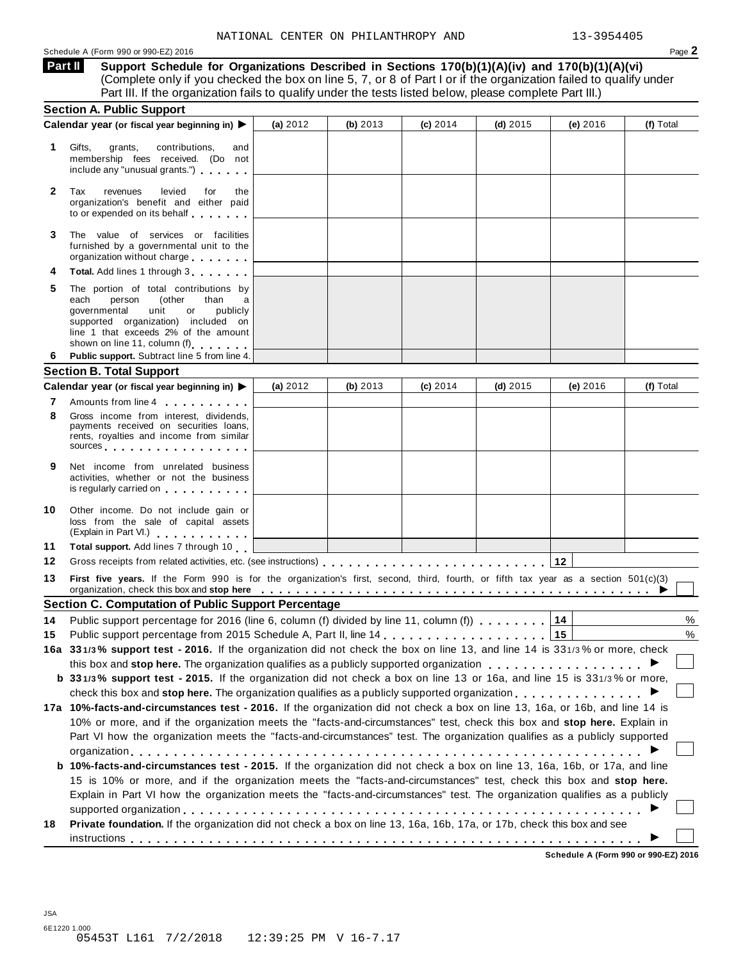**Support Schedule for Organizations Described in Sections 170(b)(1)(A)(iv) and 170(b)(1)(A)(vi)** (Complete only if you checked the box on line 5, 7, or 8 of Part I or if the organization failed to qualify under Part III. If the organization fails to qualify under the tests listed below, please complete Part III.) **Part II**

| <b>Section A. Public Support</b>                                                                                                                                                                                                        |                                                                                                                                                                                                                                                                                                                                                                                                                   |            |                                                                          |            |                                                                                                      |                                                                                                                                                                                                                                                                                                                                                                                                                                                                                                                                                                                                                                                                                                                                                                                                                                                                                                                                                                                                                                                                                                                                                                                                                                                                                                                                                                                                                                                                                                                                                                                                                                                                                                                                                                                    |
|-----------------------------------------------------------------------------------------------------------------------------------------------------------------------------------------------------------------------------------------|-------------------------------------------------------------------------------------------------------------------------------------------------------------------------------------------------------------------------------------------------------------------------------------------------------------------------------------------------------------------------------------------------------------------|------------|--------------------------------------------------------------------------|------------|------------------------------------------------------------------------------------------------------|------------------------------------------------------------------------------------------------------------------------------------------------------------------------------------------------------------------------------------------------------------------------------------------------------------------------------------------------------------------------------------------------------------------------------------------------------------------------------------------------------------------------------------------------------------------------------------------------------------------------------------------------------------------------------------------------------------------------------------------------------------------------------------------------------------------------------------------------------------------------------------------------------------------------------------------------------------------------------------------------------------------------------------------------------------------------------------------------------------------------------------------------------------------------------------------------------------------------------------------------------------------------------------------------------------------------------------------------------------------------------------------------------------------------------------------------------------------------------------------------------------------------------------------------------------------------------------------------------------------------------------------------------------------------------------------------------------------------------------------------------------------------------------|
| Calendar year (or fiscal year beginning in) ▶                                                                                                                                                                                           | (a) 2012                                                                                                                                                                                                                                                                                                                                                                                                          | (b) $2013$ | $(c)$ 2014                                                               | $(d)$ 2015 | (e) 2016                                                                                             | (f) Total                                                                                                                                                                                                                                                                                                                                                                                                                                                                                                                                                                                                                                                                                                                                                                                                                                                                                                                                                                                                                                                                                                                                                                                                                                                                                                                                                                                                                                                                                                                                                                                                                                                                                                                                                                          |
| Gifts,<br>grants,<br>contributions,<br>and<br>membership fees received. (Do not<br>include any "unusual grants.")                                                                                                                       |                                                                                                                                                                                                                                                                                                                                                                                                                   |            |                                                                          |            |                                                                                                      |                                                                                                                                                                                                                                                                                                                                                                                                                                                                                                                                                                                                                                                                                                                                                                                                                                                                                                                                                                                                                                                                                                                                                                                                                                                                                                                                                                                                                                                                                                                                                                                                                                                                                                                                                                                    |
| revenues<br>levied<br>Tax<br>for<br>the<br>organization's benefit and either paid<br>to or expended on its behalf                                                                                                                       |                                                                                                                                                                                                                                                                                                                                                                                                                   |            |                                                                          |            |                                                                                                      |                                                                                                                                                                                                                                                                                                                                                                                                                                                                                                                                                                                                                                                                                                                                                                                                                                                                                                                                                                                                                                                                                                                                                                                                                                                                                                                                                                                                                                                                                                                                                                                                                                                                                                                                                                                    |
| The value of services or facilities<br>furnished by a governmental unit to the<br>organization without charge                                                                                                                           |                                                                                                                                                                                                                                                                                                                                                                                                                   |            |                                                                          |            |                                                                                                      |                                                                                                                                                                                                                                                                                                                                                                                                                                                                                                                                                                                                                                                                                                                                                                                                                                                                                                                                                                                                                                                                                                                                                                                                                                                                                                                                                                                                                                                                                                                                                                                                                                                                                                                                                                                    |
| Total. Add lines 1 through 3                                                                                                                                                                                                            |                                                                                                                                                                                                                                                                                                                                                                                                                   |            |                                                                          |            |                                                                                                      |                                                                                                                                                                                                                                                                                                                                                                                                                                                                                                                                                                                                                                                                                                                                                                                                                                                                                                                                                                                                                                                                                                                                                                                                                                                                                                                                                                                                                                                                                                                                                                                                                                                                                                                                                                                    |
| The portion of total contributions by<br>each<br>person<br>(other<br>than<br>a<br>publicly<br>governmental<br>unit<br>or<br>supported organization) included on<br>line 1 that exceeds 2% of the amount<br>shown on line 11, column (f) |                                                                                                                                                                                                                                                                                                                                                                                                                   |            |                                                                          |            |                                                                                                      |                                                                                                                                                                                                                                                                                                                                                                                                                                                                                                                                                                                                                                                                                                                                                                                                                                                                                                                                                                                                                                                                                                                                                                                                                                                                                                                                                                                                                                                                                                                                                                                                                                                                                                                                                                                    |
|                                                                                                                                                                                                                                         |                                                                                                                                                                                                                                                                                                                                                                                                                   |            |                                                                          |            |                                                                                                      |                                                                                                                                                                                                                                                                                                                                                                                                                                                                                                                                                                                                                                                                                                                                                                                                                                                                                                                                                                                                                                                                                                                                                                                                                                                                                                                                                                                                                                                                                                                                                                                                                                                                                                                                                                                    |
|                                                                                                                                                                                                                                         |                                                                                                                                                                                                                                                                                                                                                                                                                   |            |                                                                          |            |                                                                                                      |                                                                                                                                                                                                                                                                                                                                                                                                                                                                                                                                                                                                                                                                                                                                                                                                                                                                                                                                                                                                                                                                                                                                                                                                                                                                                                                                                                                                                                                                                                                                                                                                                                                                                                                                                                                    |
|                                                                                                                                                                                                                                         |                                                                                                                                                                                                                                                                                                                                                                                                                   |            |                                                                          |            |                                                                                                      | (f) Total                                                                                                                                                                                                                                                                                                                                                                                                                                                                                                                                                                                                                                                                                                                                                                                                                                                                                                                                                                                                                                                                                                                                                                                                                                                                                                                                                                                                                                                                                                                                                                                                                                                                                                                                                                          |
| Gross income from interest, dividends,<br>payments received on securities loans,<br>rents, royalties and income from similar                                                                                                            |                                                                                                                                                                                                                                                                                                                                                                                                                   |            |                                                                          |            |                                                                                                      |                                                                                                                                                                                                                                                                                                                                                                                                                                                                                                                                                                                                                                                                                                                                                                                                                                                                                                                                                                                                                                                                                                                                                                                                                                                                                                                                                                                                                                                                                                                                                                                                                                                                                                                                                                                    |
|                                                                                                                                                                                                                                         |                                                                                                                                                                                                                                                                                                                                                                                                                   |            |                                                                          |            |                                                                                                      |                                                                                                                                                                                                                                                                                                                                                                                                                                                                                                                                                                                                                                                                                                                                                                                                                                                                                                                                                                                                                                                                                                                                                                                                                                                                                                                                                                                                                                                                                                                                                                                                                                                                                                                                                                                    |
| Net income from unrelated business<br>activities, whether or not the business<br>is regularly carried on the control of the control of the control of the control of the control of the control o                                       |                                                                                                                                                                                                                                                                                                                                                                                                                   |            |                                                                          |            |                                                                                                      |                                                                                                                                                                                                                                                                                                                                                                                                                                                                                                                                                                                                                                                                                                                                                                                                                                                                                                                                                                                                                                                                                                                                                                                                                                                                                                                                                                                                                                                                                                                                                                                                                                                                                                                                                                                    |
| Other income. Do not include gain or<br>loss from the sale of capital assets                                                                                                                                                            |                                                                                                                                                                                                                                                                                                                                                                                                                   |            |                                                                          |            |                                                                                                      |                                                                                                                                                                                                                                                                                                                                                                                                                                                                                                                                                                                                                                                                                                                                                                                                                                                                                                                                                                                                                                                                                                                                                                                                                                                                                                                                                                                                                                                                                                                                                                                                                                                                                                                                                                                    |
| Total support. Add lines 7 through 10                                                                                                                                                                                                   |                                                                                                                                                                                                                                                                                                                                                                                                                   |            |                                                                          |            |                                                                                                      |                                                                                                                                                                                                                                                                                                                                                                                                                                                                                                                                                                                                                                                                                                                                                                                                                                                                                                                                                                                                                                                                                                                                                                                                                                                                                                                                                                                                                                                                                                                                                                                                                                                                                                                                                                                    |
|                                                                                                                                                                                                                                         |                                                                                                                                                                                                                                                                                                                                                                                                                   |            |                                                                          |            |                                                                                                      |                                                                                                                                                                                                                                                                                                                                                                                                                                                                                                                                                                                                                                                                                                                                                                                                                                                                                                                                                                                                                                                                                                                                                                                                                                                                                                                                                                                                                                                                                                                                                                                                                                                                                                                                                                                    |
|                                                                                                                                                                                                                                         |                                                                                                                                                                                                                                                                                                                                                                                                                   |            |                                                                          |            |                                                                                                      |                                                                                                                                                                                                                                                                                                                                                                                                                                                                                                                                                                                                                                                                                                                                                                                                                                                                                                                                                                                                                                                                                                                                                                                                                                                                                                                                                                                                                                                                                                                                                                                                                                                                                                                                                                                    |
|                                                                                                                                                                                                                                         |                                                                                                                                                                                                                                                                                                                                                                                                                   |            |                                                                          |            |                                                                                                      |                                                                                                                                                                                                                                                                                                                                                                                                                                                                                                                                                                                                                                                                                                                                                                                                                                                                                                                                                                                                                                                                                                                                                                                                                                                                                                                                                                                                                                                                                                                                                                                                                                                                                                                                                                                    |
|                                                                                                                                                                                                                                         |                                                                                                                                                                                                                                                                                                                                                                                                                   |            |                                                                          |            | 14                                                                                                   | %                                                                                                                                                                                                                                                                                                                                                                                                                                                                                                                                                                                                                                                                                                                                                                                                                                                                                                                                                                                                                                                                                                                                                                                                                                                                                                                                                                                                                                                                                                                                                                                                                                                                                                                                                                                  |
|                                                                                                                                                                                                                                         |                                                                                                                                                                                                                                                                                                                                                                                                                   |            |                                                                          |            |                                                                                                      | %                                                                                                                                                                                                                                                                                                                                                                                                                                                                                                                                                                                                                                                                                                                                                                                                                                                                                                                                                                                                                                                                                                                                                                                                                                                                                                                                                                                                                                                                                                                                                                                                                                                                                                                                                                                  |
|                                                                                                                                                                                                                                         |                                                                                                                                                                                                                                                                                                                                                                                                                   |            |                                                                          |            |                                                                                                      |                                                                                                                                                                                                                                                                                                                                                                                                                                                                                                                                                                                                                                                                                                                                                                                                                                                                                                                                                                                                                                                                                                                                                                                                                                                                                                                                                                                                                                                                                                                                                                                                                                                                                                                                                                                    |
|                                                                                                                                                                                                                                         |                                                                                                                                                                                                                                                                                                                                                                                                                   |            |                                                                          |            |                                                                                                      |                                                                                                                                                                                                                                                                                                                                                                                                                                                                                                                                                                                                                                                                                                                                                                                                                                                                                                                                                                                                                                                                                                                                                                                                                                                                                                                                                                                                                                                                                                                                                                                                                                                                                                                                                                                    |
|                                                                                                                                                                                                                                         |                                                                                                                                                                                                                                                                                                                                                                                                                   |            |                                                                          |            |                                                                                                      |                                                                                                                                                                                                                                                                                                                                                                                                                                                                                                                                                                                                                                                                                                                                                                                                                                                                                                                                                                                                                                                                                                                                                                                                                                                                                                                                                                                                                                                                                                                                                                                                                                                                                                                                                                                    |
|                                                                                                                                                                                                                                         |                                                                                                                                                                                                                                                                                                                                                                                                                   |            |                                                                          |            |                                                                                                      |                                                                                                                                                                                                                                                                                                                                                                                                                                                                                                                                                                                                                                                                                                                                                                                                                                                                                                                                                                                                                                                                                                                                                                                                                                                                                                                                                                                                                                                                                                                                                                                                                                                                                                                                                                                    |
|                                                                                                                                                                                                                                         |                                                                                                                                                                                                                                                                                                                                                                                                                   |            |                                                                          |            |                                                                                                      |                                                                                                                                                                                                                                                                                                                                                                                                                                                                                                                                                                                                                                                                                                                                                                                                                                                                                                                                                                                                                                                                                                                                                                                                                                                                                                                                                                                                                                                                                                                                                                                                                                                                                                                                                                                    |
|                                                                                                                                                                                                                                         |                                                                                                                                                                                                                                                                                                                                                                                                                   |            |                                                                          |            |                                                                                                      |                                                                                                                                                                                                                                                                                                                                                                                                                                                                                                                                                                                                                                                                                                                                                                                                                                                                                                                                                                                                                                                                                                                                                                                                                                                                                                                                                                                                                                                                                                                                                                                                                                                                                                                                                                                    |
|                                                                                                                                                                                                                                         |                                                                                                                                                                                                                                                                                                                                                                                                                   |            |                                                                          |            |                                                                                                      |                                                                                                                                                                                                                                                                                                                                                                                                                                                                                                                                                                                                                                                                                                                                                                                                                                                                                                                                                                                                                                                                                                                                                                                                                                                                                                                                                                                                                                                                                                                                                                                                                                                                                                                                                                                    |
|                                                                                                                                                                                                                                         |                                                                                                                                                                                                                                                                                                                                                                                                                   |            |                                                                          |            |                                                                                                      |                                                                                                                                                                                                                                                                                                                                                                                                                                                                                                                                                                                                                                                                                                                                                                                                                                                                                                                                                                                                                                                                                                                                                                                                                                                                                                                                                                                                                                                                                                                                                                                                                                                                                                                                                                                    |
|                                                                                                                                                                                                                                         |                                                                                                                                                                                                                                                                                                                                                                                                                   |            |                                                                          |            |                                                                                                      |                                                                                                                                                                                                                                                                                                                                                                                                                                                                                                                                                                                                                                                                                                                                                                                                                                                                                                                                                                                                                                                                                                                                                                                                                                                                                                                                                                                                                                                                                                                                                                                                                                                                                                                                                                                    |
|                                                                                                                                                                                                                                         |                                                                                                                                                                                                                                                                                                                                                                                                                   |            |                                                                          |            |                                                                                                      |                                                                                                                                                                                                                                                                                                                                                                                                                                                                                                                                                                                                                                                                                                                                                                                                                                                                                                                                                                                                                                                                                                                                                                                                                                                                                                                                                                                                                                                                                                                                                                                                                                                                                                                                                                                    |
|                                                                                                                                                                                                                                         |                                                                                                                                                                                                                                                                                                                                                                                                                   |            |                                                                          |            |                                                                                                      |                                                                                                                                                                                                                                                                                                                                                                                                                                                                                                                                                                                                                                                                                                                                                                                                                                                                                                                                                                                                                                                                                                                                                                                                                                                                                                                                                                                                                                                                                                                                                                                                                                                                                                                                                                                    |
|                                                                                                                                                                                                                                         |                                                                                                                                                                                                                                                                                                                                                                                                                   |            |                                                                          |            |                                                                                                      |                                                                                                                                                                                                                                                                                                                                                                                                                                                                                                                                                                                                                                                                                                                                                                                                                                                                                                                                                                                                                                                                                                                                                                                                                                                                                                                                                                                                                                                                                                                                                                                                                                                                                                                                                                                    |
|                                                                                                                                                                                                                                         |                                                                                                                                                                                                                                                                                                                                                                                                                   |            |                                                                          |            |                                                                                                      |                                                                                                                                                                                                                                                                                                                                                                                                                                                                                                                                                                                                                                                                                                                                                                                                                                                                                                                                                                                                                                                                                                                                                                                                                                                                                                                                                                                                                                                                                                                                                                                                                                                                                                                                                                                    |
|                                                                                                                                                                                                                                         | Public support. Subtract line 5 from line 4.<br><b>Section B. Total Support</b><br>Calendar year (or fiscal year beginning in) ▶<br>Amounts from line 4<br>sources experiences and the set of the set of the set of the set of the set of the set of the set of the set of the set of the set of the set of the set of the set of the set of the set of the set of the set of the set of<br>(Explain in Part VI.) | (a) $2012$ | (b) $2013$<br><b>Section C. Computation of Public Support Percentage</b> | $(c)$ 2014 | $(d)$ 2015<br>Public support percentage for 2016 (line 6, column (f) divided by line 11, column (f)) | (e) 2016<br>First five years. If the Form 990 is for the organization's first, second, third, fourth, or fifth tax year as a section 501(c)(3)<br>organization, check this box and stop here entired and state and state and state of the state of the state of the state of the state of the state of the state of the state of the state of the state of the state of the sta<br>15<br>16a 331/3% support test - 2016. If the organization did not check the box on line 13, and line 14 is 331/3% or more, check<br>this box and stop here. The organization qualifies as a publicly supported organization<br>b 331/3% support test - 2015. If the organization did not check a box on line 13 or 16a, and line 15 is 331/3% or more,<br>check this box and stop here. The organization qualifies as a publicly supported organization $\dots$ , $\dots$ , $\dots$ , $\dots$<br>17a 10%-facts-and-circumstances test - 2016. If the organization did not check a box on line 13, 16a, or 16b, and line 14 is<br>10% or more, and if the organization meets the "facts-and-circumstances" test, check this box and stop here. Explain in<br>Part VI how the organization meets the "facts-and-circumstances" test. The organization qualifies as a publicly supported<br>b 10%-facts-and-circumstances test - 2015. If the organization did not check a box on line 13, 16a, 16b, or 17a, and line<br>15 is 10% or more, and if the organization meets the "facts-and-circumstances" test, check this box and stop here.<br>Explain in Part VI how the organization meets the "facts-and-circumstances" test. The organization qualifies as a publicly<br>Private foundation. If the organization did not check a box on line 13, 16a, 16b, 17a, or 17b, check this box and see |

**Schedule A (Form 990 or 990-EZ) 2016**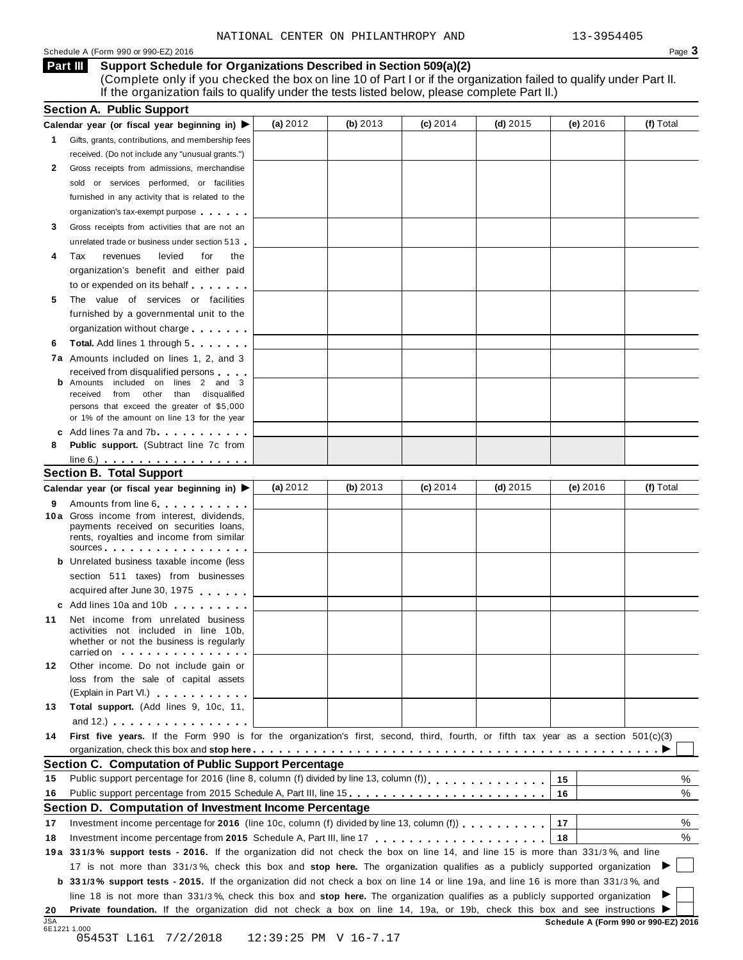#### Schedule <sup>A</sup> (Form <sup>990</sup> or 990-EZ) <sup>2016</sup> Page **3**

**Support Schedule for Organizations Described in Section 509(a)(2) Part III** (Complete only if you checked the box on line 10 of Part I or if the organization failed to qualify under Part II. If the organization fails to qualify under the tests listed below, please complete Part II.)

| (a) $2012$<br>(b) 2013<br>(c) 2014<br>(d) $2015$<br>(e) 2016<br>Gifts, grants, contributions, and membership fees<br>received. (Do not include any "unusual grants.")<br>Gross receipts from admissions, merchandise<br>sold or services performed, or facilities<br>furnished in any activity that is related to the<br>organization's tax-exempt purpose<br>Gross receipts from activities that are not an<br>unrelated trade or business under section 513<br>Tax<br>revenues<br>levied<br>for<br>the<br>organization's benefit and either paid<br>to or expended on its behalf<br>The value of services or facilities<br>5<br>furnished by a governmental unit to the<br>organization without charge<br><b>Total.</b> Add lines 1 through 5<br>6<br><b>7a</b> Amounts included on lines 1, 2, and 3<br>received from disqualified persons<br><b>b</b> Amounts included on lines 2 and 3<br>received from other than disqualified<br>persons that exceed the greater of \$5,000<br>or 1% of the amount on line 13 for the year<br>c Add lines 7a and 7b<br>Public support. (Subtract line 7c from<br>$line 6.)$ $\ldots$ $\ldots$ $\ldots$ $\ldots$ $\ldots$ $\ldots$<br><b>Section B. Total Support</b><br>(a) $2012$<br>(b) 2013<br>$(c)$ 2014<br>(d) $2015$<br>(e) 2016<br>(f) Total<br>Calendar year (or fiscal year beginning in) ▶<br>Amounts from line 6<br>10a Gross income from interest, dividends,<br>payments received on securities loans,<br>rents, royalties and income from similar<br>sources and the set of the set of the set of the set of the set of the set of the set of the set of the set of the set of the set of the set of the set of the set of the set of the set of the set of the set of the set of t<br><b>b</b> Unrelated business taxable income (less<br>section 511 taxes) from businesses<br>acquired after June 30, 1975<br>c Add lines 10a and 10b<br>Net income from unrelated business<br>activities not included in line 10b,<br>whether or not the business is regularly<br>carried on the carried on<br>Other income. Do not include gain or<br>loss from the sale of capital assets<br>(Explain in Part VI.) <b>All Accords</b><br>Total support. (Add lines 9, 10c, 11,<br>and 12.) $\cdots$ $\cdots$ $\cdots$ $\cdots$<br>First five years. If the Form 990 is for the organization's first, second, third, fourth, or fifth tax year as a section 501(c)(3)<br><b>Section C. Computation of Public Support Percentage</b><br>Public support percentage for 2016 (line 8, column (f) divided by line 13, column (f))<br>15<br>16<br>Section D. Computation of Investment Income Percentage<br>Investment income percentage for 2016 (line 10c, column (f) divided by line 13, column (f) $\ldots$ ,,,,,,,<br>17<br>18<br>19a 331/3% support tests - 2016. If the organization did not check the box on line 14, and line 15 is more than 331/3%, and line<br>17 is not more than 331/3%, check this box and stop here. The organization qualifies as a publicly supported organization<br><b>b</b> 331/3% support tests - 2015. If the organization did not check a box on line 14 or line 19a, and line 16 is more than 331/3%, and<br>line 18 is not more than 331/3%, check this box and stop here. The organization qualifies as a publicly supported organization<br>Private foundation. If the organization did not check a box on line 14, 19a, or 19b, check this box and see instructions<br>Schedule A (Form 990 or 990-EZ) 2016<br>12:39:25 PM V 16-7.17 | <b>Section A. Public Support</b>                                  |  |  |           |
|------------------------------------------------------------------------------------------------------------------------------------------------------------------------------------------------------------------------------------------------------------------------------------------------------------------------------------------------------------------------------------------------------------------------------------------------------------------------------------------------------------------------------------------------------------------------------------------------------------------------------------------------------------------------------------------------------------------------------------------------------------------------------------------------------------------------------------------------------------------------------------------------------------------------------------------------------------------------------------------------------------------------------------------------------------------------------------------------------------------------------------------------------------------------------------------------------------------------------------------------------------------------------------------------------------------------------------------------------------------------------------------------------------------------------------------------------------------------------------------------------------------------------------------------------------------------------------------------------------------------------------------------------------------------------------------------------------------------------------------------------------------------------------------------------------------------------------------------------------------------------------------------------------------------------------------------------------------------------------------------------------------------------------------------------------------------------------------------------------------------------------------------------------------------------------------------------------------------------------------------------------------------------------------------------------------------------------------------------------------------------------------------------------------------------------------------------------------------------------------------------------------------------------------------------------------------------------------------------------------------------------------------------------------------------------------------------------------------------------------------------------------------------------------------------------------------------------------------------------------------------------------------------------------------------------------------------------------------------------------------------------------------------------------------------------------------------------------------------------------------------------------------------------------------------------------------------------------------------------------------------------------------------------------------------------------------------------------------------------------------------------------------------------------------------------------------------------------------------------------------------------------------|-------------------------------------------------------------------|--|--|-----------|
|                                                                                                                                                                                                                                                                                                                                                                                                                                                                                                                                                                                                                                                                                                                                                                                                                                                                                                                                                                                                                                                                                                                                                                                                                                                                                                                                                                                                                                                                                                                                                                                                                                                                                                                                                                                                                                                                                                                                                                                                                                                                                                                                                                                                                                                                                                                                                                                                                                                                                                                                                                                                                                                                                                                                                                                                                                                                                                                                                                                                                                                                                                                                                                                                                                                                                                                                                                                                                                                                                                                        | Calendar year (or fiscal year beginning in) $\blacktriangleright$ |  |  | (f) Total |
|                                                                                                                                                                                                                                                                                                                                                                                                                                                                                                                                                                                                                                                                                                                                                                                                                                                                                                                                                                                                                                                                                                                                                                                                                                                                                                                                                                                                                                                                                                                                                                                                                                                                                                                                                                                                                                                                                                                                                                                                                                                                                                                                                                                                                                                                                                                                                                                                                                                                                                                                                                                                                                                                                                                                                                                                                                                                                                                                                                                                                                                                                                                                                                                                                                                                                                                                                                                                                                                                                                                        | $\mathbf{1}$                                                      |  |  |           |
|                                                                                                                                                                                                                                                                                                                                                                                                                                                                                                                                                                                                                                                                                                                                                                                                                                                                                                                                                                                                                                                                                                                                                                                                                                                                                                                                                                                                                                                                                                                                                                                                                                                                                                                                                                                                                                                                                                                                                                                                                                                                                                                                                                                                                                                                                                                                                                                                                                                                                                                                                                                                                                                                                                                                                                                                                                                                                                                                                                                                                                                                                                                                                                                                                                                                                                                                                                                                                                                                                                                        |                                                                   |  |  |           |
|                                                                                                                                                                                                                                                                                                                                                                                                                                                                                                                                                                                                                                                                                                                                                                                                                                                                                                                                                                                                                                                                                                                                                                                                                                                                                                                                                                                                                                                                                                                                                                                                                                                                                                                                                                                                                                                                                                                                                                                                                                                                                                                                                                                                                                                                                                                                                                                                                                                                                                                                                                                                                                                                                                                                                                                                                                                                                                                                                                                                                                                                                                                                                                                                                                                                                                                                                                                                                                                                                                                        | 2                                                                 |  |  |           |
|                                                                                                                                                                                                                                                                                                                                                                                                                                                                                                                                                                                                                                                                                                                                                                                                                                                                                                                                                                                                                                                                                                                                                                                                                                                                                                                                                                                                                                                                                                                                                                                                                                                                                                                                                                                                                                                                                                                                                                                                                                                                                                                                                                                                                                                                                                                                                                                                                                                                                                                                                                                                                                                                                                                                                                                                                                                                                                                                                                                                                                                                                                                                                                                                                                                                                                                                                                                                                                                                                                                        |                                                                   |  |  |           |
|                                                                                                                                                                                                                                                                                                                                                                                                                                                                                                                                                                                                                                                                                                                                                                                                                                                                                                                                                                                                                                                                                                                                                                                                                                                                                                                                                                                                                                                                                                                                                                                                                                                                                                                                                                                                                                                                                                                                                                                                                                                                                                                                                                                                                                                                                                                                                                                                                                                                                                                                                                                                                                                                                                                                                                                                                                                                                                                                                                                                                                                                                                                                                                                                                                                                                                                                                                                                                                                                                                                        |                                                                   |  |  |           |
|                                                                                                                                                                                                                                                                                                                                                                                                                                                                                                                                                                                                                                                                                                                                                                                                                                                                                                                                                                                                                                                                                                                                                                                                                                                                                                                                                                                                                                                                                                                                                                                                                                                                                                                                                                                                                                                                                                                                                                                                                                                                                                                                                                                                                                                                                                                                                                                                                                                                                                                                                                                                                                                                                                                                                                                                                                                                                                                                                                                                                                                                                                                                                                                                                                                                                                                                                                                                                                                                                                                        |                                                                   |  |  |           |
|                                                                                                                                                                                                                                                                                                                                                                                                                                                                                                                                                                                                                                                                                                                                                                                                                                                                                                                                                                                                                                                                                                                                                                                                                                                                                                                                                                                                                                                                                                                                                                                                                                                                                                                                                                                                                                                                                                                                                                                                                                                                                                                                                                                                                                                                                                                                                                                                                                                                                                                                                                                                                                                                                                                                                                                                                                                                                                                                                                                                                                                                                                                                                                                                                                                                                                                                                                                                                                                                                                                        | 3                                                                 |  |  |           |
|                                                                                                                                                                                                                                                                                                                                                                                                                                                                                                                                                                                                                                                                                                                                                                                                                                                                                                                                                                                                                                                                                                                                                                                                                                                                                                                                                                                                                                                                                                                                                                                                                                                                                                                                                                                                                                                                                                                                                                                                                                                                                                                                                                                                                                                                                                                                                                                                                                                                                                                                                                                                                                                                                                                                                                                                                                                                                                                                                                                                                                                                                                                                                                                                                                                                                                                                                                                                                                                                                                                        |                                                                   |  |  |           |
|                                                                                                                                                                                                                                                                                                                                                                                                                                                                                                                                                                                                                                                                                                                                                                                                                                                                                                                                                                                                                                                                                                                                                                                                                                                                                                                                                                                                                                                                                                                                                                                                                                                                                                                                                                                                                                                                                                                                                                                                                                                                                                                                                                                                                                                                                                                                                                                                                                                                                                                                                                                                                                                                                                                                                                                                                                                                                                                                                                                                                                                                                                                                                                                                                                                                                                                                                                                                                                                                                                                        | 4                                                                 |  |  |           |
|                                                                                                                                                                                                                                                                                                                                                                                                                                                                                                                                                                                                                                                                                                                                                                                                                                                                                                                                                                                                                                                                                                                                                                                                                                                                                                                                                                                                                                                                                                                                                                                                                                                                                                                                                                                                                                                                                                                                                                                                                                                                                                                                                                                                                                                                                                                                                                                                                                                                                                                                                                                                                                                                                                                                                                                                                                                                                                                                                                                                                                                                                                                                                                                                                                                                                                                                                                                                                                                                                                                        |                                                                   |  |  |           |
|                                                                                                                                                                                                                                                                                                                                                                                                                                                                                                                                                                                                                                                                                                                                                                                                                                                                                                                                                                                                                                                                                                                                                                                                                                                                                                                                                                                                                                                                                                                                                                                                                                                                                                                                                                                                                                                                                                                                                                                                                                                                                                                                                                                                                                                                                                                                                                                                                                                                                                                                                                                                                                                                                                                                                                                                                                                                                                                                                                                                                                                                                                                                                                                                                                                                                                                                                                                                                                                                                                                        |                                                                   |  |  |           |
|                                                                                                                                                                                                                                                                                                                                                                                                                                                                                                                                                                                                                                                                                                                                                                                                                                                                                                                                                                                                                                                                                                                                                                                                                                                                                                                                                                                                                                                                                                                                                                                                                                                                                                                                                                                                                                                                                                                                                                                                                                                                                                                                                                                                                                                                                                                                                                                                                                                                                                                                                                                                                                                                                                                                                                                                                                                                                                                                                                                                                                                                                                                                                                                                                                                                                                                                                                                                                                                                                                                        |                                                                   |  |  |           |
|                                                                                                                                                                                                                                                                                                                                                                                                                                                                                                                                                                                                                                                                                                                                                                                                                                                                                                                                                                                                                                                                                                                                                                                                                                                                                                                                                                                                                                                                                                                                                                                                                                                                                                                                                                                                                                                                                                                                                                                                                                                                                                                                                                                                                                                                                                                                                                                                                                                                                                                                                                                                                                                                                                                                                                                                                                                                                                                                                                                                                                                                                                                                                                                                                                                                                                                                                                                                                                                                                                                        |                                                                   |  |  |           |
|                                                                                                                                                                                                                                                                                                                                                                                                                                                                                                                                                                                                                                                                                                                                                                                                                                                                                                                                                                                                                                                                                                                                                                                                                                                                                                                                                                                                                                                                                                                                                                                                                                                                                                                                                                                                                                                                                                                                                                                                                                                                                                                                                                                                                                                                                                                                                                                                                                                                                                                                                                                                                                                                                                                                                                                                                                                                                                                                                                                                                                                                                                                                                                                                                                                                                                                                                                                                                                                                                                                        |                                                                   |  |  |           |
|                                                                                                                                                                                                                                                                                                                                                                                                                                                                                                                                                                                                                                                                                                                                                                                                                                                                                                                                                                                                                                                                                                                                                                                                                                                                                                                                                                                                                                                                                                                                                                                                                                                                                                                                                                                                                                                                                                                                                                                                                                                                                                                                                                                                                                                                                                                                                                                                                                                                                                                                                                                                                                                                                                                                                                                                                                                                                                                                                                                                                                                                                                                                                                                                                                                                                                                                                                                                                                                                                                                        |                                                                   |  |  |           |
|                                                                                                                                                                                                                                                                                                                                                                                                                                                                                                                                                                                                                                                                                                                                                                                                                                                                                                                                                                                                                                                                                                                                                                                                                                                                                                                                                                                                                                                                                                                                                                                                                                                                                                                                                                                                                                                                                                                                                                                                                                                                                                                                                                                                                                                                                                                                                                                                                                                                                                                                                                                                                                                                                                                                                                                                                                                                                                                                                                                                                                                                                                                                                                                                                                                                                                                                                                                                                                                                                                                        |                                                                   |  |  |           |
|                                                                                                                                                                                                                                                                                                                                                                                                                                                                                                                                                                                                                                                                                                                                                                                                                                                                                                                                                                                                                                                                                                                                                                                                                                                                                                                                                                                                                                                                                                                                                                                                                                                                                                                                                                                                                                                                                                                                                                                                                                                                                                                                                                                                                                                                                                                                                                                                                                                                                                                                                                                                                                                                                                                                                                                                                                                                                                                                                                                                                                                                                                                                                                                                                                                                                                                                                                                                                                                                                                                        |                                                                   |  |  |           |
|                                                                                                                                                                                                                                                                                                                                                                                                                                                                                                                                                                                                                                                                                                                                                                                                                                                                                                                                                                                                                                                                                                                                                                                                                                                                                                                                                                                                                                                                                                                                                                                                                                                                                                                                                                                                                                                                                                                                                                                                                                                                                                                                                                                                                                                                                                                                                                                                                                                                                                                                                                                                                                                                                                                                                                                                                                                                                                                                                                                                                                                                                                                                                                                                                                                                                                                                                                                                                                                                                                                        |                                                                   |  |  |           |
|                                                                                                                                                                                                                                                                                                                                                                                                                                                                                                                                                                                                                                                                                                                                                                                                                                                                                                                                                                                                                                                                                                                                                                                                                                                                                                                                                                                                                                                                                                                                                                                                                                                                                                                                                                                                                                                                                                                                                                                                                                                                                                                                                                                                                                                                                                                                                                                                                                                                                                                                                                                                                                                                                                                                                                                                                                                                                                                                                                                                                                                                                                                                                                                                                                                                                                                                                                                                                                                                                                                        |                                                                   |  |  |           |
|                                                                                                                                                                                                                                                                                                                                                                                                                                                                                                                                                                                                                                                                                                                                                                                                                                                                                                                                                                                                                                                                                                                                                                                                                                                                                                                                                                                                                                                                                                                                                                                                                                                                                                                                                                                                                                                                                                                                                                                                                                                                                                                                                                                                                                                                                                                                                                                                                                                                                                                                                                                                                                                                                                                                                                                                                                                                                                                                                                                                                                                                                                                                                                                                                                                                                                                                                                                                                                                                                                                        |                                                                   |  |  |           |
|                                                                                                                                                                                                                                                                                                                                                                                                                                                                                                                                                                                                                                                                                                                                                                                                                                                                                                                                                                                                                                                                                                                                                                                                                                                                                                                                                                                                                                                                                                                                                                                                                                                                                                                                                                                                                                                                                                                                                                                                                                                                                                                                                                                                                                                                                                                                                                                                                                                                                                                                                                                                                                                                                                                                                                                                                                                                                                                                                                                                                                                                                                                                                                                                                                                                                                                                                                                                                                                                                                                        |                                                                   |  |  |           |
|                                                                                                                                                                                                                                                                                                                                                                                                                                                                                                                                                                                                                                                                                                                                                                                                                                                                                                                                                                                                                                                                                                                                                                                                                                                                                                                                                                                                                                                                                                                                                                                                                                                                                                                                                                                                                                                                                                                                                                                                                                                                                                                                                                                                                                                                                                                                                                                                                                                                                                                                                                                                                                                                                                                                                                                                                                                                                                                                                                                                                                                                                                                                                                                                                                                                                                                                                                                                                                                                                                                        |                                                                   |  |  |           |
|                                                                                                                                                                                                                                                                                                                                                                                                                                                                                                                                                                                                                                                                                                                                                                                                                                                                                                                                                                                                                                                                                                                                                                                                                                                                                                                                                                                                                                                                                                                                                                                                                                                                                                                                                                                                                                                                                                                                                                                                                                                                                                                                                                                                                                                                                                                                                                                                                                                                                                                                                                                                                                                                                                                                                                                                                                                                                                                                                                                                                                                                                                                                                                                                                                                                                                                                                                                                                                                                                                                        | 8                                                                 |  |  |           |
|                                                                                                                                                                                                                                                                                                                                                                                                                                                                                                                                                                                                                                                                                                                                                                                                                                                                                                                                                                                                                                                                                                                                                                                                                                                                                                                                                                                                                                                                                                                                                                                                                                                                                                                                                                                                                                                                                                                                                                                                                                                                                                                                                                                                                                                                                                                                                                                                                                                                                                                                                                                                                                                                                                                                                                                                                                                                                                                                                                                                                                                                                                                                                                                                                                                                                                                                                                                                                                                                                                                        |                                                                   |  |  |           |
|                                                                                                                                                                                                                                                                                                                                                                                                                                                                                                                                                                                                                                                                                                                                                                                                                                                                                                                                                                                                                                                                                                                                                                                                                                                                                                                                                                                                                                                                                                                                                                                                                                                                                                                                                                                                                                                                                                                                                                                                                                                                                                                                                                                                                                                                                                                                                                                                                                                                                                                                                                                                                                                                                                                                                                                                                                                                                                                                                                                                                                                                                                                                                                                                                                                                                                                                                                                                                                                                                                                        |                                                                   |  |  |           |
|                                                                                                                                                                                                                                                                                                                                                                                                                                                                                                                                                                                                                                                                                                                                                                                                                                                                                                                                                                                                                                                                                                                                                                                                                                                                                                                                                                                                                                                                                                                                                                                                                                                                                                                                                                                                                                                                                                                                                                                                                                                                                                                                                                                                                                                                                                                                                                                                                                                                                                                                                                                                                                                                                                                                                                                                                                                                                                                                                                                                                                                                                                                                                                                                                                                                                                                                                                                                                                                                                                                        |                                                                   |  |  |           |
|                                                                                                                                                                                                                                                                                                                                                                                                                                                                                                                                                                                                                                                                                                                                                                                                                                                                                                                                                                                                                                                                                                                                                                                                                                                                                                                                                                                                                                                                                                                                                                                                                                                                                                                                                                                                                                                                                                                                                                                                                                                                                                                                                                                                                                                                                                                                                                                                                                                                                                                                                                                                                                                                                                                                                                                                                                                                                                                                                                                                                                                                                                                                                                                                                                                                                                                                                                                                                                                                                                                        | 9                                                                 |  |  |           |
|                                                                                                                                                                                                                                                                                                                                                                                                                                                                                                                                                                                                                                                                                                                                                                                                                                                                                                                                                                                                                                                                                                                                                                                                                                                                                                                                                                                                                                                                                                                                                                                                                                                                                                                                                                                                                                                                                                                                                                                                                                                                                                                                                                                                                                                                                                                                                                                                                                                                                                                                                                                                                                                                                                                                                                                                                                                                                                                                                                                                                                                                                                                                                                                                                                                                                                                                                                                                                                                                                                                        |                                                                   |  |  |           |
|                                                                                                                                                                                                                                                                                                                                                                                                                                                                                                                                                                                                                                                                                                                                                                                                                                                                                                                                                                                                                                                                                                                                                                                                                                                                                                                                                                                                                                                                                                                                                                                                                                                                                                                                                                                                                                                                                                                                                                                                                                                                                                                                                                                                                                                                                                                                                                                                                                                                                                                                                                                                                                                                                                                                                                                                                                                                                                                                                                                                                                                                                                                                                                                                                                                                                                                                                                                                                                                                                                                        |                                                                   |  |  |           |
|                                                                                                                                                                                                                                                                                                                                                                                                                                                                                                                                                                                                                                                                                                                                                                                                                                                                                                                                                                                                                                                                                                                                                                                                                                                                                                                                                                                                                                                                                                                                                                                                                                                                                                                                                                                                                                                                                                                                                                                                                                                                                                                                                                                                                                                                                                                                                                                                                                                                                                                                                                                                                                                                                                                                                                                                                                                                                                                                                                                                                                                                                                                                                                                                                                                                                                                                                                                                                                                                                                                        |                                                                   |  |  |           |
|                                                                                                                                                                                                                                                                                                                                                                                                                                                                                                                                                                                                                                                                                                                                                                                                                                                                                                                                                                                                                                                                                                                                                                                                                                                                                                                                                                                                                                                                                                                                                                                                                                                                                                                                                                                                                                                                                                                                                                                                                                                                                                                                                                                                                                                                                                                                                                                                                                                                                                                                                                                                                                                                                                                                                                                                                                                                                                                                                                                                                                                                                                                                                                                                                                                                                                                                                                                                                                                                                                                        |                                                                   |  |  |           |
|                                                                                                                                                                                                                                                                                                                                                                                                                                                                                                                                                                                                                                                                                                                                                                                                                                                                                                                                                                                                                                                                                                                                                                                                                                                                                                                                                                                                                                                                                                                                                                                                                                                                                                                                                                                                                                                                                                                                                                                                                                                                                                                                                                                                                                                                                                                                                                                                                                                                                                                                                                                                                                                                                                                                                                                                                                                                                                                                                                                                                                                                                                                                                                                                                                                                                                                                                                                                                                                                                                                        |                                                                   |  |  |           |
|                                                                                                                                                                                                                                                                                                                                                                                                                                                                                                                                                                                                                                                                                                                                                                                                                                                                                                                                                                                                                                                                                                                                                                                                                                                                                                                                                                                                                                                                                                                                                                                                                                                                                                                                                                                                                                                                                                                                                                                                                                                                                                                                                                                                                                                                                                                                                                                                                                                                                                                                                                                                                                                                                                                                                                                                                                                                                                                                                                                                                                                                                                                                                                                                                                                                                                                                                                                                                                                                                                                        |                                                                   |  |  |           |
|                                                                                                                                                                                                                                                                                                                                                                                                                                                                                                                                                                                                                                                                                                                                                                                                                                                                                                                                                                                                                                                                                                                                                                                                                                                                                                                                                                                                                                                                                                                                                                                                                                                                                                                                                                                                                                                                                                                                                                                                                                                                                                                                                                                                                                                                                                                                                                                                                                                                                                                                                                                                                                                                                                                                                                                                                                                                                                                                                                                                                                                                                                                                                                                                                                                                                                                                                                                                                                                                                                                        |                                                                   |  |  |           |
|                                                                                                                                                                                                                                                                                                                                                                                                                                                                                                                                                                                                                                                                                                                                                                                                                                                                                                                                                                                                                                                                                                                                                                                                                                                                                                                                                                                                                                                                                                                                                                                                                                                                                                                                                                                                                                                                                                                                                                                                                                                                                                                                                                                                                                                                                                                                                                                                                                                                                                                                                                                                                                                                                                                                                                                                                                                                                                                                                                                                                                                                                                                                                                                                                                                                                                                                                                                                                                                                                                                        | 11                                                                |  |  |           |
|                                                                                                                                                                                                                                                                                                                                                                                                                                                                                                                                                                                                                                                                                                                                                                                                                                                                                                                                                                                                                                                                                                                                                                                                                                                                                                                                                                                                                                                                                                                                                                                                                                                                                                                                                                                                                                                                                                                                                                                                                                                                                                                                                                                                                                                                                                                                                                                                                                                                                                                                                                                                                                                                                                                                                                                                                                                                                                                                                                                                                                                                                                                                                                                                                                                                                                                                                                                                                                                                                                                        |                                                                   |  |  |           |
|                                                                                                                                                                                                                                                                                                                                                                                                                                                                                                                                                                                                                                                                                                                                                                                                                                                                                                                                                                                                                                                                                                                                                                                                                                                                                                                                                                                                                                                                                                                                                                                                                                                                                                                                                                                                                                                                                                                                                                                                                                                                                                                                                                                                                                                                                                                                                                                                                                                                                                                                                                                                                                                                                                                                                                                                                                                                                                                                                                                                                                                                                                                                                                                                                                                                                                                                                                                                                                                                                                                        |                                                                   |  |  |           |
|                                                                                                                                                                                                                                                                                                                                                                                                                                                                                                                                                                                                                                                                                                                                                                                                                                                                                                                                                                                                                                                                                                                                                                                                                                                                                                                                                                                                                                                                                                                                                                                                                                                                                                                                                                                                                                                                                                                                                                                                                                                                                                                                                                                                                                                                                                                                                                                                                                                                                                                                                                                                                                                                                                                                                                                                                                                                                                                                                                                                                                                                                                                                                                                                                                                                                                                                                                                                                                                                                                                        |                                                                   |  |  |           |
|                                                                                                                                                                                                                                                                                                                                                                                                                                                                                                                                                                                                                                                                                                                                                                                                                                                                                                                                                                                                                                                                                                                                                                                                                                                                                                                                                                                                                                                                                                                                                                                                                                                                                                                                                                                                                                                                                                                                                                                                                                                                                                                                                                                                                                                                                                                                                                                                                                                                                                                                                                                                                                                                                                                                                                                                                                                                                                                                                                                                                                                                                                                                                                                                                                                                                                                                                                                                                                                                                                                        | 12                                                                |  |  |           |
|                                                                                                                                                                                                                                                                                                                                                                                                                                                                                                                                                                                                                                                                                                                                                                                                                                                                                                                                                                                                                                                                                                                                                                                                                                                                                                                                                                                                                                                                                                                                                                                                                                                                                                                                                                                                                                                                                                                                                                                                                                                                                                                                                                                                                                                                                                                                                                                                                                                                                                                                                                                                                                                                                                                                                                                                                                                                                                                                                                                                                                                                                                                                                                                                                                                                                                                                                                                                                                                                                                                        |                                                                   |  |  |           |
|                                                                                                                                                                                                                                                                                                                                                                                                                                                                                                                                                                                                                                                                                                                                                                                                                                                                                                                                                                                                                                                                                                                                                                                                                                                                                                                                                                                                                                                                                                                                                                                                                                                                                                                                                                                                                                                                                                                                                                                                                                                                                                                                                                                                                                                                                                                                                                                                                                                                                                                                                                                                                                                                                                                                                                                                                                                                                                                                                                                                                                                                                                                                                                                                                                                                                                                                                                                                                                                                                                                        |                                                                   |  |  |           |
|                                                                                                                                                                                                                                                                                                                                                                                                                                                                                                                                                                                                                                                                                                                                                                                                                                                                                                                                                                                                                                                                                                                                                                                                                                                                                                                                                                                                                                                                                                                                                                                                                                                                                                                                                                                                                                                                                                                                                                                                                                                                                                                                                                                                                                                                                                                                                                                                                                                                                                                                                                                                                                                                                                                                                                                                                                                                                                                                                                                                                                                                                                                                                                                                                                                                                                                                                                                                                                                                                                                        | 13                                                                |  |  |           |
|                                                                                                                                                                                                                                                                                                                                                                                                                                                                                                                                                                                                                                                                                                                                                                                                                                                                                                                                                                                                                                                                                                                                                                                                                                                                                                                                                                                                                                                                                                                                                                                                                                                                                                                                                                                                                                                                                                                                                                                                                                                                                                                                                                                                                                                                                                                                                                                                                                                                                                                                                                                                                                                                                                                                                                                                                                                                                                                                                                                                                                                                                                                                                                                                                                                                                                                                                                                                                                                                                                                        |                                                                   |  |  |           |
|                                                                                                                                                                                                                                                                                                                                                                                                                                                                                                                                                                                                                                                                                                                                                                                                                                                                                                                                                                                                                                                                                                                                                                                                                                                                                                                                                                                                                                                                                                                                                                                                                                                                                                                                                                                                                                                                                                                                                                                                                                                                                                                                                                                                                                                                                                                                                                                                                                                                                                                                                                                                                                                                                                                                                                                                                                                                                                                                                                                                                                                                                                                                                                                                                                                                                                                                                                                                                                                                                                                        | 14                                                                |  |  |           |
|                                                                                                                                                                                                                                                                                                                                                                                                                                                                                                                                                                                                                                                                                                                                                                                                                                                                                                                                                                                                                                                                                                                                                                                                                                                                                                                                                                                                                                                                                                                                                                                                                                                                                                                                                                                                                                                                                                                                                                                                                                                                                                                                                                                                                                                                                                                                                                                                                                                                                                                                                                                                                                                                                                                                                                                                                                                                                                                                                                                                                                                                                                                                                                                                                                                                                                                                                                                                                                                                                                                        |                                                                   |  |  |           |
|                                                                                                                                                                                                                                                                                                                                                                                                                                                                                                                                                                                                                                                                                                                                                                                                                                                                                                                                                                                                                                                                                                                                                                                                                                                                                                                                                                                                                                                                                                                                                                                                                                                                                                                                                                                                                                                                                                                                                                                                                                                                                                                                                                                                                                                                                                                                                                                                                                                                                                                                                                                                                                                                                                                                                                                                                                                                                                                                                                                                                                                                                                                                                                                                                                                                                                                                                                                                                                                                                                                        |                                                                   |  |  |           |
|                                                                                                                                                                                                                                                                                                                                                                                                                                                                                                                                                                                                                                                                                                                                                                                                                                                                                                                                                                                                                                                                                                                                                                                                                                                                                                                                                                                                                                                                                                                                                                                                                                                                                                                                                                                                                                                                                                                                                                                                                                                                                                                                                                                                                                                                                                                                                                                                                                                                                                                                                                                                                                                                                                                                                                                                                                                                                                                                                                                                                                                                                                                                                                                                                                                                                                                                                                                                                                                                                                                        | 15                                                                |  |  | %         |
|                                                                                                                                                                                                                                                                                                                                                                                                                                                                                                                                                                                                                                                                                                                                                                                                                                                                                                                                                                                                                                                                                                                                                                                                                                                                                                                                                                                                                                                                                                                                                                                                                                                                                                                                                                                                                                                                                                                                                                                                                                                                                                                                                                                                                                                                                                                                                                                                                                                                                                                                                                                                                                                                                                                                                                                                                                                                                                                                                                                                                                                                                                                                                                                                                                                                                                                                                                                                                                                                                                                        | 16                                                                |  |  | %         |
|                                                                                                                                                                                                                                                                                                                                                                                                                                                                                                                                                                                                                                                                                                                                                                                                                                                                                                                                                                                                                                                                                                                                                                                                                                                                                                                                                                                                                                                                                                                                                                                                                                                                                                                                                                                                                                                                                                                                                                                                                                                                                                                                                                                                                                                                                                                                                                                                                                                                                                                                                                                                                                                                                                                                                                                                                                                                                                                                                                                                                                                                                                                                                                                                                                                                                                                                                                                                                                                                                                                        |                                                                   |  |  |           |
|                                                                                                                                                                                                                                                                                                                                                                                                                                                                                                                                                                                                                                                                                                                                                                                                                                                                                                                                                                                                                                                                                                                                                                                                                                                                                                                                                                                                                                                                                                                                                                                                                                                                                                                                                                                                                                                                                                                                                                                                                                                                                                                                                                                                                                                                                                                                                                                                                                                                                                                                                                                                                                                                                                                                                                                                                                                                                                                                                                                                                                                                                                                                                                                                                                                                                                                                                                                                                                                                                                                        | 17                                                                |  |  | %         |
|                                                                                                                                                                                                                                                                                                                                                                                                                                                                                                                                                                                                                                                                                                                                                                                                                                                                                                                                                                                                                                                                                                                                                                                                                                                                                                                                                                                                                                                                                                                                                                                                                                                                                                                                                                                                                                                                                                                                                                                                                                                                                                                                                                                                                                                                                                                                                                                                                                                                                                                                                                                                                                                                                                                                                                                                                                                                                                                                                                                                                                                                                                                                                                                                                                                                                                                                                                                                                                                                                                                        | 18                                                                |  |  | %         |
|                                                                                                                                                                                                                                                                                                                                                                                                                                                                                                                                                                                                                                                                                                                                                                                                                                                                                                                                                                                                                                                                                                                                                                                                                                                                                                                                                                                                                                                                                                                                                                                                                                                                                                                                                                                                                                                                                                                                                                                                                                                                                                                                                                                                                                                                                                                                                                                                                                                                                                                                                                                                                                                                                                                                                                                                                                                                                                                                                                                                                                                                                                                                                                                                                                                                                                                                                                                                                                                                                                                        |                                                                   |  |  |           |
|                                                                                                                                                                                                                                                                                                                                                                                                                                                                                                                                                                                                                                                                                                                                                                                                                                                                                                                                                                                                                                                                                                                                                                                                                                                                                                                                                                                                                                                                                                                                                                                                                                                                                                                                                                                                                                                                                                                                                                                                                                                                                                                                                                                                                                                                                                                                                                                                                                                                                                                                                                                                                                                                                                                                                                                                                                                                                                                                                                                                                                                                                                                                                                                                                                                                                                                                                                                                                                                                                                                        |                                                                   |  |  |           |
|                                                                                                                                                                                                                                                                                                                                                                                                                                                                                                                                                                                                                                                                                                                                                                                                                                                                                                                                                                                                                                                                                                                                                                                                                                                                                                                                                                                                                                                                                                                                                                                                                                                                                                                                                                                                                                                                                                                                                                                                                                                                                                                                                                                                                                                                                                                                                                                                                                                                                                                                                                                                                                                                                                                                                                                                                                                                                                                                                                                                                                                                                                                                                                                                                                                                                                                                                                                                                                                                                                                        |                                                                   |  |  |           |
|                                                                                                                                                                                                                                                                                                                                                                                                                                                                                                                                                                                                                                                                                                                                                                                                                                                                                                                                                                                                                                                                                                                                                                                                                                                                                                                                                                                                                                                                                                                                                                                                                                                                                                                                                                                                                                                                                                                                                                                                                                                                                                                                                                                                                                                                                                                                                                                                                                                                                                                                                                                                                                                                                                                                                                                                                                                                                                                                                                                                                                                                                                                                                                                                                                                                                                                                                                                                                                                                                                                        |                                                                   |  |  |           |
|                                                                                                                                                                                                                                                                                                                                                                                                                                                                                                                                                                                                                                                                                                                                                                                                                                                                                                                                                                                                                                                                                                                                                                                                                                                                                                                                                                                                                                                                                                                                                                                                                                                                                                                                                                                                                                                                                                                                                                                                                                                                                                                                                                                                                                                                                                                                                                                                                                                                                                                                                                                                                                                                                                                                                                                                                                                                                                                                                                                                                                                                                                                                                                                                                                                                                                                                                                                                                                                                                                                        |                                                                   |  |  |           |
|                                                                                                                                                                                                                                                                                                                                                                                                                                                                                                                                                                                                                                                                                                                                                                                                                                                                                                                                                                                                                                                                                                                                                                                                                                                                                                                                                                                                                                                                                                                                                                                                                                                                                                                                                                                                                                                                                                                                                                                                                                                                                                                                                                                                                                                                                                                                                                                                                                                                                                                                                                                                                                                                                                                                                                                                                                                                                                                                                                                                                                                                                                                                                                                                                                                                                                                                                                                                                                                                                                                        | 20<br><b>JSA</b>                                                  |  |  |           |
|                                                                                                                                                                                                                                                                                                                                                                                                                                                                                                                                                                                                                                                                                                                                                                                                                                                                                                                                                                                                                                                                                                                                                                                                                                                                                                                                                                                                                                                                                                                                                                                                                                                                                                                                                                                                                                                                                                                                                                                                                                                                                                                                                                                                                                                                                                                                                                                                                                                                                                                                                                                                                                                                                                                                                                                                                                                                                                                                                                                                                                                                                                                                                                                                                                                                                                                                                                                                                                                                                                                        | 6E1221 1.000<br>05453T L161 7/2/2018                              |  |  |           |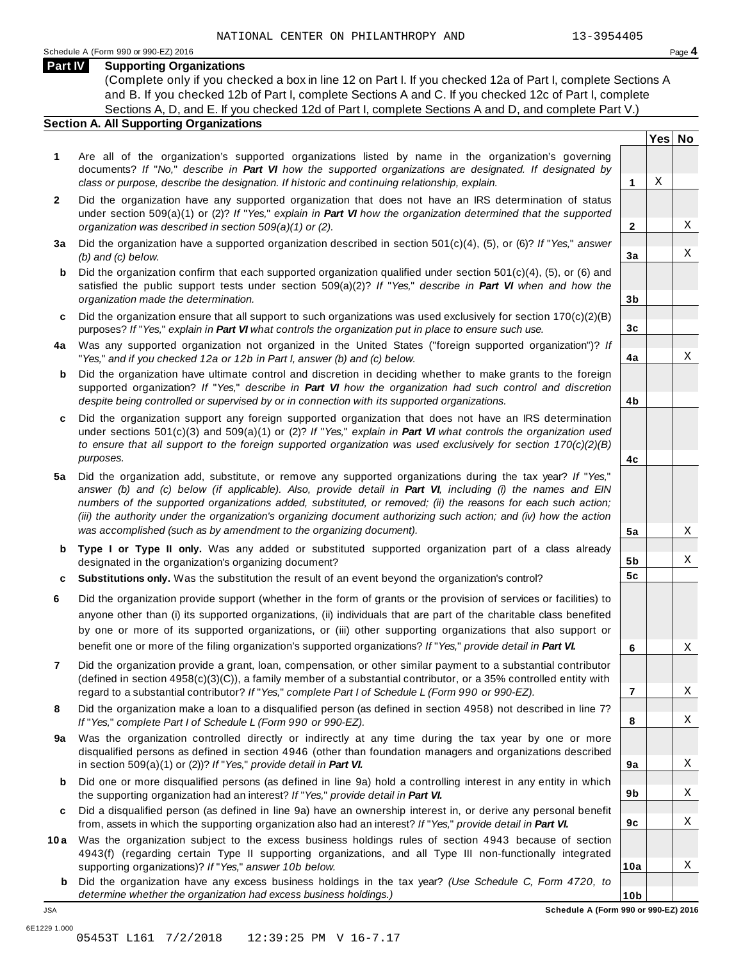**Yes No**

X

X

X

X

X

X

X

X

**2**

**3a**

**3b**

**3c**

**4a**

**4b**

**4c**

**5a**

**5b 5c**

**6**

**7**

**8**

**9a**

**9b**

**9c**

**10a**

#### **Part IV Supporting Organizations**

(Complete only if you checked a box in line 12 on Part I. If you checked 12a of Part I, complete Sections A and B. If you checked 12b of Part I, complete Sections A and C. If you checked 12c of Part I, complete Sections A, D, and E. If you checked 12d of Part I, complete Sections A and D, and complete Part V.)

### **Section A. All Supporting Organizations**

- **1** Are all of the organization's supported organizations listed by name in the organization's governing documents? *If* "*No,*" *describe in Part VI how the supported organizations are designated. If designated by class or purpose, describe the designation. If historic and continuing relationship, explain.* **1**
- **2** Did the organization have any supported organization that does not have an IRS determination of status under section 509(a)(1) or (2)? *If*"*Yes,*" *explain in Part VI how the organization determined that the supported organization was described in section 509(a)(1) or (2).*
- **3 a** Did the organization have a supported organization described in section 501(c)(4), (5), or (6)? *If* "*Yes,*" *answer (b) and (c) below.*
- **b** Did the organization confirm that each supported organization qualified under section 501(c)(4), (5), or (6) and | satisfied the public support tests under section 509(a)(2)? *If* "*Yes,*" *describe in Part VI when and how the organization made the determination.*
- **c** Did the organization ensure that all support to such organizations was used exclusively for section 170(c)(2)(B) purposes? *If*"*Yes,*" *explain in Part VI what controls the organization put in place to ensure such use.*
- **4 a** Was any supported organization not organized in the United States ("foreign supported organization")? *If* "*Yes,*" *and if you checked 12a or 12b in Part I, answer (b) and (c) below.*
- **b** Did the organization have ultimate control and discretion in deciding whether to make grants to the foreign | supported organization? *If* "*Yes,*" *describe in Part VI how the organization had such control and discretion despite being controlled or supervised by or in connection with its supported organizations.*
- **c** Did the organization support any foreign supported organization that does not have an IRS determination | under sections 501(c)(3) and 509(a)(1) or (2)? *If* "*Yes,*" *explain in Part VI what controls the organization used to ensure that all support to the foreign supported organization was used exclusively for section 170(c)(2)(B) purposes.*
- **5 a** Did the organization add, substitute, or remove any supported organizations during the tax year? *If* "*Yes,*" answer (b) and (c) below (if applicable). Also, provide detail in Part VI, including (i) the names and EIN *numbers of the supported organizations added, substituted, or removed; (ii) the reasons for each such action;* (iii) the authority under the organization's organizing document authorizing such action; and (iv) how the action *was accomplished (such as by amendment to the organizing document).*
- **b** Type I or Type II only. Was any added or substituted supported organization part of a class already | designated in the organization's organizing document?
- **c Substitutions only.** Was the substitution the result of an event beyond the organization's control?
- **6** Did the organization provide support (whether in the form of grants or the provision of services or facilities) to anyone other than (i) its supported organizations, (ii) individuals that are part of the charitable class benefited by one or more of its supported organizations, or (iii) other supporting organizations that also support or benefit one or more of the filing organization's supported organizations? *If*"*Yes,*" *provide detail in Part VI.*
- **7** Did the organization provide a grant, loan, compensation, or other similar payment to a substantial contributor (defined in section 4958(c)(3)(C)), a family member of a substantial contributor, or a 35% controlled entity with regard to a substantial contributor? *If*"*Yes,*" *complete Part I of Schedule L (Form 990 or 990-EZ).*
- **8** Did the organization make a loan to a disqualified person (as defined in section 4958) not described in line 7? *If* "*Yes,*" *complete Part I of Schedule L (Form 990 or 990-EZ).*
- **a** Was the organization controlled directly or indirectly at any time during the tax year by one or more | **9** disqualified persons as defined in section 4946 (other than foundation managers and organizations described in section 509(a)(1) or (2))? *If*"*Yes,*" *provide detail in Part VI.*
- **b** Did one or more disqualified persons (as defined in line 9a) hold a controlling interest in any entity in which | the supporting organization had an interest? *If*"*Yes,*" *provide detail in Part VI.*
- **c** Did a disqualified person (as defined in line 9a) have an ownership interest in, or derive any personal benefit from, assets in which the supporting organization also had an interest? *If*"*Yes,*" *provide detail in Part VI.*
- **10a** Was the organization subject to the excess business holdings rules of section 4943 because of section | 4943(f) (regarding certain Type II supporting organizations, and all Type III non-functionally integrated supporting organizations)? *If*"*Yes,*" *answer 10b below.*
	- **b** Did the organization have any excess business holdings in the tax year? *(Use Schedule C, Form 4720, to determine whether the organization had excess business holdings.)*

X

X

X

X

**10b** JSA **Schedule A (Form 990 or 990-EZ) 2016**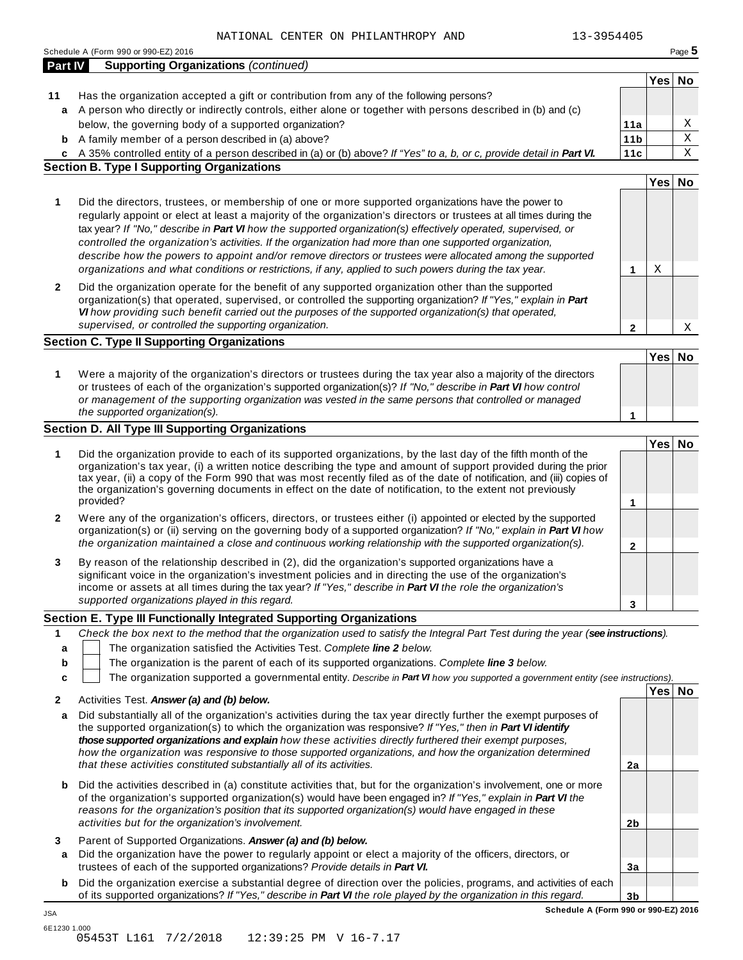|              | <b>Supporting Organizations (continued)</b><br><b>Part IV</b>                                                                                                                                                                                                                                                                                                                                                                                                                                                                                                                                                                                                                |                 | Yes No |   |
|--------------|------------------------------------------------------------------------------------------------------------------------------------------------------------------------------------------------------------------------------------------------------------------------------------------------------------------------------------------------------------------------------------------------------------------------------------------------------------------------------------------------------------------------------------------------------------------------------------------------------------------------------------------------------------------------------|-----------------|--------|---|
| 11           | Has the organization accepted a gift or contribution from any of the following persons?                                                                                                                                                                                                                                                                                                                                                                                                                                                                                                                                                                                      |                 |        |   |
|              | a A person who directly or indirectly controls, either alone or together with persons described in (b) and (c)                                                                                                                                                                                                                                                                                                                                                                                                                                                                                                                                                               |                 |        |   |
|              | below, the governing body of a supported organization?                                                                                                                                                                                                                                                                                                                                                                                                                                                                                                                                                                                                                       | 11a             |        | Χ |
| b            | A family member of a person described in (a) above?                                                                                                                                                                                                                                                                                                                                                                                                                                                                                                                                                                                                                          | 11 <sub>b</sub> |        | Χ |
|              |                                                                                                                                                                                                                                                                                                                                                                                                                                                                                                                                                                                                                                                                              | 11c             |        | Χ |
| C            | A 35% controlled entity of a person described in (a) or (b) above? If "Yes" to a, b, or c, provide detail in Part VI.<br><b>Section B. Type I Supporting Organizations</b>                                                                                                                                                                                                                                                                                                                                                                                                                                                                                                   |                 |        |   |
|              |                                                                                                                                                                                                                                                                                                                                                                                                                                                                                                                                                                                                                                                                              |                 | Yes No |   |
|              |                                                                                                                                                                                                                                                                                                                                                                                                                                                                                                                                                                                                                                                                              |                 |        |   |
| 1            | Did the directors, trustees, or membership of one or more supported organizations have the power to<br>regularly appoint or elect at least a majority of the organization's directors or trustees at all times during the<br>tax year? If "No," describe in Part VI how the supported organization(s) effectively operated, supervised, or<br>controlled the organization's activities. If the organization had more than one supported organization,<br>describe how the powers to appoint and/or remove directors or trustees were allocated among the supported<br>organizations and what conditions or restrictions, if any, applied to such powers during the tax year. | 1               | Χ      |   |
| $\mathbf{2}$ | Did the organization operate for the benefit of any supported organization other than the supported                                                                                                                                                                                                                                                                                                                                                                                                                                                                                                                                                                          |                 |        |   |
|              | organization(s) that operated, supervised, or controlled the supporting organization? If "Yes," explain in Part                                                                                                                                                                                                                                                                                                                                                                                                                                                                                                                                                              |                 |        |   |
|              | VI how providing such benefit carried out the purposes of the supported organization(s) that operated,                                                                                                                                                                                                                                                                                                                                                                                                                                                                                                                                                                       |                 |        |   |
|              | supervised, or controlled the supporting organization.                                                                                                                                                                                                                                                                                                                                                                                                                                                                                                                                                                                                                       | 2               |        | Χ |
|              | <b>Section C. Type II Supporting Organizations</b>                                                                                                                                                                                                                                                                                                                                                                                                                                                                                                                                                                                                                           |                 |        |   |
|              |                                                                                                                                                                                                                                                                                                                                                                                                                                                                                                                                                                                                                                                                              |                 | Yes No |   |
| 1            | Were a majority of the organization's directors or trustees during the tax year also a majority of the directors<br>or trustees of each of the organization's supported organization(s)? If "No," describe in Part VI how control<br>or management of the supporting organization was vested in the same persons that controlled or managed                                                                                                                                                                                                                                                                                                                                  |                 |        |   |
|              | the supported organization(s).                                                                                                                                                                                                                                                                                                                                                                                                                                                                                                                                                                                                                                               | 1               |        |   |
|              | <b>Section D. All Type III Supporting Organizations</b>                                                                                                                                                                                                                                                                                                                                                                                                                                                                                                                                                                                                                      |                 |        |   |
|              |                                                                                                                                                                                                                                                                                                                                                                                                                                                                                                                                                                                                                                                                              |                 | Yes No |   |
| 1            | Did the organization provide to each of its supported organizations, by the last day of the fifth month of the<br>organization's tax year, (i) a written notice describing the type and amount of support provided during the prior<br>tax year, (ii) a copy of the Form 990 that was most recently filed as of the date of notification, and (iii) copies of<br>the organization's governing documents in effect on the date of notification, to the extent not previously<br>provided?                                                                                                                                                                                     | 1               |        |   |
| $\mathbf{2}$ | Were any of the organization's officers, directors, or trustees either (i) appointed or elected by the supported                                                                                                                                                                                                                                                                                                                                                                                                                                                                                                                                                             |                 |        |   |
|              | organization(s) or (ii) serving on the governing body of a supported organization? If "No," explain in Part VI how<br>the organization maintained a close and continuous working relationship with the supported organization(s).                                                                                                                                                                                                                                                                                                                                                                                                                                            | $\mathbf{2}$    |        |   |
| 3            | By reason of the relationship described in (2), did the organization's supported organizations have a<br>significant voice in the organization's investment policies and in directing the use of the organization's<br>income or assets at all times during the tax year? If "Yes," describe in Part VI the role the organization's<br>supported organizations played in this regard.                                                                                                                                                                                                                                                                                        |                 |        |   |
|              |                                                                                                                                                                                                                                                                                                                                                                                                                                                                                                                                                                                                                                                                              | 3               |        |   |
|              | Section E. Type III Functionally Integrated Supporting Organizations                                                                                                                                                                                                                                                                                                                                                                                                                                                                                                                                                                                                         |                 |        |   |
| 1            | Check the box next to the method that the organization used to satisfy the Integral Part Test during the year (see instructions).                                                                                                                                                                                                                                                                                                                                                                                                                                                                                                                                            |                 |        |   |
| a            | The organization satisfied the Activities Test. Complete line 2 below.                                                                                                                                                                                                                                                                                                                                                                                                                                                                                                                                                                                                       |                 |        |   |
| b            | The organization is the parent of each of its supported organizations. Complete line 3 below.                                                                                                                                                                                                                                                                                                                                                                                                                                                                                                                                                                                |                 |        |   |
| c            | The organization supported a governmental entity. Describe in Part VI how you supported a government entity (see instructions).                                                                                                                                                                                                                                                                                                                                                                                                                                                                                                                                              |                 |        |   |
|              | Activities Test. Answer (a) and (b) below.                                                                                                                                                                                                                                                                                                                                                                                                                                                                                                                                                                                                                                   |                 | Yes No |   |
| $\mathbf{2}$ |                                                                                                                                                                                                                                                                                                                                                                                                                                                                                                                                                                                                                                                                              |                 |        |   |
| a            | Did substantially all of the organization's activities during the tax year directly further the exempt purposes of<br>the supported organization(s) to which the organization was responsive? If "Yes," then in Part VI identify<br>those supported organizations and explain how these activities directly furthered their exempt purposes,                                                                                                                                                                                                                                                                                                                                 |                 |        |   |
|              | how the organization was responsive to those supported organizations, and how the organization determined<br>that these activities constituted substantially all of its activities.                                                                                                                                                                                                                                                                                                                                                                                                                                                                                          | 2a              |        |   |
| b            | Did the activities described in (a) constitute activities that, but for the organization's involvement, one or more<br>of the organization's supported organization(s) would have been engaged in? If "Yes," explain in Part VI the<br>reasons for the organization's position that its supported organization(s) would have engaged in these                                                                                                                                                                                                                                                                                                                                |                 |        |   |
|              | activities but for the organization's involvement.                                                                                                                                                                                                                                                                                                                                                                                                                                                                                                                                                                                                                           | 2b              |        |   |
|              | Parent of Supported Organizations. Answer (a) and (b) below.                                                                                                                                                                                                                                                                                                                                                                                                                                                                                                                                                                                                                 |                 |        |   |
| 3            |                                                                                                                                                                                                                                                                                                                                                                                                                                                                                                                                                                                                                                                                              |                 |        |   |
| a            |                                                                                                                                                                                                                                                                                                                                                                                                                                                                                                                                                                                                                                                                              |                 |        |   |
|              | Did the organization have the power to regularly appoint or elect a majority of the officers, directors, or<br>trustees of each of the supported organizations? Provide details in Part VI.                                                                                                                                                                                                                                                                                                                                                                                                                                                                                  | 3a              |        |   |
| b            | Did the organization exercise a substantial degree of direction over the policies, programs, and activities of each<br>of its supported organizations? If "Yes," describe in Part VI the role played by the organization in this regard.                                                                                                                                                                                                                                                                                                                                                                                                                                     | 3 <sub>b</sub>  |        |   |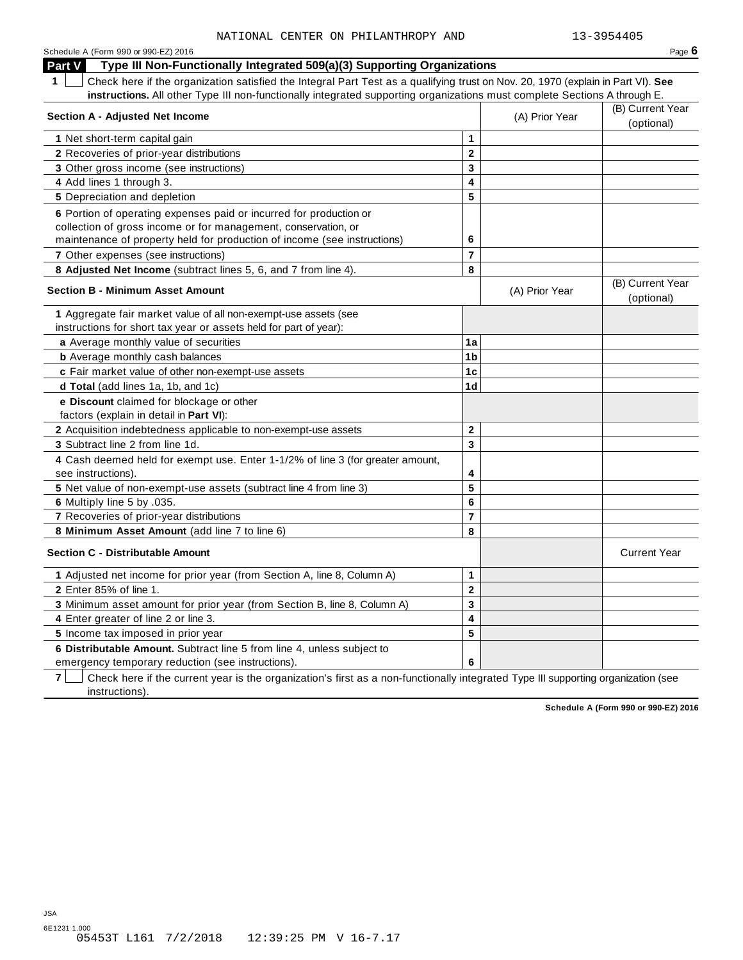| Schedule A (Form 990 or 990-EZ) 2016                                                                                                   |                         |                | Page $6$                       |
|----------------------------------------------------------------------------------------------------------------------------------------|-------------------------|----------------|--------------------------------|
| Part V<br>Type III Non-Functionally Integrated 509(a)(3) Supporting Organizations                                                      |                         |                |                                |
| Check here if the organization satisfied the Integral Part Test as a qualifying trust on Nov. 20, 1970 (explain in Part VI). See<br>1. |                         |                |                                |
| instructions. All other Type III non-functionally integrated supporting organizations must complete Sections A through E.              |                         |                |                                |
| Section A - Adjusted Net Income                                                                                                        |                         | (A) Prior Year | (B) Current Year<br>(optional) |
| 1 Net short-term capital gain                                                                                                          | 1                       |                |                                |
| 2 Recoveries of prior-year distributions                                                                                               | $\overline{2}$          |                |                                |
| 3 Other gross income (see instructions)                                                                                                | 3                       |                |                                |
| 4 Add lines 1 through 3.                                                                                                               | 4                       |                |                                |
| 5 Depreciation and depletion                                                                                                           | 5                       |                |                                |
| 6 Portion of operating expenses paid or incurred for production or                                                                     |                         |                |                                |
| collection of gross income or for management, conservation, or                                                                         |                         |                |                                |
| maintenance of property held for production of income (see instructions)                                                               | 6                       |                |                                |
| 7 Other expenses (see instructions)                                                                                                    | $\overline{7}$          |                |                                |
| 8 Adjusted Net Income (subtract lines 5, 6, and 7 from line 4).                                                                        | 8                       |                |                                |
| <b>Section B - Minimum Asset Amount</b>                                                                                                |                         | (A) Prior Year | (B) Current Year<br>(optional) |
| 1 Aggregate fair market value of all non-exempt-use assets (see                                                                        |                         |                |                                |
| instructions for short tax year or assets held for part of year):                                                                      |                         |                |                                |
| a Average monthly value of securities                                                                                                  | 1a                      |                |                                |
| <b>b</b> Average monthly cash balances                                                                                                 | 1b                      |                |                                |
| c Fair market value of other non-exempt-use assets                                                                                     | 1c                      |                |                                |
| d Total (add lines 1a, 1b, and 1c)                                                                                                     | 1d                      |                |                                |
| e Discount claimed for blockage or other<br>factors (explain in detail in <b>Part VI)</b> :                                            |                         |                |                                |
| 2 Acquisition indebtedness applicable to non-exempt-use assets                                                                         | $\mathbf{2}$            |                |                                |
| 3 Subtract line 2 from line 1d.                                                                                                        | $\overline{\mathbf{3}}$ |                |                                |
| 4 Cash deemed held for exempt use. Enter 1-1/2% of line 3 (for greater amount,<br>see instructions).                                   | 4                       |                |                                |
| 5 Net value of non-exempt-use assets (subtract line 4 from line 3)                                                                     | 5                       |                |                                |
| 6 Multiply line 5 by .035.                                                                                                             | 6                       |                |                                |
| 7 Recoveries of prior-year distributions                                                                                               | $\overline{7}$          |                |                                |
| 8 Minimum Asset Amount (add line 7 to line 6)                                                                                          | 8                       |                |                                |
| <b>Section C - Distributable Amount</b>                                                                                                |                         |                | <b>Current Year</b>            |
| 1 Adjusted net income for prior year (from Section A, line 8, Column A)                                                                | 1                       |                |                                |
| 2 Enter 85% of line 1.                                                                                                                 | $\mathbf 2$             |                |                                |
| 3 Minimum asset amount for prior year (from Section B, line 8, Column A)                                                               | 3                       |                |                                |
| 4 Enter greater of line 2 or line 3.                                                                                                   | 4                       |                |                                |
| 5 Income tax imposed in prior year                                                                                                     | 5                       |                |                                |
| 6 Distributable Amount. Subtract line 5 from line 4, unless subject to                                                                 |                         |                |                                |
| emergency temporary reduction (see instructions).                                                                                      | 6                       |                |                                |

**7** Check here if the current year is the organization's first as a non-functionally integrated Type III supporting organization (see instructions).

**Schedule A (Form 990 or 990-EZ) 2016**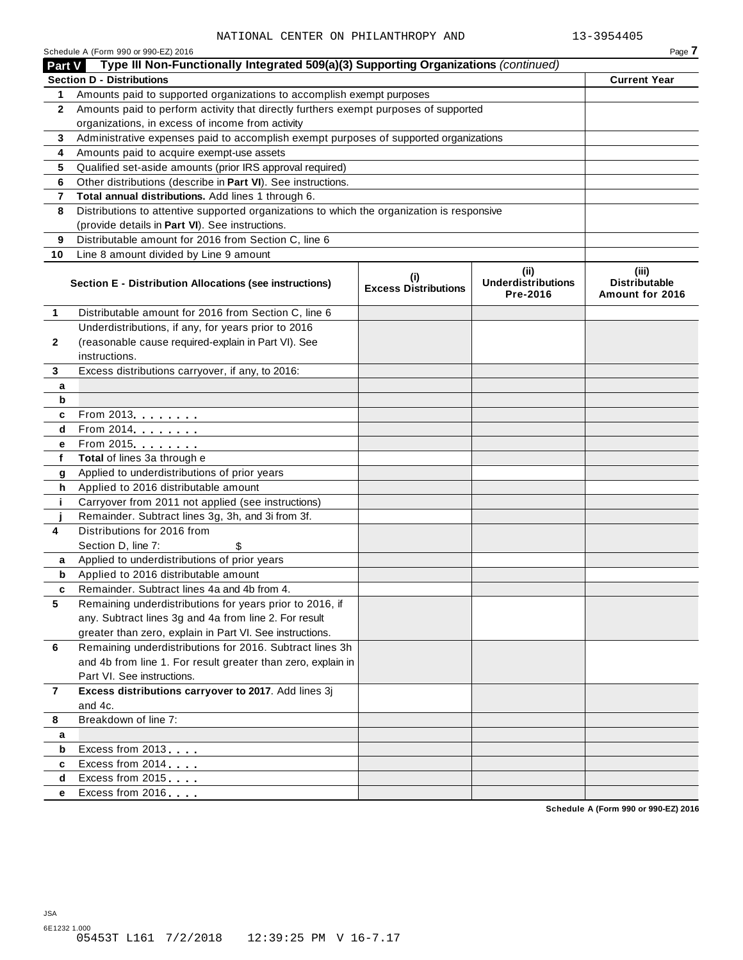|              | Schedule A (Form 990 or 990-EZ) 2016                                                       |                                    |                                               | Page 7                                           |
|--------------|--------------------------------------------------------------------------------------------|------------------------------------|-----------------------------------------------|--------------------------------------------------|
| Part V       | Type III Non-Functionally Integrated 509(a)(3) Supporting Organizations (continued)        |                                    |                                               |                                                  |
|              | <b>Section D - Distributions</b>                                                           |                                    |                                               | <b>Current Year</b>                              |
| 1.           | Amounts paid to supported organizations to accomplish exempt purposes                      |                                    |                                               |                                                  |
| $\mathbf{2}$ | Amounts paid to perform activity that directly furthers exempt purposes of supported       |                                    |                                               |                                                  |
|              | organizations, in excess of income from activity                                           |                                    |                                               |                                                  |
| 3            | Administrative expenses paid to accomplish exempt purposes of supported organizations      |                                    |                                               |                                                  |
| 4            | Amounts paid to acquire exempt-use assets                                                  |                                    |                                               |                                                  |
| 5            | Qualified set-aside amounts (prior IRS approval required)                                  |                                    |                                               |                                                  |
| 6            | Other distributions (describe in Part VI). See instructions.                               |                                    |                                               |                                                  |
| 7            | Total annual distributions. Add lines 1 through 6.                                         |                                    |                                               |                                                  |
| 8            | Distributions to attentive supported organizations to which the organization is responsive |                                    |                                               |                                                  |
|              | (provide details in Part VI). See instructions.                                            |                                    |                                               |                                                  |
| 9            | Distributable amount for 2016 from Section C, line 6                                       |                                    |                                               |                                                  |
| 10           | Line 8 amount divided by Line 9 amount                                                     |                                    |                                               |                                                  |
|              | Section E - Distribution Allocations (see instructions)                                    | (i)<br><b>Excess Distributions</b> | (ii)<br><b>Underdistributions</b><br>Pre-2016 | (iii)<br><b>Distributable</b><br>Amount for 2016 |
| 1            | Distributable amount for 2016 from Section C, line 6                                       |                                    |                                               |                                                  |
|              | Underdistributions, if any, for years prior to 2016                                        |                                    |                                               |                                                  |
| $\mathbf{2}$ | (reasonable cause required-explain in Part VI). See                                        |                                    |                                               |                                                  |
|              | instructions.                                                                              |                                    |                                               |                                                  |
| 3            | Excess distributions carryover, if any, to 2016:                                           |                                    |                                               |                                                  |
| a            |                                                                                            |                                    |                                               |                                                  |
| b            |                                                                                            |                                    |                                               |                                                  |
| c            | From 2013 <b>Algebra</b>                                                                   |                                    |                                               |                                                  |
| d            | From 2014                                                                                  |                                    |                                               |                                                  |
| е            | From 2015                                                                                  |                                    |                                               |                                                  |
| f            | Total of lines 3a through e                                                                |                                    |                                               |                                                  |
| g            | Applied to underdistributions of prior years                                               |                                    |                                               |                                                  |
| h            | Applied to 2016 distributable amount                                                       |                                    |                                               |                                                  |
| j.           | Carryover from 2011 not applied (see instructions)                                         |                                    |                                               |                                                  |
|              | Remainder. Subtract lines 3g, 3h, and 3i from 3f.                                          |                                    |                                               |                                                  |
| 4            | Distributions for 2016 from                                                                |                                    |                                               |                                                  |
|              | Section D, line 7:<br>\$                                                                   |                                    |                                               |                                                  |
| a            | Applied to underdistributions of prior years                                               |                                    |                                               |                                                  |
| b            | Applied to 2016 distributable amount                                                       |                                    |                                               |                                                  |
|              | Remainder. Subtract lines 4a and 4b from 4.                                                |                                    |                                               |                                                  |
| 5            | Remaining underdistributions for years prior to 2016, if                                   |                                    |                                               |                                                  |
|              | any. Subtract lines 3g and 4a from line 2. For result                                      |                                    |                                               |                                                  |
|              | greater than zero, explain in Part VI. See instructions.                                   |                                    |                                               |                                                  |
| 6            | Remaining underdistributions for 2016. Subtract lines 3h                                   |                                    |                                               |                                                  |
|              | and 4b from line 1. For result greater than zero, explain in                               |                                    |                                               |                                                  |
|              | Part VI. See instructions.                                                                 |                                    |                                               |                                                  |
| $\mathbf{7}$ | Excess distributions carryover to 2017. Add lines 3j                                       |                                    |                                               |                                                  |
|              | and 4c.<br>Breakdown of line 7:                                                            |                                    |                                               |                                                  |
| 8            |                                                                                            |                                    |                                               |                                                  |
| a<br>b       | Excess from 2013                                                                           |                                    |                                               |                                                  |
| c            | Excess from 2014                                                                           |                                    |                                               |                                                  |
| d            | Excess from 2015                                                                           |                                    |                                               |                                                  |
| е            | Excess from 2016                                                                           |                                    |                                               |                                                  |
|              |                                                                                            |                                    |                                               |                                                  |

**Schedule A (Form 990 or 990-EZ) 2016**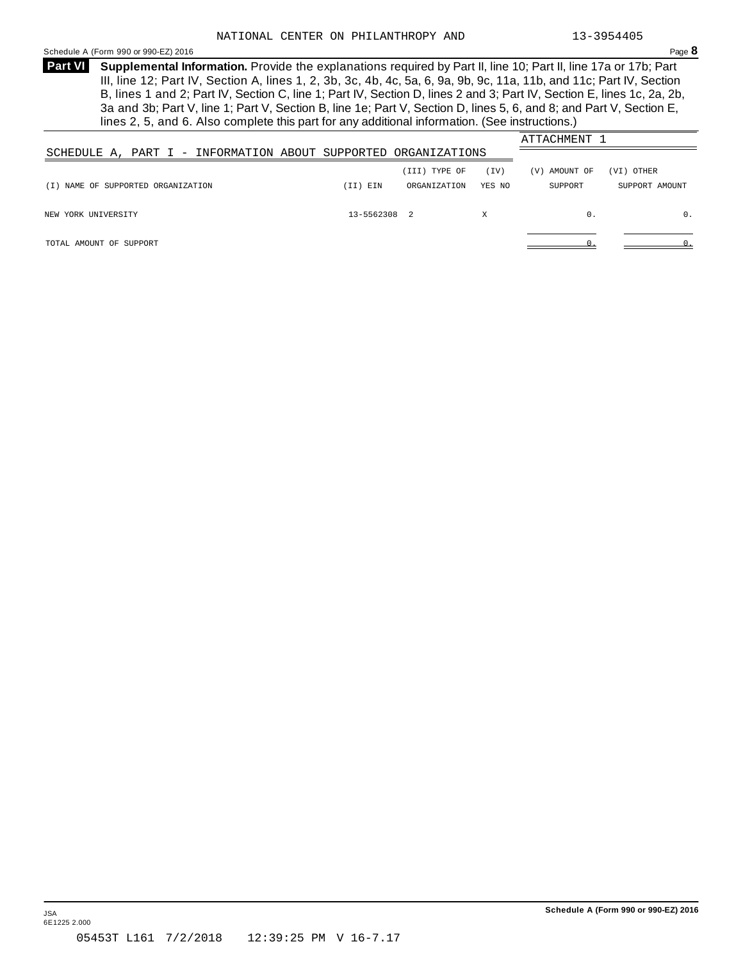<span id="page-19-0"></span>Schedule <sup>A</sup> (Form <sup>990</sup> or 990-EZ) <sup>2016</sup> Page **8**

**Supplemental Information.** Provide the explanations required by Part II, line 10; Part II, line 17a or 17b; Part **Part VI** III, line 12; Part IV, Section A, lines 1, 2, 3b, 3c, 4b, 4c, 5a, 6, 9a, 9b, 9c, 11a, 11b, and 11c; Part IV, Section B, lines 1 and 2; Part IV, Section C, line 1; Part IV, Section D, lines 2 and 3; Part IV, Section E, lines 1c, 2a, 2b, 3a and 3b; Part V, line 1; Part V, Section B, line 1e; Part V, Section D, lines 5, 6, and 8; and Part V, Section E, lines 2, 5, and 6. Also complete this part for any additional information. (See instructions.)

|          | (III) TYPE OF | (TV)         | (V) AMOUNT OF                                                  | (VI) OTHER     |
|----------|---------------|--------------|----------------------------------------------------------------|----------------|
| (II) EIN | ORGANIZATION  | YES NO       | SUPPORT                                                        | SUPPORT AMOUNT |
|          |               |              |                                                                |                |
|          |               | X            | 0.                                                             | 0.             |
|          |               |              |                                                                |                |
|          |               |              |                                                                |                |
|          |               | 13-5562308 2 | SCHEDULE A, PART I - INFORMATION ABOUT SUPPORTED ORGANIZATIONS | ATTACHMENT 1   |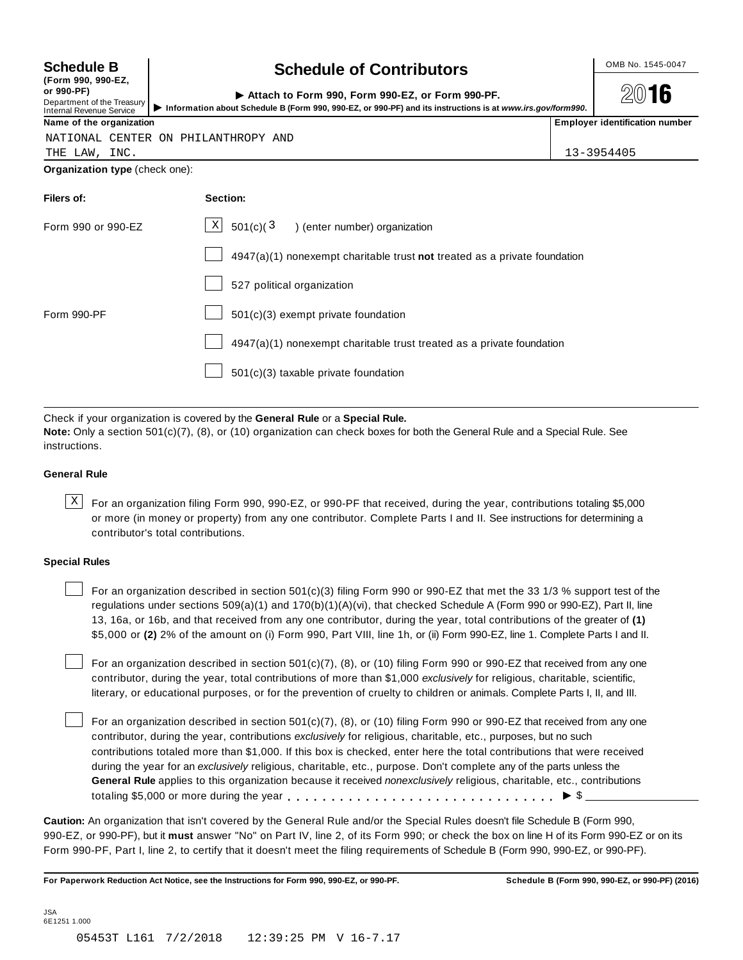| <b>Schedule B</b> |  |
|-------------------|--|
|-------------------|--|

|            | (LOLIU AAN' AAN-ET |
|------------|--------------------|
| or 990-PF) |                    |

#### **(Form 990, 990-EZ,**

**or 990-PF)**

## Department of the Treasury<br>Internal Revenue Service

## **Schedule B chedule of Contributors**

**2016** 

| or 990-PF)<br>Department of the Treasury<br>Internal Revenue Service | Attach to Form 990. Form 990-EZ, or Form 990-PF.<br>Information about Schedule B (Form 990, 990-EZ, or 990-PF) and its instructions is at www.irs.gov/form990. | 2016                                  |
|----------------------------------------------------------------------|----------------------------------------------------------------------------------------------------------------------------------------------------------------|---------------------------------------|
| Name of the organization                                             |                                                                                                                                                                | <b>Employer identification number</b> |

NATIONAL CENTER ON PHILANTHROPY AND

| THE | LAW | INC. | 13-3954405 |
|-----|-----|------|------------|

**Organization type** (check one):

| Filers of:         | Section:                                                                    |
|--------------------|-----------------------------------------------------------------------------|
| Form 990 or 990-EZ | $\mathbf{X}$<br>501(c)(3)<br>) (enter number) organization                  |
|                    | $4947(a)(1)$ nonexempt charitable trust not treated as a private foundation |
|                    | 527 political organization                                                  |
| Form 990-PF        | 501(c)(3) exempt private foundation                                         |
|                    | 4947(a)(1) nonexempt charitable trust treated as a private foundation       |
|                    | 501(c)(3) taxable private foundation                                        |

Check if your organization is covered by the **General Rule** or a **Special Rule.**

**Note:** Only a section 501(c)(7), (8), or (10) organization can check boxes for both the General Rule and a Special Rule. See instructions.

### **General Rule**

 $\text{X}$  For an organization filing Form 990, 990-EZ, or 990-PF that received, during the year, contributions totaling \$5,000 or more (in money or property) from any one contributor. Complete Parts I and II. See instructions for determining a contributor's total contributions.

#### **Special Rules**

For an organization described in section 501(c)(3) filing Form 990 or 990-EZ that met the 33 1/3 % support test of the regulations under sections 509(a)(1) and 170(b)(1)(A)(vi), that checked Schedule A (Form 990 or 990-EZ), Part II, line 13, 16a, or 16b, and that received from any one contributor, during the year, total contributions of the greater of **(1)** \$5,000 or **(2)** 2% of the amount on (i) Form 990, Part VIII, line 1h, or (ii) Form 990-EZ, line 1. Complete Parts I and II.

For an organization described in section 501(c)(7), (8), or (10) filing Form 990 or 990-EZ that received from any one contributor, during the year, total contributions of more than \$1,000 *exclusively* for religious, charitable, scientific, literary, or educational purposes, or for the prevention of cruelty to children or animals. Complete Parts I, II, and III.

For an organization described in section 501(c)(7), (8), or (10) filing Form 990 or 990-EZ that received from any one contributor, during the year, contributions *exclusively* for religious, charitable, etc., purposes, but no such contributions totaled more than \$1,000. If this box is checked, enter here the total contributions that were received during the year for an *exclusively* religious, charitable, etc., purpose. Don't complete any of the parts unless the **General Rule** applies to this organization because it received *nonexclusively* religious, charitable, etc., contributions totaling \$5,000 or more during the year m m m m m m m m m m m m m m m m m m m m m m m m m m m m m m m I \$

**Caution:** An organization that isn't covered by the General Rule and/or the Special Rules doesn't file Schedule B (Form 990, 990-EZ, or 990-PF), but it **must** answer "No" on Part IV, line 2, of its Form 990; or check the box on line H of its Form 990-EZ or on its Form 990-PF, Part I, line 2, to certify that it doesn't meet the filing requirements of Schedule B (Form 990, 990-EZ, or 990-PF).

For Paperwork Reduction Act Notice, see the Instructions for Form 990, 990-EZ, or 990-PF. Schedule B (Form 990, 990-EZ, or 990-PF) (2016)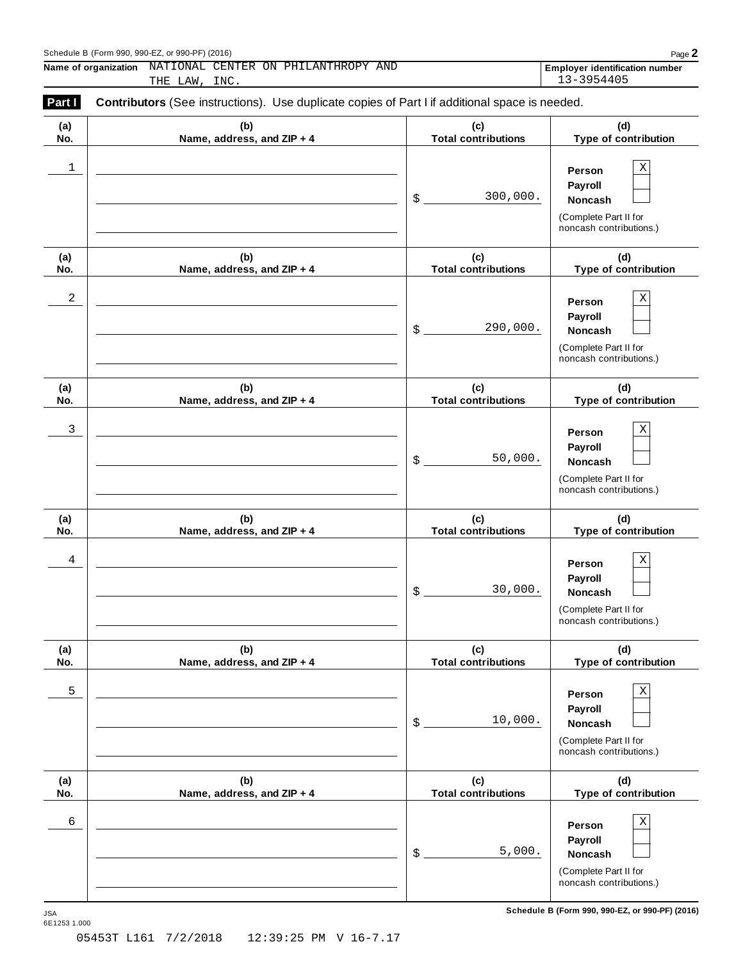Schedule B (Form 990, 990-EZ, or 990-PF) (2016)<br>
Name of organization NATIONAL CENTER ON PHILANTHROPY AND **Properties and CENTER CON PHILANTHROPY** AND **Name of organization Employer identification number** NATIONAL CENTER ON PHILANTHROPY AND THE LAW, INC. 13-3954405

| (a)<br>No. | (b)<br>Name, address, and ZIP + 4 | (c)<br><b>Total contributions</b> | (d)<br>Type of contribution                                                                     |
|------------|-----------------------------------|-----------------------------------|-------------------------------------------------------------------------------------------------|
| 1          |                                   | 300,000.<br>\$                    | $\rm X$<br>Person<br>Payroll<br>Noncash<br>(Complete Part II for<br>noncash contributions.)     |
| (a)<br>No. | (b)<br>Name, address, and ZIP + 4 | (c)<br><b>Total contributions</b> | (d)<br>Type of contribution                                                                     |
| 2          |                                   | 290,000.<br>\$                    | $\rm X$<br>Person<br>Payroll<br>Noncash<br>(Complete Part II for<br>noncash contributions.)     |
| (a)<br>No. | (b)<br>Name, address, and ZIP + 4 | (c)<br><b>Total contributions</b> | (d)<br>Type of contribution                                                                     |
| 3          |                                   | 50,000.<br>\$                     | $\rm X$<br>Person<br>Payroll<br>Noncash<br>(Complete Part II for<br>noncash contributions.)     |
| (a)<br>No. | (b)<br>Name, address, and ZIP + 4 | (c)<br><b>Total contributions</b> | (d)<br>Type of contribution                                                                     |
| 4          |                                   | 30,000.<br>\$                     | $\rm X$<br>Person<br>Payroll<br>Noncash<br>(Complete Part II for<br>noncash contributions.)     |
| (a)<br>No. | (b)<br>Name, address, and ZIP + 4 | (c)<br><b>Total contributions</b> | (d)<br>Type of contribution                                                                     |
| 5          |                                   | 10,000.<br>\$                     | Χ<br>Person<br>Payroll<br>Noncash<br>(Complete Part II for<br>noncash contributions.)           |
| (a)<br>No. | (b)<br>Name, address, and ZIP + 4 | (c)<br><b>Total contributions</b> | (d)<br>Type of contribution                                                                     |
| 6          |                                   | 5,000.<br>\$                      | $\mathbf X$<br>Person<br>Payroll<br>Noncash<br>(Complete Part II for<br>noncash contributions.) |

 $S$ chedule B (Form 990, 990-EZ, or 990-PF) (2016)

JSA<br>6E1253 1.000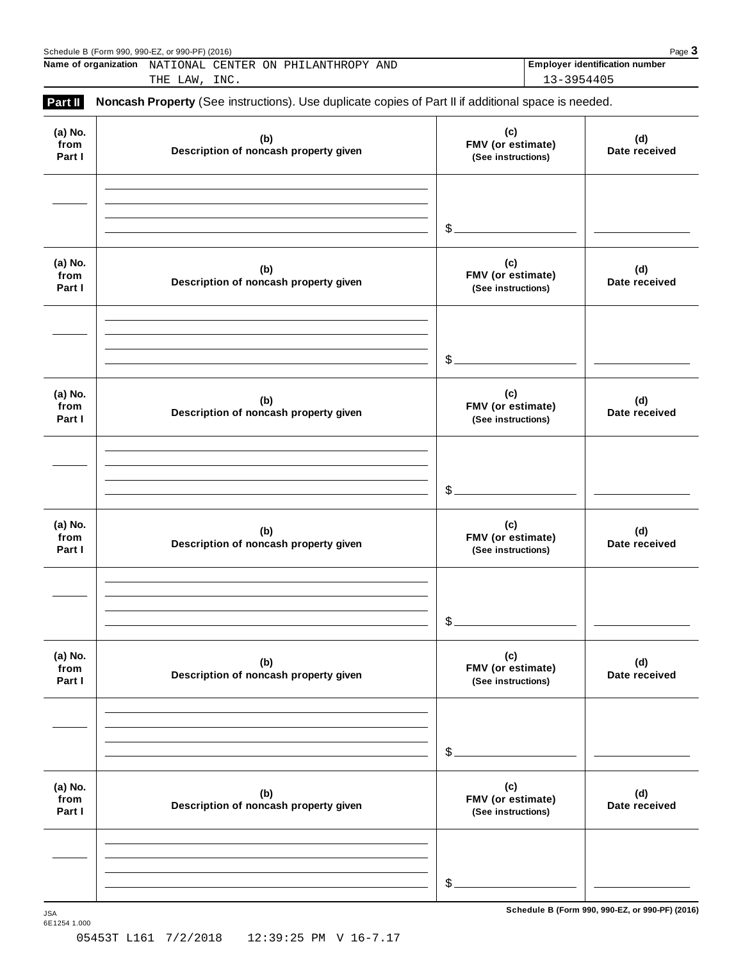|                           | Schedule B (Form 990, 990-EZ, or 990-PF) (2016)<br>Name of organization NATIONAL CENTER ON PHILANTHROPY AND<br>THE LAW, INC. | 13-3954405                                     | Page 3<br><b>Employer identification number</b> |
|---------------------------|------------------------------------------------------------------------------------------------------------------------------|------------------------------------------------|-------------------------------------------------|
| Part II                   | Noncash Property (See instructions). Use duplicate copies of Part II if additional space is needed.                          |                                                |                                                 |
| (a) No.<br>from<br>Part I | (b)<br>Description of noncash property given                                                                                 | (c)<br>FMV (or estimate)<br>(See instructions) | (d)<br>Date received                            |
|                           |                                                                                                                              | $\mathcal{S}_{-}$                              |                                                 |
| (a) No.<br>from<br>Part I | (b)<br>Description of noncash property given                                                                                 | (c)<br>FMV (or estimate)<br>(See instructions) | (d)<br>Date received                            |
|                           |                                                                                                                              | $\mathcal{S}_{-}$                              |                                                 |
| (a) No.<br>from<br>Part I | (b)<br>Description of noncash property given                                                                                 | (c)<br>FMV (or estimate)<br>(See instructions) | (d)<br>Date received                            |
|                           |                                                                                                                              | $\mathcal{S}_{-}$                              |                                                 |
| (a) No.<br>from<br>Part I | (b)<br>Description of noncash property given                                                                                 | (c)<br>FMV (or estimate)<br>(See instructions) | (d)<br>Date received                            |
|                           |                                                                                                                              | $\mathcal{L}_{-}$                              |                                                 |
| (a) No.<br>from<br>Part I | (b)<br>Description of noncash property given                                                                                 | (c)<br>FMV (or estimate)<br>(See instructions) | (d)<br>Date received                            |
|                           |                                                                                                                              | $\mathcal{S}_{-}$                              |                                                 |
| (a) No.<br>from<br>Part I | (b)<br>Description of noncash property given                                                                                 | (c)<br>FMV (or estimate)<br>(See instructions) | (d)<br>Date received                            |
|                           |                                                                                                                              |                                                |                                                 |
|                           |                                                                                                                              | $\mathcal{S}_{-}$                              |                                                 |

 $S$ chedule B (Form 990, 990-EZ, or 990-PF) (2016)

6E1254 1.000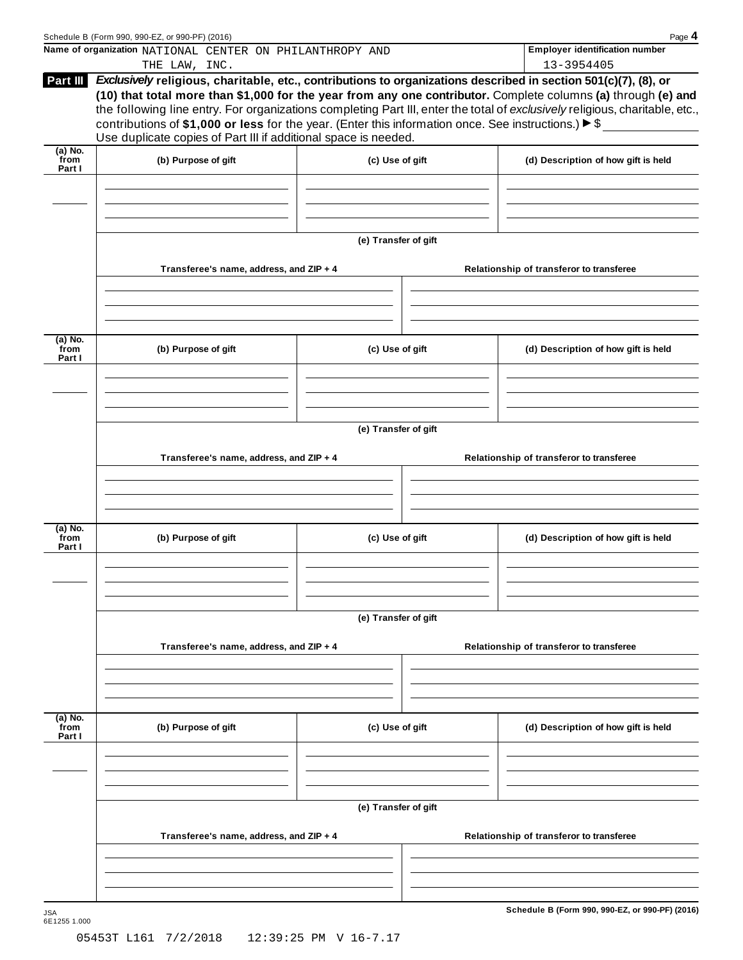|                           | Schedule B (Form 990, 990-EZ, or 990-PF) (2016)                                                                                                                                                                                                                                                                |                      | Page 4<br><b>Employer identification number</b>                                                                                                                                                                                               |
|---------------------------|----------------------------------------------------------------------------------------------------------------------------------------------------------------------------------------------------------------------------------------------------------------------------------------------------------------|----------------------|-----------------------------------------------------------------------------------------------------------------------------------------------------------------------------------------------------------------------------------------------|
|                           | Name of organization NATIONAL CENTER ON PHILANTHROPY AND<br>THE LAW, INC.                                                                                                                                                                                                                                      |                      | 13-3954405                                                                                                                                                                                                                                    |
| Part III                  | Exclusively religious, charitable, etc., contributions to organizations described in section 501(c)(7), (8), or<br>contributions of \$1,000 or less for the year. (Enter this information once. See instructions.) $\blacktriangleright$ \$<br>Use duplicate copies of Part III if additional space is needed. |                      | (10) that total more than \$1,000 for the year from any one contributor. Complete columns (a) through (e) and<br>the following line entry. For organizations completing Part III, enter the total of exclusively religious, charitable, etc., |
| $(a)$ No.<br>from         |                                                                                                                                                                                                                                                                                                                |                      |                                                                                                                                                                                                                                               |
| Part I                    | (b) Purpose of gift                                                                                                                                                                                                                                                                                            | (c) Use of gift      | (d) Description of how gift is held                                                                                                                                                                                                           |
|                           |                                                                                                                                                                                                                                                                                                                | (e) Transfer of gift |                                                                                                                                                                                                                                               |
|                           | Transferee's name, address, and ZIP + 4                                                                                                                                                                                                                                                                        |                      | Relationship of transferor to transferee                                                                                                                                                                                                      |
| (a) No.                   |                                                                                                                                                                                                                                                                                                                |                      |                                                                                                                                                                                                                                               |
| from<br>Part I            | (b) Purpose of gift                                                                                                                                                                                                                                                                                            | (c) Use of gift      | (d) Description of how gift is held                                                                                                                                                                                                           |
|                           |                                                                                                                                                                                                                                                                                                                |                      |                                                                                                                                                                                                                                               |
|                           | Transferee's name, address, and ZIP + 4                                                                                                                                                                                                                                                                        | (e) Transfer of gift | Relationship of transferor to transferee                                                                                                                                                                                                      |
|                           |                                                                                                                                                                                                                                                                                                                |                      |                                                                                                                                                                                                                                               |
| (a) No.<br>from<br>Part I | (b) Purpose of gift                                                                                                                                                                                                                                                                                            | (c) Use of gift      | (d) Description of how gift is held                                                                                                                                                                                                           |
|                           |                                                                                                                                                                                                                                                                                                                |                      |                                                                                                                                                                                                                                               |
|                           | Transferee's name, address, and ZIP + 4                                                                                                                                                                                                                                                                        | (e) Transfer of gift | Relationship of transferor to transferee                                                                                                                                                                                                      |
|                           |                                                                                                                                                                                                                                                                                                                |                      |                                                                                                                                                                                                                                               |
| (a) No.<br>from<br>Part I | (b) Purpose of gift                                                                                                                                                                                                                                                                                            | (c) Use of gift      | (d) Description of how gift is held                                                                                                                                                                                                           |
|                           |                                                                                                                                                                                                                                                                                                                |                      |                                                                                                                                                                                                                                               |
|                           |                                                                                                                                                                                                                                                                                                                | (e) Transfer of gift |                                                                                                                                                                                                                                               |
|                           | Transferee's name, address, and ZIP + 4                                                                                                                                                                                                                                                                        |                      | Relationship of transferor to transferee                                                                                                                                                                                                      |
|                           |                                                                                                                                                                                                                                                                                                                |                      |                                                                                                                                                                                                                                               |
| <b>JSA</b>                |                                                                                                                                                                                                                                                                                                                |                      | Schedule B (Form 990, 990-EZ, or 990-PF) (2016)                                                                                                                                                                                               |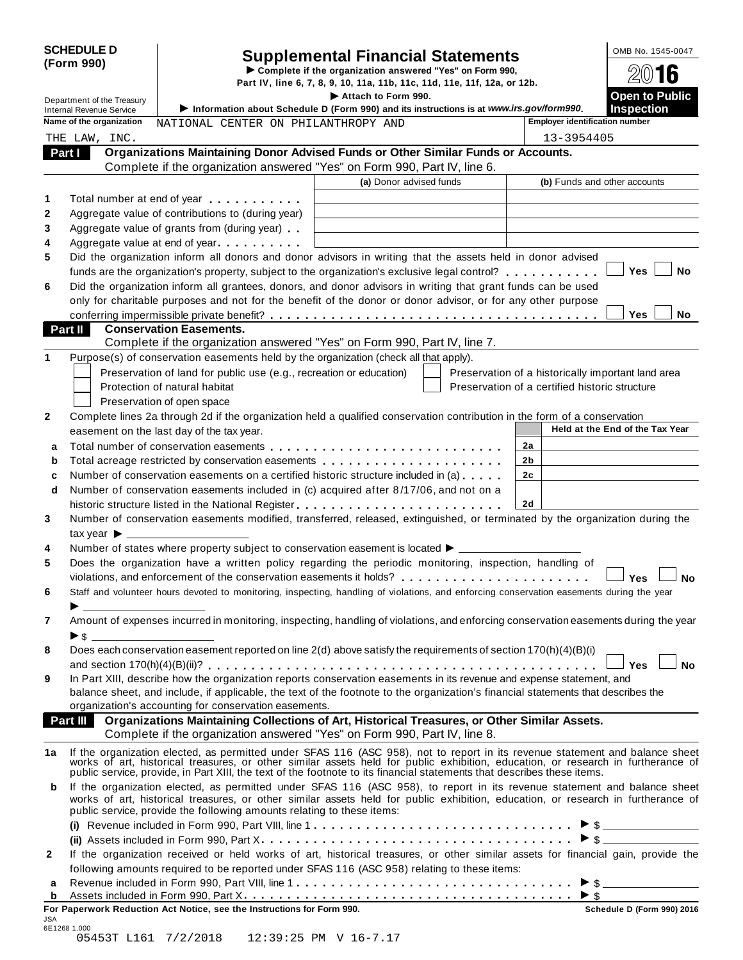| Attach to Form 990.<br>Department of the Treasury<br>Information about Schedule D (Form 990) and its instructions is at www.irs.gov/form990.<br><b>Internal Revenue Service</b><br>Name of the organization<br><b>Employer identification number</b><br>NATIONAL CENTER ON PHILANTHROPY AND<br>13-3954405<br>THE LAW, INC.<br>Organizations Maintaining Donor Advised Funds or Other Similar Funds or Accounts.<br>Part I<br>Complete if the organization answered "Yes" on Form 990, Part IV, line 6.<br>(a) Donor advised funds<br>(b) Funds and other accounts<br>1<br>Total number at end of year manufacturers and the Total number<br>$\boldsymbol{2}$<br>Aggregate value of contributions to (during year)<br>3<br>Aggregate value of grants from (during year)<br>4<br>Aggregate value at end of year<br>5<br>Did the organization inform all donors and donor advisors in writing that the assets held in donor advised<br><b>Yes</b><br>funds are the organization's property, subject to the organization's exclusive legal control?<br>6<br>Did the organization inform all grantees, donors, and donor advisors in writing that grant funds can be used<br>only for charitable purposes and not for the benefit of the donor or donor advisor, or for any other purpose<br><b>Yes</b><br>Part II<br><b>Conservation Easements.</b><br>Complete if the organization answered "Yes" on Form 990, Part IV, line 7.<br>1<br>Purpose(s) of conservation easements held by the organization (check all that apply).<br>Preservation of land for public use (e.g., recreation or education)<br>Preservation of a historically important land area<br>Protection of natural habitat<br>Preservation of a certified historic structure<br>Preservation of open space<br>2<br>Complete lines 2a through 2d if the organization held a qualified conservation contribution in the form of a conservation<br>Held at the End of the Tax Year<br>easement on the last day of the tax year.<br>2a<br>a<br>2b<br>Total acreage restricted by conservation easements<br>b<br>Number of conservation easements on a certified historic structure included in (a)<br>2c<br>c<br>Number of conservation easements included in (c) acquired after 8/17/06, and not on a<br>d<br>2d<br>historic structure listed in the National Register<br>3<br>Number of conservation easements modified, transferred, released, extinguished, or terminated by the organization during the<br>tax year $\blacktriangleright$ $\_\_$<br>Number of states where property subject to conservation easement is located $\blacktriangleright$ $\_\$<br>4<br>5<br>Does the organization have a written policy regarding the periodic monitoring, inspection, handling of<br>violations, and enforcement of the conservation easements it holds? $\ldots \ldots \ldots \ldots \ldots \ldots$<br>6<br>Staff and volunteer hours devoted to monitoring, inspecting, handling of violations, and enforcing conservation easements during the year<br>$\blacktriangleright$ and the contract of $\frac{1}{\sqrt{2}}$<br>Amount of expenses incurred in monitoring, inspecting, handling of violations, and enforcing conservation easements during the year<br>7<br>$\triangleright$ \$<br>Does each conservation easement reported on line 2(d) above satisfy the requirements of section 170(h)(4)(B)(i)<br>8<br>In Part XIII, describe how the organization reports conservation easements in its revenue and expense statement, and<br>9<br>balance sheet, and include, if applicable, the text of the footnote to the organization's financial statements that describes the<br>organization's accounting for conservation easements.<br>Organizations Maintaining Collections of Art, Historical Treasures, or Other Similar Assets.<br><b>Part III</b><br>Complete if the organization answered "Yes" on Form 990, Part IV, line 8.<br>If the organization elected, as permitted under SFAS 116 (ASC 958), not to report in its revenue statement and balance sheet works of art, historical treasures, or other similar assets held for public exhibition, education<br>1a<br>If the organization elected, as permitted under SFAS 116 (ASC 958), to report in its revenue statement and balance sheet<br>b<br>works of art, historical treasures, or other similar assets held for public exhibition, education, or research in furtherance of<br>public service, provide the following amounts relating to these items:<br>If the organization received or held works of art, historical treasures, or other similar assets for financial gain, provide the<br>$\mathbf{2}$<br>following amounts required to be reported under SFAS 116 (ASC 958) relating to these items: | <b>SCHEDULE D</b><br>(Form 990) |  | <b>Supplemental Financial Statements</b><br>Complete if the organization answered "Yes" on Form 990,<br>Part IV, line 6, 7, 8, 9, 10, 11a, 11b, 11c, 11d, 11e, 11f, 12a, or 12b. |  | OMB No. 1545-0047<br>2016                  |
|-------------------------------------------------------------------------------------------------------------------------------------------------------------------------------------------------------------------------------------------------------------------------------------------------------------------------------------------------------------------------------------------------------------------------------------------------------------------------------------------------------------------------------------------------------------------------------------------------------------------------------------------------------------------------------------------------------------------------------------------------------------------------------------------------------------------------------------------------------------------------------------------------------------------------------------------------------------------------------------------------------------------------------------------------------------------------------------------------------------------------------------------------------------------------------------------------------------------------------------------------------------------------------------------------------------------------------------------------------------------------------------------------------------------------------------------------------------------------------------------------------------------------------------------------------------------------------------------------------------------------------------------------------------------------------------------------------------------------------------------------------------------------------------------------------------------------------------------------------------------------------------------------------------------------------------------------------------------------------------------------------------------------------------------------------------------------------------------------------------------------------------------------------------------------------------------------------------------------------------------------------------------------------------------------------------------------------------------------------------------------------------------------------------------------------------------------------------------------------------------------------------------------------------------------------------------------------------------------------------------------------------------------------------------------------------------------------------------------------------------------------------------------------------------------------------------------------------------------------------------------------------------------------------------------------------------------------------------------------------------------------------------------------------------------------------------------------------------------------------------------------------------------------------------------------------------------------------------------------------------------------------------------------------------------------------------------------------------------------------------------------------------------------------------------------------------------------------------------------------------------------------------------------------------------------------------------------------------------------------------------------------------------------------------------------------------------------------------------------------------------------------------------------------------------------------------------------------------------------------------------------------------------------------------------------------------------------------------------------------------------------------------------------------------------------------------------------------------------------------------------------------------------------------------------------------------------------------------------------------------------------------------------------------------------------------------------------------------------------------------------------------------------------------------------------------------------------------------------------------------------------------------------------------------------------------------------------------------------------------------------------------------------------------------------------------------------------------------------------------------------------|---------------------------------|--|----------------------------------------------------------------------------------------------------------------------------------------------------------------------------------|--|--------------------------------------------|
|                                                                                                                                                                                                                                                                                                                                                                                                                                                                                                                                                                                                                                                                                                                                                                                                                                                                                                                                                                                                                                                                                                                                                                                                                                                                                                                                                                                                                                                                                                                                                                                                                                                                                                                                                                                                                                                                                                                                                                                                                                                                                                                                                                                                                                                                                                                                                                                                                                                                                                                                                                                                                                                                                                                                                                                                                                                                                                                                                                                                                                                                                                                                                                                                                                                                                                                                                                                                                                                                                                                                                                                                                                                                                                                                                                                                                                                                                                                                                                                                                                                                                                                                                                                                                                                                                                                                                                                                                                                                                                                                                                                                                                                                                                                                                       |                                 |  |                                                                                                                                                                                  |  | <b>Open to Public</b><br><b>Inspection</b> |
|                                                                                                                                                                                                                                                                                                                                                                                                                                                                                                                                                                                                                                                                                                                                                                                                                                                                                                                                                                                                                                                                                                                                                                                                                                                                                                                                                                                                                                                                                                                                                                                                                                                                                                                                                                                                                                                                                                                                                                                                                                                                                                                                                                                                                                                                                                                                                                                                                                                                                                                                                                                                                                                                                                                                                                                                                                                                                                                                                                                                                                                                                                                                                                                                                                                                                                                                                                                                                                                                                                                                                                                                                                                                                                                                                                                                                                                                                                                                                                                                                                                                                                                                                                                                                                                                                                                                                                                                                                                                                                                                                                                                                                                                                                                                                       |                                 |  |                                                                                                                                                                                  |  |                                            |
|                                                                                                                                                                                                                                                                                                                                                                                                                                                                                                                                                                                                                                                                                                                                                                                                                                                                                                                                                                                                                                                                                                                                                                                                                                                                                                                                                                                                                                                                                                                                                                                                                                                                                                                                                                                                                                                                                                                                                                                                                                                                                                                                                                                                                                                                                                                                                                                                                                                                                                                                                                                                                                                                                                                                                                                                                                                                                                                                                                                                                                                                                                                                                                                                                                                                                                                                                                                                                                                                                                                                                                                                                                                                                                                                                                                                                                                                                                                                                                                                                                                                                                                                                                                                                                                                                                                                                                                                                                                                                                                                                                                                                                                                                                                                                       |                                 |  |                                                                                                                                                                                  |  |                                            |
|                                                                                                                                                                                                                                                                                                                                                                                                                                                                                                                                                                                                                                                                                                                                                                                                                                                                                                                                                                                                                                                                                                                                                                                                                                                                                                                                                                                                                                                                                                                                                                                                                                                                                                                                                                                                                                                                                                                                                                                                                                                                                                                                                                                                                                                                                                                                                                                                                                                                                                                                                                                                                                                                                                                                                                                                                                                                                                                                                                                                                                                                                                                                                                                                                                                                                                                                                                                                                                                                                                                                                                                                                                                                                                                                                                                                                                                                                                                                                                                                                                                                                                                                                                                                                                                                                                                                                                                                                                                                                                                                                                                                                                                                                                                                                       |                                 |  |                                                                                                                                                                                  |  |                                            |
|                                                                                                                                                                                                                                                                                                                                                                                                                                                                                                                                                                                                                                                                                                                                                                                                                                                                                                                                                                                                                                                                                                                                                                                                                                                                                                                                                                                                                                                                                                                                                                                                                                                                                                                                                                                                                                                                                                                                                                                                                                                                                                                                                                                                                                                                                                                                                                                                                                                                                                                                                                                                                                                                                                                                                                                                                                                                                                                                                                                                                                                                                                                                                                                                                                                                                                                                                                                                                                                                                                                                                                                                                                                                                                                                                                                                                                                                                                                                                                                                                                                                                                                                                                                                                                                                                                                                                                                                                                                                                                                                                                                                                                                                                                                                                       |                                 |  |                                                                                                                                                                                  |  |                                            |
|                                                                                                                                                                                                                                                                                                                                                                                                                                                                                                                                                                                                                                                                                                                                                                                                                                                                                                                                                                                                                                                                                                                                                                                                                                                                                                                                                                                                                                                                                                                                                                                                                                                                                                                                                                                                                                                                                                                                                                                                                                                                                                                                                                                                                                                                                                                                                                                                                                                                                                                                                                                                                                                                                                                                                                                                                                                                                                                                                                                                                                                                                                                                                                                                                                                                                                                                                                                                                                                                                                                                                                                                                                                                                                                                                                                                                                                                                                                                                                                                                                                                                                                                                                                                                                                                                                                                                                                                                                                                                                                                                                                                                                                                                                                                                       |                                 |  |                                                                                                                                                                                  |  |                                            |
|                                                                                                                                                                                                                                                                                                                                                                                                                                                                                                                                                                                                                                                                                                                                                                                                                                                                                                                                                                                                                                                                                                                                                                                                                                                                                                                                                                                                                                                                                                                                                                                                                                                                                                                                                                                                                                                                                                                                                                                                                                                                                                                                                                                                                                                                                                                                                                                                                                                                                                                                                                                                                                                                                                                                                                                                                                                                                                                                                                                                                                                                                                                                                                                                                                                                                                                                                                                                                                                                                                                                                                                                                                                                                                                                                                                                                                                                                                                                                                                                                                                                                                                                                                                                                                                                                                                                                                                                                                                                                                                                                                                                                                                                                                                                                       |                                 |  |                                                                                                                                                                                  |  |                                            |
|                                                                                                                                                                                                                                                                                                                                                                                                                                                                                                                                                                                                                                                                                                                                                                                                                                                                                                                                                                                                                                                                                                                                                                                                                                                                                                                                                                                                                                                                                                                                                                                                                                                                                                                                                                                                                                                                                                                                                                                                                                                                                                                                                                                                                                                                                                                                                                                                                                                                                                                                                                                                                                                                                                                                                                                                                                                                                                                                                                                                                                                                                                                                                                                                                                                                                                                                                                                                                                                                                                                                                                                                                                                                                                                                                                                                                                                                                                                                                                                                                                                                                                                                                                                                                                                                                                                                                                                                                                                                                                                                                                                                                                                                                                                                                       |                                 |  |                                                                                                                                                                                  |  |                                            |
|                                                                                                                                                                                                                                                                                                                                                                                                                                                                                                                                                                                                                                                                                                                                                                                                                                                                                                                                                                                                                                                                                                                                                                                                                                                                                                                                                                                                                                                                                                                                                                                                                                                                                                                                                                                                                                                                                                                                                                                                                                                                                                                                                                                                                                                                                                                                                                                                                                                                                                                                                                                                                                                                                                                                                                                                                                                                                                                                                                                                                                                                                                                                                                                                                                                                                                                                                                                                                                                                                                                                                                                                                                                                                                                                                                                                                                                                                                                                                                                                                                                                                                                                                                                                                                                                                                                                                                                                                                                                                                                                                                                                                                                                                                                                                       |                                 |  |                                                                                                                                                                                  |  |                                            |
|                                                                                                                                                                                                                                                                                                                                                                                                                                                                                                                                                                                                                                                                                                                                                                                                                                                                                                                                                                                                                                                                                                                                                                                                                                                                                                                                                                                                                                                                                                                                                                                                                                                                                                                                                                                                                                                                                                                                                                                                                                                                                                                                                                                                                                                                                                                                                                                                                                                                                                                                                                                                                                                                                                                                                                                                                                                                                                                                                                                                                                                                                                                                                                                                                                                                                                                                                                                                                                                                                                                                                                                                                                                                                                                                                                                                                                                                                                                                                                                                                                                                                                                                                                                                                                                                                                                                                                                                                                                                                                                                                                                                                                                                                                                                                       |                                 |  |                                                                                                                                                                                  |  |                                            |
|                                                                                                                                                                                                                                                                                                                                                                                                                                                                                                                                                                                                                                                                                                                                                                                                                                                                                                                                                                                                                                                                                                                                                                                                                                                                                                                                                                                                                                                                                                                                                                                                                                                                                                                                                                                                                                                                                                                                                                                                                                                                                                                                                                                                                                                                                                                                                                                                                                                                                                                                                                                                                                                                                                                                                                                                                                                                                                                                                                                                                                                                                                                                                                                                                                                                                                                                                                                                                                                                                                                                                                                                                                                                                                                                                                                                                                                                                                                                                                                                                                                                                                                                                                                                                                                                                                                                                                                                                                                                                                                                                                                                                                                                                                                                                       |                                 |  |                                                                                                                                                                                  |  |                                            |
|                                                                                                                                                                                                                                                                                                                                                                                                                                                                                                                                                                                                                                                                                                                                                                                                                                                                                                                                                                                                                                                                                                                                                                                                                                                                                                                                                                                                                                                                                                                                                                                                                                                                                                                                                                                                                                                                                                                                                                                                                                                                                                                                                                                                                                                                                                                                                                                                                                                                                                                                                                                                                                                                                                                                                                                                                                                                                                                                                                                                                                                                                                                                                                                                                                                                                                                                                                                                                                                                                                                                                                                                                                                                                                                                                                                                                                                                                                                                                                                                                                                                                                                                                                                                                                                                                                                                                                                                                                                                                                                                                                                                                                                                                                                                                       |                                 |  |                                                                                                                                                                                  |  | No                                         |
|                                                                                                                                                                                                                                                                                                                                                                                                                                                                                                                                                                                                                                                                                                                                                                                                                                                                                                                                                                                                                                                                                                                                                                                                                                                                                                                                                                                                                                                                                                                                                                                                                                                                                                                                                                                                                                                                                                                                                                                                                                                                                                                                                                                                                                                                                                                                                                                                                                                                                                                                                                                                                                                                                                                                                                                                                                                                                                                                                                                                                                                                                                                                                                                                                                                                                                                                                                                                                                                                                                                                                                                                                                                                                                                                                                                                                                                                                                                                                                                                                                                                                                                                                                                                                                                                                                                                                                                                                                                                                                                                                                                                                                                                                                                                                       |                                 |  |                                                                                                                                                                                  |  |                                            |
|                                                                                                                                                                                                                                                                                                                                                                                                                                                                                                                                                                                                                                                                                                                                                                                                                                                                                                                                                                                                                                                                                                                                                                                                                                                                                                                                                                                                                                                                                                                                                                                                                                                                                                                                                                                                                                                                                                                                                                                                                                                                                                                                                                                                                                                                                                                                                                                                                                                                                                                                                                                                                                                                                                                                                                                                                                                                                                                                                                                                                                                                                                                                                                                                                                                                                                                                                                                                                                                                                                                                                                                                                                                                                                                                                                                                                                                                                                                                                                                                                                                                                                                                                                                                                                                                                                                                                                                                                                                                                                                                                                                                                                                                                                                                                       |                                 |  |                                                                                                                                                                                  |  | No                                         |
|                                                                                                                                                                                                                                                                                                                                                                                                                                                                                                                                                                                                                                                                                                                                                                                                                                                                                                                                                                                                                                                                                                                                                                                                                                                                                                                                                                                                                                                                                                                                                                                                                                                                                                                                                                                                                                                                                                                                                                                                                                                                                                                                                                                                                                                                                                                                                                                                                                                                                                                                                                                                                                                                                                                                                                                                                                                                                                                                                                                                                                                                                                                                                                                                                                                                                                                                                                                                                                                                                                                                                                                                                                                                                                                                                                                                                                                                                                                                                                                                                                                                                                                                                                                                                                                                                                                                                                                                                                                                                                                                                                                                                                                                                                                                                       |                                 |  |                                                                                                                                                                                  |  |                                            |
|                                                                                                                                                                                                                                                                                                                                                                                                                                                                                                                                                                                                                                                                                                                                                                                                                                                                                                                                                                                                                                                                                                                                                                                                                                                                                                                                                                                                                                                                                                                                                                                                                                                                                                                                                                                                                                                                                                                                                                                                                                                                                                                                                                                                                                                                                                                                                                                                                                                                                                                                                                                                                                                                                                                                                                                                                                                                                                                                                                                                                                                                                                                                                                                                                                                                                                                                                                                                                                                                                                                                                                                                                                                                                                                                                                                                                                                                                                                                                                                                                                                                                                                                                                                                                                                                                                                                                                                                                                                                                                                                                                                                                                                                                                                                                       |                                 |  |                                                                                                                                                                                  |  |                                            |
|                                                                                                                                                                                                                                                                                                                                                                                                                                                                                                                                                                                                                                                                                                                                                                                                                                                                                                                                                                                                                                                                                                                                                                                                                                                                                                                                                                                                                                                                                                                                                                                                                                                                                                                                                                                                                                                                                                                                                                                                                                                                                                                                                                                                                                                                                                                                                                                                                                                                                                                                                                                                                                                                                                                                                                                                                                                                                                                                                                                                                                                                                                                                                                                                                                                                                                                                                                                                                                                                                                                                                                                                                                                                                                                                                                                                                                                                                                                                                                                                                                                                                                                                                                                                                                                                                                                                                                                                                                                                                                                                                                                                                                                                                                                                                       |                                 |  |                                                                                                                                                                                  |  |                                            |
|                                                                                                                                                                                                                                                                                                                                                                                                                                                                                                                                                                                                                                                                                                                                                                                                                                                                                                                                                                                                                                                                                                                                                                                                                                                                                                                                                                                                                                                                                                                                                                                                                                                                                                                                                                                                                                                                                                                                                                                                                                                                                                                                                                                                                                                                                                                                                                                                                                                                                                                                                                                                                                                                                                                                                                                                                                                                                                                                                                                                                                                                                                                                                                                                                                                                                                                                                                                                                                                                                                                                                                                                                                                                                                                                                                                                                                                                                                                                                                                                                                                                                                                                                                                                                                                                                                                                                                                                                                                                                                                                                                                                                                                                                                                                                       |                                 |  |                                                                                                                                                                                  |  |                                            |
|                                                                                                                                                                                                                                                                                                                                                                                                                                                                                                                                                                                                                                                                                                                                                                                                                                                                                                                                                                                                                                                                                                                                                                                                                                                                                                                                                                                                                                                                                                                                                                                                                                                                                                                                                                                                                                                                                                                                                                                                                                                                                                                                                                                                                                                                                                                                                                                                                                                                                                                                                                                                                                                                                                                                                                                                                                                                                                                                                                                                                                                                                                                                                                                                                                                                                                                                                                                                                                                                                                                                                                                                                                                                                                                                                                                                                                                                                                                                                                                                                                                                                                                                                                                                                                                                                                                                                                                                                                                                                                                                                                                                                                                                                                                                                       |                                 |  |                                                                                                                                                                                  |  |                                            |
|                                                                                                                                                                                                                                                                                                                                                                                                                                                                                                                                                                                                                                                                                                                                                                                                                                                                                                                                                                                                                                                                                                                                                                                                                                                                                                                                                                                                                                                                                                                                                                                                                                                                                                                                                                                                                                                                                                                                                                                                                                                                                                                                                                                                                                                                                                                                                                                                                                                                                                                                                                                                                                                                                                                                                                                                                                                                                                                                                                                                                                                                                                                                                                                                                                                                                                                                                                                                                                                                                                                                                                                                                                                                                                                                                                                                                                                                                                                                                                                                                                                                                                                                                                                                                                                                                                                                                                                                                                                                                                                                                                                                                                                                                                                                                       |                                 |  |                                                                                                                                                                                  |  |                                            |
|                                                                                                                                                                                                                                                                                                                                                                                                                                                                                                                                                                                                                                                                                                                                                                                                                                                                                                                                                                                                                                                                                                                                                                                                                                                                                                                                                                                                                                                                                                                                                                                                                                                                                                                                                                                                                                                                                                                                                                                                                                                                                                                                                                                                                                                                                                                                                                                                                                                                                                                                                                                                                                                                                                                                                                                                                                                                                                                                                                                                                                                                                                                                                                                                                                                                                                                                                                                                                                                                                                                                                                                                                                                                                                                                                                                                                                                                                                                                                                                                                                                                                                                                                                                                                                                                                                                                                                                                                                                                                                                                                                                                                                                                                                                                                       |                                 |  |                                                                                                                                                                                  |  |                                            |
|                                                                                                                                                                                                                                                                                                                                                                                                                                                                                                                                                                                                                                                                                                                                                                                                                                                                                                                                                                                                                                                                                                                                                                                                                                                                                                                                                                                                                                                                                                                                                                                                                                                                                                                                                                                                                                                                                                                                                                                                                                                                                                                                                                                                                                                                                                                                                                                                                                                                                                                                                                                                                                                                                                                                                                                                                                                                                                                                                                                                                                                                                                                                                                                                                                                                                                                                                                                                                                                                                                                                                                                                                                                                                                                                                                                                                                                                                                                                                                                                                                                                                                                                                                                                                                                                                                                                                                                                                                                                                                                                                                                                                                                                                                                                                       |                                 |  |                                                                                                                                                                                  |  |                                            |
|                                                                                                                                                                                                                                                                                                                                                                                                                                                                                                                                                                                                                                                                                                                                                                                                                                                                                                                                                                                                                                                                                                                                                                                                                                                                                                                                                                                                                                                                                                                                                                                                                                                                                                                                                                                                                                                                                                                                                                                                                                                                                                                                                                                                                                                                                                                                                                                                                                                                                                                                                                                                                                                                                                                                                                                                                                                                                                                                                                                                                                                                                                                                                                                                                                                                                                                                                                                                                                                                                                                                                                                                                                                                                                                                                                                                                                                                                                                                                                                                                                                                                                                                                                                                                                                                                                                                                                                                                                                                                                                                                                                                                                                                                                                                                       |                                 |  |                                                                                                                                                                                  |  |                                            |
|                                                                                                                                                                                                                                                                                                                                                                                                                                                                                                                                                                                                                                                                                                                                                                                                                                                                                                                                                                                                                                                                                                                                                                                                                                                                                                                                                                                                                                                                                                                                                                                                                                                                                                                                                                                                                                                                                                                                                                                                                                                                                                                                                                                                                                                                                                                                                                                                                                                                                                                                                                                                                                                                                                                                                                                                                                                                                                                                                                                                                                                                                                                                                                                                                                                                                                                                                                                                                                                                                                                                                                                                                                                                                                                                                                                                                                                                                                                                                                                                                                                                                                                                                                                                                                                                                                                                                                                                                                                                                                                                                                                                                                                                                                                                                       |                                 |  |                                                                                                                                                                                  |  |                                            |
|                                                                                                                                                                                                                                                                                                                                                                                                                                                                                                                                                                                                                                                                                                                                                                                                                                                                                                                                                                                                                                                                                                                                                                                                                                                                                                                                                                                                                                                                                                                                                                                                                                                                                                                                                                                                                                                                                                                                                                                                                                                                                                                                                                                                                                                                                                                                                                                                                                                                                                                                                                                                                                                                                                                                                                                                                                                                                                                                                                                                                                                                                                                                                                                                                                                                                                                                                                                                                                                                                                                                                                                                                                                                                                                                                                                                                                                                                                                                                                                                                                                                                                                                                                                                                                                                                                                                                                                                                                                                                                                                                                                                                                                                                                                                                       |                                 |  |                                                                                                                                                                                  |  |                                            |
|                                                                                                                                                                                                                                                                                                                                                                                                                                                                                                                                                                                                                                                                                                                                                                                                                                                                                                                                                                                                                                                                                                                                                                                                                                                                                                                                                                                                                                                                                                                                                                                                                                                                                                                                                                                                                                                                                                                                                                                                                                                                                                                                                                                                                                                                                                                                                                                                                                                                                                                                                                                                                                                                                                                                                                                                                                                                                                                                                                                                                                                                                                                                                                                                                                                                                                                                                                                                                                                                                                                                                                                                                                                                                                                                                                                                                                                                                                                                                                                                                                                                                                                                                                                                                                                                                                                                                                                                                                                                                                                                                                                                                                                                                                                                                       |                                 |  |                                                                                                                                                                                  |  |                                            |
|                                                                                                                                                                                                                                                                                                                                                                                                                                                                                                                                                                                                                                                                                                                                                                                                                                                                                                                                                                                                                                                                                                                                                                                                                                                                                                                                                                                                                                                                                                                                                                                                                                                                                                                                                                                                                                                                                                                                                                                                                                                                                                                                                                                                                                                                                                                                                                                                                                                                                                                                                                                                                                                                                                                                                                                                                                                                                                                                                                                                                                                                                                                                                                                                                                                                                                                                                                                                                                                                                                                                                                                                                                                                                                                                                                                                                                                                                                                                                                                                                                                                                                                                                                                                                                                                                                                                                                                                                                                                                                                                                                                                                                                                                                                                                       |                                 |  |                                                                                                                                                                                  |  |                                            |
|                                                                                                                                                                                                                                                                                                                                                                                                                                                                                                                                                                                                                                                                                                                                                                                                                                                                                                                                                                                                                                                                                                                                                                                                                                                                                                                                                                                                                                                                                                                                                                                                                                                                                                                                                                                                                                                                                                                                                                                                                                                                                                                                                                                                                                                                                                                                                                                                                                                                                                                                                                                                                                                                                                                                                                                                                                                                                                                                                                                                                                                                                                                                                                                                                                                                                                                                                                                                                                                                                                                                                                                                                                                                                                                                                                                                                                                                                                                                                                                                                                                                                                                                                                                                                                                                                                                                                                                                                                                                                                                                                                                                                                                                                                                                                       |                                 |  |                                                                                                                                                                                  |  |                                            |
|                                                                                                                                                                                                                                                                                                                                                                                                                                                                                                                                                                                                                                                                                                                                                                                                                                                                                                                                                                                                                                                                                                                                                                                                                                                                                                                                                                                                                                                                                                                                                                                                                                                                                                                                                                                                                                                                                                                                                                                                                                                                                                                                                                                                                                                                                                                                                                                                                                                                                                                                                                                                                                                                                                                                                                                                                                                                                                                                                                                                                                                                                                                                                                                                                                                                                                                                                                                                                                                                                                                                                                                                                                                                                                                                                                                                                                                                                                                                                                                                                                                                                                                                                                                                                                                                                                                                                                                                                                                                                                                                                                                                                                                                                                                                                       |                                 |  |                                                                                                                                                                                  |  |                                            |
|                                                                                                                                                                                                                                                                                                                                                                                                                                                                                                                                                                                                                                                                                                                                                                                                                                                                                                                                                                                                                                                                                                                                                                                                                                                                                                                                                                                                                                                                                                                                                                                                                                                                                                                                                                                                                                                                                                                                                                                                                                                                                                                                                                                                                                                                                                                                                                                                                                                                                                                                                                                                                                                                                                                                                                                                                                                                                                                                                                                                                                                                                                                                                                                                                                                                                                                                                                                                                                                                                                                                                                                                                                                                                                                                                                                                                                                                                                                                                                                                                                                                                                                                                                                                                                                                                                                                                                                                                                                                                                                                                                                                                                                                                                                                                       |                                 |  |                                                                                                                                                                                  |  |                                            |
|                                                                                                                                                                                                                                                                                                                                                                                                                                                                                                                                                                                                                                                                                                                                                                                                                                                                                                                                                                                                                                                                                                                                                                                                                                                                                                                                                                                                                                                                                                                                                                                                                                                                                                                                                                                                                                                                                                                                                                                                                                                                                                                                                                                                                                                                                                                                                                                                                                                                                                                                                                                                                                                                                                                                                                                                                                                                                                                                                                                                                                                                                                                                                                                                                                                                                                                                                                                                                                                                                                                                                                                                                                                                                                                                                                                                                                                                                                                                                                                                                                                                                                                                                                                                                                                                                                                                                                                                                                                                                                                                                                                                                                                                                                                                                       |                                 |  |                                                                                                                                                                                  |  |                                            |
|                                                                                                                                                                                                                                                                                                                                                                                                                                                                                                                                                                                                                                                                                                                                                                                                                                                                                                                                                                                                                                                                                                                                                                                                                                                                                                                                                                                                                                                                                                                                                                                                                                                                                                                                                                                                                                                                                                                                                                                                                                                                                                                                                                                                                                                                                                                                                                                                                                                                                                                                                                                                                                                                                                                                                                                                                                                                                                                                                                                                                                                                                                                                                                                                                                                                                                                                                                                                                                                                                                                                                                                                                                                                                                                                                                                                                                                                                                                                                                                                                                                                                                                                                                                                                                                                                                                                                                                                                                                                                                                                                                                                                                                                                                                                                       |                                 |  |                                                                                                                                                                                  |  |                                            |
|                                                                                                                                                                                                                                                                                                                                                                                                                                                                                                                                                                                                                                                                                                                                                                                                                                                                                                                                                                                                                                                                                                                                                                                                                                                                                                                                                                                                                                                                                                                                                                                                                                                                                                                                                                                                                                                                                                                                                                                                                                                                                                                                                                                                                                                                                                                                                                                                                                                                                                                                                                                                                                                                                                                                                                                                                                                                                                                                                                                                                                                                                                                                                                                                                                                                                                                                                                                                                                                                                                                                                                                                                                                                                                                                                                                                                                                                                                                                                                                                                                                                                                                                                                                                                                                                                                                                                                                                                                                                                                                                                                                                                                                                                                                                                       |                                 |  |                                                                                                                                                                                  |  |                                            |
|                                                                                                                                                                                                                                                                                                                                                                                                                                                                                                                                                                                                                                                                                                                                                                                                                                                                                                                                                                                                                                                                                                                                                                                                                                                                                                                                                                                                                                                                                                                                                                                                                                                                                                                                                                                                                                                                                                                                                                                                                                                                                                                                                                                                                                                                                                                                                                                                                                                                                                                                                                                                                                                                                                                                                                                                                                                                                                                                                                                                                                                                                                                                                                                                                                                                                                                                                                                                                                                                                                                                                                                                                                                                                                                                                                                                                                                                                                                                                                                                                                                                                                                                                                                                                                                                                                                                                                                                                                                                                                                                                                                                                                                                                                                                                       |                                 |  |                                                                                                                                                                                  |  |                                            |
|                                                                                                                                                                                                                                                                                                                                                                                                                                                                                                                                                                                                                                                                                                                                                                                                                                                                                                                                                                                                                                                                                                                                                                                                                                                                                                                                                                                                                                                                                                                                                                                                                                                                                                                                                                                                                                                                                                                                                                                                                                                                                                                                                                                                                                                                                                                                                                                                                                                                                                                                                                                                                                                                                                                                                                                                                                                                                                                                                                                                                                                                                                                                                                                                                                                                                                                                                                                                                                                                                                                                                                                                                                                                                                                                                                                                                                                                                                                                                                                                                                                                                                                                                                                                                                                                                                                                                                                                                                                                                                                                                                                                                                                                                                                                                       |                                 |  |                                                                                                                                                                                  |  |                                            |
|                                                                                                                                                                                                                                                                                                                                                                                                                                                                                                                                                                                                                                                                                                                                                                                                                                                                                                                                                                                                                                                                                                                                                                                                                                                                                                                                                                                                                                                                                                                                                                                                                                                                                                                                                                                                                                                                                                                                                                                                                                                                                                                                                                                                                                                                                                                                                                                                                                                                                                                                                                                                                                                                                                                                                                                                                                                                                                                                                                                                                                                                                                                                                                                                                                                                                                                                                                                                                                                                                                                                                                                                                                                                                                                                                                                                                                                                                                                                                                                                                                                                                                                                                                                                                                                                                                                                                                                                                                                                                                                                                                                                                                                                                                                                                       |                                 |  |                                                                                                                                                                                  |  |                                            |
|                                                                                                                                                                                                                                                                                                                                                                                                                                                                                                                                                                                                                                                                                                                                                                                                                                                                                                                                                                                                                                                                                                                                                                                                                                                                                                                                                                                                                                                                                                                                                                                                                                                                                                                                                                                                                                                                                                                                                                                                                                                                                                                                                                                                                                                                                                                                                                                                                                                                                                                                                                                                                                                                                                                                                                                                                                                                                                                                                                                                                                                                                                                                                                                                                                                                                                                                                                                                                                                                                                                                                                                                                                                                                                                                                                                                                                                                                                                                                                                                                                                                                                                                                                                                                                                                                                                                                                                                                                                                                                                                                                                                                                                                                                                                                       |                                 |  |                                                                                                                                                                                  |  | <b>No</b><br>— Yes                         |
|                                                                                                                                                                                                                                                                                                                                                                                                                                                                                                                                                                                                                                                                                                                                                                                                                                                                                                                                                                                                                                                                                                                                                                                                                                                                                                                                                                                                                                                                                                                                                                                                                                                                                                                                                                                                                                                                                                                                                                                                                                                                                                                                                                                                                                                                                                                                                                                                                                                                                                                                                                                                                                                                                                                                                                                                                                                                                                                                                                                                                                                                                                                                                                                                                                                                                                                                                                                                                                                                                                                                                                                                                                                                                                                                                                                                                                                                                                                                                                                                                                                                                                                                                                                                                                                                                                                                                                                                                                                                                                                                                                                                                                                                                                                                                       |                                 |  |                                                                                                                                                                                  |  |                                            |
|                                                                                                                                                                                                                                                                                                                                                                                                                                                                                                                                                                                                                                                                                                                                                                                                                                                                                                                                                                                                                                                                                                                                                                                                                                                                                                                                                                                                                                                                                                                                                                                                                                                                                                                                                                                                                                                                                                                                                                                                                                                                                                                                                                                                                                                                                                                                                                                                                                                                                                                                                                                                                                                                                                                                                                                                                                                                                                                                                                                                                                                                                                                                                                                                                                                                                                                                                                                                                                                                                                                                                                                                                                                                                                                                                                                                                                                                                                                                                                                                                                                                                                                                                                                                                                                                                                                                                                                                                                                                                                                                                                                                                                                                                                                                                       |                                 |  |                                                                                                                                                                                  |  |                                            |
|                                                                                                                                                                                                                                                                                                                                                                                                                                                                                                                                                                                                                                                                                                                                                                                                                                                                                                                                                                                                                                                                                                                                                                                                                                                                                                                                                                                                                                                                                                                                                                                                                                                                                                                                                                                                                                                                                                                                                                                                                                                                                                                                                                                                                                                                                                                                                                                                                                                                                                                                                                                                                                                                                                                                                                                                                                                                                                                                                                                                                                                                                                                                                                                                                                                                                                                                                                                                                                                                                                                                                                                                                                                                                                                                                                                                                                                                                                                                                                                                                                                                                                                                                                                                                                                                                                                                                                                                                                                                                                                                                                                                                                                                                                                                                       |                                 |  |                                                                                                                                                                                  |  |                                            |
|                                                                                                                                                                                                                                                                                                                                                                                                                                                                                                                                                                                                                                                                                                                                                                                                                                                                                                                                                                                                                                                                                                                                                                                                                                                                                                                                                                                                                                                                                                                                                                                                                                                                                                                                                                                                                                                                                                                                                                                                                                                                                                                                                                                                                                                                                                                                                                                                                                                                                                                                                                                                                                                                                                                                                                                                                                                                                                                                                                                                                                                                                                                                                                                                                                                                                                                                                                                                                                                                                                                                                                                                                                                                                                                                                                                                                                                                                                                                                                                                                                                                                                                                                                                                                                                                                                                                                                                                                                                                                                                                                                                                                                                                                                                                                       |                                 |  |                                                                                                                                                                                  |  |                                            |
|                                                                                                                                                                                                                                                                                                                                                                                                                                                                                                                                                                                                                                                                                                                                                                                                                                                                                                                                                                                                                                                                                                                                                                                                                                                                                                                                                                                                                                                                                                                                                                                                                                                                                                                                                                                                                                                                                                                                                                                                                                                                                                                                                                                                                                                                                                                                                                                                                                                                                                                                                                                                                                                                                                                                                                                                                                                                                                                                                                                                                                                                                                                                                                                                                                                                                                                                                                                                                                                                                                                                                                                                                                                                                                                                                                                                                                                                                                                                                                                                                                                                                                                                                                                                                                                                                                                                                                                                                                                                                                                                                                                                                                                                                                                                                       |                                 |  |                                                                                                                                                                                  |  |                                            |
|                                                                                                                                                                                                                                                                                                                                                                                                                                                                                                                                                                                                                                                                                                                                                                                                                                                                                                                                                                                                                                                                                                                                                                                                                                                                                                                                                                                                                                                                                                                                                                                                                                                                                                                                                                                                                                                                                                                                                                                                                                                                                                                                                                                                                                                                                                                                                                                                                                                                                                                                                                                                                                                                                                                                                                                                                                                                                                                                                                                                                                                                                                                                                                                                                                                                                                                                                                                                                                                                                                                                                                                                                                                                                                                                                                                                                                                                                                                                                                                                                                                                                                                                                                                                                                                                                                                                                                                                                                                                                                                                                                                                                                                                                                                                                       |                                 |  |                                                                                                                                                                                  |  |                                            |
|                                                                                                                                                                                                                                                                                                                                                                                                                                                                                                                                                                                                                                                                                                                                                                                                                                                                                                                                                                                                                                                                                                                                                                                                                                                                                                                                                                                                                                                                                                                                                                                                                                                                                                                                                                                                                                                                                                                                                                                                                                                                                                                                                                                                                                                                                                                                                                                                                                                                                                                                                                                                                                                                                                                                                                                                                                                                                                                                                                                                                                                                                                                                                                                                                                                                                                                                                                                                                                                                                                                                                                                                                                                                                                                                                                                                                                                                                                                                                                                                                                                                                                                                                                                                                                                                                                                                                                                                                                                                                                                                                                                                                                                                                                                                                       |                                 |  |                                                                                                                                                                                  |  |                                            |
|                                                                                                                                                                                                                                                                                                                                                                                                                                                                                                                                                                                                                                                                                                                                                                                                                                                                                                                                                                                                                                                                                                                                                                                                                                                                                                                                                                                                                                                                                                                                                                                                                                                                                                                                                                                                                                                                                                                                                                                                                                                                                                                                                                                                                                                                                                                                                                                                                                                                                                                                                                                                                                                                                                                                                                                                                                                                                                                                                                                                                                                                                                                                                                                                                                                                                                                                                                                                                                                                                                                                                                                                                                                                                                                                                                                                                                                                                                                                                                                                                                                                                                                                                                                                                                                                                                                                                                                                                                                                                                                                                                                                                                                                                                                                                       |                                 |  |                                                                                                                                                                                  |  |                                            |
|                                                                                                                                                                                                                                                                                                                                                                                                                                                                                                                                                                                                                                                                                                                                                                                                                                                                                                                                                                                                                                                                                                                                                                                                                                                                                                                                                                                                                                                                                                                                                                                                                                                                                                                                                                                                                                                                                                                                                                                                                                                                                                                                                                                                                                                                                                                                                                                                                                                                                                                                                                                                                                                                                                                                                                                                                                                                                                                                                                                                                                                                                                                                                                                                                                                                                                                                                                                                                                                                                                                                                                                                                                                                                                                                                                                                                                                                                                                                                                                                                                                                                                                                                                                                                                                                                                                                                                                                                                                                                                                                                                                                                                                                                                                                                       |                                 |  |                                                                                                                                                                                  |  |                                            |
|                                                                                                                                                                                                                                                                                                                                                                                                                                                                                                                                                                                                                                                                                                                                                                                                                                                                                                                                                                                                                                                                                                                                                                                                                                                                                                                                                                                                                                                                                                                                                                                                                                                                                                                                                                                                                                                                                                                                                                                                                                                                                                                                                                                                                                                                                                                                                                                                                                                                                                                                                                                                                                                                                                                                                                                                                                                                                                                                                                                                                                                                                                                                                                                                                                                                                                                                                                                                                                                                                                                                                                                                                                                                                                                                                                                                                                                                                                                                                                                                                                                                                                                                                                                                                                                                                                                                                                                                                                                                                                                                                                                                                                                                                                                                                       |                                 |  |                                                                                                                                                                                  |  |                                            |
|                                                                                                                                                                                                                                                                                                                                                                                                                                                                                                                                                                                                                                                                                                                                                                                                                                                                                                                                                                                                                                                                                                                                                                                                                                                                                                                                                                                                                                                                                                                                                                                                                                                                                                                                                                                                                                                                                                                                                                                                                                                                                                                                                                                                                                                                                                                                                                                                                                                                                                                                                                                                                                                                                                                                                                                                                                                                                                                                                                                                                                                                                                                                                                                                                                                                                                                                                                                                                                                                                                                                                                                                                                                                                                                                                                                                                                                                                                                                                                                                                                                                                                                                                                                                                                                                                                                                                                                                                                                                                                                                                                                                                                                                                                                                                       |                                 |  |                                                                                                                                                                                  |  |                                            |
|                                                                                                                                                                                                                                                                                                                                                                                                                                                                                                                                                                                                                                                                                                                                                                                                                                                                                                                                                                                                                                                                                                                                                                                                                                                                                                                                                                                                                                                                                                                                                                                                                                                                                                                                                                                                                                                                                                                                                                                                                                                                                                                                                                                                                                                                                                                                                                                                                                                                                                                                                                                                                                                                                                                                                                                                                                                                                                                                                                                                                                                                                                                                                                                                                                                                                                                                                                                                                                                                                                                                                                                                                                                                                                                                                                                                                                                                                                                                                                                                                                                                                                                                                                                                                                                                                                                                                                                                                                                                                                                                                                                                                                                                                                                                                       |                                 |  |                                                                                                                                                                                  |  |                                            |
|                                                                                                                                                                                                                                                                                                                                                                                                                                                                                                                                                                                                                                                                                                                                                                                                                                                                                                                                                                                                                                                                                                                                                                                                                                                                                                                                                                                                                                                                                                                                                                                                                                                                                                                                                                                                                                                                                                                                                                                                                                                                                                                                                                                                                                                                                                                                                                                                                                                                                                                                                                                                                                                                                                                                                                                                                                                                                                                                                                                                                                                                                                                                                                                                                                                                                                                                                                                                                                                                                                                                                                                                                                                                                                                                                                                                                                                                                                                                                                                                                                                                                                                                                                                                                                                                                                                                                                                                                                                                                                                                                                                                                                                                                                                                                       |                                 |  |                                                                                                                                                                                  |  |                                            |
| a                                                                                                                                                                                                                                                                                                                                                                                                                                                                                                                                                                                                                                                                                                                                                                                                                                                                                                                                                                                                                                                                                                                                                                                                                                                                                                                                                                                                                                                                                                                                                                                                                                                                                                                                                                                                                                                                                                                                                                                                                                                                                                                                                                                                                                                                                                                                                                                                                                                                                                                                                                                                                                                                                                                                                                                                                                                                                                                                                                                                                                                                                                                                                                                                                                                                                                                                                                                                                                                                                                                                                                                                                                                                                                                                                                                                                                                                                                                                                                                                                                                                                                                                                                                                                                                                                                                                                                                                                                                                                                                                                                                                                                                                                                                                                     |                                 |  |                                                                                                                                                                                  |  |                                            |
| $\blacktriangleright$ \$<br>b                                                                                                                                                                                                                                                                                                                                                                                                                                                                                                                                                                                                                                                                                                                                                                                                                                                                                                                                                                                                                                                                                                                                                                                                                                                                                                                                                                                                                                                                                                                                                                                                                                                                                                                                                                                                                                                                                                                                                                                                                                                                                                                                                                                                                                                                                                                                                                                                                                                                                                                                                                                                                                                                                                                                                                                                                                                                                                                                                                                                                                                                                                                                                                                                                                                                                                                                                                                                                                                                                                                                                                                                                                                                                                                                                                                                                                                                                                                                                                                                                                                                                                                                                                                                                                                                                                                                                                                                                                                                                                                                                                                                                                                                                                                         |                                 |  |                                                                                                                                                                                  |  |                                            |
| For Paperwork Reduction Act Notice, see the Instructions for Form 990.<br>JSA                                                                                                                                                                                                                                                                                                                                                                                                                                                                                                                                                                                                                                                                                                                                                                                                                                                                                                                                                                                                                                                                                                                                                                                                                                                                                                                                                                                                                                                                                                                                                                                                                                                                                                                                                                                                                                                                                                                                                                                                                                                                                                                                                                                                                                                                                                                                                                                                                                                                                                                                                                                                                                                                                                                                                                                                                                                                                                                                                                                                                                                                                                                                                                                                                                                                                                                                                                                                                                                                                                                                                                                                                                                                                                                                                                                                                                                                                                                                                                                                                                                                                                                                                                                                                                                                                                                                                                                                                                                                                                                                                                                                                                                                         |                                 |  |                                                                                                                                                                                  |  | Schedule D (Form 990) 2016                 |

| 05453T L161 7/2/2018 | 12:39:25 PM V 16-7.17 |  |  |
|----------------------|-----------------------|--|--|
|----------------------|-----------------------|--|--|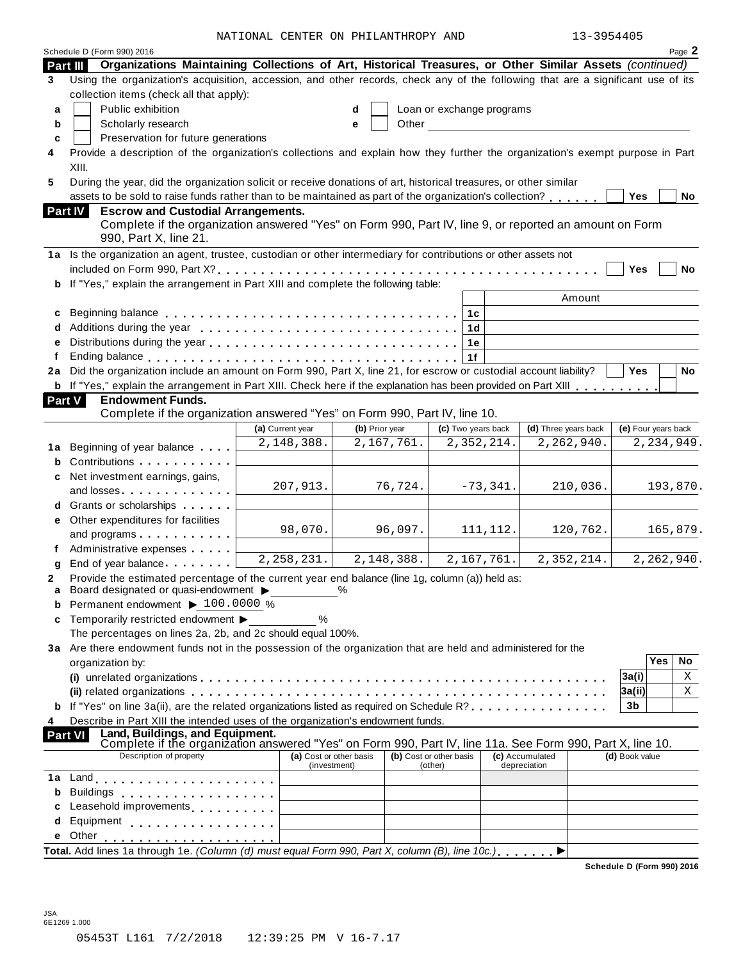NATIONAL CENTER ON PHILANTHROPY AND 13-3954405

|                | Schedule D (Form 990) 2016                                                                                                                                                                                                     |                                         |                |                         |                           |    |            |                                 |            |                     |     | Page 2     |
|----------------|--------------------------------------------------------------------------------------------------------------------------------------------------------------------------------------------------------------------------------|-----------------------------------------|----------------|-------------------------|---------------------------|----|------------|---------------------------------|------------|---------------------|-----|------------|
| Part III       | Organizations Maintaining Collections of Art, Historical Treasures, or Other Similar Assets (continued)                                                                                                                        |                                         |                |                         |                           |    |            |                                 |            |                     |     |            |
| 3              | Using the organization's acquisition, accession, and other records, check any of the following that are a significant use of its<br>collection items (check all that apply):                                                   |                                         |                |                         |                           |    |            |                                 |            |                     |     |            |
| a              | Public exhibition                                                                                                                                                                                                              |                                         | d              |                         | Loan or exchange programs |    |            |                                 |            |                     |     |            |
| b              | Scholarly research                                                                                                                                                                                                             |                                         | e              | Other                   |                           |    |            |                                 |            |                     |     |            |
| c              | Preservation for future generations                                                                                                                                                                                            |                                         |                |                         |                           |    |            |                                 |            |                     |     |            |
| 4              | Provide a description of the organization's collections and explain how they further the organization's exempt purpose in Part<br>XIII.                                                                                        |                                         |                |                         |                           |    |            |                                 |            |                     |     |            |
| 5              | During the year, did the organization solicit or receive donations of art, historical treasures, or other similar                                                                                                              |                                         |                |                         |                           |    |            |                                 |            |                     |     |            |
|                | assets to be sold to raise funds rather than to be maintained as part of the organization's collection?                                                                                                                        |                                         |                |                         |                           |    |            |                                 |            | <b>Yes</b>          |     | No         |
| <b>Part IV</b> | <b>Escrow and Custodial Arrangements.</b>                                                                                                                                                                                      |                                         |                |                         |                           |    |            |                                 |            |                     |     |            |
|                | Complete if the organization answered "Yes" on Form 990, Part IV, line 9, or reported an amount on Form                                                                                                                        |                                         |                |                         |                           |    |            |                                 |            |                     |     |            |
|                | 990, Part X, line 21.                                                                                                                                                                                                          |                                         |                |                         |                           |    |            |                                 |            |                     |     |            |
|                | 1a Is the organization an agent, trustee, custodian or other intermediary for contributions or other assets not                                                                                                                |                                         |                |                         |                           |    |            |                                 |            |                     |     |            |
|                |                                                                                                                                                                                                                                |                                         |                |                         |                           |    |            |                                 |            | Yes                 |     | No         |
|                | b If "Yes," explain the arrangement in Part XIII and complete the following table:                                                                                                                                             |                                         |                |                         |                           |    |            |                                 |            |                     |     |            |
|                |                                                                                                                                                                                                                                |                                         |                |                         |                           |    |            |                                 | Amount     |                     |     |            |
| c              |                                                                                                                                                                                                                                |                                         |                |                         |                           | 1с |            |                                 |            |                     |     |            |
| d              |                                                                                                                                                                                                                                |                                         |                |                         |                           | 1d |            |                                 |            |                     |     |            |
| е              |                                                                                                                                                                                                                                |                                         |                |                         |                           | 1е |            |                                 |            |                     |     |            |
| f              |                                                                                                                                                                                                                                |                                         |                |                         |                           | 1f |            |                                 |            |                     |     |            |
|                | 2a Did the organization include an amount on Form 990, Part X, line 21, for escrow or custodial account liability?                                                                                                             |                                         |                |                         |                           |    |            |                                 |            | <b>Yes</b>          |     | No         |
|                | <b>b</b> If "Yes," explain the arrangement in Part XIII. Check here if the explanation has been provided on Part XIII                                                                                                          |                                         |                |                         |                           |    |            |                                 |            |                     |     |            |
| <b>Part V</b>  | <b>Endowment Funds.</b>                                                                                                                                                                                                        |                                         |                |                         |                           |    |            |                                 |            |                     |     |            |
|                | Complete if the organization answered "Yes" on Form 990, Part IV, line 10.                                                                                                                                                     |                                         |                |                         |                           |    |            |                                 |            |                     |     |            |
|                |                                                                                                                                                                                                                                | (a) Current year                        | (b) Prior year |                         | (c) Two years back        |    |            | (d) Three years back            |            | (e) Four years back |     |            |
|                |                                                                                                                                                                                                                                | 2,148,388.                              |                | 2,167,761.              |                           |    | 2,352,214. |                                 | 2,262,940. |                     |     | 2,234,949. |
| 1а             | Beginning of year balance                                                                                                                                                                                                      |                                         |                |                         |                           |    |            |                                 |            |                     |     |            |
| b              | Contributions                                                                                                                                                                                                                  |                                         |                |                         |                           |    |            |                                 |            |                     |     |            |
| c              | Net investment earnings, gains,                                                                                                                                                                                                | 207,913.                                |                | 76,724.                 |                           |    | $-73,341.$ |                                 | 210,036.   |                     |     | 193,870.   |
|                | and losses                                                                                                                                                                                                                     |                                         |                |                         |                           |    |            |                                 |            |                     |     |            |
|                | Grants or scholarships                                                                                                                                                                                                         |                                         |                |                         |                           |    |            |                                 |            |                     |     |            |
| е              | Other expenditures for facilities                                                                                                                                                                                              | 98,070.                                 |                | 96,097.                 |                           |    | 111, 112.  |                                 | 120,762.   |                     |     | 165,879.   |
|                | and programs                                                                                                                                                                                                                   |                                         |                |                         |                           |    |            |                                 |            |                     |     |            |
|                | Administrative expenses                                                                                                                                                                                                        | 2, 258, 231.                            |                | 2,148,388.              |                           |    | 2,167,761. |                                 | 2,352,214. |                     |     | 2,262,940. |
| g              | End of year balance expansion of year balance                                                                                                                                                                                  |                                         |                |                         |                           |    |            |                                 |            |                     |     |            |
| 2<br>a         | Provide the estimated percentage of the current year end balance (line 1g, column (a)) held as:<br>Board designated or quasi-endowment >                                                                                       |                                         | $\%$           |                         |                           |    |            |                                 |            |                     |     |            |
| b              | Permanent endowment > 100.0000 %                                                                                                                                                                                               |                                         |                |                         |                           |    |            |                                 |            |                     |     |            |
| c              | Temporarily restricted endowment ▶                                                                                                                                                                                             | %                                       |                |                         |                           |    |            |                                 |            |                     |     |            |
|                | The percentages on lines 2a, 2b, and 2c should equal 100%.                                                                                                                                                                     |                                         |                |                         |                           |    |            |                                 |            |                     |     |            |
|                | 3a Are there endowment funds not in the possession of the organization that are held and administered for the                                                                                                                  |                                         |                |                         |                           |    |            |                                 |            |                     |     |            |
|                | organization by:                                                                                                                                                                                                               |                                         |                |                         |                           |    |            |                                 |            |                     | Yes | No         |
|                |                                                                                                                                                                                                                                |                                         |                |                         |                           |    |            |                                 |            | 3a(i)               |     | Χ          |
|                |                                                                                                                                                                                                                                |                                         |                |                         |                           |    |            |                                 |            | 3a(ii)              |     | Χ          |
|                | If "Yes" on line 3a(ii), are the related organizations listed as required on Schedule R?                                                                                                                                       |                                         |                |                         |                           |    |            |                                 |            | 3 <sub>b</sub>      |     |            |
| 4              | Describe in Part XIII the intended uses of the organization's endowment funds.                                                                                                                                                 |                                         |                |                         |                           |    |            |                                 |            |                     |     |            |
| <b>Part VI</b> |                                                                                                                                                                                                                                |                                         |                |                         |                           |    |            |                                 |            |                     |     |            |
|                | Land, Buildings, and Equipment.<br>Complete if the organization answered "Yes" on Form 990, Part IV, line 11a. See Form 990, Part X, line 10.                                                                                  |                                         |                |                         |                           |    |            |                                 |            |                     |     |            |
|                | Description of property                                                                                                                                                                                                        | (a) Cost or other basis<br>(investment) |                | (b) Cost or other basis | (other)                   |    |            | (c) Accumulated<br>depreciation |            | (d) Book value      |     |            |
| 1a             | Land experience and the series of the series of the series of the series of the series of the series of the series of the series of the series of the series of the series of the series of the series of the series of the se |                                         |                |                         |                           |    |            |                                 |            |                     |     |            |
| b              | Buildings                                                                                                                                                                                                                      |                                         |                |                         |                           |    |            |                                 |            |                     |     |            |
| c              | Leasehold improvements <b>Leasehold</b> improvements                                                                                                                                                                           |                                         |                |                         |                           |    |            |                                 |            |                     |     |            |
| d              | Equipment experience and the set of the set of the set of the set of the set of the set of the set of the set o                                                                                                                |                                         |                |                         |                           |    |            |                                 |            |                     |     |            |
| е              | Other                                                                                                                                                                                                                          |                                         |                |                         |                           |    |            |                                 |            |                     |     |            |
|                | Total. Add lines 1a through 1e. (Column (d) must equal Form 990, Part X, column (B), line 10c.)                                                                                                                                |                                         |                |                         |                           |    |            |                                 |            |                     |     |            |
|                |                                                                                                                                                                                                                                |                                         |                |                         |                           |    |            |                                 |            |                     |     |            |

**Schedule D (Form 990) 2016**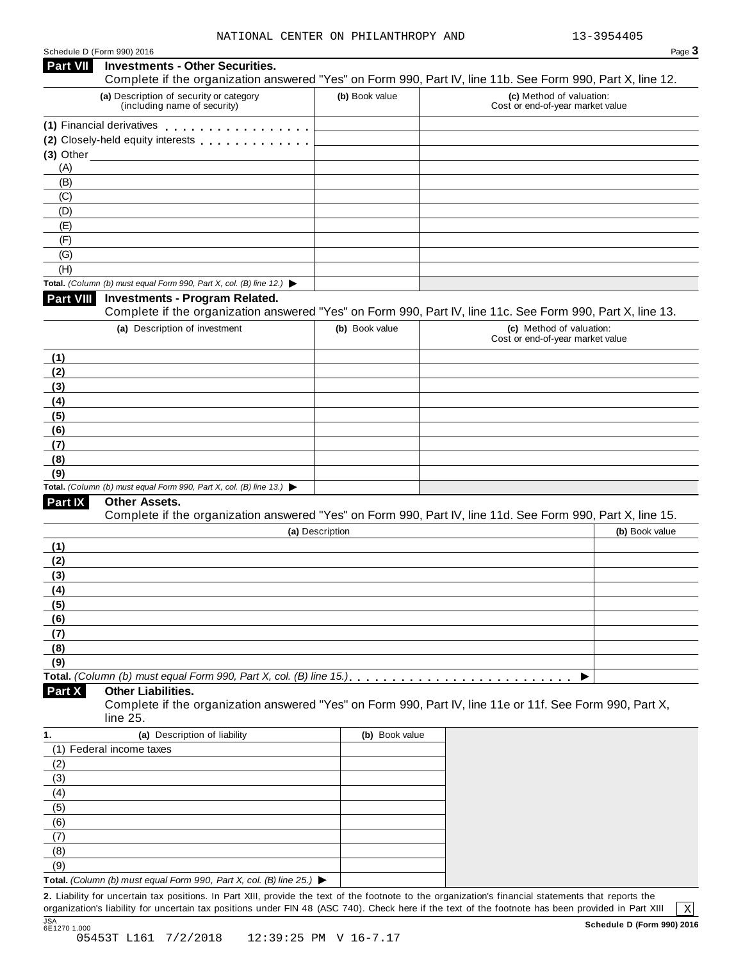| <b>Part VII</b>                 |                                                                                          |                 |                                                                                                            |
|---------------------------------|------------------------------------------------------------------------------------------|-----------------|------------------------------------------------------------------------------------------------------------|
|                                 | <b>Investments - Other Securities.</b>                                                   |                 | Complete if the organization answered "Yes" on Form 990, Part IV, line 11b. See Form 990, Part X, line 12. |
|                                 | (a) Description of security or category<br>(including name of security)                  | (b) Book value  | (c) Method of valuation:<br>Cost or end-of-year market value                                               |
|                                 | (1) Financial derivatives                                                                |                 |                                                                                                            |
|                                 | (2) Closely-held equity interests [1] [1] Closely-held equity interests                  |                 |                                                                                                            |
|                                 | $(3)$ Other                                                                              |                 |                                                                                                            |
| (A)                             |                                                                                          |                 |                                                                                                            |
| (B)                             |                                                                                          |                 |                                                                                                            |
| (C)                             |                                                                                          |                 |                                                                                                            |
| (D)                             |                                                                                          |                 |                                                                                                            |
| (E)                             |                                                                                          |                 |                                                                                                            |
| (F)                             |                                                                                          |                 |                                                                                                            |
| (G)                             |                                                                                          |                 |                                                                                                            |
| (H)                             |                                                                                          |                 |                                                                                                            |
|                                 | Total. (Column (b) must equal Form 990, Part X, col. (B) line 12.) $\blacktriangleright$ |                 |                                                                                                            |
| <b>Part VIII</b>                | <b>Investments - Program Related.</b>                                                    |                 |                                                                                                            |
|                                 |                                                                                          |                 | Complete if the organization answered "Yes" on Form 990, Part IV, line 11c. See Form 990, Part X, line 13. |
|                                 | (a) Description of investment                                                            | (b) Book value  | (c) Method of valuation:<br>Cost or end-of-year market value                                               |
| (1)                             |                                                                                          |                 |                                                                                                            |
| (2)                             |                                                                                          |                 |                                                                                                            |
| (3)                             |                                                                                          |                 |                                                                                                            |
| (4)                             |                                                                                          |                 |                                                                                                            |
| (5)                             |                                                                                          |                 |                                                                                                            |
| (6)                             |                                                                                          |                 |                                                                                                            |
| (7)                             |                                                                                          |                 |                                                                                                            |
| (8)                             |                                                                                          |                 |                                                                                                            |
|                                 |                                                                                          |                 |                                                                                                            |
| (9)                             |                                                                                          |                 |                                                                                                            |
|                                 | Total. (Column (b) must equal Form 990, Part X, col. (B) line 13.) $\blacktriangleright$ |                 |                                                                                                            |
| Part IX                         | Other Assets.                                                                            |                 |                                                                                                            |
|                                 |                                                                                          |                 | Complete if the organization answered "Yes" on Form 990, Part IV, line 11d. See Form 990, Part X, line 15. |
|                                 |                                                                                          | (a) Description | (b) Book value                                                                                             |
|                                 |                                                                                          |                 |                                                                                                            |
|                                 |                                                                                          |                 |                                                                                                            |
|                                 |                                                                                          |                 |                                                                                                            |
|                                 |                                                                                          |                 |                                                                                                            |
| (1)<br>(2)<br>(3)<br>(4)        |                                                                                          |                 |                                                                                                            |
|                                 |                                                                                          |                 |                                                                                                            |
|                                 |                                                                                          |                 |                                                                                                            |
|                                 |                                                                                          |                 |                                                                                                            |
|                                 |                                                                                          |                 |                                                                                                            |
| (5)<br>(6)<br>(7)<br>(8)<br>(9) |                                                                                          |                 |                                                                                                            |
| Part X                          | <b>Other Liabilities.</b><br>line 25.                                                    |                 | Complete if the organization answered "Yes" on Form 990, Part IV, line 11e or 11f. See Form 990, Part X,   |
|                                 | (a) Description of liability                                                             | (b) Book value  |                                                                                                            |
|                                 | (1) Federal income taxes                                                                 |                 |                                                                                                            |
|                                 |                                                                                          |                 |                                                                                                            |
|                                 |                                                                                          |                 |                                                                                                            |
|                                 |                                                                                          |                 |                                                                                                            |
|                                 |                                                                                          |                 |                                                                                                            |
| (2)<br>(4)<br>(5)               |                                                                                          |                 |                                                                                                            |
| (6)                             |                                                                                          |                 |                                                                                                            |
| (7)                             |                                                                                          |                 |                                                                                                            |
| 1.<br>(3)<br>(8)<br>(9)         |                                                                                          |                 |                                                                                                            |

organization's liability for uncertain tax positions under FIN 48 (ASC 740). Check here ifthe text of the footnote has been provided in Part XIII

 $\boxed{\text{X}}$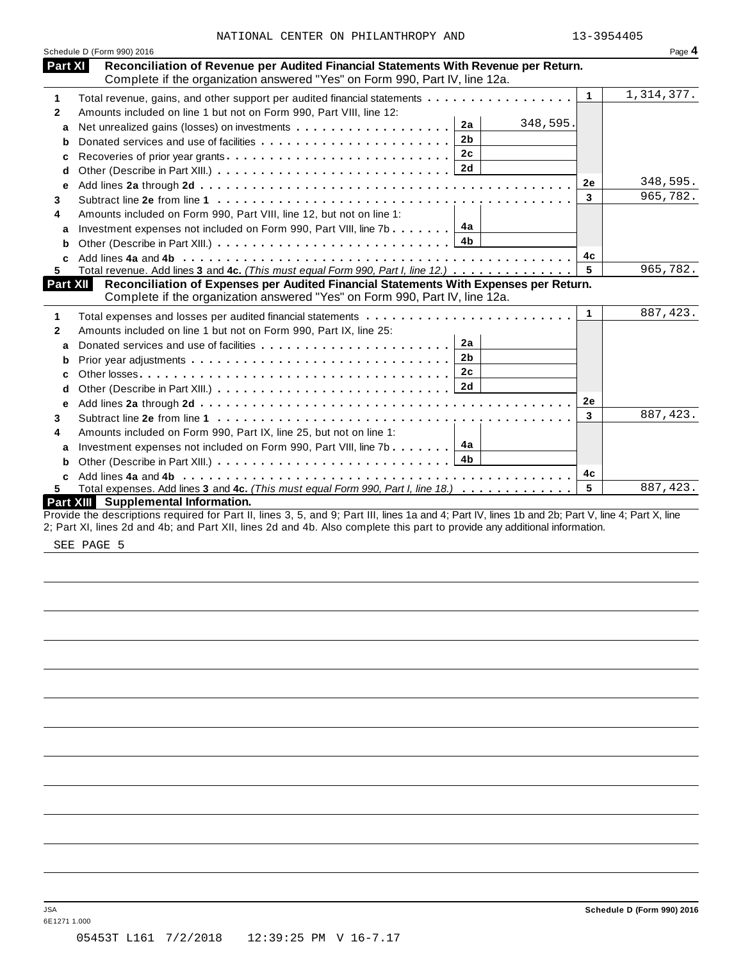|              | Schedule D (Form 990) 2016                                                                                                                         |              | Page 4     |
|--------------|----------------------------------------------------------------------------------------------------------------------------------------------------|--------------|------------|
| Part XI      | Reconciliation of Revenue per Audited Financial Statements With Revenue per Return.                                                                |              |            |
|              | Complete if the organization answered "Yes" on Form 990, Part IV, line 12a.                                                                        |              |            |
| 1            | Total revenue, gains, and other support per audited financial statements                                                                           | $\mathbf{1}$ | 1,314,377. |
| $\mathbf{2}$ | Amounts included on line 1 but not on Form 990, Part VIII, line 12:                                                                                |              |            |
| a            | 348,595.<br>2a<br>Net unrealized gains (losses) on investments                                                                                     |              |            |
| b            | 2 <sub>b</sub><br>Donated services and use of facilities                                                                                           |              |            |
| с            | 2c<br>Recoveries of prior year grants                                                                                                              |              |            |
| d            |                                                                                                                                                    |              |            |
| е            |                                                                                                                                                    | 2е           | 348,595.   |
| 3            |                                                                                                                                                    | 3            | 965,782.   |
| 4            | Amounts included on Form 990, Part VIII, line 12, but not on line 1:                                                                               |              |            |
| a            | 4a<br>Investment expenses not included on Form 990, Part VIII, line 7b                                                                             |              |            |
| b            | 4 <sub>b</sub>                                                                                                                                     |              |            |
|              |                                                                                                                                                    | 4с           |            |
| 5            | Total revenue. Add lines 3 and 4c. (This must equal Form 990, Part I, line 12.)                                                                    | 5            | 965,782.   |
| Part XII     | Reconciliation of Expenses per Audited Financial Statements With Expenses per Return.                                                              |              |            |
|              | Complete if the organization answered "Yes" on Form 990, Part IV, line 12a.                                                                        |              |            |
| 1            |                                                                                                                                                    | $\mathbf{1}$ | 887, 423.  |
| $\mathbf{2}$ | Amounts included on line 1 but not on Form 990, Part IX, line 25:                                                                                  |              |            |
| a            | 2a                                                                                                                                                 |              |            |
| b            | 2 <sub>b</sub>                                                                                                                                     |              |            |
| c            | 2c                                                                                                                                                 |              |            |
| d            |                                                                                                                                                    |              |            |
| е            |                                                                                                                                                    | 2e           |            |
| 3            |                                                                                                                                                    | 3            | 887, 423.  |
| 4            | Amounts included on Form 990, Part IX, line 25, but not on line 1:                                                                                 |              |            |
| a            | 4a<br>Investment expenses not included on Form 990, Part VIII, line 7b                                                                             |              |            |
| b            |                                                                                                                                                    |              |            |
| C            |                                                                                                                                                    | 4с           |            |
| 5.           | Total expenses. Add lines 3 and 4c. (This must equal Form 990, Part I, line 18.)                                                                   | 5            | 887, 423.  |
|              | Part XIII Supplemental Information.                                                                                                                |              |            |
|              | Provide the descriptions required for Part II, lines 3, 5, and 9; Part III, lines 1a and 4; Part IV, lines 1b and 2b; Part V, line 4; Part X, line |              |            |
|              | 2; Part XI, lines 2d and 4b; and Part XII, lines 2d and 4b. Also complete this part to provide any additional information.                         |              |            |

SEE PAGE 5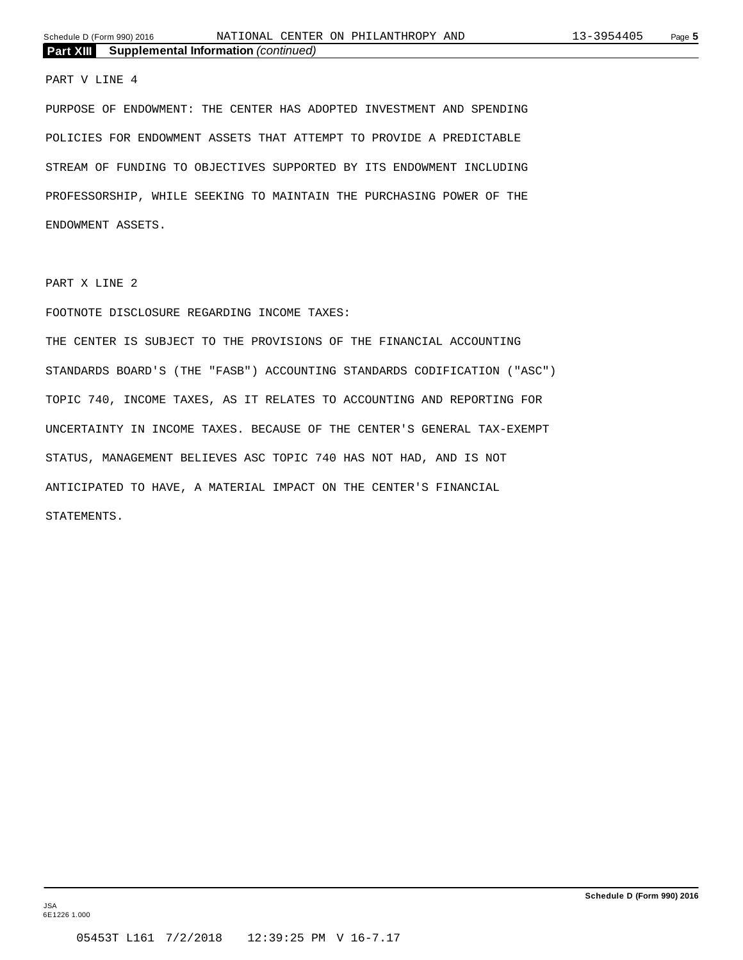#### PART V LINE 4

PURPOSE OF ENDOWMENT: THE CENTER HAS ADOPTED INVESTMENT AND SPENDING POLICIES FOR ENDOWMENT ASSETS THAT ATTEMPT TO PROVIDE A PREDICTABLE STREAM OF FUNDING TO OBJECTIVES SUPPORTED BY ITS ENDOWMENT INCLUDING PROFESSORSHIP, WHILE SEEKING TO MAINTAIN THE PURCHASING POWER OF THE ENDOWMENT ASSETS.

PART X LINE 2

#### FOOTNOTE DISCLOSURE REGARDING INCOME TAXES:

THE CENTER IS SUBJECT TO THE PROVISIONS OF THE FINANCIAL ACCOUNTING STANDARDS BOARD'S (THE "FASB") ACCOUNTING STANDARDS CODIFICATION ("ASC") TOPIC 740, INCOME TAXES, AS IT RELATES TO ACCOUNTING AND REPORTING FOR UNCERTAINTY IN INCOME TAXES. BECAUSE OF THE CENTER'S GENERAL TAX-EXEMPT STATUS, MANAGEMENT BELIEVES ASC TOPIC 740 HAS NOT HAD, AND IS NOT ANTICIPATED TO HAVE, A MATERIAL IMPACT ON THE CENTER'S FINANCIAL STATEMENTS.

JSA 6E1226 1.000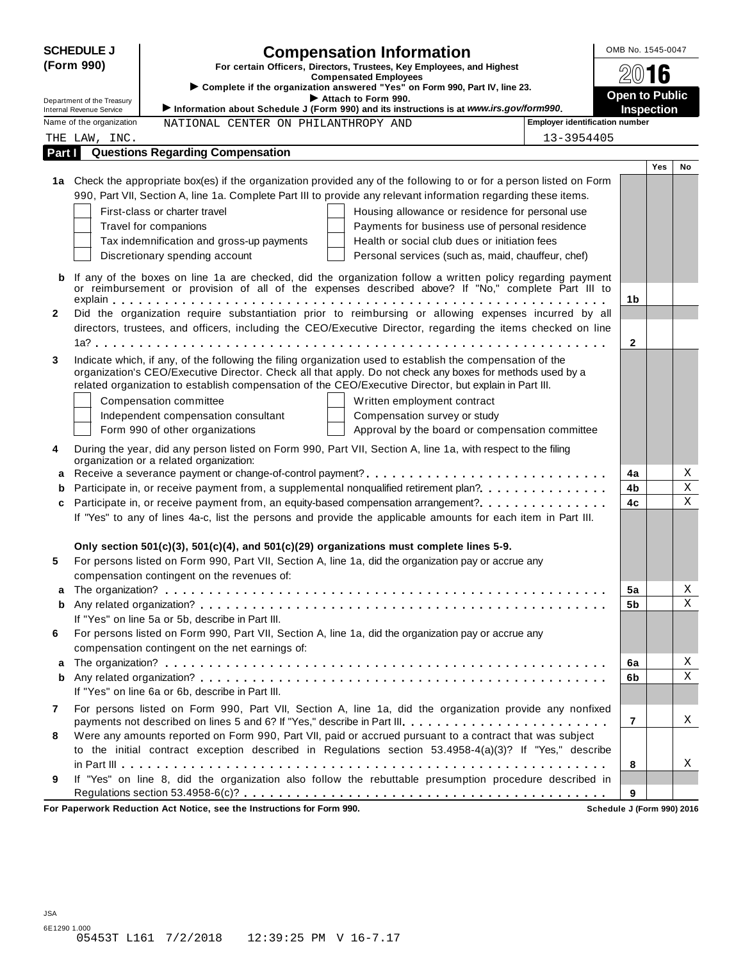|              | <b>SCHEDULE J</b>                                           |                                                                        | <b>Compensation Information</b>                                                                                                                                                                                         |                                       | OMB No. 1545-0047     |             |  |
|--------------|-------------------------------------------------------------|------------------------------------------------------------------------|-------------------------------------------------------------------------------------------------------------------------------------------------------------------------------------------------------------------------|---------------------------------------|-----------------------|-------------|--|
|              | (Form 990)                                                  |                                                                        | For certain Officers, Directors, Trustees, Key Employees, and Highest                                                                                                                                                   |                                       |                       |             |  |
|              |                                                             |                                                                        | <b>Compensated Employees</b><br>Complete if the organization answered "Yes" on Form 990, Part IV, line 23.                                                                                                              |                                       | 2016                  |             |  |
|              | Department of the Treasury                                  |                                                                        | Attach to Form 990.                                                                                                                                                                                                     |                                       | <b>Open to Public</b> |             |  |
|              | <b>Internal Revenue Service</b><br>Name of the organization |                                                                        | Information about Schedule J (Form 990) and its instructions is at www.irs.gov/form990.                                                                                                                                 | <b>Employer identification number</b> | <b>Inspection</b>     |             |  |
|              |                                                             | NATIONAL CENTER ON PHILANTHROPY AND                                    |                                                                                                                                                                                                                         |                                       |                       |             |  |
|              | THE LAW, INC.                                               | <b>Questions Regarding Compensation</b>                                |                                                                                                                                                                                                                         | 13-3954405                            |                       |             |  |
| Part I       |                                                             |                                                                        |                                                                                                                                                                                                                         |                                       | <b>Yes</b>            | No          |  |
|              |                                                             |                                                                        | 1a Check the appropriate box(es) if the organization provided any of the following to or for a person listed on Form                                                                                                    |                                       |                       |             |  |
|              |                                                             |                                                                        | 990, Part VII, Section A, line 1a. Complete Part III to provide any relevant information regarding these items.                                                                                                         |                                       |                       |             |  |
|              |                                                             | First-class or charter travel                                          | Housing allowance or residence for personal use                                                                                                                                                                         |                                       |                       |             |  |
|              |                                                             | Travel for companions                                                  | Payments for business use of personal residence                                                                                                                                                                         |                                       |                       |             |  |
|              |                                                             | Tax indemnification and gross-up payments                              | Health or social club dues or initiation fees                                                                                                                                                                           |                                       |                       |             |  |
|              |                                                             | Discretionary spending account                                         | Personal services (such as, maid, chauffeur, chef)                                                                                                                                                                      |                                       |                       |             |  |
|              |                                                             |                                                                        |                                                                                                                                                                                                                         |                                       |                       |             |  |
| b            |                                                             |                                                                        | If any of the boxes on line 1a are checked, did the organization follow a written policy regarding payment                                                                                                              |                                       |                       |             |  |
|              |                                                             |                                                                        | or reimbursement or provision of all of the expenses described above? If "No," complete Part III to                                                                                                                     |                                       | 1b                    |             |  |
| $\mathbf{2}$ |                                                             |                                                                        | Did the organization require substantiation prior to reimbursing or allowing expenses incurred by all                                                                                                                   |                                       |                       |             |  |
|              |                                                             |                                                                        | directors, trustees, and officers, including the CEO/Executive Director, regarding the items checked on line                                                                                                            |                                       |                       |             |  |
|              |                                                             |                                                                        |                                                                                                                                                                                                                         |                                       | $\mathbf{2}$          |             |  |
|              |                                                             |                                                                        |                                                                                                                                                                                                                         |                                       |                       |             |  |
| 3            |                                                             |                                                                        | Indicate which, if any, of the following the filing organization used to establish the compensation of the<br>organization's CEO/Executive Director. Check all that apply. Do not check any boxes for methods used by a |                                       |                       |             |  |
|              |                                                             |                                                                        | related organization to establish compensation of the CEO/Executive Director, but explain in Part III.                                                                                                                  |                                       |                       |             |  |
|              |                                                             | Compensation committee                                                 | Written employment contract                                                                                                                                                                                             |                                       |                       |             |  |
|              |                                                             | Independent compensation consultant                                    | Compensation survey or study                                                                                                                                                                                            |                                       |                       |             |  |
|              |                                                             | Form 990 of other organizations                                        | Approval by the board or compensation committee                                                                                                                                                                         |                                       |                       |             |  |
|              |                                                             |                                                                        |                                                                                                                                                                                                                         |                                       |                       |             |  |
| 4            |                                                             | organization or a related organization:                                | During the year, did any person listed on Form 990, Part VII, Section A, line 1a, with respect to the filing                                                                                                            |                                       |                       |             |  |
| a            |                                                             |                                                                        |                                                                                                                                                                                                                         |                                       | 4a                    | Χ           |  |
| b            |                                                             |                                                                        | Participate in, or receive payment from, a supplemental nonqualified retirement plan?                                                                                                                                   |                                       | 4b                    | Χ           |  |
| c            |                                                             |                                                                        | Participate in, or receive payment from, an equity-based compensation arrangement?                                                                                                                                      |                                       | 4c                    | $\mathbf X$ |  |
|              |                                                             |                                                                        | If "Yes" to any of lines 4a-c, list the persons and provide the applicable amounts for each item in Part III.                                                                                                           |                                       |                       |             |  |
|              |                                                             |                                                                        |                                                                                                                                                                                                                         |                                       |                       |             |  |
|              |                                                             |                                                                        | Only section $501(c)(3)$ , $501(c)(4)$ , and $501(c)(29)$ organizations must complete lines 5-9.                                                                                                                        |                                       |                       |             |  |
| 5            |                                                             |                                                                        | For persons listed on Form 990, Part VII, Section A, line 1a, did the organization pay or accrue any                                                                                                                    |                                       |                       |             |  |
|              |                                                             | compensation contingent on the revenues of:                            |                                                                                                                                                                                                                         |                                       |                       |             |  |
| a            |                                                             |                                                                        |                                                                                                                                                                                                                         |                                       | 5a                    | Χ           |  |
| b            |                                                             |                                                                        |                                                                                                                                                                                                                         |                                       | 5b                    | X           |  |
|              |                                                             | If "Yes" on line 5a or 5b, describe in Part III.                       |                                                                                                                                                                                                                         |                                       |                       |             |  |
| 6            |                                                             |                                                                        | For persons listed on Form 990, Part VII, Section A, line 1a, did the organization pay or accrue any                                                                                                                    |                                       |                       |             |  |
|              |                                                             | compensation contingent on the net earnings of:                        |                                                                                                                                                                                                                         |                                       |                       |             |  |
| a            |                                                             |                                                                        |                                                                                                                                                                                                                         |                                       | 6a                    | Χ           |  |
| b            |                                                             |                                                                        |                                                                                                                                                                                                                         |                                       | 6b                    | Χ           |  |
|              |                                                             | If "Yes" on line 6a or 6b, describe in Part III.                       |                                                                                                                                                                                                                         |                                       |                       |             |  |
| 7            |                                                             |                                                                        | For persons listed on Form 990, Part VII, Section A, line 1a, did the organization provide any nonfixed                                                                                                                 |                                       |                       |             |  |
|              |                                                             |                                                                        | payments not described on lines 5 and 6? If "Yes," describe in Part III.                                                                                                                                                |                                       | 7                     | Χ           |  |
| 8            |                                                             |                                                                        | Were any amounts reported on Form 990, Part VII, paid or accrued pursuant to a contract that was subject                                                                                                                |                                       |                       |             |  |
|              |                                                             |                                                                        | to the initial contract exception described in Regulations section 53.4958-4(a)(3)? If "Yes," describe                                                                                                                  |                                       |                       |             |  |
|              |                                                             |                                                                        |                                                                                                                                                                                                                         |                                       | 8                     | X           |  |
| 9            |                                                             |                                                                        | If "Yes" on line 8, did the organization also follow the rebuttable presumption procedure described in                                                                                                                  |                                       |                       |             |  |
|              |                                                             |                                                                        |                                                                                                                                                                                                                         |                                       | 9                     |             |  |
|              |                                                             | For Paperwork Reduction Act Notice, see the Instructions for Form 990. |                                                                                                                                                                                                                         | Schedule J (Form 990) 2016            |                       |             |  |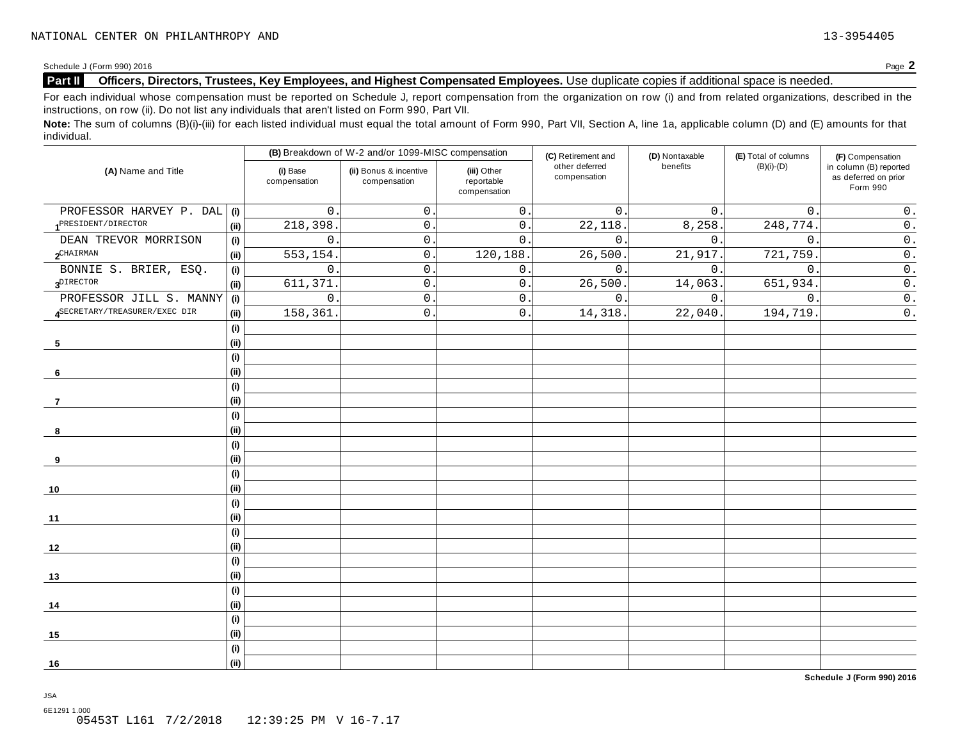### **Part II Officers, Directors, Trustees, Key Employees, and Highest Compensated Employees.** Use duplicate copies ifadditional space is needed.

For each individual whose compensation must be reported on Schedule J, report compensation from the organization on row (i) and from related organizations, described in the instructions, on row (ii). Do not list any individuals that aren't listed on Form 990, Part VII.

Note: The sum of columns (B)(i)-(iii) for each listed individual must equal the total amount of Form 990, Part VII, Section A, line 1a, applicable column (D) and (E) amounts for that individual.

| (A) Name and Title              |                              |                          | (B) Breakdown of W-2 and/or 1099-MISC compensation |                                           | (C) Retirement and             | (D) Nontaxable | (E) Total of columns | (F) Compensation                                           |  |
|---------------------------------|------------------------------|--------------------------|----------------------------------------------------|-------------------------------------------|--------------------------------|----------------|----------------------|------------------------------------------------------------|--|
|                                 |                              | (i) Base<br>compensation | (ii) Bonus & incentive<br>compensation             | (iii) Other<br>reportable<br>compensation | other deferred<br>compensation | benefits       | $(B)(i)-(D)$         | in column (B) reported<br>as deferred on prior<br>Form 990 |  |
| PROFESSOR HARVEY P. DAL         | (i)                          | $\mathsf{O}$ .           | $\mathsf{O}$ .                                     | $\mathsf{O}\xspace$                       | 0.                             | 0.             | $\mathbf 0$ .        | $0$ .                                                      |  |
| 1 <sup>PRESIDENT/DIRECTOR</sup> | (i)                          | 218,398                  | $0$ .                                              | $\mathsf{0}$ .                            | 22,118                         | 8,258.         | 248,774.             | $\mathtt{0}$ .                                             |  |
| DEAN TREVOR MORRISON            | (i)                          | $\mathsf{O}$             | $\mathsf{O}$ .                                     | $\mathbf{0}$ .                            | $\mathbf{0}$ .                 | $\mathbf{0}$ . | $\mathsf{O}$ .       | $0$ .                                                      |  |
| $2$ CHAIRMAN                    | (i)                          | 553,154                  | $\mathbf{0}$ .                                     | 120,188.                                  | 26,500                         | 21,917.        | 721,759              | $\mathsf 0$ .                                              |  |
| BONNIE S. BRIER, ESQ.           | (i)                          | $\mathbf{0}$ .           | $\mathbf{0}$ .                                     | 0.                                        | $0$ .                          | 0.             | $\mathbf 0$ .        | $\mathsf{0}$ .                                             |  |
| $3^{\text{DIFFOR}}$             | (i)                          | 611,371                  | $\mathsf{O}\xspace$                                | $\mathsf{O}$ .                            | 26,500.                        | 14,063.        | 651,934.             | $\overline{0}$ .                                           |  |
| PROFESSOR JILL S. MANNY         | (i)                          | $0$ .                    | $\mathsf{O}$                                       | $\mathsf{O}$ .                            | $\mathbf 0$ .                  | 0.             | 0.                   | $\overline{0}$ .                                           |  |
| SECRETARY/TREASURER/EXEC DIR    | (i)                          | 158,361                  | $\mathbf{0}$ .                                     | $\mathsf{O}$ .                            | 14,318                         | 22,040         | 194,719.             | $\overline{0}$ .                                           |  |
|                                 | (i)                          |                          |                                                    |                                           |                                |                |                      |                                                            |  |
| 5                               | (i)                          |                          |                                                    |                                           |                                |                |                      |                                                            |  |
|                                 | $\qquad \qquad \textbf{(i)}$ |                          |                                                    |                                           |                                |                |                      |                                                            |  |
| 6                               | (i)                          |                          |                                                    |                                           |                                |                |                      |                                                            |  |
|                                 | (i)                          |                          |                                                    |                                           |                                |                |                      |                                                            |  |
| 7                               | (i)                          |                          |                                                    |                                           |                                |                |                      |                                                            |  |
|                                 | (i)                          |                          |                                                    |                                           |                                |                |                      |                                                            |  |
| 8                               | (i)                          |                          |                                                    |                                           |                                |                |                      |                                                            |  |
|                                 | (i)                          |                          |                                                    |                                           |                                |                |                      |                                                            |  |
| 9                               | (i)                          |                          |                                                    |                                           |                                |                |                      |                                                            |  |
|                                 | (i)                          |                          |                                                    |                                           |                                |                |                      |                                                            |  |
| 10                              | (i)                          |                          |                                                    |                                           |                                |                |                      |                                                            |  |
|                                 | (i)                          |                          |                                                    |                                           |                                |                |                      |                                                            |  |
| 11                              | (i)                          |                          |                                                    |                                           |                                |                |                      |                                                            |  |
|                                 | (i)                          |                          |                                                    |                                           |                                |                |                      |                                                            |  |
| 12                              | (i)                          |                          |                                                    |                                           |                                |                |                      |                                                            |  |
|                                 | (i)                          |                          |                                                    |                                           |                                |                |                      |                                                            |  |
| 13                              | (i)                          |                          |                                                    |                                           |                                |                |                      |                                                            |  |
|                                 | (i)                          |                          |                                                    |                                           |                                |                |                      |                                                            |  |
| 14                              | (i)                          |                          |                                                    |                                           |                                |                |                      |                                                            |  |
|                                 | (i)                          |                          |                                                    |                                           |                                |                |                      |                                                            |  |
| 15                              | (i)                          |                          |                                                    |                                           |                                |                |                      |                                                            |  |
|                                 | (i)                          |                          |                                                    |                                           |                                |                |                      |                                                            |  |
| 16                              | (i)                          |                          |                                                    |                                           |                                |                |                      |                                                            |  |

**Schedule J (Form 990) 2016**

6E1291 1.000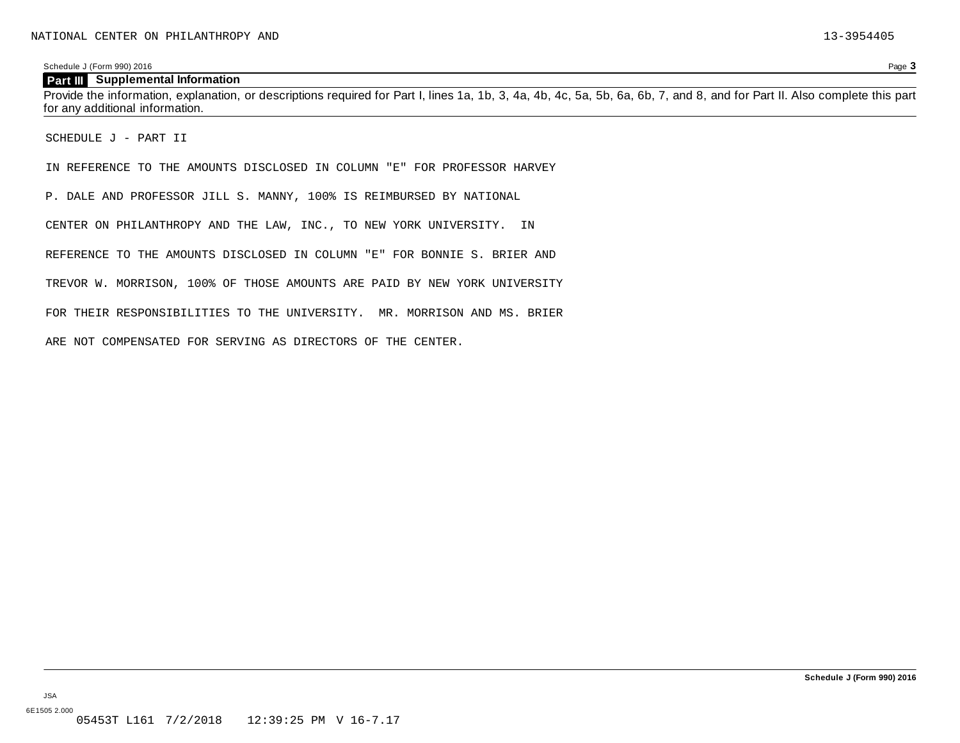#### **Part III Supplemental Information**

Provide the information, explanation, or descriptions required for Part I, lines 1a, 1b, 3, 4a, 4b, 4c, 5a, 5b, 6a, 6b, 7, and 8, and for Part II. Also complete this part for any additional information.

SCHEDULE J - PART II

IN REFERENCE TO THE AMOUNTS DISCLOSED IN COLUMN "E" FOR PROFESSOR HARVEY

P. DALE AND PROFESSOR JILL S. MANNY, 100% IS REIMBURSED BY NATIONAL

CENTER ON PHILANTHROPY AND THE LAW, INC., TO NEW YORK UNIVERSITY. IN

REFERENCE TO THE AMOUNTS DISCLOSED IN COLUMN "E" FOR BONNIE S. BRIER AND

TREVOR W. MORRISON, 100% OF THOSE AMOUNTS ARE PAID BY NEW YORK UNIVERSITY

FOR THEIR RESPONSIBILITIES TO THE UNIVERSITY. MR. MORRISON AND MS. BRIER

ARE NOT COMPENSATED FOR SERVING AS DIRECTORS OF THE CENTER.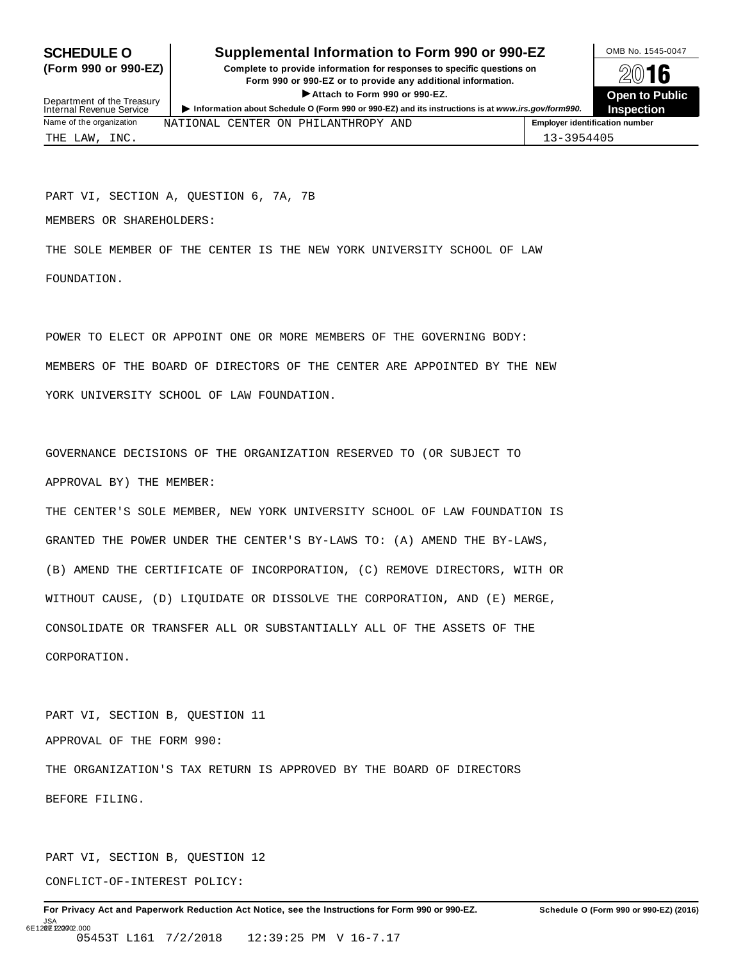## **SCHEDULE O** Supplemental Information to Form 990 or 990-EZ DMB No. 1545-0047

(Form 990 or 990-EZ) Complete to provide information for responses to specific questions on  $\boxtimes$  0 16 Form 990 or 990-EZ or to provide any additional information.<br>
► Attach to Form 990 or 990-EZ.<br>
► Attach to Form 990 or 990-EZ.<br>
Open to Public



Department of the Treasury<br>Internal Revenue Service Internal Revenue Service<br>Internal Revenue Service<br>Name of the organization NATTONAT, CENTER ON PHITLANTHROPY AND **Employer identification number** NATIONAL CENTER ON PHILANTHROPY AND THE LAW, INC. 13-3954405

PART VI, SECTION A, QUESTION 6, 7A, 7B

MEMBERS OR SHAREHOLDERS:

THE SOLE MEMBER OF THE CENTER IS THE NEW YORK UNIVERSITY SCHOOL OF LAW FOUNDATION.

POWER TO ELECT OR APPOINT ONE OR MORE MEMBERS OF THE GOVERNING BODY: MEMBERS OF THE BOARD OF DIRECTORS OF THE CENTER ARE APPOINTED BY THE NEW YORK UNIVERSITY SCHOOL OF LAW FOUNDATION.

GOVERNANCE DECISIONS OF THE ORGANIZATION RESERVED TO (OR SUBJECT TO APPROVAL BY) THE MEMBER:

THE CENTER'S SOLE MEMBER, NEW YORK UNIVERSITY SCHOOL OF LAW FOUNDATION IS GRANTED THE POWER UNDER THE CENTER'S BY-LAWS TO: (A) AMEND THE BY-LAWS, (B) AMEND THE CERTIFICATE OF INCORPORATION, (C) REMOVE DIRECTORS, WITH OR WITHOUT CAUSE, (D) LIQUIDATE OR DISSOLVE THE CORPORATION, AND (E) MERGE, CONSOLIDATE OR TRANSFER ALL OR SUBSTANTIALLY ALL OF THE ASSETS OF THE CORPORATION.

PART VI, SECTION B, QUESTION 11 APPROVAL OF THE FORM 990: THE ORGANIZATION'S TAX RETURN IS APPROVED BY THE BOARD OF DIRECTORS BEFORE FILING.

PART VI, SECTION B, QUESTION 12

CONFLICT-OF-INTEREST POLICY: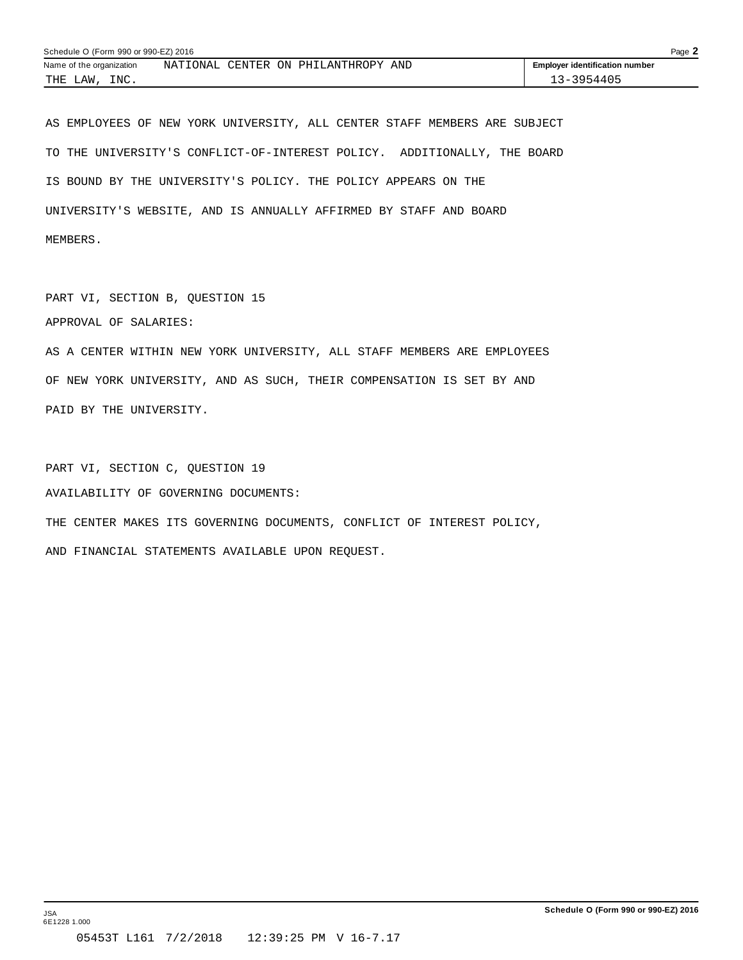| Schedule O (Form 990 or 990-EZ) 2016 |                                                        |                                       |  |  |  |
|--------------------------------------|--------------------------------------------------------|---------------------------------------|--|--|--|
| Name of the organization             | NATIONAL<br><b>CENTER</b><br>าง<br>AND<br>PHILANTHROPY | <b>Employer identification number</b> |  |  |  |
| INC.<br>THE<br>LAW                   |                                                        | $-3 - 3954405$                        |  |  |  |

AS EMPLOYEES OF NEW YORK UNIVERSITY, ALL CENTER STAFF MEMBERS ARE SUBJECT TO THE UNIVERSITY'S CONFLICT-OF-INTEREST POLICY. ADDITIONALLY, THE BOARD IS BOUND BY THE UNIVERSITY'S POLICY. THE POLICY APPEARS ON THE UNIVERSITY'S WEBSITE, AND IS ANNUALLY AFFIRMED BY STAFF AND BOARD MEMBERS.

PART VI, SECTION B, QUESTION 15

APPROVAL OF SALARIES:

AS A CENTER WITHIN NEW YORK UNIVERSITY, ALL STAFF MEMBERS ARE EMPLOYEES OF NEW YORK UNIVERSITY, AND AS SUCH, THEIR COMPENSATION IS SET BY AND PAID BY THE UNIVERSITY.

PART VI, SECTION C, QUESTION 19 AVAILABILITY OF GOVERNING DOCUMENTS: THE CENTER MAKES ITS GOVERNING DOCUMENTS, CONFLICT OF INTEREST POLICY, AND FINANCIAL STATEMENTS AVAILABLE UPON REQUEST.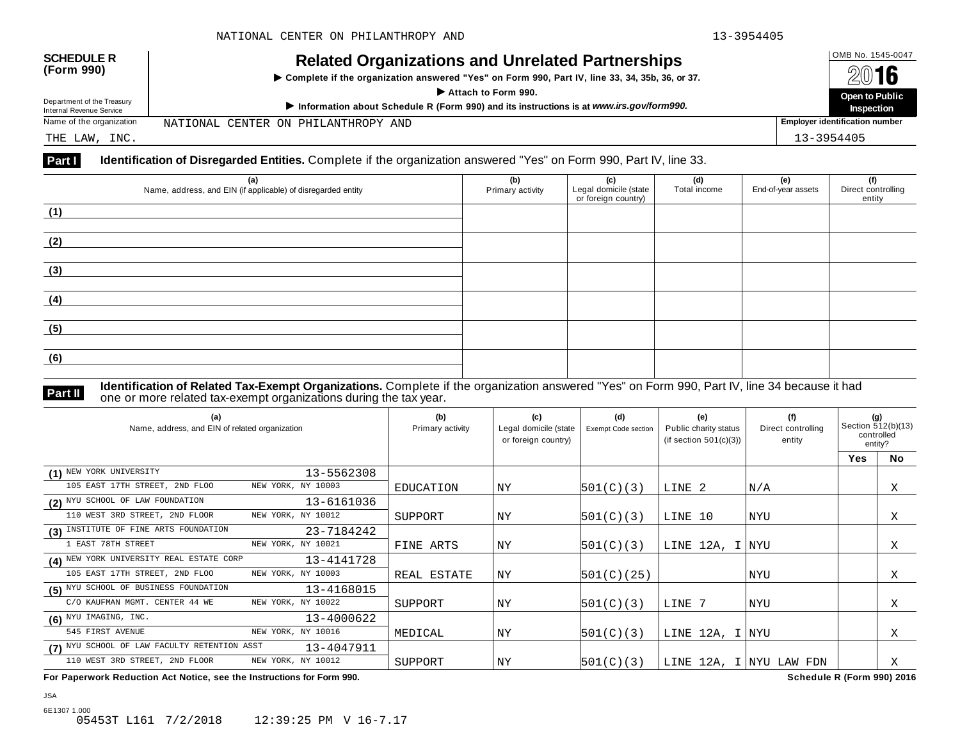| <b>SCHEDULE R</b><br><b>Related Organizations and Unrelated Partnerships</b><br>(Form 990)<br>▶ Complete if the organization answered "Yes" on Form 990, Part IV, line 33, 34, 35b, 36, or 37.<br>Attach to Form 990. |                                                                                         |                                | OMB No. 1545-0047<br>2016    |
|-----------------------------------------------------------------------------------------------------------------------------------------------------------------------------------------------------------------------|-----------------------------------------------------------------------------------------|--------------------------------|------------------------------|
| Department of the Treasury<br>Internal Revenue Service                                                                                                                                                                | Information about Schedule R (Form 990) and its instructions is at www.irs.gov/form990. |                                | Open to Public<br>Inspection |
| Name of the organization                                                                                                                                                                                              | NATIONAL CENTER ON PHILANTHROPY AND                                                     | Employer identification number |                              |
| THE LAW, INC.                                                                                                                                                                                                         |                                                                                         |                                | 13-3954405                   |

| (a)<br>Name, address, and EIN (if applicable) of disregarded entity | (b)<br>Primary activity | (c)<br>Legal domicile (state<br>or foreign country) | (d)<br>Total income | (e)<br>End-of-year assets | (f)<br>Direct controlling<br>entity |
|---------------------------------------------------------------------|-------------------------|-----------------------------------------------------|---------------------|---------------------------|-------------------------------------|
| (1)                                                                 |                         |                                                     |                     |                           |                                     |
| (2)                                                                 |                         |                                                     |                     |                           |                                     |
| (3)                                                                 |                         |                                                     |                     |                           |                                     |
| (4)                                                                 |                         |                                                     |                     |                           |                                     |
| (5)                                                                 |                         |                                                     |                     |                           |                                     |
| (6)                                                                 |                         |                                                     |                     |                           |                                     |

JSA

**Part II Identification of Related Tax-Exempt Organizations.** Complete if the organization answered "Yes" on Form 990, Part IV, line 34 because it had<br>one or more related tax-exempt organizations during the tax year.

| (a)<br>Name, address, and EIN of related organization |                    | (b)<br>Primary activity | (c)<br>Legal domicile (state<br>or foreign country) | (d)<br><b>Exempt Code section</b> | (e)<br>Public charity status<br>(if section $501(c)(3)$ ) | (f)<br>Direct controlling<br>entity | (g)<br>Section 512(b)(13)<br>controlled<br>entity? |           |
|-------------------------------------------------------|--------------------|-------------------------|-----------------------------------------------------|-----------------------------------|-----------------------------------------------------------|-------------------------------------|----------------------------------------------------|-----------|
|                                                       |                    |                         |                                                     |                                   |                                                           |                                     | Yes                                                | <b>No</b> |
| (1) NEW YORK UNIVERSITY                               | 13-5562308         |                         |                                                     |                                   |                                                           |                                     |                                                    |           |
| 105 EAST 17TH STREET, 2ND FLOO                        | NEW YORK, NY 10003 | EDUCATION               | ΝY                                                  | 501(C)(3)                         | LINE 2                                                    | N/A                                 |                                                    | Χ         |
| (2) NYU SCHOOL OF LAW FOUNDATION                      | 13-6161036         |                         |                                                     |                                   |                                                           |                                     |                                                    |           |
| 110 WEST 3RD STREET, 2ND FLOOR                        | NEW YORK, NY 10012 | SUPPORT                 | ΝY                                                  | 501(C)(3)                         | LINE 10                                                   | NYU                                 |                                                    | Χ         |
| (3) INSTITUTE OF FINE ARTS FOUNDATION                 | 23-7184242         |                         |                                                     |                                   |                                                           |                                     |                                                    |           |
| 1 EAST 78TH STREET                                    | NEW YORK, NY 10021 | FINE ARTS               | ΝY                                                  | 501(C)(3)                         | LINE 12A, I NYU                                           |                                     |                                                    | X         |
| (4) NEW YORK UNIVERSITY REAL ESTATE CORP              | 13-4141728         |                         |                                                     |                                   |                                                           |                                     |                                                    |           |
| 105 EAST 17TH STREET, 2ND FLOO                        | NEW YORK, NY 10003 | REAL ESTATE             | ΝY                                                  | 501(C)(25)                        |                                                           | NYU                                 |                                                    | Χ         |
| (5) NYU SCHOOL OF BUSINESS FOUNDATION                 | 13-4168015         |                         |                                                     |                                   |                                                           |                                     |                                                    |           |
| C/O KAUFMAN MGMT. CENTER 44 WE                        | NEW YORK, NY 10022 | SUPPORT                 | NY                                                  | 501(C)(3)                         | LINE 7                                                    | <b>NYU</b>                          |                                                    | Χ         |
| $(6)$ NYU IMAGING, INC.                               | 13-4000622         |                         |                                                     |                                   |                                                           |                                     |                                                    |           |
| 545 FIRST AVENUE                                      | NEW YORK, NY 10016 | MEDICAL                 | ΝY                                                  | 501(C)(3)                         | LINE 12A, I NYU                                           |                                     |                                                    | Χ         |
| (7) NYU SCHOOL OF LAW FACULTY RETENTION ASST          | 13-4047911         |                         |                                                     |                                   |                                                           |                                     |                                                    |           |
| 110 WEST 3RD STREET, 2ND FLOOR                        | NEW YORK, NY 10012 | SUPPORT                 | ΝY                                                  | 501(C)(3)                         |                                                           | LINE 12A, I NYU LAW FDN             |                                                    | X         |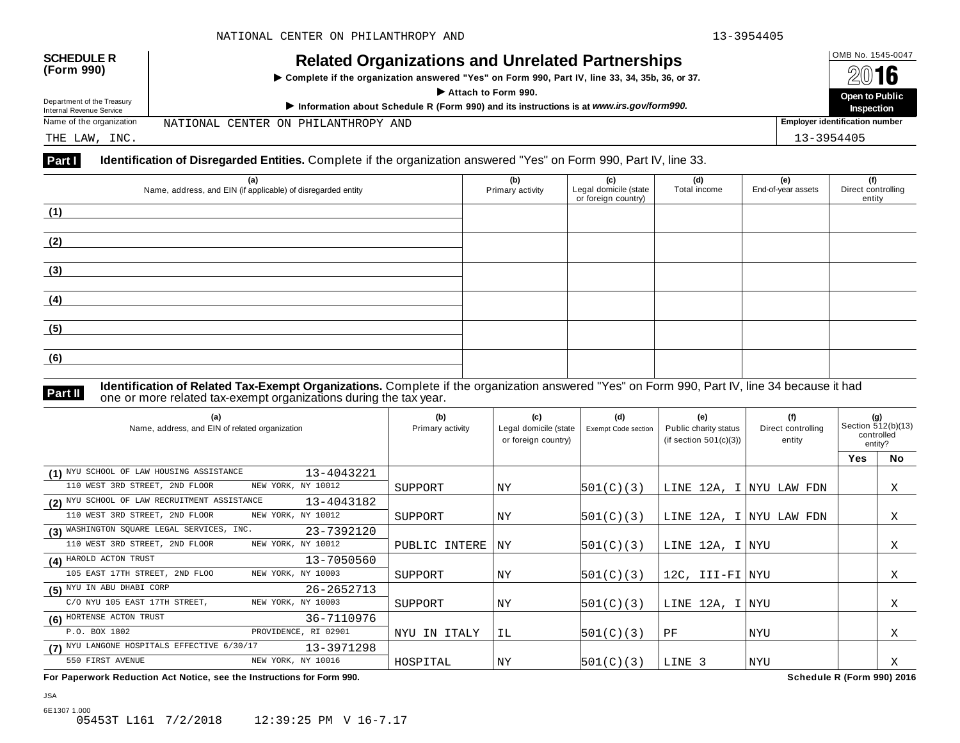| <b>SCHEDULE R</b><br>(Form 990)                        | <b>Related Organizations and Unrelated Partnerships</b><br>▶ Complete if the organization answered "Yes" on Form 990, Part IV, line 33, 34, 35b, 36, or 37.<br>Attach to Form 990. |                                       |                                     |  |
|--------------------------------------------------------|------------------------------------------------------------------------------------------------------------------------------------------------------------------------------------|---------------------------------------|-------------------------------------|--|
| Department of the Treasury<br>Internal Revenue Service | Information about Schedule R (Form 990) and its instructions is at www.irs.gov/form990.                                                                                            |                                       | Open to Public<br><b>Inspection</b> |  |
| Name of the organization                               | NATIONAL CENTER ON PHILANTHROPY AND                                                                                                                                                | <b>Employer identification number</b> |                                     |  |
| THE LAW, INC.                                          |                                                                                                                                                                                    |                                       | 13-3954405                          |  |

| (a)<br>Name, address, and EIN (if applicable) of disregarded entity | (b)<br>Primary activity | (c)<br>Legal domicile (state<br>or foreign country) | (d)<br>Total income | (e)<br>End-of-year assets | (f)<br>Direct controlling<br>entity |
|---------------------------------------------------------------------|-------------------------|-----------------------------------------------------|---------------------|---------------------------|-------------------------------------|
| (1)                                                                 |                         |                                                     |                     |                           |                                     |
| (2)                                                                 |                         |                                                     |                     |                           |                                     |
| (3)                                                                 |                         |                                                     |                     |                           |                                     |
| (4)                                                                 |                         |                                                     |                     |                           |                                     |
| (5)                                                                 |                         |                                                     |                     |                           |                                     |
| (6)                                                                 |                         |                                                     |                     |                           |                                     |

JSA

**Part II Identification of Related Tax-Exempt Organizations.** Complete if the organization answered "Yes" on Form 990, Part IV, line 34 because it had<br>one or more related tax-exempt organizations during the tax year.

| (a)<br>Name, address, and EIN of related organization      | (b)<br>Primary activity | (c)<br>Legal domicile (state<br>or foreign country) | (d)<br>Exempt Code section | (e)<br>Public charity status<br>(if section $501(c)(3)$ ) | (f)<br>Direct controlling<br>entity | (g)<br>Section 512(b)(13)<br>controlled<br>entity? |           |
|------------------------------------------------------------|-------------------------|-----------------------------------------------------|----------------------------|-----------------------------------------------------------|-------------------------------------|----------------------------------------------------|-----------|
|                                                            |                         |                                                     |                            |                                                           |                                     | <b>Yes</b>                                         | <b>No</b> |
| (1) NYU SCHOOL OF LAW HOUSING ASSISTANCE<br>13-4043221     |                         |                                                     |                            |                                                           |                                     |                                                    |           |
| 110 WEST 3RD STREET, 2ND FLOOR<br>NEW YORK, NY 10012       | SUPPORT                 | ΝY                                                  | 501(C)(3)                  | LINE 12A, I NYU LAW FDN                                   |                                     |                                                    | Χ         |
| (2) NYU SCHOOL OF LAW RECRUITMENT ASSISTANCE<br>13-4043182 |                         |                                                     |                            |                                                           |                                     |                                                    |           |
| 110 WEST 3RD STREET, 2ND FLOOR<br>NEW YORK, NY 10012       | SUPPORT                 | ΝY                                                  | 501(C)(3)                  | LINE 12A, I NYU LAW FDN                                   |                                     |                                                    | X         |
| (3) WASHINGTON SQUARE LEGAL SERVICES, INC.<br>23-7392120   |                         |                                                     |                            |                                                           |                                     |                                                    |           |
| 110 WEST 3RD STREET, 2ND FLOOR<br>NEW YORK, NY 10012       | PUBLIC INTERE           | ΝY                                                  | 501(C)(3)                  | LINE 12A, I NYU                                           |                                     |                                                    | Χ         |
| (4) HAROLD ACTON TRUST<br>13-7050560                       |                         |                                                     |                            |                                                           |                                     |                                                    |           |
| 105 EAST 17TH STREET, 2ND FLOO<br>NEW YORK, NY 10003       | SUPPORT                 | NY                                                  | 501(C)(3)                  | 12C, III-FI NYU                                           |                                     |                                                    | Χ         |
| (5) NYU IN ABU DHABI CORP<br>26-2652713                    |                         |                                                     |                            |                                                           |                                     |                                                    |           |
| C/O NYU 105 EAST 17TH STREET,<br>NEW YORK, NY 10003        | SUPPORT                 | NY                                                  | 501(C)(3)                  | LINE 12A, I NYU                                           |                                     |                                                    | Χ         |
| (6) HORTENSE ACTON TRUST<br>36-7110976                     |                         |                                                     |                            |                                                           |                                     |                                                    |           |
| P.O. BOX 1802<br>PROVIDENCE, RI 02901                      | NYU IN ITALY            | ΙL.                                                 | 501(C)(3)                  | PF                                                        | NYU                                 |                                                    | X         |
| (7) NYU LANGONE HOSPITALS EFFECTIVE 6/30/17<br>13-3971298  |                         |                                                     |                            |                                                           |                                     |                                                    |           |
| 550 FIRST AVENUE<br>NEW YORK, NY 10016                     | HOSPITAL                | ΝY                                                  | 501(C)(3)                  | LINE 3                                                    | NYU                                 |                                                    | Χ         |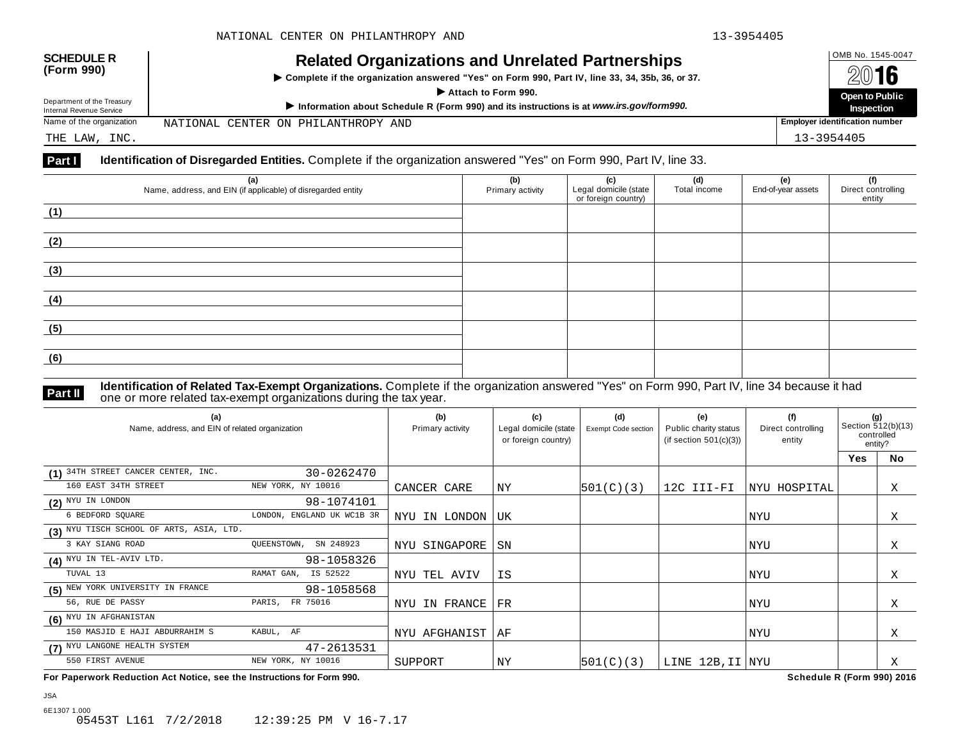| <b>SCHEDULE R</b><br>(Form 990)                        | <b>Related Organizations and Unrelated Partnerships</b><br>▶ Complete if the organization answered "Yes" on Form 990, Part IV, line 33, 34, 35b, 36, or 37.<br>Attach to Form 990. |  |                                       |
|--------------------------------------------------------|------------------------------------------------------------------------------------------------------------------------------------------------------------------------------------|--|---------------------------------------|
| Department of the Treasury<br>Internal Revenue Service | Information about Schedule R (Form 990) and its instructions is at www.irs.gov/form990.                                                                                            |  | Open to Public<br><b>Inspection</b>   |
| Name of the organization                               | NATIONAL CENTER ON PHILANTHROPY AND                                                                                                                                                |  | <b>Employer identification number</b> |
| THE LAW, INC.                                          |                                                                                                                                                                                    |  | 13-3954405                            |

| (a)                                                          | (b)              | (c)                   | (d)          | (e)                | (f)<br>Direct controlling |
|--------------------------------------------------------------|------------------|-----------------------|--------------|--------------------|---------------------------|
| Name, address, and EIN (if applicable) of disregarded entity | Primary activity | Legal domicile (state | Total income | End-of-year assets |                           |
|                                                              |                  | or foreign country)   |              |                    | entity                    |
| (1)                                                          |                  |                       |              |                    |                           |
|                                                              |                  |                       |              |                    |                           |
|                                                              |                  |                       |              |                    |                           |
| (2)                                                          |                  |                       |              |                    |                           |
|                                                              |                  |                       |              |                    |                           |
|                                                              |                  |                       |              |                    |                           |
| (3)                                                          |                  |                       |              |                    |                           |
|                                                              |                  |                       |              |                    |                           |
|                                                              |                  |                       |              |                    |                           |
| (4)                                                          |                  |                       |              |                    |                           |
|                                                              |                  |                       |              |                    |                           |
|                                                              |                  |                       |              |                    |                           |
| (5)                                                          |                  |                       |              |                    |                           |
|                                                              |                  |                       |              |                    |                           |
|                                                              |                  |                       |              |                    |                           |
| (6)                                                          |                  |                       |              |                    |                           |
|                                                              |                  |                       |              |                    |                           |
|                                                              |                  |                       |              |                    |                           |

JSA

**Part II Identification of Related Tax-Exempt Organizations.** Complete if the organization answered "Yes" on Form 990, Part IV, line 34 because it had<br>one or more related tax-exempt organizations during the tax year.

| (a)<br>Name, address, and EIN of related organization |                            | (b)<br>Primary activity | (c)<br>Legal domicile (state<br>or foreign country) | (d)<br>Exempt Code section | (e)<br>Public charity status<br>(if section $501(c)(3)$ ) | (f)<br>Direct controlling<br>entity | (g)<br>Section 512(b)(13)<br>controlled<br>entity? |           |
|-------------------------------------------------------|----------------------------|-------------------------|-----------------------------------------------------|----------------------------|-----------------------------------------------------------|-------------------------------------|----------------------------------------------------|-----------|
|                                                       |                            |                         |                                                     |                            |                                                           |                                     | Yes                                                | <b>No</b> |
| (1) 34TH STREET CANCER CENTER, INC.                   | 30-0262470                 |                         |                                                     |                            |                                                           |                                     |                                                    |           |
| 160 EAST 34TH STREET                                  | NEW YORK, NY 10016         | CANCER CARE             | ΝY                                                  | 501(C)(3)                  | 12C III-FI                                                | NYU HOSPITAL                        |                                                    | Χ         |
| $(2)$ NYU IN LONDON                                   | 98-1074101                 |                         |                                                     |                            |                                                           |                                     |                                                    |           |
| 6 BEDFORD SQUARE                                      | LONDON, ENGLAND UK WC1B 3R | IN LONDON<br>NYU        | UK                                                  |                            |                                                           | NYU                                 |                                                    | Χ         |
| (3) NYU TISCH SCHOOL OF ARTS, ASIA, LTD.              |                            |                         |                                                     |                            |                                                           |                                     |                                                    |           |
| 3 KAY SIANG ROAD                                      | OUEENSTOWN,<br>SN 248923   | NYU SINGAPORE           | SN                                                  |                            |                                                           | NYU                                 |                                                    | X         |
| (4) NYU IN TEL-AVIV LTD.                              | 98-1058326                 |                         |                                                     |                            |                                                           |                                     |                                                    |           |
| TUVAL 13                                              | RAMAT GAN,<br>IS 52522     | NYU TEL AVIV            | IS                                                  |                            |                                                           | NYU                                 |                                                    | Χ         |
| (5) NEW YORK UNIVERSITY IN FRANCE                     | 98-1058568                 |                         |                                                     |                            |                                                           |                                     |                                                    |           |
| 56, RUE DE PASSY                                      | PARIS, FR 75016            | NYU IN FRANCE           | FR                                                  |                            |                                                           | NYU                                 |                                                    | Χ         |
| (6) NYU IN AFGHANISTAN                                |                            |                         |                                                     |                            |                                                           |                                     |                                                    |           |
| 150 MASJID E HAJI ABDURRAHIM S                        | KABUL, AF                  | NYU AFGHANIST           | ΑF                                                  |                            |                                                           | NYU                                 |                                                    | Χ         |
| (7) NYU LANGONE HEALTH SYSTEM                         | 47-2613531                 |                         |                                                     |                            |                                                           |                                     |                                                    |           |
| 550 FIRST AVENUE                                      | NEW YORK, NY 10016         | SUPPORT                 | ΝY                                                  | 501(C)(3)                  | LINE 12B, II NYU                                          |                                     |                                                    | Χ         |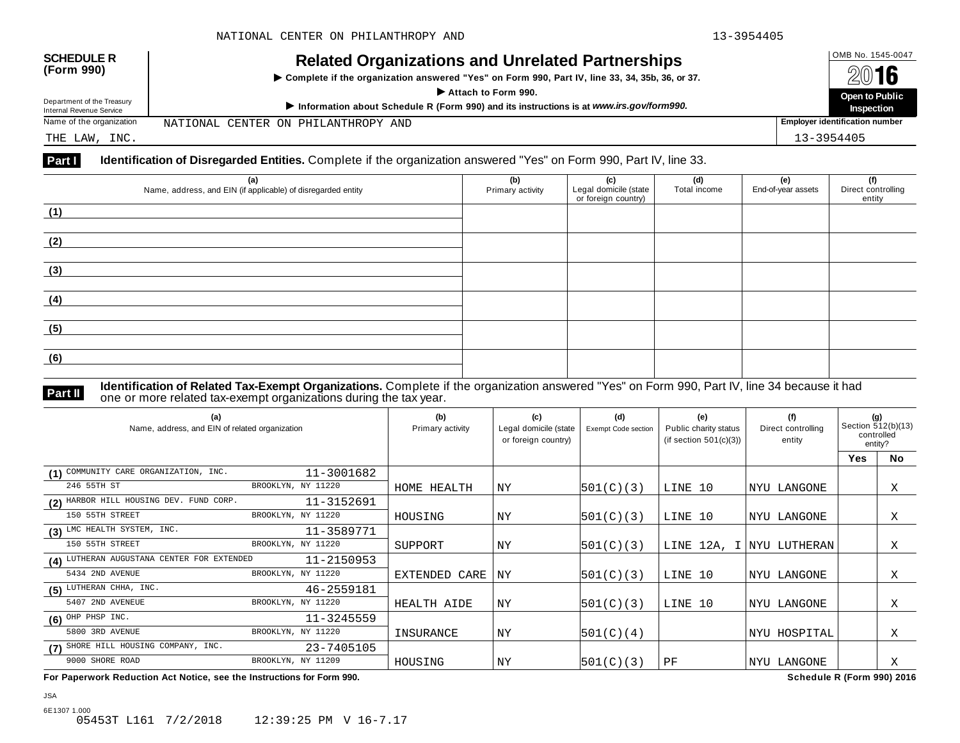| <b>SCHEDULE R</b>          | <b>Related Organizations and Unrelated Partnerships</b>                                          |  | OMB No. 1545-0047                     |
|----------------------------|--------------------------------------------------------------------------------------------------|--|---------------------------------------|
| (Form 990)                 | ▶ Complete if the organization answered "Yes" on Form 990, Part IV, line 33, 34, 35b, 36, or 37. |  | 2016                                  |
| Department of the Treasury | Attach to Form 990.                                                                              |  | Open to Public                        |
| Internal Revenue Service   | Information about Schedule R (Form 990) and its instructions is at www.irs.gov/form990.          |  | <b>Inspection</b>                     |
| Name of the organization   | NATIONAL CENTER ON PHILANTHROPY AND                                                              |  | <b>Employer identification number</b> |
| THE LAW, INC.              |                                                                                                  |  | 13-3954405                            |

| (a)<br>Name, address, and EIN (if applicable) of disregarded entity | (b)<br>Primary activity | (c)<br>Legal domicile (state<br>or foreign country) | (d)<br>Total income | (e)<br>End-of-year assets | (f)<br>Direct controlling<br>entity |
|---------------------------------------------------------------------|-------------------------|-----------------------------------------------------|---------------------|---------------------------|-------------------------------------|
| (1)                                                                 |                         |                                                     |                     |                           |                                     |
| (2)                                                                 |                         |                                                     |                     |                           |                                     |
| (3)                                                                 |                         |                                                     |                     |                           |                                     |
| (4)                                                                 |                         |                                                     |                     |                           |                                     |
| (5)                                                                 |                         |                                                     |                     |                           |                                     |
| (6)                                                                 |                         |                                                     |                     |                           |                                     |

JSA

**Part II Identification of Related Tax-Exempt Organizations.** Complete if the organization answered "Yes" on Form 990, Part IV, line 34 because it had<br>one or more related tax-exempt organizations during the tax year.

| (a)<br>Name, address, and EIN of related organization |                    | (b)<br>Primary activity | (c)<br>Legal domicile (state<br>or foreign country) | (d)<br><b>Exempt Code section</b> | (e)<br>Public charity status<br>(if section $501(c)(3)$ ) | (f)<br>Direct controlling<br>entity | (g)<br>Section 512(b)(13)<br>controlled<br>entity? |           |
|-------------------------------------------------------|--------------------|-------------------------|-----------------------------------------------------|-----------------------------------|-----------------------------------------------------------|-------------------------------------|----------------------------------------------------|-----------|
|                                                       |                    |                         |                                                     |                                   |                                                           |                                     | Yes                                                | <b>No</b> |
| (1) COMMUNITY CARE ORGANIZATION, INC.                 | 11-3001682         |                         |                                                     |                                   |                                                           |                                     |                                                    |           |
| 246 55TH ST                                           | BROOKLYN, NY 11220 | HOME HEALTH             | ΝY                                                  | 501(C)(3)                         | LINE 10                                                   | NYU LANGONE                         |                                                    | Χ         |
| (2) HARBOR HILL HOUSING DEV. FUND CORP.               | 11-3152691         |                         |                                                     |                                   |                                                           |                                     |                                                    |           |
| 150 55TH STREET                                       | BROOKLYN, NY 11220 | HOUSING                 | ΝY                                                  | 501(C)(3)                         | LINE 10                                                   | NYU LANGONE                         |                                                    | Χ         |
| $(3)$ LMC HEALTH SYSTEM, INC.                         | 11-3589771         |                         |                                                     |                                   |                                                           |                                     |                                                    |           |
| 150 55TH STREET                                       | BROOKLYN, NY 11220 | SUPPORT                 | NY                                                  | 501(C)(3)                         |                                                           | LINE 12A, I NYU LUTHERAN            |                                                    | Χ         |
| (4) LUTHERAN AUGUSTANA CENTER FOR EXTENDED            | 11-2150953         |                         |                                                     |                                   |                                                           |                                     |                                                    |           |
| 5434 2ND AVENUE                                       | BROOKLYN, NY 11220 | EXTENDED CARE           | ΝY                                                  | 501(C)(3)                         | LINE 10                                                   | NYU LANGONE                         |                                                    | Χ         |
| $(5)$ LUTHERAN CHHA, INC.                             | 46-2559181         |                         |                                                     |                                   |                                                           |                                     |                                                    |           |
| 5407 2ND AVENEUE                                      | BROOKLYN, NY 11220 | HEALTH AIDE             | NY                                                  | 501(C)(3)                         | LINE 10                                                   | NYU LANGONE                         |                                                    | Χ         |
| $(6)$ OHP PHSP INC.                                   | 11-3245559         |                         |                                                     |                                   |                                                           |                                     |                                                    |           |
| 5800 3RD AVENUE                                       | BROOKLYN, NY 11220 | INSURANCE               | NY                                                  | 501(C)(4)                         |                                                           | NYU HOSPITAL                        |                                                    | Χ         |
| (7) SHORE HILL HOUSING COMPANY, INC.                  | 23-7405105         |                         |                                                     |                                   |                                                           |                                     |                                                    |           |
| 9000 SHORE ROAD                                       | BROOKLYN, NY 11209 | HOUSING                 | ΝY                                                  | 501(C)(3)                         | ΡF                                                        | NYU LANGONE                         |                                                    | X         |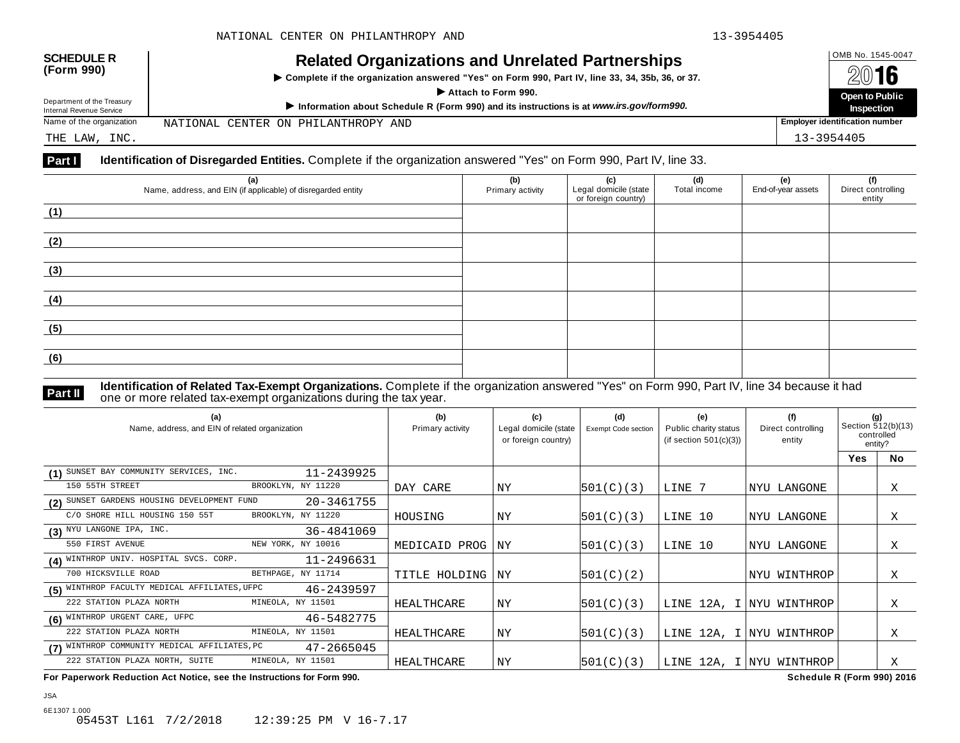| <b>SCHEDULE R</b><br>(Form 990)                        | <b>Related Organizations and Unrelated Partnerships</b><br>▶ Complete if the organization answered "Yes" on Form 990, Part IV, line 33, 34, 35b, 36, or 37.<br>Attach to Form 990. |  | OMB No. 1545-0047<br>2016<br>Open to Public |  |  |
|--------------------------------------------------------|------------------------------------------------------------------------------------------------------------------------------------------------------------------------------------|--|---------------------------------------------|--|--|
| Department of the Treasury<br>Internal Revenue Service | Information about Schedule R (Form 990) and its instructions is at www.irs.gov/form990.                                                                                            |  |                                             |  |  |
| Name of the organization                               | NATIONAL CENTER ON PHILANTHROPY AND                                                                                                                                                |  | <b>Employer identification number</b>       |  |  |
| THE LAW, INC.                                          |                                                                                                                                                                                    |  | 13-3954405                                  |  |  |

| (a)<br>Name, address, and EIN (if applicable) of disregarded entity | (b)<br>Primary activity | (c)<br>Legal domicile (state<br>or foreign country) | (d)<br>Total income | (e)<br>End-of-year assets | (f)<br>Direct controlling<br>entity |
|---------------------------------------------------------------------|-------------------------|-----------------------------------------------------|---------------------|---------------------------|-------------------------------------|
| (1)                                                                 |                         |                                                     |                     |                           |                                     |
| (2)                                                                 |                         |                                                     |                     |                           |                                     |
| (3)                                                                 |                         |                                                     |                     |                           |                                     |
| (4)                                                                 |                         |                                                     |                     |                           |                                     |
| (5)                                                                 |                         |                                                     |                     |                           |                                     |
| (6)                                                                 |                         |                                                     |                     |                           |                                     |

JSA

**Part II Identification of Related Tax-Exempt Organizations.** Complete if the organization answered "Yes" on Form 990, Part IV, line 34 because it had<br>one or more related tax-exempt organizations during the tax year.

| (a)<br>Name, address, and EIN of related organization |            | (b)<br>Primary activity | (c)<br>Legal domicile (state<br>or foreign country) | (d)<br><b>Exempt Code section</b> | (e)<br>Public charity status<br>(if section $501(c)(3)$ ) | (f)<br>Direct controlling<br>entity | (g)<br>Section 512(b)(13)<br>controlled<br>entity? |           |
|-------------------------------------------------------|------------|-------------------------|-----------------------------------------------------|-----------------------------------|-----------------------------------------------------------|-------------------------------------|----------------------------------------------------|-----------|
|                                                       |            |                         |                                                     |                                   |                                                           |                                     | Yes                                                | <b>No</b> |
| (1) SUNSET BAY COMMUNITY SERVICES, INC.               | 11-2439925 |                         |                                                     |                                   |                                                           |                                     |                                                    |           |
| 150 55TH STREET<br>BROOKLYN, NY 11220                 |            | DAY CARE                | NY                                                  | 501(C)(3)                         | LINE 7                                                    | NYU LANGONE                         |                                                    | Χ         |
| (2) SUNSET GARDENS HOUSING DEVELOPMENT FUND           | 20-3461755 |                         |                                                     |                                   |                                                           |                                     |                                                    |           |
| C/O SHORE HILL HOUSING 150 55T<br>BROOKLYN, NY 11220  |            | HOUSING                 | ΝY                                                  | 501(C)(3)                         | LINE 10                                                   | NYU LANGONE                         |                                                    | Χ         |
| (3) NYU LANGONE IPA, INC.                             | 36-4841069 |                         |                                                     |                                   |                                                           |                                     |                                                    |           |
| 550 FIRST AVENUE<br>NEW YORK, NY 10016                |            | MEDICAID PROG           | ΝY                                                  | 501(C)(3)                         | LINE 10                                                   | NYU LANGONE                         |                                                    | X         |
| (4) WINTHROP UNIV. HOSPITAL SVCS. CORP.               | 11-2496631 |                         |                                                     |                                   |                                                           |                                     |                                                    |           |
| 700 HICKSVILLE ROAD<br>BETHPAGE, NY 11714             |            | TITLE HOLDING           | ΝY                                                  | 501(C)(2)                         |                                                           | NYU WINTHROP                        |                                                    | Χ         |
| (5) WINTHROP FACULTY MEDICAL AFFILIATES, UFPC         | 46-2439597 |                         |                                                     |                                   |                                                           |                                     |                                                    |           |
| 222 STATION PLAZA NORTH<br>MINEOLA, NY 11501          |            | HEALTHCARE              | NY                                                  | 501(C)(3)                         |                                                           | LINE 12A, I NYU WINTHROP            |                                                    | Χ         |
| (6) WINTHROP URGENT CARE, UFPC                        | 46-5482775 |                         |                                                     |                                   |                                                           |                                     |                                                    |           |
| 222 STATION PLAZA NORTH<br>MINEOLA, NY 11501          |            | HEALTHCARE              | ΝY                                                  | 501(C)(3)                         |                                                           | LINE 12A, I NYU WINTHROP            |                                                    | Χ         |
| (7) WINTHROP COMMUNITY MEDICAL AFFILIATES, PC         | 47-2665045 |                         |                                                     |                                   |                                                           |                                     |                                                    |           |
| 222 STATION PLAZA NORTH, SUITE<br>MINEOLA, NY 11501   |            | HEALTHCARE              | ΝY                                                  | 501(C)(3)                         |                                                           | LINE 12A, I NYU WINTHROP            |                                                    | Χ         |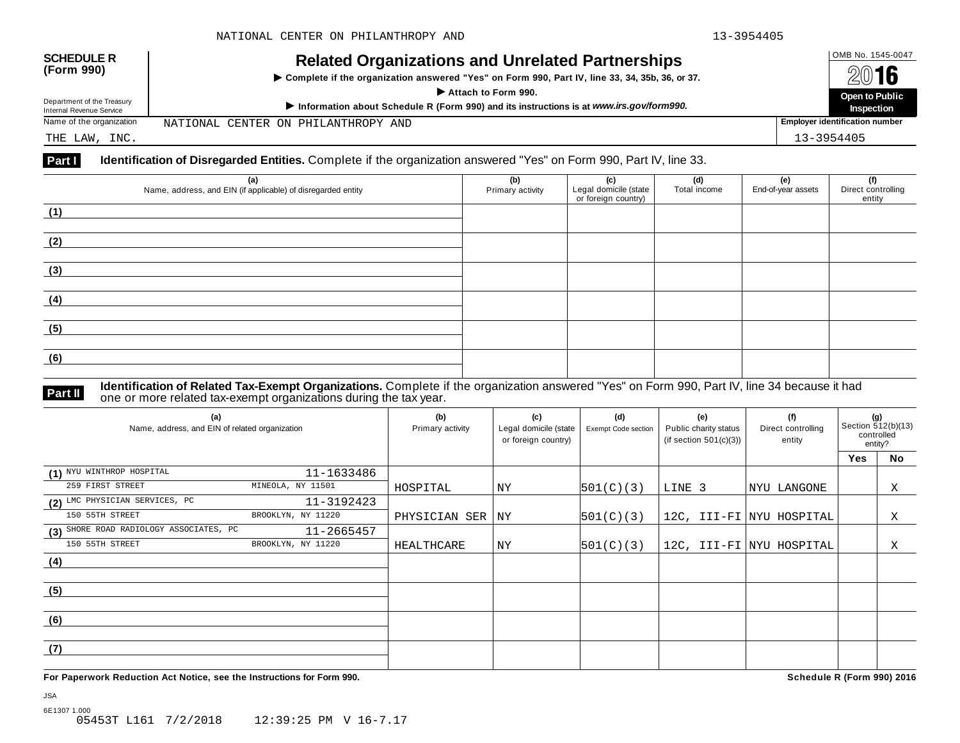| <b>SCHEDULE R</b><br>(Form 990)                        | <b>Related Organizations and Unrelated Partnerships</b><br>▶ Complete if the organization answered "Yes" on Form 990, Part IV, line 33, 34, 35b, 36, or 37.<br>Attach to Form 990. |  | OMB No. 1545-0047<br>2016<br>Open to Public |  |  |
|--------------------------------------------------------|------------------------------------------------------------------------------------------------------------------------------------------------------------------------------------|--|---------------------------------------------|--|--|
| Department of the Treasury<br>Internal Revenue Service | Information about Schedule R (Form 990) and its instructions is at www.irs.gov/form990.                                                                                            |  |                                             |  |  |
| Name of the organization                               | NATIONAL CENTER ON PHILANTHROPY AND                                                                                                                                                |  | Employer identification number              |  |  |
| THE LAW, INC.                                          |                                                                                                                                                                                    |  | 13-3954405                                  |  |  |

| (a)                                                          | (b)              | (c)                   | (d)          | (e)                | (f)                |
|--------------------------------------------------------------|------------------|-----------------------|--------------|--------------------|--------------------|
| Name, address, and EIN (if applicable) of disregarded entity | Primary activity | Legal domicile (state | Total income | End-of-year assets | Direct controlling |
|                                                              |                  | or foreign country)   |              |                    | entity             |
| (1)                                                          |                  |                       |              |                    |                    |
|                                                              |                  |                       |              |                    |                    |
|                                                              |                  |                       |              |                    |                    |
| (2)                                                          |                  |                       |              |                    |                    |
|                                                              |                  |                       |              |                    |                    |
|                                                              |                  |                       |              |                    |                    |
| (3)                                                          |                  |                       |              |                    |                    |
|                                                              |                  |                       |              |                    |                    |
|                                                              |                  |                       |              |                    |                    |
| (4)                                                          |                  |                       |              |                    |                    |
|                                                              |                  |                       |              |                    |                    |
|                                                              |                  |                       |              |                    |                    |
| (5)                                                          |                  |                       |              |                    |                    |
|                                                              |                  |                       |              |                    |                    |
|                                                              |                  |                       |              |                    |                    |
| (6)                                                          |                  |                       |              |                    |                    |
|                                                              |                  |                       |              |                    |                    |
|                                                              |                  |                       |              |                    |                    |

JSA

**Part II Identification of Related Tax-Exempt Organizations.** Complete if the organization answered "Yes" on Form 990, Part IV, line 34 because it had<br>one or more related tax-exempt organizations during the tax year.

| (a)<br>Name, address, and EIN of related organization |                    | (b)<br>Primary activity | (c)<br>Legal domicile (state<br>or foreign country) | (d)<br>Exempt Code section | (e)<br>Public charity status<br>(if section $501(c)(3)$ ) | (f)<br>Direct controlling<br>entity | (g)<br>Section 512(b)(13)<br>controlled<br>entity? |    |  |
|-------------------------------------------------------|--------------------|-------------------------|-----------------------------------------------------|----------------------------|-----------------------------------------------------------|-------------------------------------|----------------------------------------------------|----|--|
|                                                       |                    |                         |                                                     |                            |                                                           |                                     | <b>Yes</b>                                         | No |  |
| (1) NYU WINTHROP HOSPITAL                             | 11-1633486         |                         |                                                     |                            |                                                           |                                     |                                                    |    |  |
| 259 FIRST STREET                                      | MINEOLA, NY 11501  | HOSPITAL                | ΝY                                                  | 501(C)(3)                  | LINE 3                                                    | NYU LANGONE                         |                                                    | Χ  |  |
| (2) LMC PHYSICIAN SERVICES, PC                        | 11-3192423         |                         |                                                     |                            |                                                           |                                     |                                                    |    |  |
| 150 55TH STREET                                       | BROOKLYN, NY 11220 | PHYSICIAN SER           | <b>NY</b>                                           | 501(C)(3)                  |                                                           | 12C, III-FI NYU HOSPITAL            |                                                    | X  |  |
| (3) SHORE ROAD RADIOLOGY ASSOCIATES, PC               | 11-2665457         |                         |                                                     |                            |                                                           |                                     |                                                    |    |  |
| 150 55TH STREET                                       | BROOKLYN, NY 11220 | HEALTHCARE              | ΝY                                                  | 501(C)(3)                  |                                                           | 12C, III-FI NYU HOSPITAL            |                                                    | Χ  |  |
| (4)                                                   |                    |                         |                                                     |                            |                                                           |                                     |                                                    |    |  |
|                                                       |                    |                         |                                                     |                            |                                                           |                                     |                                                    |    |  |
| (5)                                                   |                    |                         |                                                     |                            |                                                           |                                     |                                                    |    |  |
|                                                       |                    |                         |                                                     |                            |                                                           |                                     |                                                    |    |  |
| (6)                                                   |                    |                         |                                                     |                            |                                                           |                                     |                                                    |    |  |
|                                                       |                    |                         |                                                     |                            |                                                           |                                     |                                                    |    |  |
| (7)                                                   |                    |                         |                                                     |                            |                                                           |                                     |                                                    |    |  |
|                                                       |                    |                         |                                                     |                            |                                                           |                                     |                                                    |    |  |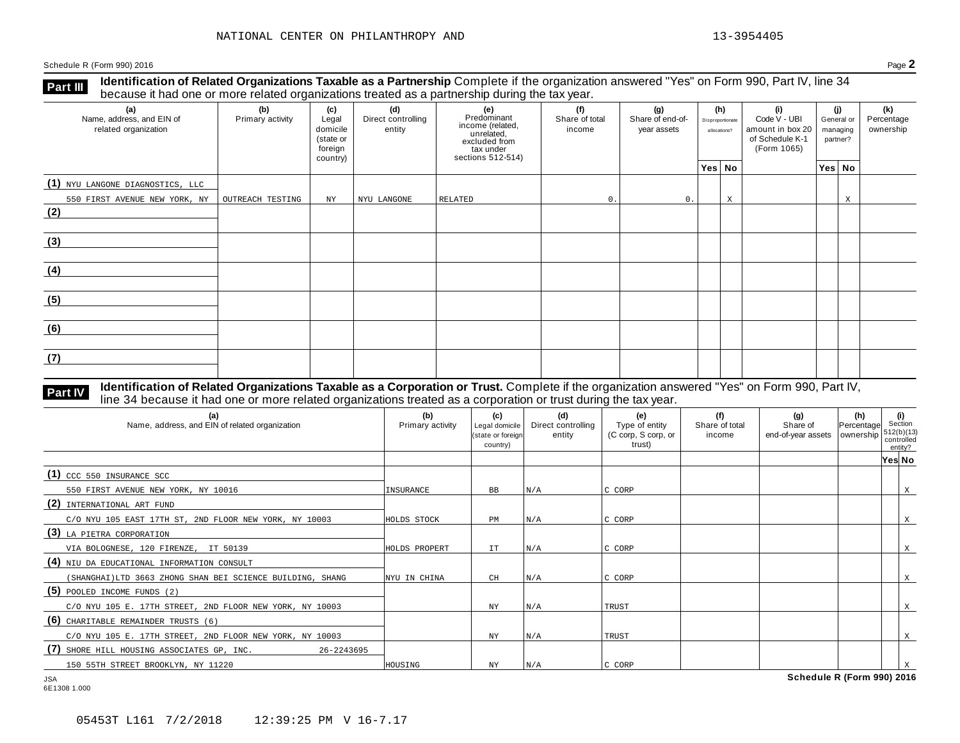**Identification of Related Organizations Taxable as a Partnership** Complete if the organization answered "Yes" on Form 990, Part IV, line 34 **because it had one or more related organizations Taxable as a Partnership** Complete if the organization of more related organizations treated as a partnership during the tax year.

| (a)<br>Name, address, and EIN of<br>related organization | (b)<br>Primary activity | (c)<br>Legal<br>domicile<br>(state or<br>foreign<br>country) | (d)<br>Direct controlling<br>entity | (e)<br>Predominant<br>income (related,<br>unrelated,<br>excluded from<br>tax under<br>sections 512-514) | (f)<br>Share of total<br>income | (g)<br>Share of end-of-<br>year assets | Disproportionate<br>allocations? | (h) | (i)<br>Code V - UBI<br>amount in box 20<br>of Schedule K-1<br>(Form 1065) | (i)<br>General or<br>managing<br>partner? | (k)<br>Percentage<br>ownership |
|----------------------------------------------------------|-------------------------|--------------------------------------------------------------|-------------------------------------|---------------------------------------------------------------------------------------------------------|---------------------------------|----------------------------------------|----------------------------------|-----|---------------------------------------------------------------------------|-------------------------------------------|--------------------------------|
|                                                          |                         |                                                              |                                     |                                                                                                         |                                 |                                        | Yes No                           |     |                                                                           | Yes No                                    |                                |
| (1) NYU LANGONE DIAGNOSTICS, LLC                         |                         |                                                              |                                     |                                                                                                         |                                 |                                        |                                  |     |                                                                           |                                           |                                |
| 550 FIRST AVENUE NEW YORK, NY                            | OUTREACH TESTING        | NY                                                           | NYU LANGONE                         | RELATED                                                                                                 | 0.                              | 0.                                     |                                  | X   |                                                                           | X                                         |                                |
| (2)                                                      |                         |                                                              |                                     |                                                                                                         |                                 |                                        |                                  |     |                                                                           |                                           |                                |
| (3)                                                      |                         |                                                              |                                     |                                                                                                         |                                 |                                        |                                  |     |                                                                           |                                           |                                |
| (4)                                                      |                         |                                                              |                                     |                                                                                                         |                                 |                                        |                                  |     |                                                                           |                                           |                                |
| (5)                                                      |                         |                                                              |                                     |                                                                                                         |                                 |                                        |                                  |     |                                                                           |                                           |                                |
| (6)                                                      |                         |                                                              |                                     |                                                                                                         |                                 |                                        |                                  |     |                                                                           |                                           |                                |
| (7)                                                      |                         |                                                              |                                     |                                                                                                         |                                 |                                        |                                  |     |                                                                           |                                           |                                |

### **Identification of Related Organizations Taxable as a Corporation or Trust.** Complete if the organization answered "Yes" on Form 990, Part IV, **Part IV** dentification of Related Organizations Taxable as a Corporation or Trust. Complete if the organization ansignal line 34 because it had one or more related organizations treated as a corporation or trust during th

| (a)<br>Name, address, and EIN of related organization       | (b)<br>Primary activity | (c)<br>Legal domicile<br>(state or foreign<br>country) | (d)<br>Direct controlling<br>entity | (e)<br>Type of entity<br>(C corp, S corp, or<br>trust) | (f)<br>Share of total<br>income | (g)<br>Share of<br>end-of-year assets | $\begin{vmatrix} \textbf{(h)} \\ \text{Percentage} \end{vmatrix}$ Section<br>ownership | $512(b)(13)$<br>controlled<br>entity? |   |
|-------------------------------------------------------------|-------------------------|--------------------------------------------------------|-------------------------------------|--------------------------------------------------------|---------------------------------|---------------------------------------|----------------------------------------------------------------------------------------|---------------------------------------|---|
|                                                             |                         |                                                        |                                     |                                                        |                                 |                                       |                                                                                        | Yes No                                |   |
| $(1)$ CCC 550 INSURANCE SCC                                 |                         |                                                        |                                     |                                                        |                                 |                                       |                                                                                        |                                       |   |
| 550 FIRST AVENUE NEW YORK, NY 10016                         | INSURANCE               | BB                                                     | N/A                                 | C CORP                                                 |                                 |                                       |                                                                                        |                                       | X |
| (2)<br>INTERNATIONAL ART FUND                               |                         |                                                        |                                     |                                                        |                                 |                                       |                                                                                        |                                       |   |
| C/O NYU 105 EAST 17TH ST, 2ND FLOOR NEW YORK, NY 10003      | HOLDS STOCK             | РM                                                     | N/A                                 | C CORP                                                 |                                 |                                       |                                                                                        |                                       | X |
| (3) LA PIETRA CORPORATION                                   |                         |                                                        |                                     |                                                        |                                 |                                       |                                                                                        |                                       |   |
| VIA BOLOGNESE, 120 FIRENZE, IT 50139                        | HOLDS PROPERT           | $\mbox{\bf TT}$                                        | N/A                                 | C CORP                                                 |                                 |                                       |                                                                                        |                                       | X |
| (4) NIU DA EDUCATIONAL INFORMATION CONSULT                  |                         |                                                        |                                     |                                                        |                                 |                                       |                                                                                        |                                       |   |
| (SHANGHAI)LTD 3663 ZHONG SHAN BEI SCIENCE BUILDING, SHANG   | NYU IN CHINA            | CH                                                     | N/A                                 | C CORP                                                 |                                 |                                       |                                                                                        |                                       | X |
| $(5)$ POOLED INCOME FUNDS $(2)$                             |                         |                                                        |                                     |                                                        |                                 |                                       |                                                                                        |                                       |   |
| C/O NYU 105 E. 17TH STREET, 2ND FLOOR NEW YORK, NY 10003    |                         | NY                                                     | N/A                                 | TRUST                                                  |                                 |                                       |                                                                                        |                                       | X |
| (6) CHARITABLE REMAINDER TRUSTS (6)                         |                         |                                                        |                                     |                                                        |                                 |                                       |                                                                                        |                                       |   |
| C/O NYU 105 E. 17TH STREET, 2ND FLOOR NEW YORK, NY 10003    |                         | NY                                                     | N/A                                 | TRUST                                                  |                                 |                                       |                                                                                        |                                       | X |
| (7)<br>SHORE HILL HOUSING ASSOCIATES GP, INC.<br>26-2243695 |                         |                                                        |                                     |                                                        |                                 |                                       |                                                                                        |                                       |   |
| 150 55TH STREET BROOKLYN, NY 11220                          | HOUSING                 | NY                                                     | N/A                                 | C CORP                                                 |                                 |                                       |                                                                                        |                                       |   |
| <b>JSA</b>                                                  |                         |                                                        |                                     |                                                        |                                 | Schedule R (Form 990) 2016            |                                                                                        |                                       |   |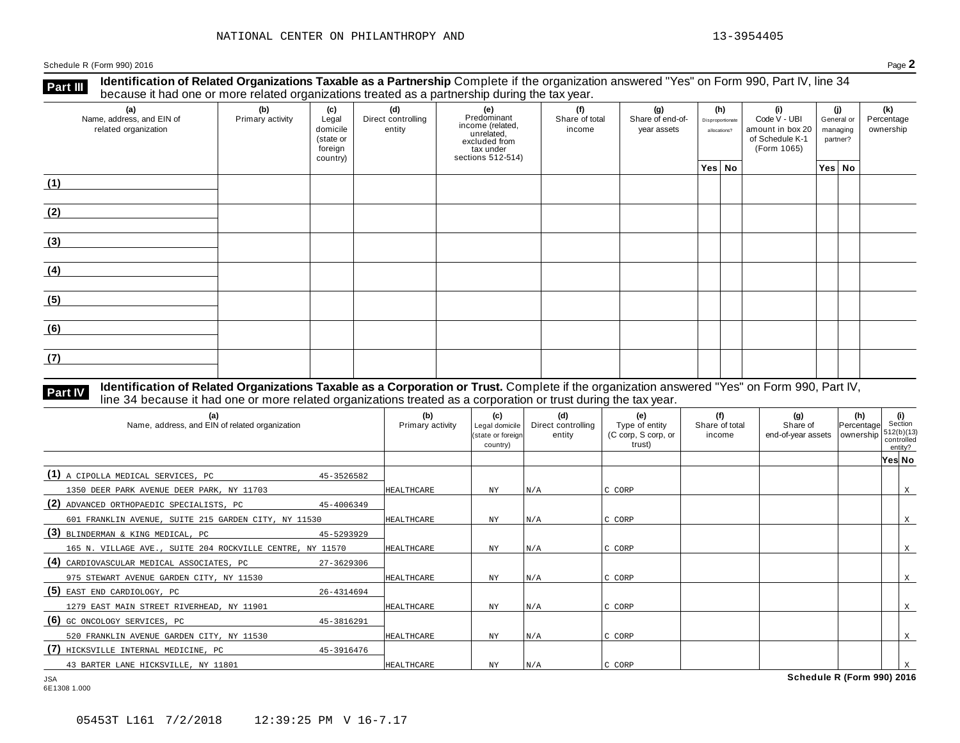**Part III** Identification of Related Organizations Taxable as a Partnership Complete if the organization answered "Yes" on Form 990, Part IV, line 34<br>because it had one or more related organizations treated as a partnershi

| (a)<br>Name, address, and EIN of<br>related organization | ັ<br>(b)<br>Primary activity | (c)<br>Legal<br>domicile<br>(state or<br>foreign<br>country) | (d)<br>Direct controlling<br>entity | ັ<br>(e)<br>Predominant<br>income (related,<br>unrelated,<br>excluded from<br>tax under<br>sections 512-514) | (f)<br>Share of total<br>income | (g)<br>Share of end-of-<br>year assets | (h)<br>Disproportionate<br>allocations? | (i)<br>Code V - UBI<br>amount in box 20<br>of Schedule K-1<br>(Form 1065) | (i)<br>General or<br>managing<br>partner? | (k)<br>Percentage<br>ownership |
|----------------------------------------------------------|------------------------------|--------------------------------------------------------------|-------------------------------------|--------------------------------------------------------------------------------------------------------------|---------------------------------|----------------------------------------|-----------------------------------------|---------------------------------------------------------------------------|-------------------------------------------|--------------------------------|
|                                                          |                              |                                                              |                                     |                                                                                                              |                                 |                                        | Yes No                                  |                                                                           | Yes No                                    |                                |
| (1)                                                      |                              |                                                              |                                     |                                                                                                              |                                 |                                        |                                         |                                                                           |                                           |                                |
| (2)                                                      |                              |                                                              |                                     |                                                                                                              |                                 |                                        |                                         |                                                                           |                                           |                                |
| (3)                                                      |                              |                                                              |                                     |                                                                                                              |                                 |                                        |                                         |                                                                           |                                           |                                |
| (4)                                                      |                              |                                                              |                                     |                                                                                                              |                                 |                                        |                                         |                                                                           |                                           |                                |
| (5)                                                      |                              |                                                              |                                     |                                                                                                              |                                 |                                        |                                         |                                                                           |                                           |                                |
| (6)                                                      |                              |                                                              |                                     |                                                                                                              |                                 |                                        |                                         |                                                                           |                                           |                                |
| (7)                                                      |                              |                                                              |                                     |                                                                                                              |                                 |                                        |                                         |                                                                           |                                           |                                |

# **Part IV** Identification of Related Organizations Taxable as a Corporation or Trust. Complete if the organization answered "Yes" on Form 990, Part IV,<br>line 34 because it had one or more related organizations treated as a c

| (b)<br>Primary activity | (c)<br>Legal domicile<br>country) | (d)<br>Direct controlling<br>entity | (e)<br>Type of entity<br>(C corp, S corp, or<br>trust) | (f)<br>Share of total<br>income | (g)<br>Share of | (h) | (i)<br>512(b)(13)<br>entity?                                                    |
|-------------------------|-----------------------------------|-------------------------------------|--------------------------------------------------------|---------------------------------|-----------------|-----|---------------------------------------------------------------------------------|
|                         |                                   |                                     |                                                        |                                 |                 |     |                                                                                 |
| 45-3526582              |                                   |                                     |                                                        |                                 |                 |     |                                                                                 |
| HEALTHCARE              | <b>NY</b>                         | N/A                                 | C CORP                                                 |                                 |                 |     | X                                                                               |
|                         |                                   |                                     |                                                        |                                 |                 |     |                                                                                 |
| HEALTHCARE              | NY                                | N/A                                 | C CORP                                                 |                                 |                 |     | X                                                                               |
|                         |                                   |                                     |                                                        |                                 |                 |     |                                                                                 |
| HEALTHCARE              | NY.                               | N/A                                 | C CORP                                                 |                                 |                 |     | X                                                                               |
| 27-3629306              |                                   |                                     |                                                        |                                 |                 |     |                                                                                 |
| HEALTHCARE              | ΝY                                | N/A                                 | C CORP                                                 |                                 |                 |     | X                                                                               |
| 26-4314694              |                                   |                                     |                                                        |                                 |                 |     |                                                                                 |
| <b>HEALTHCARE</b>       | NY.                               | N/A                                 | C CORP                                                 |                                 |                 |     | X                                                                               |
|                         |                                   |                                     |                                                        |                                 |                 |     |                                                                                 |
| HEALTHCARE              | NY.                               |                                     | C CORP                                                 |                                 |                 |     | X                                                                               |
| 45-3916476              |                                   |                                     |                                                        |                                 |                 |     |                                                                                 |
| HEALTHCARE              | NY                                | N/A                                 | C CORP                                                 |                                 |                 |     |                                                                                 |
|                         |                                   |                                     | (state or foreign<br>N/A                               |                                 |                 |     | Section<br>Percentage<br>end-of-year assets   ownership<br>controlled<br>Yes No |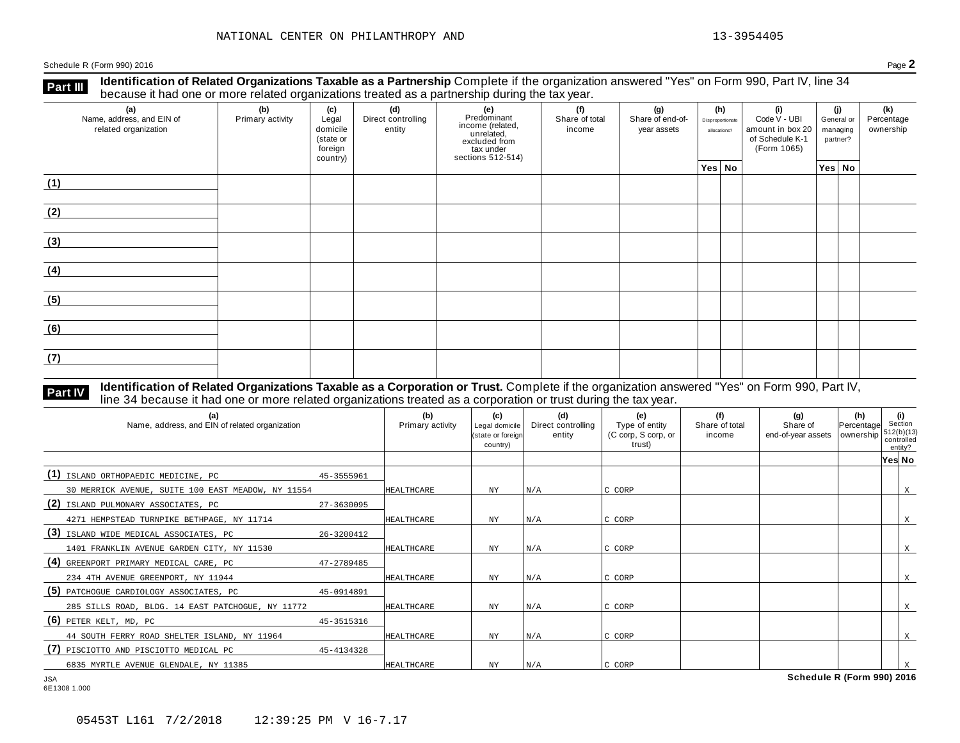**Identification of Related Organizations Taxable as a Partnership** Complete if the organization answered "Yes" on Form 990, Part IV, line 34 **because it had one or more related organizations Taxable as a Partnership** Complete if the organization of Related organizations treated as a partnership during the tax year.

| (a)<br>Name, address, and EIN of<br>related organization | ັ<br>(b)<br>Primary activity | (c)<br>Legal<br>domicile<br>(state or<br>foreign<br>country) | .<br>(d)<br>Direct controlling<br>entity | ັ<br>(e)<br>Predominant<br>From (related,<br>income (related,<br>excluded from<br>tax under<br>sections 512-514) | (f)<br>Share of total<br>income | (g)<br>Share of end-of-<br>year assets | (h)<br>Disproportionate<br>allocations? | (i)<br>Code V - UBI<br>amount in box 20<br>of Schedule K-1<br>(Form 1065) | (i)<br>General or<br>managing<br>partner? | (k)<br>Percentage<br>ownership |
|----------------------------------------------------------|------------------------------|--------------------------------------------------------------|------------------------------------------|------------------------------------------------------------------------------------------------------------------|---------------------------------|----------------------------------------|-----------------------------------------|---------------------------------------------------------------------------|-------------------------------------------|--------------------------------|
|                                                          |                              |                                                              |                                          |                                                                                                                  |                                 |                                        | Yes No                                  |                                                                           | Yes No                                    |                                |
| (1)                                                      |                              |                                                              |                                          |                                                                                                                  |                                 |                                        |                                         |                                                                           |                                           |                                |
| (2)                                                      |                              |                                                              |                                          |                                                                                                                  |                                 |                                        |                                         |                                                                           |                                           |                                |
| (3)                                                      |                              |                                                              |                                          |                                                                                                                  |                                 |                                        |                                         |                                                                           |                                           |                                |
| (4)                                                      |                              |                                                              |                                          |                                                                                                                  |                                 |                                        |                                         |                                                                           |                                           |                                |
| (5)                                                      |                              |                                                              |                                          |                                                                                                                  |                                 |                                        |                                         |                                                                           |                                           |                                |
| (6)                                                      |                              |                                                              |                                          |                                                                                                                  |                                 |                                        |                                         |                                                                           |                                           |                                |
| (7)                                                      |                              |                                                              |                                          |                                                                                                                  |                                 |                                        |                                         |                                                                           |                                           |                                |

### **Identification of Related Organizations Taxable as a Corporation or Trust.** Complete if the organization answered "Yes" on Form 990, Part IV, **Part IV** dentification of Related Organizations Taxable as a Corporation or Trust. Complete if the organization ansignal line 34 because it had one or more related organizations treated as a corporation or trust during th

| (a)<br>Name, address, and EIN of related organization |            | (b)<br>Primary activity | (c)<br>Legal domicile<br>I(state or foreign<br>country) | (d)<br>Direct controlling<br>entity | (e)<br>Type of entity<br>(C corp, S corp, or<br>trust) | (f)<br>Share of total<br>income | (q)<br>Share of<br>end-of-year assets | $\begin{vmatrix} (h) \\ Percentage \end{vmatrix}$ Section<br>ownership | $512(b)(13)$<br>controlled<br>entity? |   |
|-------------------------------------------------------|------------|-------------------------|---------------------------------------------------------|-------------------------------------|--------------------------------------------------------|---------------------------------|---------------------------------------|------------------------------------------------------------------------|---------------------------------------|---|
|                                                       |            |                         |                                                         |                                     |                                                        |                                 |                                       |                                                                        | Yes No                                |   |
| (1)<br>ISLAND ORTHOPAEDIC MEDICINE, PC                | 45-3555961 |                         |                                                         |                                     |                                                        |                                 |                                       |                                                                        |                                       |   |
| 30 MERRICK AVENUE, SUITE 100 EAST MEADOW, NY 11554    |            | HEALTHCARE              | <b>NY</b>                                               | N/A                                 | C CORP                                                 |                                 |                                       |                                                                        |                                       | X |
| (2)<br>ISLAND PULMONARY ASSOCIATES, PC                | 27-3630095 |                         |                                                         |                                     |                                                        |                                 |                                       |                                                                        |                                       |   |
| 4271 HEMPSTEAD TURNPIKE BETHPAGE, NY 11714            |            | HEALTHCARE              | ΝY                                                      | N/A                                 | C CORP                                                 |                                 |                                       |                                                                        |                                       | X |
| (3) ISLAND WIDE MEDICAL ASSOCIATES, PC                | 26-3200412 |                         |                                                         |                                     |                                                        |                                 |                                       |                                                                        |                                       |   |
| 1401 FRANKLIN AVENUE GARDEN CITY, NY 11530            |            | HEALTHCARE              | $_{\rm NY}$                                             | N/A                                 | C CORP                                                 |                                 |                                       |                                                                        |                                       | X |
| (4) GREENPORT PRIMARY MEDICAL CARE, PC                | 47-2789485 |                         |                                                         |                                     |                                                        |                                 |                                       |                                                                        |                                       |   |
| 234 4TH AVENUE GREENPORT, NY 11944                    |            | HEALTHCARE              | <b>NY</b>                                               | N/A                                 | C CORP                                                 |                                 |                                       |                                                                        |                                       | X |
| (5) PATCHOGUE CARDIOLOGY ASSOCIATES, PC               | 45-0914891 |                         |                                                         |                                     |                                                        |                                 |                                       |                                                                        |                                       |   |
| 285 SILLS ROAD, BLDG. 14 EAST PATCHOGUE, NY 11772     |            | HEALTHCARE              | <b>NY</b>                                               | N/A                                 | C CORP                                                 |                                 |                                       |                                                                        |                                       | X |
| $(6)$ PETER KELT, MD, PC                              | 45-3515316 |                         |                                                         |                                     |                                                        |                                 |                                       |                                                                        |                                       |   |
| 44 SOUTH FERRY ROAD SHELTER ISLAND, NY 11964          |            | HEALTHCARE              | NY                                                      | N/A                                 | C CORP                                                 |                                 |                                       |                                                                        |                                       | X |
| (7)<br>PISCIOTTO AND PISCIOTTO MEDICAL PC             | 45-4134328 |                         |                                                         |                                     |                                                        |                                 |                                       |                                                                        |                                       |   |
| 6835 MYRTLE AVENUE GLENDALE, NY 11385                 |            | HEALTHCARE              | NY                                                      | N/A                                 | C CORP                                                 |                                 |                                       |                                                                        |                                       |   |
| <b>JSA</b>                                            |            |                         |                                                         |                                     |                                                        |                                 | Schedule R (Form 990) 2016            |                                                                        |                                       |   |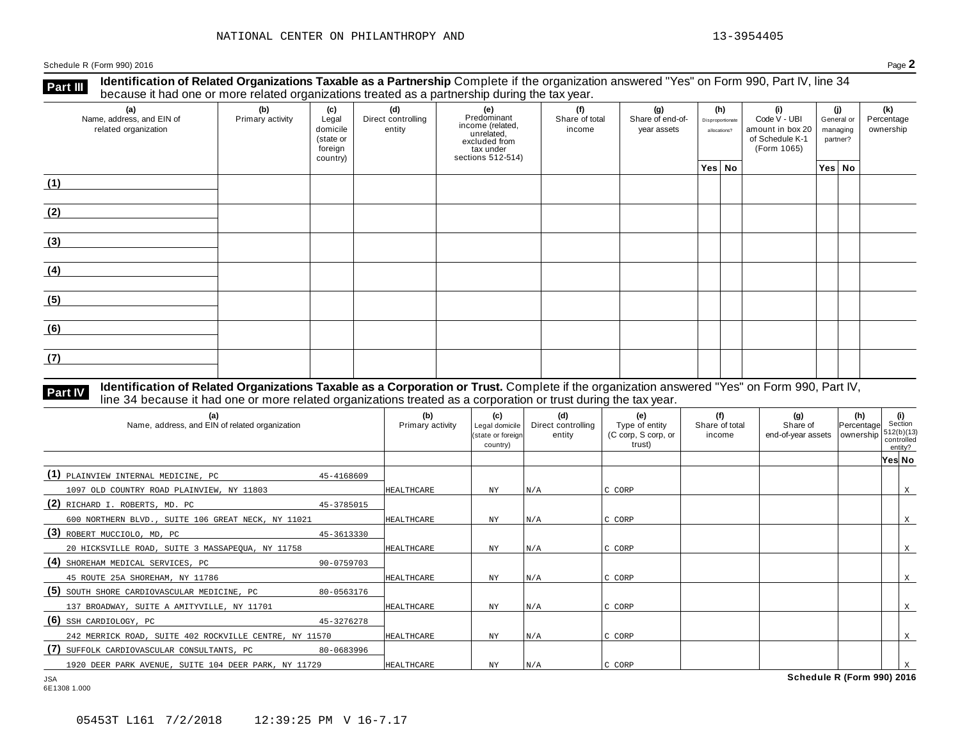**Identification of Related Organizations Taxable as a Partnership** Complete if the organization answered "Yes" on Form 990, Part IV, line 34 **because it had one or more related organizations Taxable as a Partnership** Complete if the organization of Related organizations treated as a partnership during the tax year.

| (a)<br>Name, address, and EIN of<br>related organization | ັ<br>(b)<br>Primary activity | (c)<br>Legal<br>domicile<br>(state or<br>foreign<br>country) | .<br>(d)<br>Direct controlling<br>entity | ັ<br>(e)<br>Predominant<br>From (related,<br>income (related,<br>excluded from<br>tax under<br>sections 512-514) | (f)<br>Share of total<br>income | (g)<br>Share of end-of-<br>year assets | (h)<br>Disproportionate<br>allocations? | (i)<br>Code V - UBI<br>amount in box 20<br>of Schedule K-1<br>(Form 1065) | (i)<br>General or<br>managing<br>partner? | (k)<br>Percentage<br>ownership |
|----------------------------------------------------------|------------------------------|--------------------------------------------------------------|------------------------------------------|------------------------------------------------------------------------------------------------------------------|---------------------------------|----------------------------------------|-----------------------------------------|---------------------------------------------------------------------------|-------------------------------------------|--------------------------------|
|                                                          |                              |                                                              |                                          |                                                                                                                  |                                 |                                        | Yes No                                  |                                                                           | Yes No                                    |                                |
| (1)                                                      |                              |                                                              |                                          |                                                                                                                  |                                 |                                        |                                         |                                                                           |                                           |                                |
| (2)                                                      |                              |                                                              |                                          |                                                                                                                  |                                 |                                        |                                         |                                                                           |                                           |                                |
| (3)                                                      |                              |                                                              |                                          |                                                                                                                  |                                 |                                        |                                         |                                                                           |                                           |                                |
| (4)                                                      |                              |                                                              |                                          |                                                                                                                  |                                 |                                        |                                         |                                                                           |                                           |                                |
| (5)                                                      |                              |                                                              |                                          |                                                                                                                  |                                 |                                        |                                         |                                                                           |                                           |                                |
| (6)                                                      |                              |                                                              |                                          |                                                                                                                  |                                 |                                        |                                         |                                                                           |                                           |                                |
| (7)                                                      |                              |                                                              |                                          |                                                                                                                  |                                 |                                        |                                         |                                                                           |                                           |                                |

# **Part IV** Identification of Related Organizations Taxable as a Corporation or Trust. Complete if the organization answered "Yes" on Form 990, Part IV,<br>line 34 because it had one or more related organizations treated as a c

| (b)<br>Primary activity | (c)<br>Legal domicile<br>country) | (d)<br>Direct controlling<br>entity | (e)<br>Type of entity<br>(C corp, S corp, or<br>trust)             | (f)<br>Share of total<br>income | (g)<br>Share of | (h) | (i)<br>512(b)(13)<br>entity?                                                    |
|-------------------------|-----------------------------------|-------------------------------------|--------------------------------------------------------------------|---------------------------------|-----------------|-----|---------------------------------------------------------------------------------|
|                         |                                   |                                     |                                                                    |                                 |                 |     |                                                                                 |
|                         |                                   |                                     |                                                                    |                                 |                 |     |                                                                                 |
| HEALTHCARE              | NY                                |                                     | C CORP                                                             |                                 |                 |     | X                                                                               |
|                         |                                   |                                     |                                                                    |                                 |                 |     |                                                                                 |
| HEALTHCARE              | <b>NY</b>                         |                                     | C CORP                                                             |                                 |                 |     | X                                                                               |
|                         |                                   |                                     |                                                                    |                                 |                 |     |                                                                                 |
| HEALTHCARE              | <b>NY</b>                         |                                     | C CORP                                                             |                                 |                 |     | X                                                                               |
|                         |                                   |                                     |                                                                    |                                 |                 |     |                                                                                 |
| HEALTHCARE              | NY                                |                                     | C CORP                                                             |                                 |                 |     | X                                                                               |
|                         |                                   |                                     |                                                                    |                                 |                 |     |                                                                                 |
| HEALTHCARE              | ΝY                                |                                     | C CORP                                                             |                                 |                 |     | Χ                                                                               |
|                         |                                   |                                     |                                                                    |                                 |                 |     |                                                                                 |
| <b>HEALTHCARE</b>       | NΥ                                |                                     | C CORP                                                             |                                 |                 |     | X                                                                               |
|                         |                                   |                                     |                                                                    |                                 |                 |     |                                                                                 |
| HEALTHCARE              | NY                                |                                     | C CORP                                                             |                                 |                 |     |                                                                                 |
| 80-0563176              |                                   |                                     | (state or foreign<br>N/A<br>N/A<br>N/A<br>N/A<br>N/A<br>N/A<br>N/A |                                 |                 |     | Section<br>Percentage<br>end-of-year assets   ownership<br>controlled<br>Yes No |

6E1308 1.000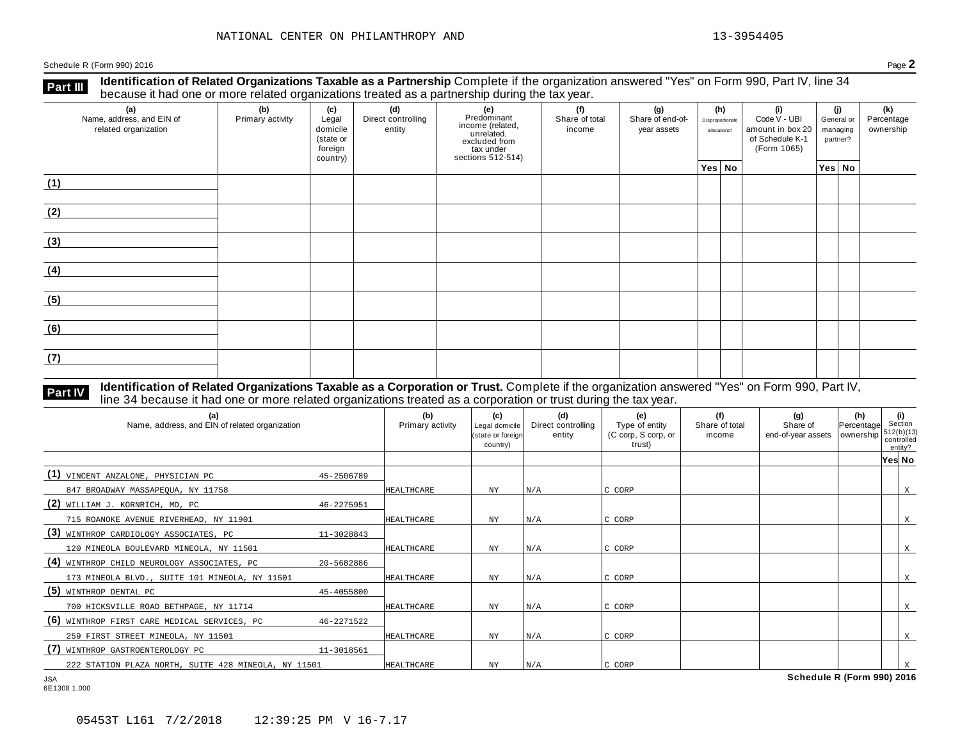**Identification of Related Organizations Taxable as a Partnership** Complete if the organization answered "Yes" on Form 990, Part IV, line 34 **because it had one or more related organizations Taxable as a Partnership** Complete if the organization of Related organizations treated as a partnership during the tax year.

| (a)<br>Name, address, and EIN of<br>related organization | ັ<br>(b)<br>Primary activity | (c)<br>Legal<br>domicile<br>(state or<br>foreign<br>country) | .<br>(d)<br>Direct controlling<br>entity | ັ<br>(e)<br>Predominant<br>From (related,<br>income (related,<br>excluded from<br>tax under<br>sections 512-514) | (f)<br>Share of total<br>income | (g)<br>Share of end-of-<br>year assets | (h)<br>Disproportionate<br>allocations? | (i)<br>Code V - UBI<br>amount in box 20<br>of Schedule K-1<br>(Form 1065) | (i)<br>General or<br>managing<br>partner? | (k)<br>Percentage<br>ownership |
|----------------------------------------------------------|------------------------------|--------------------------------------------------------------|------------------------------------------|------------------------------------------------------------------------------------------------------------------|---------------------------------|----------------------------------------|-----------------------------------------|---------------------------------------------------------------------------|-------------------------------------------|--------------------------------|
|                                                          |                              |                                                              |                                          |                                                                                                                  |                                 |                                        | Yes No                                  |                                                                           | Yes No                                    |                                |
| (1)                                                      |                              |                                                              |                                          |                                                                                                                  |                                 |                                        |                                         |                                                                           |                                           |                                |
| (2)                                                      |                              |                                                              |                                          |                                                                                                                  |                                 |                                        |                                         |                                                                           |                                           |                                |
| (3)                                                      |                              |                                                              |                                          |                                                                                                                  |                                 |                                        |                                         |                                                                           |                                           |                                |
| (4)                                                      |                              |                                                              |                                          |                                                                                                                  |                                 |                                        |                                         |                                                                           |                                           |                                |
| (5)                                                      |                              |                                                              |                                          |                                                                                                                  |                                 |                                        |                                         |                                                                           |                                           |                                |
| (6)                                                      |                              |                                                              |                                          |                                                                                                                  |                                 |                                        |                                         |                                                                           |                                           |                                |
| (7)                                                      |                              |                                                              |                                          |                                                                                                                  |                                 |                                        |                                         |                                                                           |                                           |                                |

# **Part IV** Identification of Related Organizations Taxable as a Corporation or Trust. Complete if the organization answered "Yes" on Form 990, Part IV,<br>line 34 because it had one or more related organizations treated as a c

| (a)<br>Name, address, and EIN of related organization |            | (b)<br>Primary activity | (c)<br>Legal domicile<br>(state or foreign<br>country) | (d)<br>Direct controlling<br>entity | (e)<br>Type of entity<br>(C corp, S corp, or<br>trust) | (f)<br>Share of total<br>income | (q)<br>Share of<br>end-of-year assets   ownership | (h)<br>Percentage | Section<br>controlled | (i)<br>512(b)(13)<br>entity? |
|-------------------------------------------------------|------------|-------------------------|--------------------------------------------------------|-------------------------------------|--------------------------------------------------------|---------------------------------|---------------------------------------------------|-------------------|-----------------------|------------------------------|
|                                                       |            |                         |                                                        |                                     |                                                        |                                 |                                                   |                   | Yes No                |                              |
| (1) VINCENT ANZALONE, PHYSICIAN PC                    | 45-2506789 |                         |                                                        |                                     |                                                        |                                 |                                                   |                   |                       |                              |
| 847 BROADWAY MASSAPEQUA, NY 11758                     |            | HEALTHCARE              | ΝY                                                     | N/A                                 | C CORP                                                 |                                 |                                                   |                   |                       | X                            |
| (2)<br>WILLIAM J. KORNRICH, MD, PC                    | 46-2275951 |                         |                                                        |                                     |                                                        |                                 |                                                   |                   |                       |                              |
| 715 ROANOKE AVENUE RIVERHEAD, NY 11901                |            | <b>HEALTHCARE</b>       | ΝY                                                     | N/A                                 | C CORP                                                 |                                 |                                                   |                   |                       | X                            |
| (3)<br>WINTHROP CARDIOLOGY ASSOCIATES, PC             | 11-3028843 |                         |                                                        |                                     |                                                        |                                 |                                                   |                   |                       |                              |
| 120 MINEOLA BOULEVARD MINEOLA, NY 11501               |            | HEALTHCARE              | ΝY                                                     | N/A                                 | C CORP                                                 |                                 |                                                   |                   |                       | X                            |
| (4) WINTHROP CHILD NEUROLOGY ASSOCIATES, PC           | 20-5682886 |                         |                                                        |                                     |                                                        |                                 |                                                   |                   |                       |                              |
| 173 MINEOLA BLVD., SUITE 101 MINEOLA, NY 11501        |            | <b>HEALTHCARE</b>       | ΝY                                                     | N/A                                 | C CORP                                                 |                                 |                                                   |                   |                       | X                            |
| $(5)$ winthrop dental PC                              | 45-4055800 |                         |                                                        |                                     |                                                        |                                 |                                                   |                   |                       |                              |
| 700 HICKSVILLE ROAD BETHPAGE, NY 11714                |            | <b>HEALTHCARE</b>       | ΝY                                                     | N/A                                 | C CORP                                                 |                                 |                                                   |                   |                       | X                            |
| (6) WINTHROP FIRST CARE MEDICAL SERVICES, PC          | 46-2271522 |                         |                                                        |                                     |                                                        |                                 |                                                   |                   |                       |                              |
| 259 FIRST STREET MINEOLA, NY 11501                    |            | HEALTHCARE              | <b>NY</b>                                              | N/A                                 | C CORP                                                 |                                 |                                                   |                   |                       | X                            |
| (7)<br>WINTHROP GASTROENTEROLOGY PC                   | 11-3018561 |                         |                                                        |                                     |                                                        |                                 |                                                   |                   |                       |                              |
| 222 STATION PLAZA NORTH, SUITE 428 MINEOLA, NY 11501  |            | <b>HEALTHCARE</b>       | NY                                                     | N/A                                 | C CORP                                                 |                                 |                                                   |                   |                       |                              |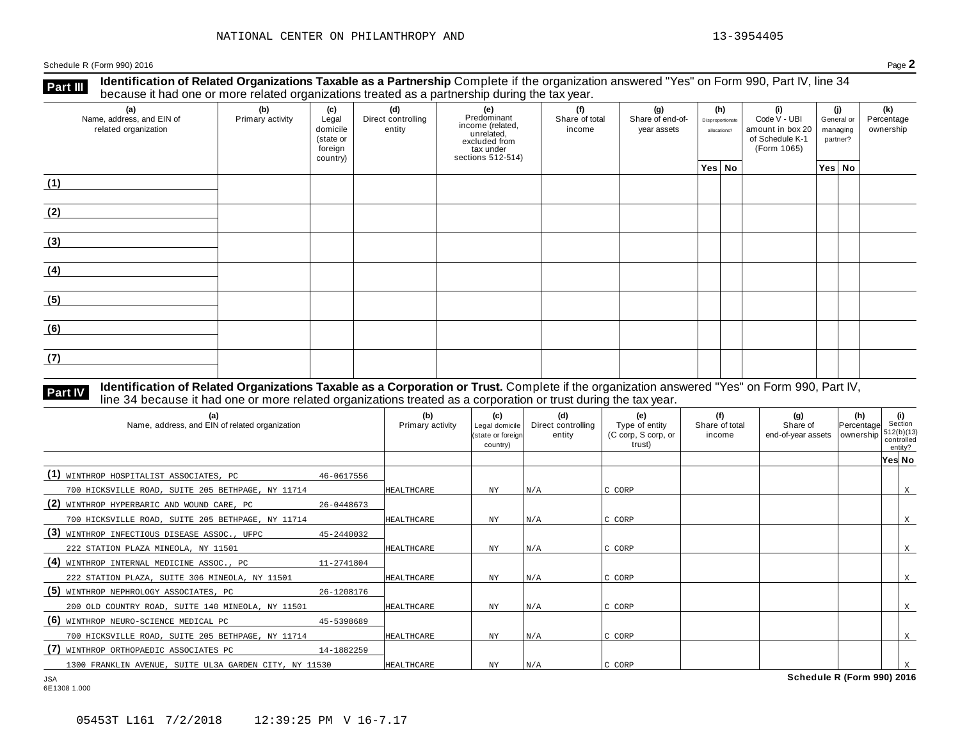**Identification of Related Organizations Taxable as a Partnership** Complete if the organization answered "Yes" on Form 990, Part IV, line 34 **because it had one or more related organizations Taxable as a Partnership** Complete if the organization of Related organizations treated as a partnership during the tax year.

| (a)<br>Name, address, and EIN of<br>related organization | ັ<br>(b)<br>Primary activity | (c)<br>Legal<br>domicile<br>(state or<br>foreign<br>country) | .<br>(d)<br>Direct controlling<br>entity | ັ<br>(e)<br>Predominant<br>From (related,<br>income (related,<br>excluded from<br>tax under<br>sections 512-514) | (f)<br>Share of total<br>income | (g)<br>Share of end-of-<br>year assets | (h)<br>Disproportionate<br>allocations? | (i)<br>Code V - UBI<br>amount in box 20<br>of Schedule K-1<br>(Form 1065) | (i)<br>General or<br>managing<br>partner? | (k)<br>Percentage<br>ownership |
|----------------------------------------------------------|------------------------------|--------------------------------------------------------------|------------------------------------------|------------------------------------------------------------------------------------------------------------------|---------------------------------|----------------------------------------|-----------------------------------------|---------------------------------------------------------------------------|-------------------------------------------|--------------------------------|
|                                                          |                              |                                                              |                                          |                                                                                                                  |                                 |                                        | Yes No                                  |                                                                           | Yes No                                    |                                |
| (1)                                                      |                              |                                                              |                                          |                                                                                                                  |                                 |                                        |                                         |                                                                           |                                           |                                |
| (2)                                                      |                              |                                                              |                                          |                                                                                                                  |                                 |                                        |                                         |                                                                           |                                           |                                |
| (3)                                                      |                              |                                                              |                                          |                                                                                                                  |                                 |                                        |                                         |                                                                           |                                           |                                |
| (4)                                                      |                              |                                                              |                                          |                                                                                                                  |                                 |                                        |                                         |                                                                           |                                           |                                |
| (5)                                                      |                              |                                                              |                                          |                                                                                                                  |                                 |                                        |                                         |                                                                           |                                           |                                |
| (6)                                                      |                              |                                                              |                                          |                                                                                                                  |                                 |                                        |                                         |                                                                           |                                           |                                |
| (7)                                                      |                              |                                                              |                                          |                                                                                                                  |                                 |                                        |                                         |                                                                           |                                           |                                |

# **Part IV** Identification of Related Organizations Taxable as a Corporation or Trust. Complete if the organization answered "Yes" on Form 990, Part IV,<br>line 34 because it had one or more related organizations treated as a c

|                   |                                                                                  |     | trust)       | end-of-year assets | ownership | controlled<br>entity? | Section<br>512(b)(13)      |
|-------------------|----------------------------------------------------------------------------------|-----|--------------|--------------------|-----------|-----------------------|----------------------------|
|                   |                                                                                  |     |              |                    |           | Yes No                |                            |
| 46-0617556        |                                                                                  |     |              |                    |           |                       |                            |
| <b>HEALTHCARE</b> | NY                                                                               | N/A | C CORP       |                    |           |                       | X                          |
|                   |                                                                                  |     |              |                    |           |                       |                            |
| HEALTHCARE        | NY                                                                               | N/A | C CORP       |                    |           |                       | X                          |
|                   |                                                                                  |     |              |                    |           |                       |                            |
| <b>HEALTHCARE</b> | NY.                                                                              | N/A | C CORP       |                    |           |                       | X                          |
|                   |                                                                                  |     |              |                    |           |                       |                            |
| <b>HEALTHCARE</b> | ΝY                                                                               | N/A | C CORP       |                    |           |                       | X                          |
|                   |                                                                                  |     |              |                    |           |                       |                            |
| <b>HEALTHCARE</b> | NY                                                                               |     | C CORP       |                    |           |                       | X                          |
|                   |                                                                                  |     |              |                    |           |                       |                            |
| <b>HEALTHCARE</b> | ΝY                                                                               |     | C CORP       |                    |           |                       | X                          |
|                   |                                                                                  |     |              |                    |           |                       |                            |
| <b>HEALTHCARE</b> | NY                                                                               | N/A | C CORP       |                    |           |                       |                            |
|                   | 26-0448673<br>45-2440032<br>11-2741804<br>26-1208176<br>45-5398689<br>14-1882259 |     | N/A <br> N/A |                    |           |                       | Schedule R (Form 990) 2016 |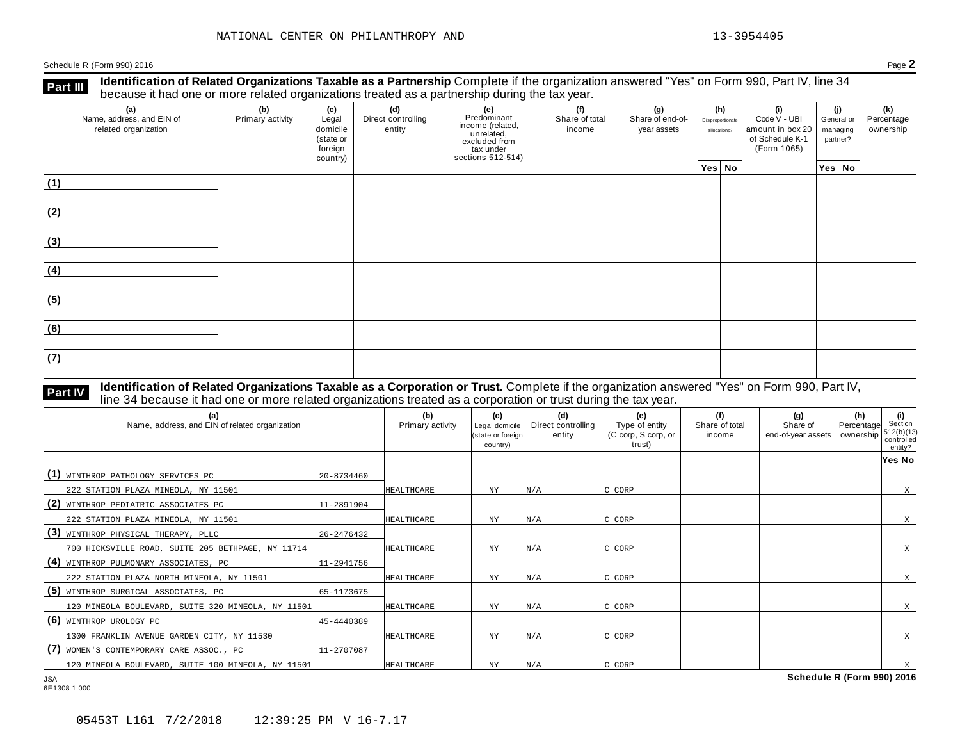**Identification of Related Organizations Taxable as a Partnership** Complete if the organization answered "Yes" on Form 990, Part IV, line 34 **because it had one or more related organizations Taxable as a Partnership** Complete if the organization of Related organizations treated as a partnership during the tax year.

| (a)<br>Name, address, and EIN of<br>related organization | ັ<br>(b)<br>Primary activity | (c)<br>Legal<br>domicile<br>(state or<br>foreign<br>country) | .<br>(d)<br>Direct controlling<br>entity | ັ<br>(e)<br>Predominant<br>From (related,<br>income (related,<br>excluded from<br>tax under<br>sections 512-514) | (f)<br>Share of total<br>income | (g)<br>Share of end-of-<br>year assets | (h)<br>Disproportionate<br>allocations? | (i)<br>Code V - UBI<br>amount in box 20<br>of Schedule K-1<br>(Form 1065) | (i)<br>General or<br>managing<br>partner? | (k)<br>Percentage<br>ownership |
|----------------------------------------------------------|------------------------------|--------------------------------------------------------------|------------------------------------------|------------------------------------------------------------------------------------------------------------------|---------------------------------|----------------------------------------|-----------------------------------------|---------------------------------------------------------------------------|-------------------------------------------|--------------------------------|
|                                                          |                              |                                                              |                                          |                                                                                                                  |                                 |                                        | Yes No                                  |                                                                           | Yes No                                    |                                |
| (1)                                                      |                              |                                                              |                                          |                                                                                                                  |                                 |                                        |                                         |                                                                           |                                           |                                |
| (2)                                                      |                              |                                                              |                                          |                                                                                                                  |                                 |                                        |                                         |                                                                           |                                           |                                |
| (3)                                                      |                              |                                                              |                                          |                                                                                                                  |                                 |                                        |                                         |                                                                           |                                           |                                |
| (4)                                                      |                              |                                                              |                                          |                                                                                                                  |                                 |                                        |                                         |                                                                           |                                           |                                |
| (5)                                                      |                              |                                                              |                                          |                                                                                                                  |                                 |                                        |                                         |                                                                           |                                           |                                |
| (6)                                                      |                              |                                                              |                                          |                                                                                                                  |                                 |                                        |                                         |                                                                           |                                           |                                |
| (7)                                                      |                              |                                                              |                                          |                                                                                                                  |                                 |                                        |                                         |                                                                           |                                           |                                |

# **Part IV** Identification of Related Organizations Taxable as a Corporation or Trust. Complete if the organization answered "Yes" on Form 990, Part IV,<br>line 34 because it had one or more related organizations treated as a c

| (a)<br>Name, address, and EIN of related organization |            | (b)<br>Primary activity | (c)<br>Legal domicile<br>(state or foreign<br>country) | (d)<br>Direct controlling<br>entity | (e)<br>Type of entity<br>(C corp, S corp, or<br>trust) | (f)<br>Share of total<br>income | (g)<br>Share of<br>end-of-year assets | (h)<br>Percentage<br>ownership | (i)<br>Section<br>1512(b)(13)<br>controlled<br>entity? |   |
|-------------------------------------------------------|------------|-------------------------|--------------------------------------------------------|-------------------------------------|--------------------------------------------------------|---------------------------------|---------------------------------------|--------------------------------|--------------------------------------------------------|---|
|                                                       |            |                         |                                                        |                                     |                                                        |                                 |                                       |                                | Yes No                                                 |   |
| (1) WINTHROP PATHOLOGY SERVICES PC                    | 20-8734460 |                         |                                                        |                                     |                                                        |                                 |                                       |                                |                                                        |   |
| 222 STATION PLAZA MINEOLA, NY 11501                   |            | HEALTHCARE              | NY                                                     | N/A                                 | C CORP                                                 |                                 |                                       |                                |                                                        | X |
| (2)<br>WINTHROP PEDIATRIC ASSOCIATES PC               | 11-2891904 |                         |                                                        |                                     |                                                        |                                 |                                       |                                |                                                        |   |
| 222 STATION PLAZA MINEOLA, NY 11501                   |            | HEALTHCARE              | NY                                                     | N/A                                 | C CORP                                                 |                                 |                                       |                                |                                                        | X |
| (3)<br>WINTHROP PHYSICAL THERAPY, PLLC                | 26-2476432 |                         |                                                        |                                     |                                                        |                                 |                                       |                                |                                                        |   |
| 700 HICKSVILLE ROAD, SUITE 205 BETHPAGE, NY 11714     |            | HEALTHCARE              | NY.                                                    | N/A                                 | C CORP                                                 |                                 |                                       |                                |                                                        | X |
| (4) WINTHROP PULMONARY ASSOCIATES, PC                 | 11-2941756 |                         |                                                        |                                     |                                                        |                                 |                                       |                                |                                                        |   |
| 222 STATION PLAZA NORTH MINEOLA, NY 11501             |            | HEALTHCARE              | ΝY                                                     | N/A                                 | C CORP                                                 |                                 |                                       |                                |                                                        | X |
| (5)<br>WINTHROP SURGICAL ASSOCIATES, PC               | 65-1173675 |                         |                                                        |                                     |                                                        |                                 |                                       |                                |                                                        |   |
| 120 MINEOLA BOULEVARD, SUITE 320 MINEOLA, NY 11501    |            | <b>HEALTHCARE</b>       | NY                                                     | N/A                                 | C CORP                                                 |                                 |                                       |                                |                                                        | X |
| (6) WINTHROP UROLOGY PC                               | 45-4440389 |                         |                                                        |                                     |                                                        |                                 |                                       |                                |                                                        |   |
| 1300 FRANKLIN AVENUE GARDEN CITY, NY 11530            |            | HEALTHCARE              | NY.                                                    | N/A                                 | C CORP                                                 |                                 |                                       |                                |                                                        | X |
| (7)<br>WOMEN'S CONTEMPORARY CARE ASSOC., PC           | 11-2707087 |                         |                                                        |                                     |                                                        |                                 |                                       |                                |                                                        |   |
| 120 MINEOLA BOULEVARD, SUITE 100 MINEOLA, NY 11501    |            | HEALTHCARE              | NY                                                     | N/A                                 | C CORP                                                 |                                 |                                       |                                |                                                        |   |
| <b>JSA</b>                                            |            |                         |                                                        |                                     |                                                        |                                 | Schedule R (Form 990) 2016            |                                |                                                        |   |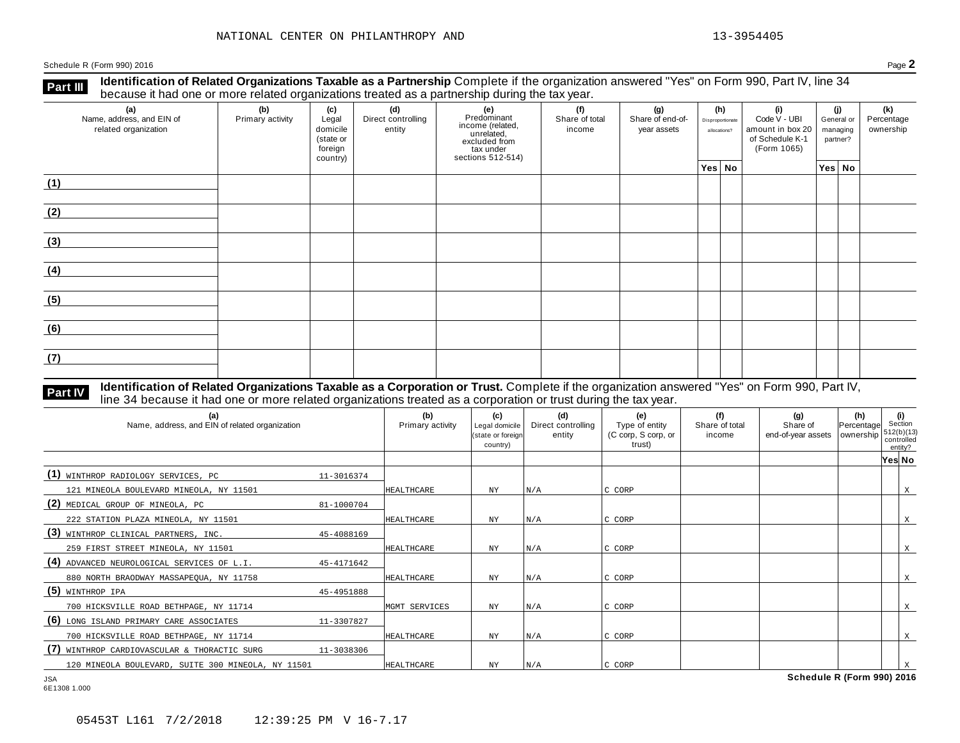**Identification of Related Organizations Taxable as a Partnership** Complete if the organization answered "Yes" on Form 990, Part IV, line 34 **because it had one or more related organizations Taxable as a Partnership** Complete if the organization of Related organizations treated as a partnership during the tax year.

| (a)<br>Name, address, and EIN of<br>related organization | ັ<br>(b)<br>Primary activity | (c)<br>Legal<br>domicile<br>(state or<br>foreign<br>country) | .<br>(d)<br>Direct controlling<br>entity | ັ<br>(e)<br>Predominant<br>From (related,<br>income (related,<br>excluded from<br>tax under<br>sections 512-514) | (f)<br>Share of total<br>income | (g)<br>Share of end-of-<br>year assets |        | (h)<br>Disproportionate<br>allocations? | (i)<br>Code V - UBI<br>amount in box 20<br>of Schedule K-1<br>(Form 1065) | (i)<br>General or<br>managing<br>partner? |        | (k)<br>Percentage<br>ownership |
|----------------------------------------------------------|------------------------------|--------------------------------------------------------------|------------------------------------------|------------------------------------------------------------------------------------------------------------------|---------------------------------|----------------------------------------|--------|-----------------------------------------|---------------------------------------------------------------------------|-------------------------------------------|--------|--------------------------------|
|                                                          |                              |                                                              |                                          |                                                                                                                  |                                 |                                        | Yes No |                                         |                                                                           |                                           | Yes No |                                |
| (1)                                                      |                              |                                                              |                                          |                                                                                                                  |                                 |                                        |        |                                         |                                                                           |                                           |        |                                |
| (2)                                                      |                              |                                                              |                                          |                                                                                                                  |                                 |                                        |        |                                         |                                                                           |                                           |        |                                |
| (3)                                                      |                              |                                                              |                                          |                                                                                                                  |                                 |                                        |        |                                         |                                                                           |                                           |        |                                |
| (4)                                                      |                              |                                                              |                                          |                                                                                                                  |                                 |                                        |        |                                         |                                                                           |                                           |        |                                |
| (5)                                                      |                              |                                                              |                                          |                                                                                                                  |                                 |                                        |        |                                         |                                                                           |                                           |        |                                |
| (6)                                                      |                              |                                                              |                                          |                                                                                                                  |                                 |                                        |        |                                         |                                                                           |                                           |        |                                |
| (7)                                                      |                              |                                                              |                                          |                                                                                                                  |                                 |                                        |        |                                         |                                                                           |                                           |        |                                |

# **Part IV** Identification of Related Organizations Taxable as a Corporation or Trust. Complete if the organization answered "Yes" on Form 990, Part IV,<br>line 34 because it had one or more related organizations treated as a c

| (a)<br>Name, address, and EIN of related organization |            | (b)<br>Primary activity | (c)<br>Legal domicile<br>(state or foreign<br>country) | (d)<br>Direct controlling<br>entity | (e)<br>Type of entity<br>(C corp, S corp, or<br>trust) | (f)<br>Share of total<br>income | (q)<br>Share of<br>end-of-year assets | (h)<br>Percentage<br>ownership | Section<br>1512(b)(13)<br>controlled | (i)<br>entity? |
|-------------------------------------------------------|------------|-------------------------|--------------------------------------------------------|-------------------------------------|--------------------------------------------------------|---------------------------------|---------------------------------------|--------------------------------|--------------------------------------|----------------|
|                                                       |            |                         |                                                        |                                     |                                                        |                                 |                                       |                                | Yes No                               |                |
| (1) WINTHROP RADIOLOGY SERVICES, PC                   | 11-3016374 |                         |                                                        |                                     |                                                        |                                 |                                       |                                |                                      |                |
| 121 MINEOLA BOULEVARD MINEOLA, NY 11501               |            | HEALTHCARE              | ΝY                                                     | N/A                                 | C CORP                                                 |                                 |                                       |                                |                                      | X              |
| (2) MEDICAL GROUP OF MINEOLA, PC                      | 81-1000704 |                         |                                                        |                                     |                                                        |                                 |                                       |                                |                                      |                |
| 222 STATION PLAZA MINEOLA, NY 11501                   |            | <b>HEALTHCARE</b>       | NY                                                     | N/A                                 | C CORP                                                 |                                 |                                       |                                |                                      | X              |
| (3)<br>WINTHROP CLINICAL PARTNERS, INC.               | 45-4088169 |                         |                                                        |                                     |                                                        |                                 |                                       |                                |                                      |                |
| 259 FIRST STREET MINEOLA, NY 11501                    |            | <b>HEALTHCARE</b>       | ΝY                                                     | N/A                                 | C CORP                                                 |                                 |                                       |                                |                                      | X              |
| (4) ADVANCED NEUROLOGICAL SERVICES OF L.I.            | 45-4171642 |                         |                                                        |                                     |                                                        |                                 |                                       |                                |                                      |                |
| 880 NORTH BRAODWAY MASSAPEQUA, NY 11758               |            | <b>HEALTHCARE</b>       | ΝY                                                     | N/A                                 | C CORP                                                 |                                 |                                       |                                |                                      | X              |
| $(5)$ WINTHROP IPA                                    | 45-4951888 |                         |                                                        |                                     |                                                        |                                 |                                       |                                |                                      |                |
| 700 HICKSVILLE ROAD BETHPAGE, NY 11714                |            | MGMT SERVICES           | ΝY                                                     | N/A                                 | C CORP                                                 |                                 |                                       |                                |                                      | X              |
| (6) LONG ISLAND PRIMARY CARE ASSOCIATES               | 11-3307827 |                         |                                                        |                                     |                                                        |                                 |                                       |                                |                                      |                |
| 700 HICKSVILLE ROAD BETHPAGE, NY 11714                |            | HEALTHCARE              | ΝY                                                     | N/A                                 | C CORP                                                 |                                 |                                       |                                |                                      | X              |
| WINTHROP CARDIOVASCULAR & THORACTIC SURG              | 11-3038306 |                         |                                                        |                                     |                                                        |                                 |                                       |                                |                                      |                |
| 120 MINEOLA BOULEVARD, SUITE 300 MINEOLA, NY 11501    |            | HEALTHCARE              | NY                                                     | N/A                                 | C CORP                                                 |                                 |                                       |                                |                                      |                |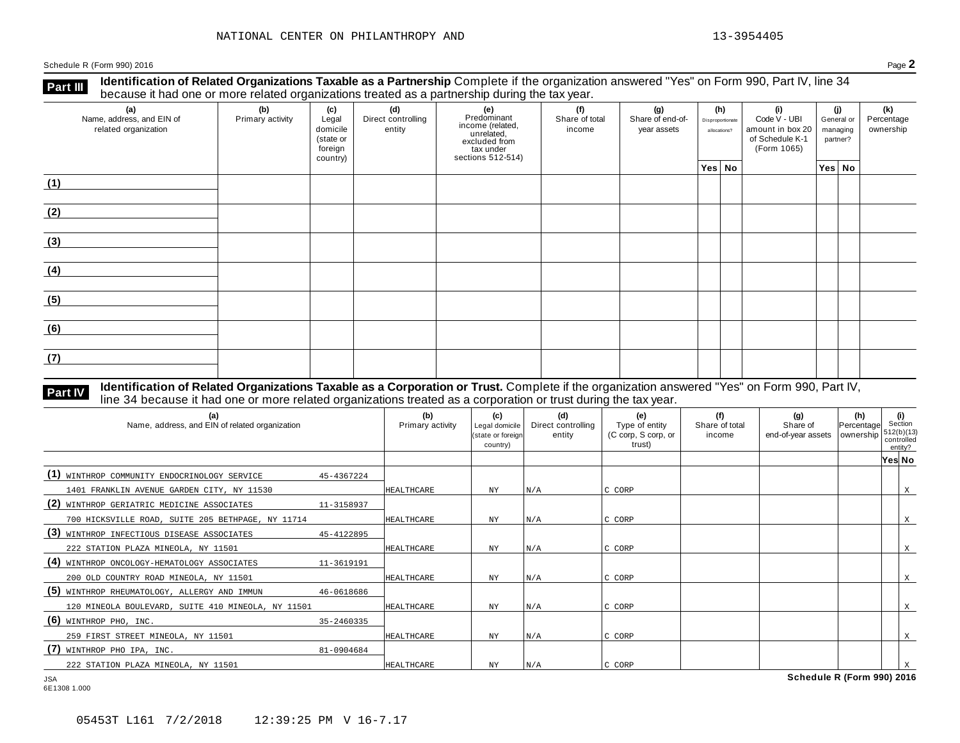**Identification of Related Organizations Taxable as a Partnership** Complete if the organization answered "Yes" on Form 990, Part IV, line 34 **because it had one or more related organizations Taxable as a Partnership** Complete if the organization of Related organizations treated as a partnership during the tax year.

| (a)<br>Name, address, and EIN of<br>related organization | ັ<br>(b)<br>Primary activity | (c)<br>Legal<br>domicile<br>(state or<br>foreign<br>country) | (d)<br>Direct controlling<br>entity | ັ<br>(e)<br>Predominant<br>income (related,<br>unrelated,<br>excluded from<br>tax under<br>sections 512-514) | (f)<br>Share of total<br>income | (g)<br>Share of end-of-<br>year assets |        | (h)<br>Disproportionate<br>allocations? | (i)<br>Code V - UBI<br>amount in box 20<br>of Schedule K-1<br>(Form 1065) | (i)<br>General or<br>managing<br>partner? |        | (k)<br>Percentage<br>ownership |
|----------------------------------------------------------|------------------------------|--------------------------------------------------------------|-------------------------------------|--------------------------------------------------------------------------------------------------------------|---------------------------------|----------------------------------------|--------|-----------------------------------------|---------------------------------------------------------------------------|-------------------------------------------|--------|--------------------------------|
|                                                          |                              |                                                              |                                     |                                                                                                              |                                 |                                        | Yes No |                                         |                                                                           |                                           | Yes No |                                |
| (1)                                                      |                              |                                                              |                                     |                                                                                                              |                                 |                                        |        |                                         |                                                                           |                                           |        |                                |
| (2)                                                      |                              |                                                              |                                     |                                                                                                              |                                 |                                        |        |                                         |                                                                           |                                           |        |                                |
| (3)                                                      |                              |                                                              |                                     |                                                                                                              |                                 |                                        |        |                                         |                                                                           |                                           |        |                                |
| (4)                                                      |                              |                                                              |                                     |                                                                                                              |                                 |                                        |        |                                         |                                                                           |                                           |        |                                |
| (5)                                                      |                              |                                                              |                                     |                                                                                                              |                                 |                                        |        |                                         |                                                                           |                                           |        |                                |
| (6)                                                      |                              |                                                              |                                     |                                                                                                              |                                 |                                        |        |                                         |                                                                           |                                           |        |                                |
| (7)                                                      |                              |                                                              |                                     |                                                                                                              |                                 |                                        |        |                                         |                                                                           |                                           |        |                                |

# **Part IV** Identification of Related Organizations Taxable as a Corporation or Trust. Complete if the organization answered "Yes" on Form 990, Part IV,<br>line 34 because it had one or more related organizations treated as a c

| (a)<br>Name, address, and EIN of related organization |            | (b)<br>Primary activity | (c)<br>Legal domicile<br>(state or foreign<br>country) | (d)<br>Direct controlling<br>entity | (e)<br>Type of entity<br>(C corp, S corp, or<br>trust) | (f)<br>Share of total<br>income | (q)<br>Share of<br>end-of-year assets | $\begin{vmatrix} (h) \\ Percentage \end{vmatrix}$ Section<br>ownership | $512(b)(13)$<br>controlled<br>entity? |   |
|-------------------------------------------------------|------------|-------------------------|--------------------------------------------------------|-------------------------------------|--------------------------------------------------------|---------------------------------|---------------------------------------|------------------------------------------------------------------------|---------------------------------------|---|
|                                                       |            |                         |                                                        |                                     |                                                        |                                 |                                       |                                                                        | Yes No                                |   |
| (1)<br>WINTHROP COMMUNITY ENDOCRINOLOGY SERVICE       | 45-4367224 |                         |                                                        |                                     |                                                        |                                 |                                       |                                                                        |                                       |   |
| 1401 FRANKLIN AVENUE GARDEN CITY, NY 11530            |            | HEALTHCARE              | <b>NY</b>                                              | N/A                                 | C CORP                                                 |                                 |                                       |                                                                        |                                       | X |
| (2)<br>WINTHROP GERIATRIC MEDICINE ASSOCIATES         | 11-3158937 |                         |                                                        |                                     |                                                        |                                 |                                       |                                                                        |                                       |   |
| 700 HICKSVILLE ROAD, SUITE 205 BETHPAGE, NY 11714     |            | HEALTHCARE              | ΝY                                                     | N/A                                 | C CORP                                                 |                                 |                                       |                                                                        |                                       | X |
| (3)<br>WINTHROP INFECTIOUS DISEASE ASSOCIATES         | 45-4122895 |                         |                                                        |                                     |                                                        |                                 |                                       |                                                                        |                                       |   |
| 222 STATION PLAZA MINEOLA, NY 11501                   |            | HEALTHCARE              | NY                                                     | N/A                                 | C CORP                                                 |                                 |                                       |                                                                        |                                       | X |
| (4)<br>WINTHROP ONCOLOGY-HEMATOLOGY ASSOCIATES        | 11-3619191 |                         |                                                        |                                     |                                                        |                                 |                                       |                                                                        |                                       |   |
| 200 OLD COUNTRY ROAD MINEOLA, NY 11501                |            | HEALTHCARE              | <b>NY</b>                                              | N/A                                 | C CORP                                                 |                                 |                                       |                                                                        |                                       | X |
| (5)<br>WINTHROP RHEUMATOLOGY, ALLERGY AND IMMUN       | 46-0618686 |                         |                                                        |                                     |                                                        |                                 |                                       |                                                                        |                                       |   |
| 120 MINEOLA BOULEVARD, SUITE 410 MINEOLA, NY 11501    |            | HEALTHCARE              | <b>NY</b>                                              | N/A                                 | C CORP                                                 |                                 |                                       |                                                                        |                                       | X |
| $(6)$ WINTHROP PHO, INC.                              | 35-2460335 |                         |                                                        |                                     |                                                        |                                 |                                       |                                                                        |                                       |   |
| 259 FIRST STREET MINEOLA, NY 11501                    |            | HEALTHCARE              | NΥ                                                     | N/A                                 | C CORP                                                 |                                 |                                       |                                                                        |                                       | X |
| (7)<br>WINTHROP PHO IPA, INC.                         | 81-0904684 |                         |                                                        |                                     |                                                        |                                 |                                       |                                                                        |                                       |   |
| 222 STATION PLAZA MINEOLA, NY 11501                   |            | HEALTHCARE              | NY                                                     | N/A                                 | C CORP                                                 |                                 |                                       |                                                                        |                                       |   |
| <b>JSA</b>                                            |            |                         |                                                        |                                     |                                                        |                                 | Schedule R (Form 990) 2016            |                                                                        |                                       |   |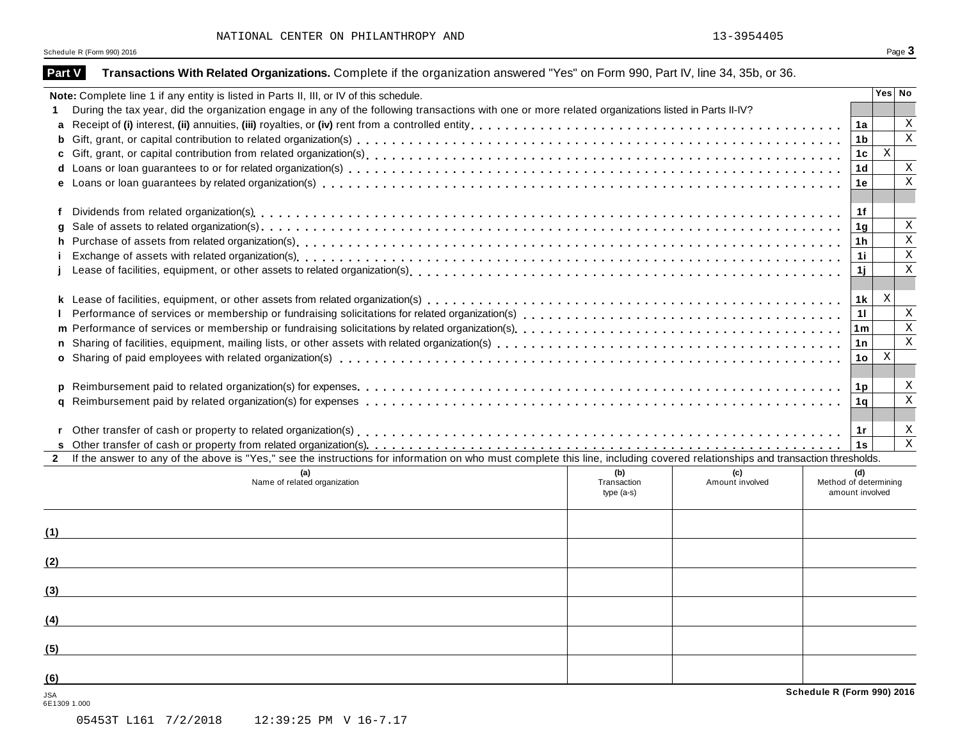| Page $\mathbf 3$ |
|------------------|
|                  |

| Note: Complete line 1 if any entity is listed in Parts II, III, or IV of this schedule.                                                                                                      |                                   |                        |                                                 |                           | Yes No       |
|----------------------------------------------------------------------------------------------------------------------------------------------------------------------------------------------|-----------------------------------|------------------------|-------------------------------------------------|---------------------------|--------------|
| During the tax year, did the organization engage in any of the following transactions with one or more related organizations listed in Parts II-IV?                                          |                                   |                        |                                                 |                           |              |
| a                                                                                                                                                                                            |                                   |                        | 1a                                              |                           | Χ            |
| b                                                                                                                                                                                            |                                   |                        | 1 <sub>b</sub>                                  |                           | $\mathbf X$  |
| C                                                                                                                                                                                            |                                   |                        | 1c                                              | $\mathbf X$               |              |
|                                                                                                                                                                                              |                                   |                        | 1 <sub>d</sub>                                  |                           | Χ            |
|                                                                                                                                                                                              |                                   |                        | 1e                                              |                           | $\mathbf X$  |
| f                                                                                                                                                                                            |                                   |                        | 1f                                              |                           |              |
|                                                                                                                                                                                              |                                   |                        | 1g                                              |                           | Χ            |
| h                                                                                                                                                                                            |                                   |                        | 1h                                              |                           | Χ            |
|                                                                                                                                                                                              |                                   |                        | 1i.                                             |                           | $\mathbf X$  |
|                                                                                                                                                                                              |                                   |                        | 1j.                                             |                           | Χ            |
|                                                                                                                                                                                              |                                   |                        | 1k                                              | X                         |              |
|                                                                                                                                                                                              |                                   |                        | 11                                              |                           | X            |
| m                                                                                                                                                                                            |                                   |                        | 1 <sub>m</sub>                                  |                           | $\mathbf X$  |
|                                                                                                                                                                                              |                                   |                        | 1n                                              |                           | Χ            |
|                                                                                                                                                                                              |                                   |                        | 1o                                              | $\boldsymbol{\mathrm{X}}$ |              |
|                                                                                                                                                                                              |                                   |                        | 1 <sub>p</sub>                                  |                           | X            |
| q                                                                                                                                                                                            |                                   |                        | 1 <sub>q</sub>                                  |                           | $\mathbf X$  |
|                                                                                                                                                                                              |                                   |                        |                                                 |                           |              |
|                                                                                                                                                                                              |                                   |                        | 1r                                              |                           | X            |
|                                                                                                                                                                                              |                                   |                        | 1s                                              |                           | $\mathbf{X}$ |
| If the answer to any of the above is "Yes," see the instructions for information on who must complete this line, including covered relationships and transaction thresholds.<br>$\mathbf{2}$ |                                   |                        |                                                 |                           |              |
| (a)<br>Name of related organization                                                                                                                                                          | (b)<br>Transaction<br>$type(a-s)$ | (c)<br>Amount involved | (d)<br>Method of determining<br>amount involved |                           |              |
| (1)                                                                                                                                                                                          |                                   |                        |                                                 |                           |              |
| (2)                                                                                                                                                                                          |                                   |                        |                                                 |                           |              |
| (3)                                                                                                                                                                                          |                                   |                        |                                                 |                           |              |
| (4)                                                                                                                                                                                          |                                   |                        |                                                 |                           |              |
| (5)                                                                                                                                                                                          |                                   |                        |                                                 |                           |              |
|                                                                                                                                                                                              |                                   |                        |                                                 |                           |              |
| (6)                                                                                                                                                                                          |                                   |                        |                                                 |                           |              |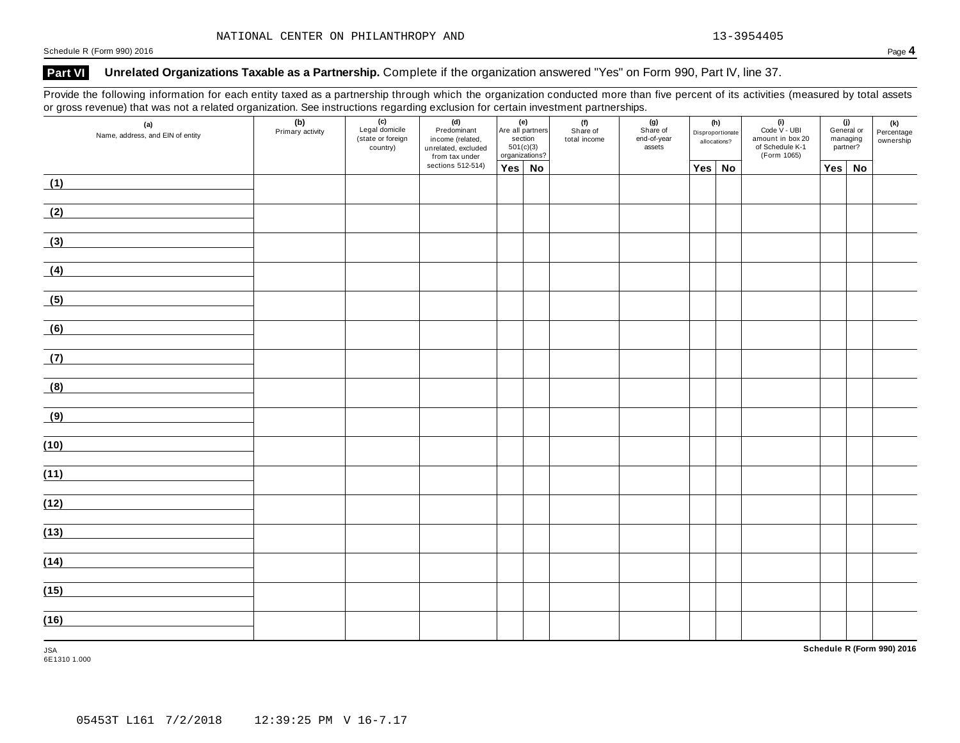## **Part VI Unrelated Organizations Taxable as a Partnership.** Complete if the organization answered "Yes" on Form 990, Part IV, line 37.

Provide the following information for each entity taxed as a partnership through which the organization conducted more than five percent of its activities (measured by total assets or gross revenue) that was not a related organization. See instructions regarding exclusion for certain investment partnerships.

| (a)<br>Name, address, and EIN of entity | (b)<br>Primary activity | $\overline{(c)}$<br>Legal domicile<br>(state or foreign<br>country) | (d)<br>Predominant<br>income (related,<br>unrelated, excluded<br>from tax under | (e)<br>Are all partners<br>section<br>501(c)(3)<br>organizations? | (f)<br>Share of<br>total income | (g)<br>Share of<br>end-of-year<br>assets | (h)<br>Disproportionate<br>allocations? |        | $(i)$<br>Code $\vee$ - UBI<br>amount in box 20<br>of Schedule K-1<br>(Form 1065) | (j)<br>General or<br>managing<br>partner? |    | (k)<br>Percentage<br>ownership |
|-----------------------------------------|-------------------------|---------------------------------------------------------------------|---------------------------------------------------------------------------------|-------------------------------------------------------------------|---------------------------------|------------------------------------------|-----------------------------------------|--------|----------------------------------------------------------------------------------|-------------------------------------------|----|--------------------------------|
|                                         |                         |                                                                     | sections 512-514)                                                               | Yes No                                                            |                                 |                                          |                                         | Yes No |                                                                                  | Yes                                       | No |                                |
| (1)                                     |                         |                                                                     |                                                                                 |                                                                   |                                 |                                          |                                         |        |                                                                                  |                                           |    |                                |
| (2)                                     |                         |                                                                     |                                                                                 |                                                                   |                                 |                                          |                                         |        |                                                                                  |                                           |    |                                |
| (3)                                     |                         |                                                                     |                                                                                 |                                                                   |                                 |                                          |                                         |        |                                                                                  |                                           |    |                                |
| (4)                                     |                         |                                                                     |                                                                                 |                                                                   |                                 |                                          |                                         |        |                                                                                  |                                           |    |                                |
| (5)                                     |                         |                                                                     |                                                                                 |                                                                   |                                 |                                          |                                         |        |                                                                                  |                                           |    |                                |
| (6)                                     |                         |                                                                     |                                                                                 |                                                                   |                                 |                                          |                                         |        |                                                                                  |                                           |    |                                |
| (7)                                     |                         |                                                                     |                                                                                 |                                                                   |                                 |                                          |                                         |        |                                                                                  |                                           |    |                                |
| (8)                                     |                         |                                                                     |                                                                                 |                                                                   |                                 |                                          |                                         |        |                                                                                  |                                           |    |                                |
| (9)                                     |                         |                                                                     |                                                                                 |                                                                   |                                 |                                          |                                         |        |                                                                                  |                                           |    |                                |
| (10)                                    |                         |                                                                     |                                                                                 |                                                                   |                                 |                                          |                                         |        |                                                                                  |                                           |    |                                |
| (11)                                    |                         |                                                                     |                                                                                 |                                                                   |                                 |                                          |                                         |        |                                                                                  |                                           |    |                                |
| (12)                                    |                         |                                                                     |                                                                                 |                                                                   |                                 |                                          |                                         |        |                                                                                  |                                           |    |                                |
| (13)                                    |                         |                                                                     |                                                                                 |                                                                   |                                 |                                          |                                         |        |                                                                                  |                                           |    |                                |
| (14)                                    |                         |                                                                     |                                                                                 |                                                                   |                                 |                                          |                                         |        |                                                                                  |                                           |    |                                |
| (15)                                    |                         |                                                                     |                                                                                 |                                                                   |                                 |                                          |                                         |        |                                                                                  |                                           |    |                                |
| (16)                                    |                         |                                                                     |                                                                                 |                                                                   |                                 |                                          |                                         |        |                                                                                  |                                           |    |                                |
| JSA                                     |                         |                                                                     |                                                                                 |                                                                   |                                 |                                          |                                         |        |                                                                                  |                                           |    | Schedule R (Form 990) 2016     |

6E1310 1.000